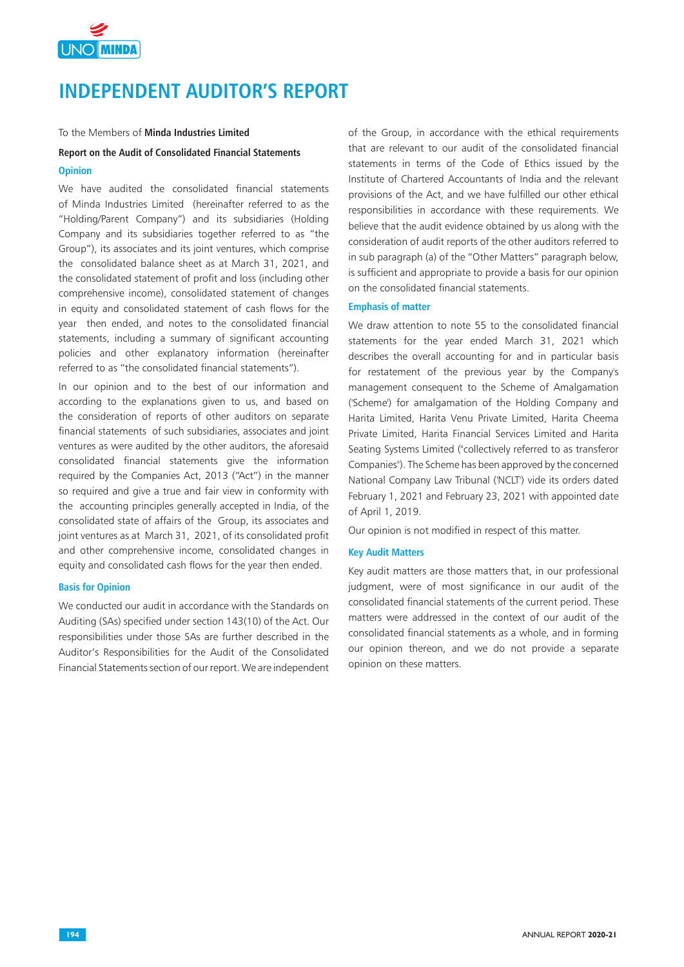

# **INDEPENDENT AUDITOR'S REPORT**

#### To the Members of **Minda Industries Limited**

#### **Report on the Audit of Consolidated Financial Statements**

#### **Opinion**

We have audited the consolidated financial statements of Minda Industries Limited (hereinafter referred to as the "Holding/Parent Company") and its subsidiaries (Holding Company and its subsidiaries together referred to as "the Group"), its associates and its joint ventures, which comprise the consolidated balance sheet as at March 31, 2021, and the consolidated statement of profit and loss (including other comprehensive income), consolidated statement of changes in equity and consolidated statement of cash flows for the year then ended, and notes to the consolidated financial statements, including a summary of significant accounting policies and other explanatory information (hereinafter referred to as "the consolidated financial statements").

In our opinion and to the best of our information and according to the explanations given to us, and based on the consideration of reports of other auditors on separate financial statements of such subsidiaries, associates and joint ventures as were audited by the other auditors, the aforesaid consolidated financial statements give the information required by the Companies Act, 2013 ("Act") in the manner so required and give a true and fair view in conformity with the accounting principles generally accepted in India, of the consolidated state of affairs of the Group, its associates and joint ventures as at March 31, 2021, of its consolidated profit and other comprehensive income, consolidated changes in equity and consolidated cash flows for the year then ended.

#### **Basis for Opinion**

We conducted our audit in accordance with the Standards on Auditing (SAs) specified under section 143(10) of the Act. Our responsibilities under those SAs are further described in the Auditor's Responsibilities for the Audit of the Consolidated Financial Statements section of our report. We are independent of the Group, in accordance with the ethical requirements that are relevant to our audit of the consolidated financial statements in terms of the Code of Ethics issued by the Institute of Chartered Accountants of India and the relevant provisions of the Act, and we have fulfilled our other ethical responsibilities in accordance with these requirements. We believe that the audit evidence obtained by us along with the consideration of audit reports of the other auditors referred to in sub paragraph (a) of the "Other Matters" paragraph below, is sufficient and appropriate to provide a basis for our opinion on the consolidated financial statements.

#### **Emphasis of matter**

We draw attention to note 55 to the consolidated financial statements for the year ended March 31, 2021 which describes the overall accounting for and in particular basis for restatement of the previous year by the Company's management consequent to the Scheme of Amalgamation ('Scheme') for amalgamation of the Holding Company and Harita Limited, Harita Venu Private Limited, Harita Cheema Private Limited, Harita Financial Services Limited and Harita Seating Systems Limited ("collectively referred to as transferor Companies"). The Scheme has been approved by the concerned National Company Law Tribunal ('NCLT') vide its orders dated February 1, 2021 and February 23, 2021 with appointed date of April 1, 2019.

Our opinion is not modified in respect of this matter.

#### **Key Audit Matters**

Key audit matters are those matters that, in our professional judgment, were of most significance in our audit of the consolidated financial statements of the current period. These matters were addressed in the context of our audit of the consolidated financial statements as a whole, and in forming our opinion thereon, and we do not provide a separate opinion on these matters.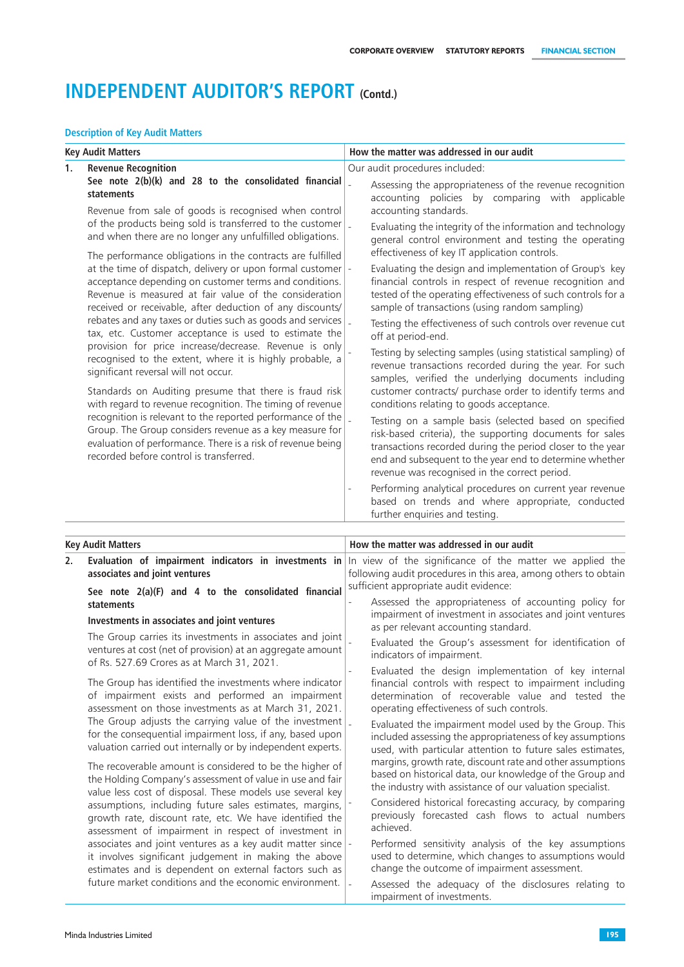### **Description of Key Audit Matters**

|    | <b>Key Audit Matters</b>                                                                                                                                                                                                                                                                                                                                                                                                                  |                | How the matter was addressed in our audit                                                                                                                                                                                                                                                                                                             |
|----|-------------------------------------------------------------------------------------------------------------------------------------------------------------------------------------------------------------------------------------------------------------------------------------------------------------------------------------------------------------------------------------------------------------------------------------------|----------------|-------------------------------------------------------------------------------------------------------------------------------------------------------------------------------------------------------------------------------------------------------------------------------------------------------------------------------------------------------|
| 1. | <b>Revenue Recognition</b>                                                                                                                                                                                                                                                                                                                                                                                                                |                | Our audit procedures included:                                                                                                                                                                                                                                                                                                                        |
|    | See note 2(b)(k) and 28 to the consolidated financial<br>statements                                                                                                                                                                                                                                                                                                                                                                       |                | Assessing the appropriateness of the revenue recognition<br>accounting policies by comparing with applicable                                                                                                                                                                                                                                          |
|    | Revenue from sale of goods is recognised when control                                                                                                                                                                                                                                                                                                                                                                                     |                | accounting standards.                                                                                                                                                                                                                                                                                                                                 |
|    | of the products being sold is transferred to the customer<br>and when there are no longer any unfulfilled obligations.                                                                                                                                                                                                                                                                                                                    |                | Evaluating the integrity of the information and technology<br>general control environment and testing the operating                                                                                                                                                                                                                                   |
|    | The performance obligations in the contracts are fulfilled<br>at the time of dispatch, delivery or upon formal customer $\vert$ -<br>acceptance depending on customer terms and conditions.<br>Revenue is measured at fair value of the consideration<br>received or receivable, after deduction of any discounts/<br>rebates and any taxes or duties such as goods and services<br>tax, etc. Customer acceptance is used to estimate the |                | effectiveness of key IT application controls.<br>Evaluating the design and implementation of Group's key<br>financial controls in respect of revenue recognition and<br>tested of the operating effectiveness of such controls for a<br>sample of transactions (using random sampling)<br>Testing the effectiveness of such controls over revenue cut |
|    | provision for price increase/decrease. Revenue is only<br>recognised to the extent, where it is highly probable, a<br>significant reversal will not occur.                                                                                                                                                                                                                                                                                |                | off at period-end.<br>Testing by selecting samples (using statistical sampling) of<br>revenue transactions recorded during the year. For such                                                                                                                                                                                                         |
|    | Standards on Auditing presume that there is fraud risk<br>with regard to revenue recognition. The timing of revenue                                                                                                                                                                                                                                                                                                                       |                | samples, verified the underlying documents including<br>customer contracts/ purchase order to identify terms and<br>conditions relating to goods acceptance.                                                                                                                                                                                          |
|    | recognition is relevant to the reported performance of the<br>Group. The Group considers revenue as a key measure for<br>evaluation of performance. There is a risk of revenue being<br>recorded before control is transferred.                                                                                                                                                                                                           | $\overline{a}$ | Testing on a sample basis (selected based on specified<br>risk-based criteria), the supporting documents for sales<br>transactions recorded during the period closer to the year<br>end and subsequent to the year end to determine whether<br>revenue was recognised in the correct period.                                                          |
|    |                                                                                                                                                                                                                                                                                                                                                                                                                                           |                | Performing analytical procedures on current year revenue<br>based on trends and where appropriate, conducted<br>further enquiries and testing.                                                                                                                                                                                                        |
|    | <b>Key Audit Matters</b>                                                                                                                                                                                                                                                                                                                                                                                                                  |                | How the matter was addressed in our audit                                                                                                                                                                                                                                                                                                             |
| 2. | Evaluation of impairment indicators in investments in<br>associates and joint ventures                                                                                                                                                                                                                                                                                                                                                    |                | In view of the significance of the matter we applied the<br>following audit procedures in this area, among others to obtain<br>sufficient appropriate audit evidence:                                                                                                                                                                                 |
|    | See note 2(a)(F) and 4 to the consolidated financial<br>statements                                                                                                                                                                                                                                                                                                                                                                        |                | Assessed the appropriateness of accounting policy for<br>impairment of investment in associates and joint ventures                                                                                                                                                                                                                                    |
|    | Investments in associates and joint ventures<br>The Group carries its investments in associates and joint                                                                                                                                                                                                                                                                                                                                 |                | as per relevant accounting standard.                                                                                                                                                                                                                                                                                                                  |
|    | ventures at cost (net of provision) at an aggregate amount<br>of Rs. 527.69 Crores as at March 31, 2021.                                                                                                                                                                                                                                                                                                                                  |                | Evaluated the Group's assessment for identification of<br>indicators of impairment.                                                                                                                                                                                                                                                                   |
|    | The Group has identified the investments where indicator<br>of impairment exists and performed an impairment<br>assessment on those investments as at March 31, 2021.                                                                                                                                                                                                                                                                     |                | Evaluated the design implementation of key internal<br>financial controls with respect to impairment including<br>determination of recoverable value and tested the<br>operating effectiveness of such controls.                                                                                                                                      |
|    | The Group adjusts the carrying value of the investment<br>for the consequential impairment loss, if any, based upon<br>valuation carried out internally or by independent experts.                                                                                                                                                                                                                                                        |                | Evaluated the impairment model used by the Group. This<br>included assessing the appropriateness of key assumptions<br>used, with particular attention to future sales estimates,                                                                                                                                                                     |
|    | The recoverable amount is considered to be the higher of<br>the Holding Company's assessment of value in use and fair<br>value less cost of disposal. These models use several key                                                                                                                                                                                                                                                        |                | margins, growth rate, discount rate and other assumptions<br>based on historical data, our knowledge of the Group and<br>the industry with assistance of our valuation specialist.                                                                                                                                                                    |
|    | assumptions, including future sales estimates, margins,<br>growth rate, discount rate, etc. We have identified the<br>assessment of impairment in respect of investment in                                                                                                                                                                                                                                                                |                | Considered historical forecasting accuracy, by comparing<br>previously forecasted cash flows to actual numbers<br>achieved.                                                                                                                                                                                                                           |
|    | associates and joint ventures as a key audit matter since<br>it involves significant judgement in making the above<br>estimates and is dependent on external factors such as                                                                                                                                                                                                                                                              | $\blacksquare$ | Performed sensitivity analysis of the key assumptions<br>used to determine, which changes to assumptions would<br>change the outcome of impairment assessment.                                                                                                                                                                                        |
|    | future market conditions and the economic environment.                                                                                                                                                                                                                                                                                                                                                                                    |                | Assessed the adequacy of the disclosures relating to<br>impairment of investments.                                                                                                                                                                                                                                                                    |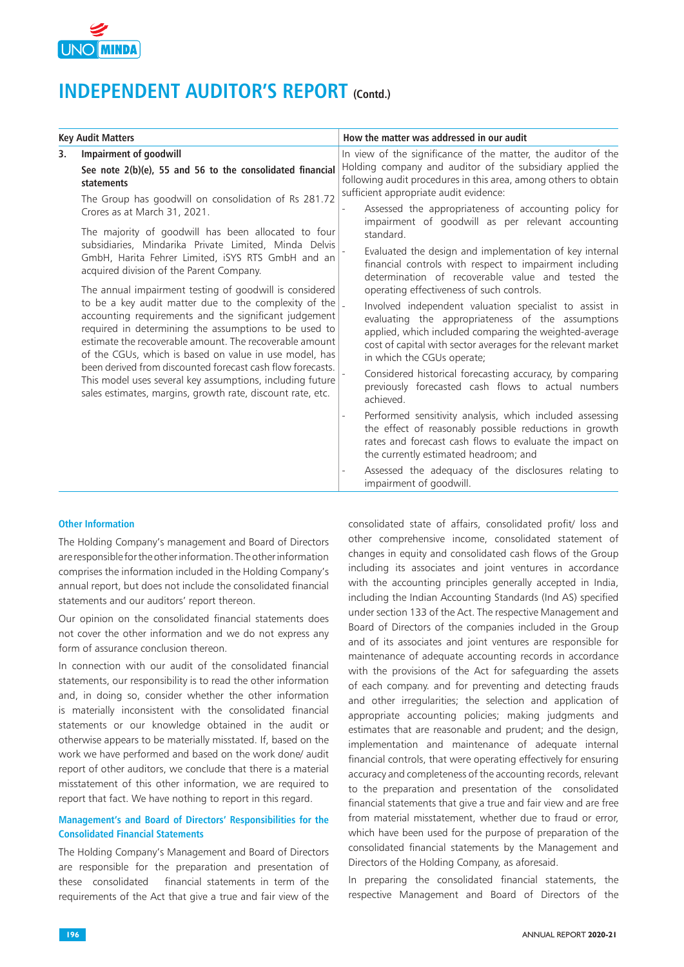

|    | <b>Key Audit Matters</b>                                                                                                                                                                                                                                                                                                                                                                                                                                                                                                                         |  | How the matter was addressed in our audit                                                                                                                                                                                                                                                                        |  |  |
|----|--------------------------------------------------------------------------------------------------------------------------------------------------------------------------------------------------------------------------------------------------------------------------------------------------------------------------------------------------------------------------------------------------------------------------------------------------------------------------------------------------------------------------------------------------|--|------------------------------------------------------------------------------------------------------------------------------------------------------------------------------------------------------------------------------------------------------------------------------------------------------------------|--|--|
| 3. | <b>Impairment of goodwill</b><br>See note 2(b)(e), 55 and 56 to the consolidated financial<br>statements                                                                                                                                                                                                                                                                                                                                                                                                                                         |  | In view of the significance of the matter, the auditor of the<br>Holding company and auditor of the subsidiary applied the<br>following audit procedures in this area, among others to obtain<br>sufficient appropriate audit evidence:                                                                          |  |  |
|    | The Group has goodwill on consolidation of Rs 281.72<br>Crores as at March 31, 2021.<br>The majority of goodwill has been allocated to four                                                                                                                                                                                                                                                                                                                                                                                                      |  | Assessed the appropriateness of accounting policy for<br>impairment of goodwill as per relevant accounting<br>standard.                                                                                                                                                                                          |  |  |
|    | subsidiaries, Mindarika Private Limited, Minda Delvis<br>GmbH, Harita Fehrer Limited, iSYS RTS GmbH and an<br>acquired division of the Parent Company.                                                                                                                                                                                                                                                                                                                                                                                           |  | Evaluated the design and implementation of key internal<br>financial controls with respect to impairment including<br>determination of recoverable value and tested the                                                                                                                                          |  |  |
|    | The annual impairment testing of goodwill is considered<br>to be a key audit matter due to the complexity of the<br>accounting requirements and the significant judgement<br>required in determining the assumptions to be used to<br>estimate the recoverable amount. The recoverable amount<br>of the CGUs, which is based on value in use model, has<br>been derived from discounted forecast cash flow forecasts.<br>This model uses several key assumptions, including future<br>sales estimates, margins, growth rate, discount rate, etc. |  | operating effectiveness of such controls.<br>Involved independent valuation specialist to assist in<br>evaluating the appropriateness of the assumptions<br>applied, which included comparing the weighted-average<br>cost of capital with sector averages for the relevant market<br>in which the CGUs operate; |  |  |
|    |                                                                                                                                                                                                                                                                                                                                                                                                                                                                                                                                                  |  | Considered historical forecasting accuracy, by comparing<br>previously forecasted cash flows to actual numbers<br>achieved.                                                                                                                                                                                      |  |  |
|    |                                                                                                                                                                                                                                                                                                                                                                                                                                                                                                                                                  |  | Performed sensitivity analysis, which included assessing<br>the effect of reasonably possible reductions in growth<br>rates and forecast cash flows to evaluate the impact on<br>the currently estimated headroom; and                                                                                           |  |  |
|    |                                                                                                                                                                                                                                                                                                                                                                                                                                                                                                                                                  |  | Assessed the adequacy of the disclosures relating to<br>impairment of goodwill.                                                                                                                                                                                                                                  |  |  |

### **Other Information**

The Holding Company's management and Board of Directors are responsible for the other information. The other information comprises the information included in the Holding Company's annual report, but does not include the consolidated financial statements and our auditors' report thereon.

Our opinion on the consolidated financial statements does not cover the other information and we do not express any form of assurance conclusion thereon.

In connection with our audit of the consolidated financial statements, our responsibility is to read the other information and, in doing so, consider whether the other information is materially inconsistent with the consolidated financial statements or our knowledge obtained in the audit or otherwise appears to be materially misstated. If, based on the work we have performed and based on the work done/ audit report of other auditors, we conclude that there is a material misstatement of this other information, we are required to report that fact. We have nothing to report in this regard.

### **Management's and Board of Directors' Responsibilities for the Consolidated Financial Statements**

The Holding Company's Management and Board of Directors are responsible for the preparation and presentation of these consolidated financial statements in term of the requirements of the Act that give a true and fair view of the

consolidated state of affairs, consolidated profit/ loss and other comprehensive income, consolidated statement of changes in equity and consolidated cash flows of the Group including its associates and joint ventures in accordance with the accounting principles generally accepted in India, including the Indian Accounting Standards (Ind AS) specified under section 133 of the Act. The respective Management and Board of Directors of the companies included in the Group and of its associates and joint ventures are responsible for maintenance of adequate accounting records in accordance with the provisions of the Act for safeguarding the assets of each company. and for preventing and detecting frauds and other irregularities; the selection and application of appropriate accounting policies; making judgments and estimates that are reasonable and prudent; and the design, implementation and maintenance of adequate internal financial controls, that were operating effectively for ensuring accuracy and completeness of the accounting records, relevant to the preparation and presentation of the consolidated financial statements that give a true and fair view and are free from material misstatement, whether due to fraud or error, which have been used for the purpose of preparation of the consolidated financial statements by the Management and Directors of the Holding Company, as aforesaid.

In preparing the consolidated financial statements, the respective Management and Board of Directors of the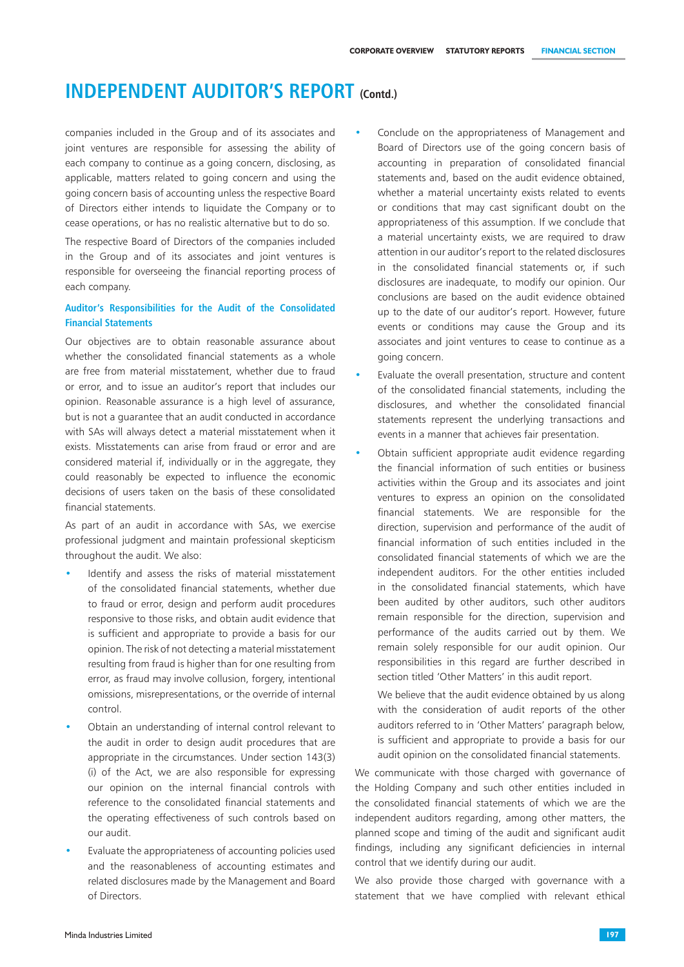companies included in the Group and of its associates and joint ventures are responsible for assessing the ability of each company to continue as a going concern, disclosing, as applicable, matters related to going concern and using the going concern basis of accounting unless the respective Board of Directors either intends to liquidate the Company or to cease operations, or has no realistic alternative but to do so.

The respective Board of Directors of the companies included in the Group and of its associates and joint ventures is responsible for overseeing the financial reporting process of each company.

## **Auditor's Responsibilities for the Audit of the Consolidated Financial Statements**

Our objectives are to obtain reasonable assurance about whether the consolidated financial statements as a whole are free from material misstatement, whether due to fraud or error, and to issue an auditor's report that includes our opinion. Reasonable assurance is a high level of assurance, but is not a guarantee that an audit conducted in accordance with SAs will always detect a material misstatement when it exists. Misstatements can arise from fraud or error and are considered material if, individually or in the aggregate, they could reasonably be expected to influence the economic decisions of users taken on the basis of these consolidated financial statements.

As part of an audit in accordance with SAs, we exercise professional judgment and maintain professional skepticism throughout the audit. We also:

- Identify and assess the risks of material misstatement of the consolidated financial statements, whether due to fraud or error, design and perform audit procedures responsive to those risks, and obtain audit evidence that is sufficient and appropriate to provide a basis for our opinion. The risk of not detecting a material misstatement resulting from fraud is higher than for one resulting from error, as fraud may involve collusion, forgery, intentional omissions, misrepresentations, or the override of internal control.
- Obtain an understanding of internal control relevant to the audit in order to design audit procedures that are appropriate in the circumstances. Under section 143(3) (i) of the Act, we are also responsible for expressing our opinion on the internal financial controls with reference to the consolidated financial statements and the operating effectiveness of such controls based on our audit.
- Evaluate the appropriateness of accounting policies used and the reasonableness of accounting estimates and related disclosures made by the Management and Board of Directors.
- Conclude on the appropriateness of Management and Board of Directors use of the going concern basis of accounting in preparation of consolidated financial statements and, based on the audit evidence obtained, whether a material uncertainty exists related to events or conditions that may cast significant doubt on the appropriateness of this assumption. If we conclude that a material uncertainty exists, we are required to draw attention in our auditor's report to the related disclosures in the consolidated financial statements or, if such disclosures are inadequate, to modify our opinion. Our conclusions are based on the audit evidence obtained up to the date of our auditor's report. However, future events or conditions may cause the Group and its associates and joint ventures to cease to continue as a going concern.
- Evaluate the overall presentation, structure and content of the consolidated financial statements, including the disclosures, and whether the consolidated financial statements represent the underlying transactions and events in a manner that achieves fair presentation.
- Obtain sufficient appropriate audit evidence regarding the financial information of such entities or business activities within the Group and its associates and joint ventures to express an opinion on the consolidated financial statements. We are responsible for the direction, supervision and performance of the audit of financial information of such entities included in the consolidated financial statements of which we are the independent auditors. For the other entities included in the consolidated financial statements, which have been audited by other auditors, such other auditors remain responsible for the direction, supervision and performance of the audits carried out by them. We remain solely responsible for our audit opinion. Our responsibilities in this regard are further described in section titled 'Other Matters' in this audit report.
	- We believe that the audit evidence obtained by us along with the consideration of audit reports of the other auditors referred to in 'Other Matters' paragraph below, is sufficient and appropriate to provide a basis for our audit opinion on the consolidated financial statements.

We communicate with those charged with governance of the Holding Company and such other entities included in the consolidated financial statements of which we are the independent auditors regarding, among other matters, the planned scope and timing of the audit and significant audit findings, including any significant deficiencies in internal control that we identify during our audit.

We also provide those charged with governance with a statement that we have complied with relevant ethical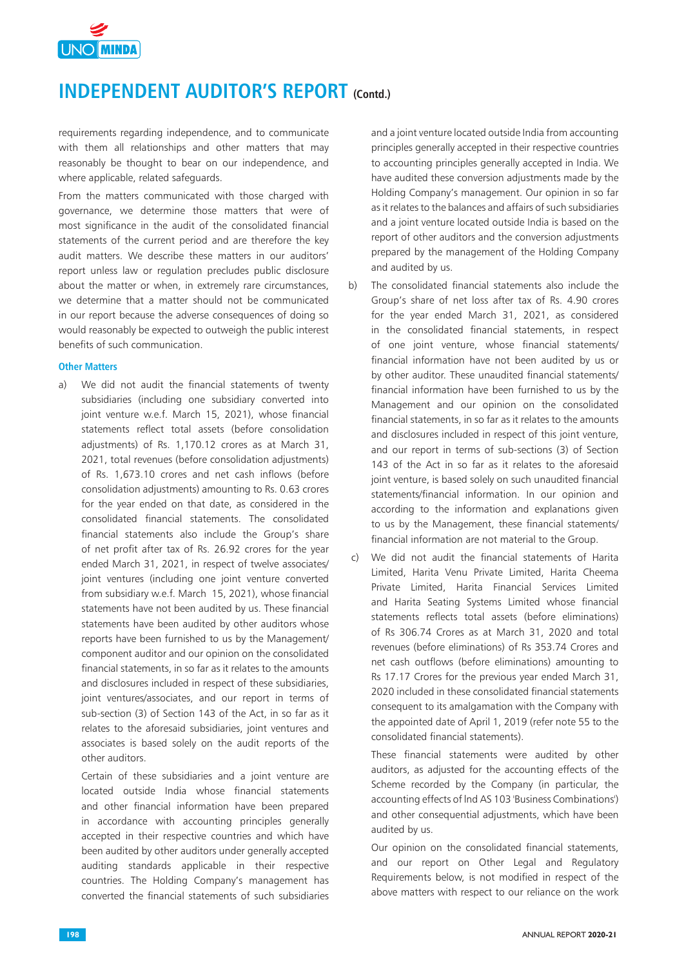

requirements regarding independence, and to communicate with them all relationships and other matters that may reasonably be thought to bear on our independence, and where applicable, related safeguards.

From the matters communicated with those charged with governance, we determine those matters that were of most significance in the audit of the consolidated financial statements of the current period and are therefore the key audit matters. We describe these matters in our auditors' report unless law or regulation precludes public disclosure about the matter or when, in extremely rare circumstances, we determine that a matter should not be communicated in our report because the adverse consequences of doing so would reasonably be expected to outweigh the public interest benefits of such communication.

#### **Other Matters**

a) We did not audit the financial statements of twenty subsidiaries (including one subsidiary converted into joint venture w.e.f. March 15, 2021), whose financial statements reflect total assets (before consolidation adjustments) of Rs. 1,170.12 crores as at March 31, 2021, total revenues (before consolidation adjustments) of Rs. 1,673.10 crores and net cash inflows (before consolidation adjustments) amounting to Rs. 0.63 crores for the year ended on that date, as considered in the consolidated financial statements. The consolidated financial statements also include the Group's share of net profit after tax of Rs. 26.92 crores for the year ended March 31, 2021, in respect of twelve associates/ joint ventures (including one joint venture converted from subsidiary w.e.f. March 15, 2021), whose financial statements have not been audited by us. These financial statements have been audited by other auditors whose reports have been furnished to us by the Management/ component auditor and our opinion on the consolidated financial statements, in so far as it relates to the amounts and disclosures included in respect of these subsidiaries, joint ventures/associates, and our report in terms of sub-section (3) of Section 143 of the Act, in so far as it relates to the aforesaid subsidiaries, joint ventures and associates is based solely on the audit reports of the other auditors.

Certain of these subsidiaries and a joint venture are located outside India whose financial statements and other financial information have been prepared in accordance with accounting principles generally accepted in their respective countries and which have been audited by other auditors under generally accepted auditing standards applicable in their respective countries. The Holding Company's management has converted the financial statements of such subsidiaries

and a joint venture located outside India from accounting principles generally accepted in their respective countries to accounting principles generally accepted in India. We have audited these conversion adjustments made by the Holding Company's management. Our opinion in so far as it relates to the balances and affairs of such subsidiaries and a joint venture located outside India is based on the report of other auditors and the conversion adjustments prepared by the management of the Holding Company and audited by us.

- b) The consolidated financial statements also include the Group's share of net loss after tax of Rs. 4.90 crores for the year ended March 31, 2021, as considered in the consolidated financial statements, in respect of one joint venture, whose financial statements/ financial information have not been audited by us or by other auditor. These unaudited financial statements/ financial information have been furnished to us by the Management and our opinion on the consolidated financial statements, in so far as it relates to the amounts and disclosures included in respect of this joint venture, and our report in terms of sub-sections (3) of Section 143 of the Act in so far as it relates to the aforesaid joint venture, is based solely on such unaudited financial statements/financial information. In our opinion and according to the information and explanations given to us by the Management, these financial statements/ financial information are not material to the Group.
- c) We did not audit the financial statements of Harita Limited, Harita Venu Private Limited, Harita Cheema Private Limited, Harita Financial Services Limited and Harita Seating Systems Limited whose financial statements reflects total assets (before eliminations) of Rs 306.74 Crores as at March 31, 2020 and total revenues (before eliminations) of Rs 353.74 Crores and net cash outflows (before eliminations) amounting to Rs 17.17 Crores for the previous year ended March 31, 2020 included in these consolidated financial statements consequent to its amalgamation with the Company with the appointed date of April 1, 2019 (refer note 55 to the consolidated financial statements).

These financial statements were audited by other auditors, as adjusted for the accounting effects of the Scheme recorded by the Company (in particular, the accounting effects of lnd AS 103 'Business Combinations') and other consequential adjustments, which have been audited by us.

Our opinion on the consolidated financial statements, and our report on Other Legal and Regulatory Requirements below, is not modified in respect of the above matters with respect to our reliance on the work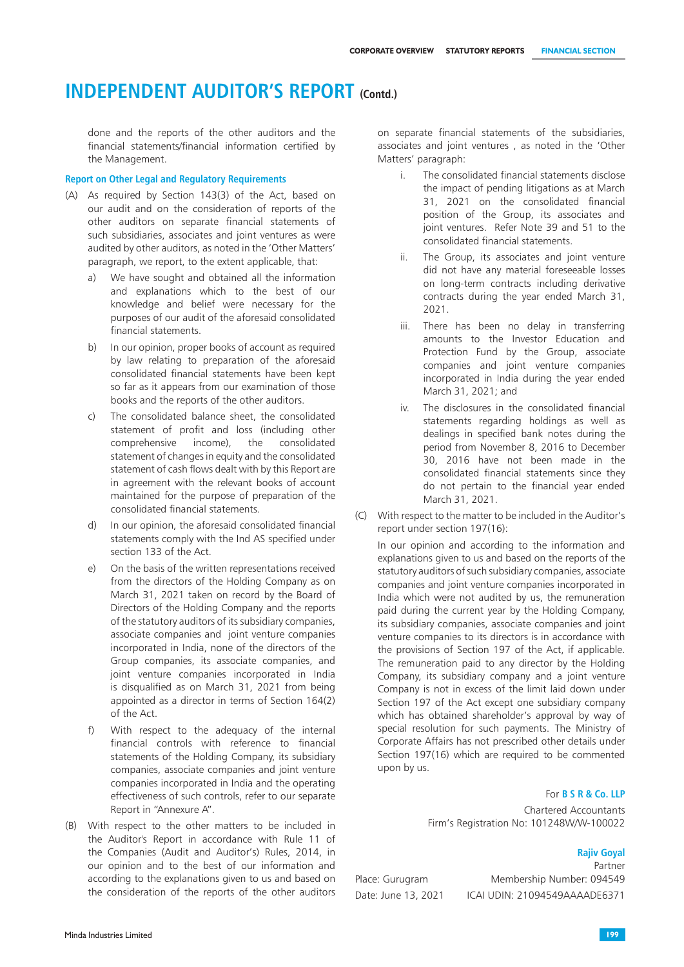done and the reports of the other auditors and the financial statements/financial information certified by the Management.

#### **Report on Other Legal and Regulatory Requirements**

- (A) As required by Section 143(3) of the Act, based on our audit and on the consideration of reports of the other auditors on separate financial statements of such subsidiaries, associates and joint ventures as were audited by other auditors, as noted in the 'Other Matters' paragraph, we report, to the extent applicable, that:
	- a) We have sought and obtained all the information and explanations which to the best of our knowledge and belief were necessary for the purposes of our audit of the aforesaid consolidated financial statements.
	- b) In our opinion, proper books of account as required by law relating to preparation of the aforesaid consolidated financial statements have been kept so far as it appears from our examination of those books and the reports of the other auditors.
	- c) The consolidated balance sheet, the consolidated statement of profit and loss (including other comprehensive income), the consolidated statement of changes in equity and the consolidated statement of cash flows dealt with by this Report are in agreement with the relevant books of account maintained for the purpose of preparation of the consolidated financial statements.
	- d) In our opinion, the aforesaid consolidated financial statements comply with the Ind AS specified under section 133 of the Act.
	- e) On the basis of the written representations received from the directors of the Holding Company as on March 31, 2021 taken on record by the Board of Directors of the Holding Company and the reports of the statutory auditors of its subsidiary companies, associate companies and joint venture companies incorporated in India, none of the directors of the Group companies, its associate companies, and joint venture companies incorporated in India is disqualified as on March 31, 2021 from being appointed as a director in terms of Section 164(2) of the Act.
	- f) With respect to the adequacy of the internal financial controls with reference to financial statements of the Holding Company, its subsidiary companies, associate companies and joint venture companies incorporated in India and the operating effectiveness of such controls, refer to our separate Report in "Annexure A".
- (B) With respect to the other matters to be included in the Auditor's Report in accordance with Rule 11 of the Companies (Audit and Auditor's) Rules, 2014, in our opinion and to the best of our information and according to the explanations given to us and based on the consideration of the reports of the other auditors

on separate financial statements of the subsidiaries, associates and joint ventures , as noted in the 'Other Matters' paragraph:

- i. The consolidated financial statements disclose the impact of pending litigations as at March 31, 2021 on the consolidated financial position of the Group, its associates and joint ventures. Refer Note 39 and 51 to the consolidated financial statements.
- ii. The Group, its associates and joint venture did not have any material foreseeable losses on long-term contracts including derivative contracts during the year ended March 31, 2021.
- iii. There has been no delay in transferring amounts to the Investor Education and Protection Fund by the Group, associate companies and joint venture companies incorporated in India during the year ended March 31, 2021; and
- iv. The disclosures in the consolidated financial statements regarding holdings as well as dealings in specified bank notes during the period from November 8, 2016 to December 30, 2016 have not been made in the consolidated financial statements since they do not pertain to the financial year ended March 31, 2021.
- (C) With respect to the matter to be included in the Auditor's report under section 197(16):

In our opinion and according to the information and explanations given to us and based on the reports of the statutory auditors of such subsidiary companies, associate companies and joint venture companies incorporated in India which were not audited by us, the remuneration paid during the current year by the Holding Company, its subsidiary companies, associate companies and joint venture companies to its directors is in accordance with the provisions of Section 197 of the Act, if applicable. The remuneration paid to any director by the Holding Company, its subsidiary company and a joint venture Company is not in excess of the limit laid down under Section 197 of the Act except one subsidiary company which has obtained shareholder's approval by way of special resolution for such payments. The Ministry of Corporate Affairs has not prescribed other details under Section 197(16) which are required to be commented upon by us.

#### For **B S R & Co. LLP**

Chartered Accountants Firm's Registration No: 101248W/W-100022

### **Rajiv Goyal**

Partner

Place: Gurugram Membership Number: 094549 Date: June 13, 2021 ICAI UDIN: 21094549AAAADE6371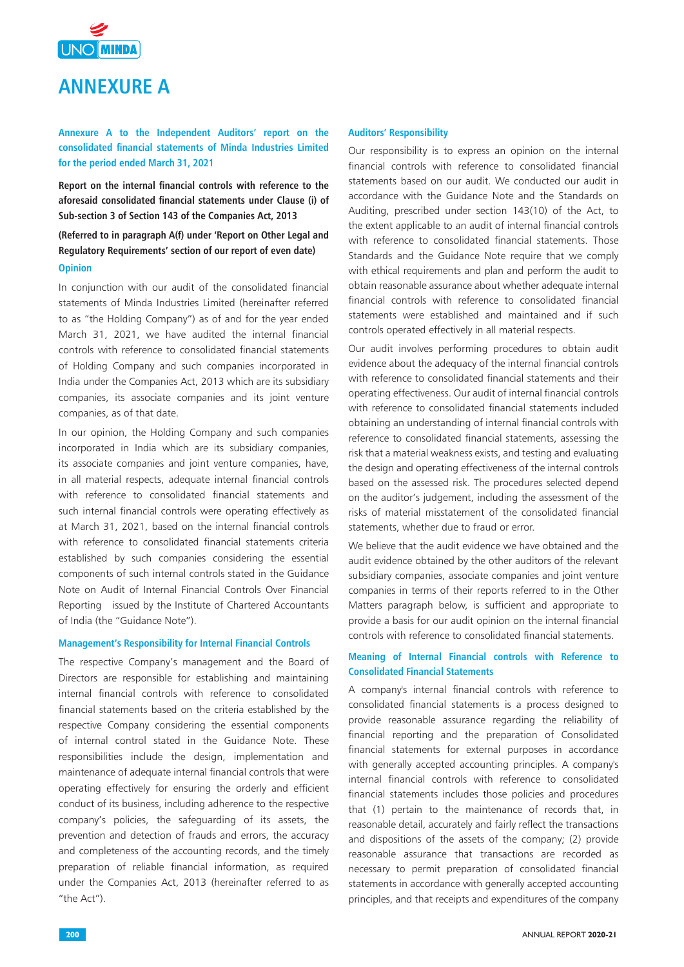

# **ANNEXURE A**

**Annexure A to the Independent Auditors' report on the consolidated financial statements of Minda Industries Limited for the period ended March 31, 2021**

**Report on the internal financial controls with reference to the aforesaid consolidated financial statements under Clause (i) of Sub-section 3 of Section 143 of the Companies Act, 2013** 

## **(Referred to in paragraph A(f) under 'Report on Other Legal and Regulatory Requirements' section of our report of even date) Opinion**

In conjunction with our audit of the consolidated financial statements of Minda Industries Limited (hereinafter referred to as "the Holding Company") as of and for the year ended March 31, 2021, we have audited the internal financial controls with reference to consolidated financial statements of Holding Company and such companies incorporated in India under the Companies Act, 2013 which are its subsidiary companies, its associate companies and its joint venture companies, as of that date.

In our opinion, the Holding Company and such companies incorporated in India which are its subsidiary companies, its associate companies and joint venture companies, have, in all material respects, adequate internal financial controls with reference to consolidated financial statements and such internal financial controls were operating effectively as at March 31, 2021, based on the internal financial controls with reference to consolidated financial statements criteria established by such companies considering the essential components of such internal controls stated in the Guidance Note on Audit of Internal Financial Controls Over Financial Reporting issued by the Institute of Chartered Accountants of India (the "Guidance Note").

#### **Management's Responsibility for Internal Financial Controls**

The respective Company's management and the Board of Directors are responsible for establishing and maintaining internal financial controls with reference to consolidated financial statements based on the criteria established by the respective Company considering the essential components of internal control stated in the Guidance Note. These responsibilities include the design, implementation and maintenance of adequate internal financial controls that were operating effectively for ensuring the orderly and efficient conduct of its business, including adherence to the respective company's policies, the safeguarding of its assets, the prevention and detection of frauds and errors, the accuracy and completeness of the accounting records, and the timely preparation of reliable financial information, as required under the Companies Act, 2013 (hereinafter referred to as "the Act").

### **Auditors' Responsibility**

Our responsibility is to express an opinion on the internal financial controls with reference to consolidated financial statements based on our audit. We conducted our audit in accordance with the Guidance Note and the Standards on Auditing, prescribed under section 143(10) of the Act, to the extent applicable to an audit of internal financial controls with reference to consolidated financial statements. Those Standards and the Guidance Note require that we comply with ethical requirements and plan and perform the audit to obtain reasonable assurance about whether adequate internal financial controls with reference to consolidated financial statements were established and maintained and if such controls operated effectively in all material respects.

Our audit involves performing procedures to obtain audit evidence about the adequacy of the internal financial controls with reference to consolidated financial statements and their operating effectiveness. Our audit of internal financial controls with reference to consolidated financial statements included obtaining an understanding of internal financial controls with reference to consolidated financial statements, assessing the risk that a material weakness exists, and testing and evaluating the design and operating effectiveness of the internal controls based on the assessed risk. The procedures selected depend on the auditor's judgement, including the assessment of the risks of material misstatement of the consolidated financial statements, whether due to fraud or error.

We believe that the audit evidence we have obtained and the audit evidence obtained by the other auditors of the relevant subsidiary companies, associate companies and joint venture companies in terms of their reports referred to in the Other Matters paragraph below, is sufficient and appropriate to provide a basis for our audit opinion on the internal financial controls with reference to consolidated financial statements.

#### **Meaning of Internal Financial controls with Reference to Consolidated Financial Statements**

A company's internal financial controls with reference to consolidated financial statements is a process designed to provide reasonable assurance regarding the reliability of financial reporting and the preparation of Consolidated financial statements for external purposes in accordance with generally accepted accounting principles. A company's internal financial controls with reference to consolidated financial statements includes those policies and procedures that (1) pertain to the maintenance of records that, in reasonable detail, accurately and fairly reflect the transactions and dispositions of the assets of the company; (2) provide reasonable assurance that transactions are recorded as necessary to permit preparation of consolidated financial statements in accordance with generally accepted accounting principles, and that receipts and expenditures of the company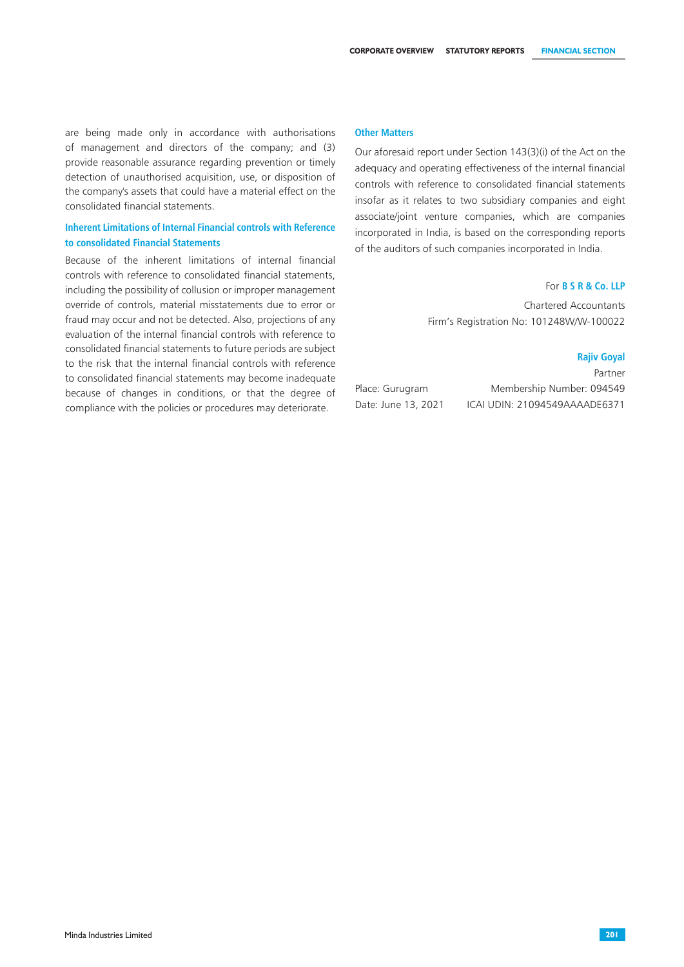are being made only in accordance with authorisations of management and directors of the company; and (3) provide reasonable assurance regarding prevention or timely detection of unauthorised acquisition, use, or disposition of the company's assets that could have a material effect on the consolidated financial statements.

### **Inherent Limitations of Internal Financial controls with Reference to consolidated Financial Statements**

Because of the inherent limitations of internal financial controls with reference to consolidated financial statements, including the possibility of collusion or improper management override of controls, material misstatements due to error or fraud may occur and not be detected. Also, projections of any evaluation of the internal financial controls with reference to consolidated financial statements to future periods are subject to the risk that the internal financial controls with reference to consolidated financial statements may become inadequate because of changes in conditions, or that the degree of compliance with the policies or procedures may deteriorate.

#### **Other Matters**

Our aforesaid report under Section 143(3)(i) of the Act on the adequacy and operating effectiveness of the internal financial controls with reference to consolidated financial statements insofar as it relates to two subsidiary companies and eight associate/joint venture companies, which are companies incorporated in India, is based on the corresponding reports of the auditors of such companies incorporated in India.

### For **B S R & Co. LLP**

Chartered Accountants Firm's Registration No: 101248W/W-100022

#### **Rajiv Goyal**

Partner Place: Gurugram Membership Number: 094549 Date: June 13, 2021 ICAI UDIN: 21094549AAAADE6371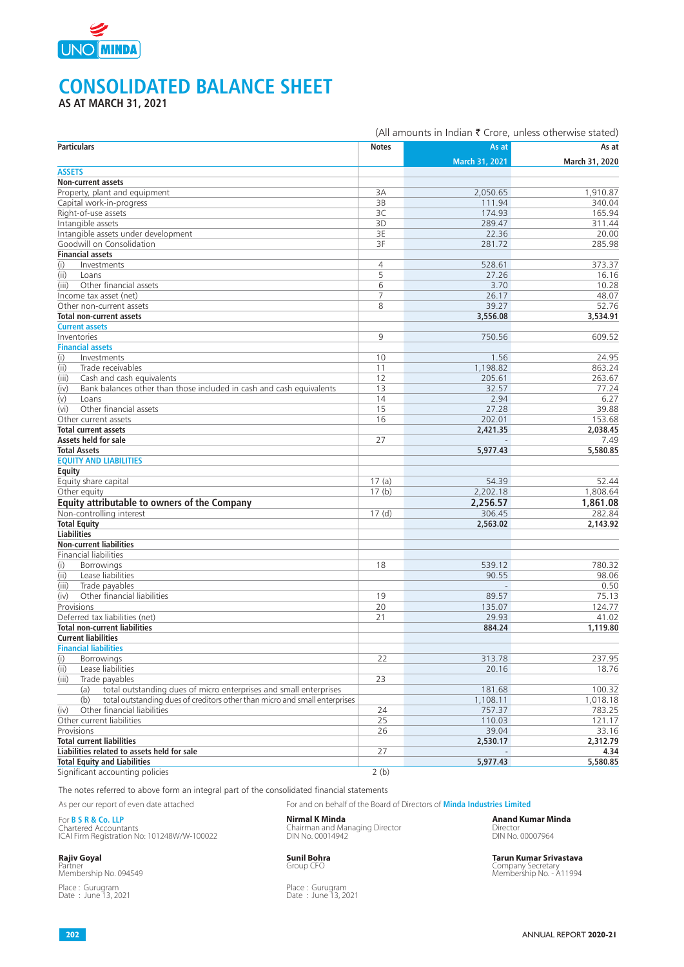

# **CONSOLIDATED BALANCE SHEET**

**AS AT MARCH 31, 2021**

|                                                                                   |                | (All amounts in Indian ₹ Crore, unless otherwise stated) |                |
|-----------------------------------------------------------------------------------|----------------|----------------------------------------------------------|----------------|
| <b>Particulars</b>                                                                | <b>Notes</b>   | As at                                                    | As at          |
|                                                                                   |                | March 31, 2021                                           | March 31, 2020 |
| <b>ASSETS</b>                                                                     |                |                                                          |                |
| Non-current assets                                                                |                |                                                          |                |
| Property, plant and equipment                                                     | 3A             | 2,050.65                                                 | 1,910.87       |
| Capital work-in-progress                                                          | 3B             | 111.94                                                   | 340.04         |
| Right-of-use assets                                                               | 3C             | 174.93                                                   | 165.94         |
| Intangible assets                                                                 | 3D             | 289.47                                                   | 311.44         |
| Intangible assets under development                                               | 3E             | 22.36                                                    | 20.00          |
| Goodwill on Consolidation                                                         | 3F             | 281.72                                                   | 285.98         |
| <b>Financial assets</b>                                                           |                |                                                          |                |
| (i)<br>Investments                                                                | $\overline{4}$ | 528.61                                                   | 373.37         |
| (ii)<br>Loans                                                                     | 5              | 27.26                                                    | 16.16          |
| Other financial assets<br>(iii)                                                   | 6              | 3.70                                                     | 10.28          |
| Income tax asset (net)                                                            | $\overline{7}$ | 26.17                                                    | 48.07          |
| Other non-current assets                                                          | 8              | 39.27                                                    | 52.76          |
| <b>Total non-current assets</b>                                                   |                | 3,556.08                                                 | 3,534.91       |
| <b>Current assets</b>                                                             |                |                                                          |                |
| Inventories                                                                       | 9              | 750.56                                                   | 609.52         |
| <b>Financial assets</b>                                                           |                |                                                          |                |
| (i)<br>Investments                                                                | 10             | 1.56                                                     | 24.95          |
| (ii)<br>Trade receivables                                                         | 11             | 1,198.82                                                 | 863.24         |
| (iii)<br>Cash and cash equivalents                                                | 12             | 205.61                                                   | 263.67         |
| (iv)<br>Bank balances other than those included in cash and cash equivalents      | 13             | 32.57                                                    | 77.24          |
| (v)<br>Loans                                                                      | 14             | 2.94                                                     | 6.27           |
| Other financial assets<br>(vi)                                                    | 15             | 27.28                                                    | 39.88          |
| Other current assets                                                              | 16             | 202.01                                                   | 153.68         |
| <b>Total current assets</b>                                                       |                | 2,421.35                                                 | 2.038.45       |
| Assets held for sale                                                              | 27             |                                                          | 7.49           |
| <b>Total Assets</b><br><b>EQUITY AND LIABILITIES</b>                              |                | 5,977.43                                                 | 5,580.85       |
|                                                                                   |                |                                                          |                |
| Equity                                                                            | 17(a)          | 54.39                                                    | 52.44          |
| Equity share capital<br>Other equity                                              | 17(b)          | 2,202.18                                                 | 1,808.64       |
| Equity attributable to owners of the Company                                      |                | 2,256.57                                                 | 1,861.08       |
| Non-controlling interest                                                          | 17(d)          | 306.45                                                   | 282.84         |
| <b>Total Equity</b>                                                               |                |                                                          |                |
| <b>Liabilities</b>                                                                |                | 2,563.02                                                 | 2,143.92       |
| <b>Non-current liabilities</b>                                                    |                |                                                          |                |
| Financial liabilities                                                             |                |                                                          |                |
| (i)<br><b>Borrowings</b>                                                          | 18             | 539.12                                                   | 780.32         |
| Lease liabilities<br>(ii)                                                         |                | 90.55                                                    | 98.06          |
| (iii)<br>Trade payables                                                           |                |                                                          | 0.50           |
| Other financial liabilities<br>(iv)                                               | 19             | 89.57                                                    | 75.13          |
| Provisions                                                                        | 20             | 135.07                                                   | 124.77         |
| Deferred tax liabilities (net)                                                    | 21             | 29.93                                                    | 41.02          |
| <b>Total non-current liabilities</b>                                              |                | 884.24                                                   | 1,119.80       |
| <b>Current liabilities</b>                                                        |                |                                                          |                |
| <b>Financial liabilities</b>                                                      |                |                                                          |                |
| (i)<br>Borrowings                                                                 | 22             | 313.78                                                   | 237.95         |
| (i)<br>Lease liabilities                                                          |                | 20.16                                                    | 18.76          |
| (iii)<br>Trade payables                                                           | 23             |                                                          |                |
| total outstanding dues of micro enterprises and small enterprises<br>(a)          |                | 181.68                                                   | 100.32         |
| total outstanding dues of creditors other than micro and small enterprises<br>(b) |                | 1,108.11                                                 | 1,018.18       |
| (iv)<br>Other financial liabilities                                               | 24             | 757.37                                                   | 783.25         |
| Other current liabilities                                                         | 25             | 110.03                                                   | 121.17         |
| Provisions                                                                        | 26             | 39.04                                                    | 33.16          |
| <b>Total current liabilities</b>                                                  |                | 2,530.17                                                 | 2,312.79       |
| Liabilities related to assets held for sale                                       | 27             |                                                          | 4.34           |
| <b>Total Equity and Liabilities</b>                                               |                | 5,977.43                                                 | 5,580.85       |
| Significant accounting policies                                                   | 2(b)           |                                                          |                |

The notes referred to above form an integral part of the consolidated financial statements

As per our report of even date attached For and on behalf of the Board of Directors of **Minda Industries Limited**

For **B S R & Co. LLP Nirmal K Minda Anand Kumar Minda** Chartered Accountants Chairman and Managing Director Director ICAI Firm Registration No: 101248W/W-100022 DIN No. 00014942 DIN No. 00007964

Place : Gurugram<br>Date : June 13, 2021

Place : Gurugram<br>Date : June 13, 2021

**Rajiv Goyal Sunil Bohra Tarun Kumar Srivastava** Company Secretary<br>
Membership No. - A11994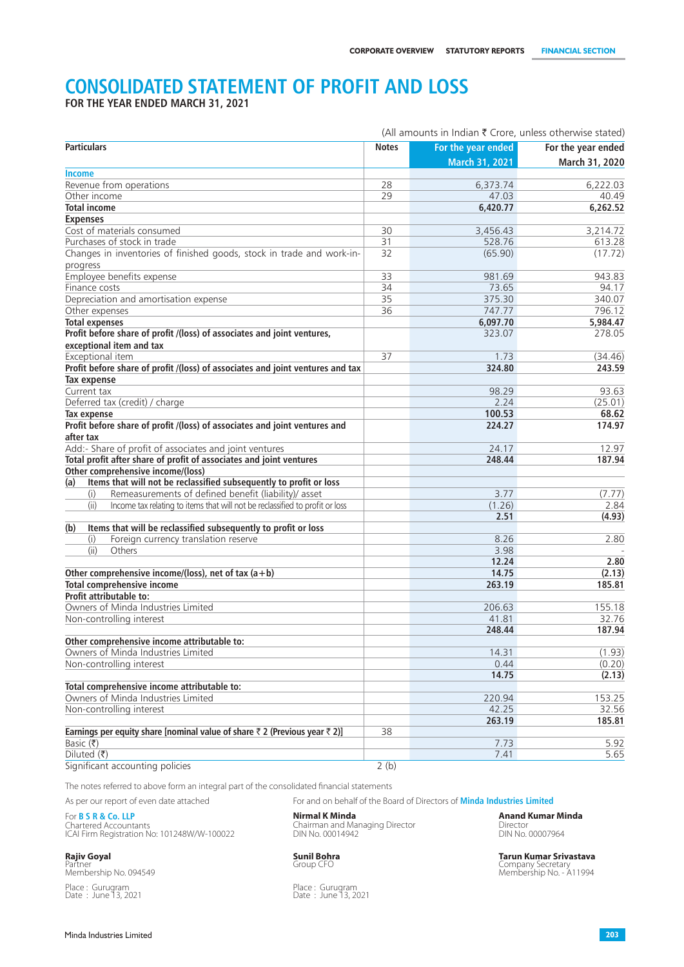# **CONSOLIDATED STATEMENT OF PROFIT AND LOSS**

**FOR THE YEAR ENDED MARCH 31, 2021**

|                                                                                                     |              | (All amounts in Indian $\bar{\tau}$ Crore, unless otherwise stated) |                    |
|-----------------------------------------------------------------------------------------------------|--------------|---------------------------------------------------------------------|--------------------|
| <b>Particulars</b>                                                                                  | <b>Notes</b> | For the year ended                                                  | For the year ended |
|                                                                                                     |              | March 31, 2021                                                      | March 31, 2020     |
| Income                                                                                              |              |                                                                     |                    |
| Revenue from operations                                                                             | 28           | 6,373.74                                                            | 6,222.03           |
| Other income                                                                                        | 29           | 47.03                                                               | 40.49              |
| <b>Total income</b>                                                                                 |              | 6,420.77                                                            | 6,262.52           |
| <b>Expenses</b>                                                                                     |              |                                                                     |                    |
| Cost of materials consumed                                                                          | 30           | 3,456.43                                                            | 3,214.72           |
| Purchases of stock in trade                                                                         | 31           | 528.76                                                              | 613.28             |
| Changes in inventories of finished goods, stock in trade and work-in-<br>progress                   | 32           | (65.90)                                                             | (17.72)            |
| Employee benefits expense                                                                           | 33           | 981.69                                                              | 943.83             |
| Finance costs                                                                                       | 34           | 73.65                                                               | 94.17              |
| Depreciation and amortisation expense                                                               | 35           | 375.30                                                              | 340.07             |
| Other expenses                                                                                      | 36           | 747.77                                                              | 796.12             |
| <b>Total expenses</b>                                                                               |              | 6,097.70                                                            | 5,984.47           |
| Profit before share of profit /(loss) of associates and joint ventures,<br>exceptional item and tax |              | 323.07                                                              | 278.05             |
| Exceptional item                                                                                    | 37           |                                                                     |                    |
| Profit before share of profit /(loss) of associates and joint ventures and tax                      |              | 1.73<br>324.80                                                      | (34.46)<br>243.59  |
| <b>Tax expense</b>                                                                                  |              |                                                                     |                    |
|                                                                                                     |              |                                                                     | 93.63              |
| Current tax                                                                                         |              | 98.29                                                               |                    |
| Deferred tax (credit) / charge                                                                      |              | 2.24                                                                | (25.01)            |
| Tax expense                                                                                         |              | 100.53                                                              | 68.62              |
| Profit before share of profit /(loss) of associates and joint ventures and<br>after tax             |              | 224.27                                                              | 174.97             |
| Add:- Share of profit of associates and joint ventures                                              |              | 24.17                                                               | 12.97              |
| Total profit after share of profit of associates and joint ventures                                 |              | 248.44                                                              | 187.94             |
| Other comprehensive income/(loss)                                                                   |              |                                                                     |                    |
| Items that will not be reclassified subsequently to profit or loss<br>(a)                           |              |                                                                     |                    |
| Remeasurements of defined benefit (liability)/ asset<br>(i)                                         |              | 3.77                                                                | (7.77)             |
| (ii)<br>Income tax relating to items that will not be reclassified to profit or loss                |              | (1.26)                                                              | 2.84               |
|                                                                                                     |              | 2.51                                                                | (4.93)             |
| Items that will be reclassified subsequently to profit or loss<br>(b)                               |              |                                                                     |                    |
| Foreign currency translation reserve<br>(i)                                                         |              | 8.26                                                                | 2.80               |
| (iii)<br>Others                                                                                     |              | 3.98                                                                |                    |
|                                                                                                     |              | 12.24                                                               | 2.80               |
| Other comprehensive income/(loss), net of tax $(a + b)$                                             |              | 14.75                                                               | (2.13)             |
| <b>Total comprehensive income</b>                                                                   |              | 263.19                                                              | 185.81             |
| <b>Profit attributable to:</b>                                                                      |              |                                                                     |                    |
| Owners of Minda Industries Limited                                                                  |              | 206.63                                                              | 155.18             |
| Non-controlling interest                                                                            |              | 41.81                                                               | 32.76              |
|                                                                                                     |              | 248.44                                                              | 187.94             |
| Other comprehensive income attributable to:                                                         |              |                                                                     |                    |
| Owners of Minda Industries Limited                                                                  |              | 14.31                                                               | (1.93)             |
| Non-controlling interest                                                                            |              | 0.44                                                                | (0.20)             |
|                                                                                                     |              | 14.75                                                               | (2.13)             |
| Total comprehensive income attributable to:                                                         |              |                                                                     |                    |
| Owners of Minda Industries Limited                                                                  |              | 220.94                                                              | 153.25             |
| Non-controlling interest                                                                            |              | 42.25                                                               | 32.56              |
|                                                                                                     |              | 263.19                                                              | 185.81             |
| Earnings per equity share [nominal value of share $\bar{z}$ 2 (Previous year $\bar{z}$ 2)]          | 38           |                                                                     |                    |
| Basic $(₹)$                                                                                         |              | 7.73                                                                | 5.92               |
| Diluted $(\overline{\tau})$                                                                         |              | 7.41                                                                | 5.65               |
| Significant accounting policies                                                                     | 2(b)         |                                                                     |                    |

The notes referred to above form an integral part of the consolidated financial statements

As per our report of even date attached For and on behalf of the Board of Directors of **Minda Industries Limited**

For **B S R & Co. LLP Nirmal K Minda Anand Kumar Minda** Chartered Accountants Chairman and Managing Director Director ICAI Firm Registration No: 101248W/W-100022 DIN No. 00014942 DIN No. 00007964

Place : Gurugram Place : Gurugram Place : Gurugram Place : Gurugram Date : June 13, 2021

**Rajiv Goyal Sunil Bohra Sunil Bohra Sunil Bohra Tarun Kumar Srivastava Partner Suniversity of the Struck of Struck and Script Company Secretary (Script All 1994)**<br>
Membership No. 094549 **Suniversity All 1994** Memb Company Secretary<br>Membership No. - A11994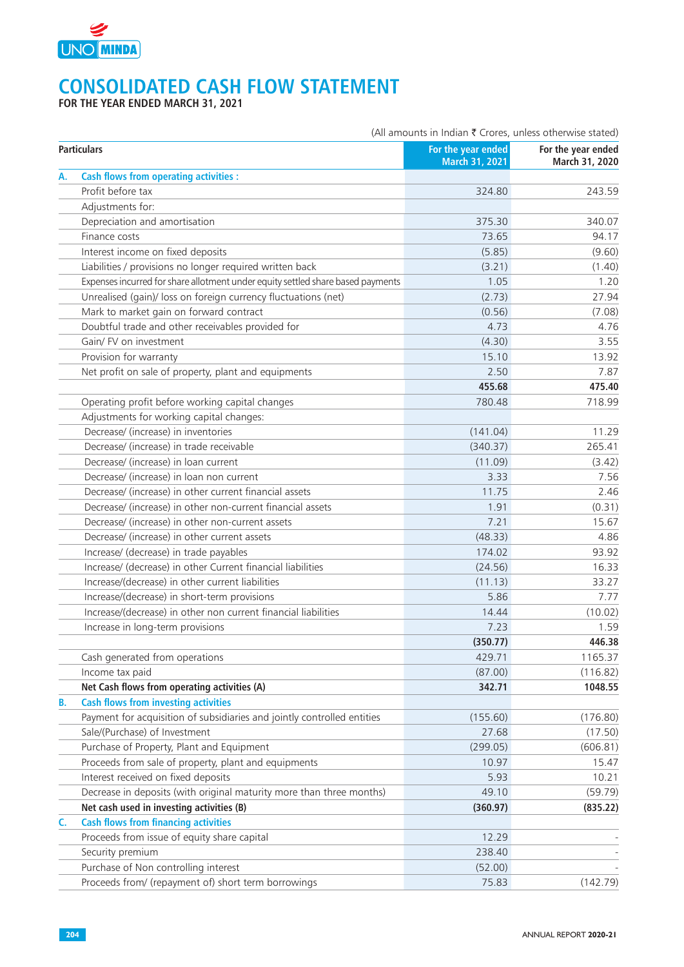

# **CONSOLIDATED CASH FLOW STATEMENT**

**FOR THE YEAR ENDED MARCH 31, 2021**

|           |                                                                                 | (All amounts in Indian ₹ Crores, unless otherwise stated) |                                      |
|-----------|---------------------------------------------------------------------------------|-----------------------------------------------------------|--------------------------------------|
|           | <b>Particulars</b>                                                              | For the year ended<br>March 31, 2021                      | For the year ended<br>March 31, 2020 |
| А.        | <b>Cash flows from operating activities:</b>                                    |                                                           |                                      |
|           | Profit before tax                                                               | 324.80                                                    | 243.59                               |
|           | Adjustments for:                                                                |                                                           |                                      |
|           | Depreciation and amortisation                                                   | 375.30                                                    | 340.07                               |
|           | Finance costs                                                                   | 73.65                                                     | 94.17                                |
|           | Interest income on fixed deposits                                               | (5.85)                                                    | (9.60)                               |
|           | Liabilities / provisions no longer required written back                        | (3.21)                                                    | (1.40)                               |
|           | Expenses incurred for share allotment under equity settled share based payments | 1.05                                                      | 1.20                                 |
|           | Unrealised (gain)/ loss on foreign currency fluctuations (net)                  | (2.73)                                                    | 27.94                                |
|           | Mark to market gain on forward contract                                         | (0.56)                                                    | (7.08)                               |
|           | Doubtful trade and other receivables provided for                               | 4.73                                                      | 4.76                                 |
|           | Gain/ FV on investment                                                          | (4.30)                                                    | 3.55                                 |
|           | Provision for warranty                                                          | 15.10                                                     | 13.92                                |
|           | Net profit on sale of property, plant and equipments                            | 2.50                                                      | 7.87                                 |
|           |                                                                                 | 455.68                                                    | 475.40                               |
|           | Operating profit before working capital changes                                 | 780.48                                                    | 718.99                               |
|           | Adjustments for working capital changes:                                        |                                                           |                                      |
|           | Decrease/ (increase) in inventories                                             | (141.04)                                                  | 11.29                                |
|           | Decrease/ (increase) in trade receivable                                        | (340.37)                                                  | 265.41                               |
|           | Decrease/ (increase) in loan current                                            | (11.09)                                                   | (3.42)                               |
|           | Decrease/ (increase) in loan non current                                        | 3.33                                                      | 7.56                                 |
|           | Decrease/ (increase) in other current financial assets                          | 11.75                                                     | 2.46                                 |
|           | Decrease/ (increase) in other non-current financial assets                      | 1.91                                                      | (0.31)                               |
|           | Decrease/ (increase) in other non-current assets                                | 7.21                                                      | 15.67                                |
|           | Decrease/ (increase) in other current assets                                    | (48.33)                                                   | 4.86                                 |
|           | Increase/ (decrease) in trade payables                                          | 174.02                                                    | 93.92                                |
|           | Increase/ (decrease) in other Current financial liabilities                     | (24.56)                                                   | 16.33                                |
|           | Increase/(decrease) in other current liabilities                                | (11.13)                                                   | 33.27                                |
|           | Increase/(decrease) in short-term provisions                                    | 5.86                                                      | 7.77                                 |
|           | Increase/(decrease) in other non current financial liabilities                  | 14.44                                                     | (10.02)                              |
|           | Increase in long-term provisions                                                | 7.23                                                      | 1.59                                 |
|           |                                                                                 | (350.77)                                                  | 446.38                               |
|           | Cash generated from operations                                                  | 429.71                                                    | 1165.37                              |
|           | Income tax paid                                                                 | (87.00)                                                   | (116.82)                             |
|           | Net Cash flows from operating activities (A)                                    | 342.71                                                    | 1048.55                              |
| <b>B.</b> | <b>Cash flows from investing activities</b>                                     |                                                           |                                      |
|           | Payment for acquisition of subsidiaries and jointly controlled entities         | (155.60)                                                  | (176.80)                             |
|           | Sale/(Purchase) of Investment                                                   | 27.68                                                     | (17.50)                              |
|           | Purchase of Property, Plant and Equipment                                       | (299.05)                                                  | (606.81)                             |
|           | Proceeds from sale of property, plant and equipments                            | 10.97                                                     | 15.47                                |
|           | Interest received on fixed deposits                                             | 5.93                                                      | 10.21                                |
|           | Decrease in deposits (with original maturity more than three months)            | 49.10                                                     | (59.79)                              |
|           | Net cash used in investing activities (B)                                       | (360.97)                                                  | (835.22)                             |
| C.        | <b>Cash flows from financing activities</b>                                     |                                                           |                                      |
|           | Proceeds from issue of equity share capital                                     | 12.29                                                     |                                      |
|           | Security premium                                                                | 238.40                                                    |                                      |
|           | Purchase of Non controlling interest                                            | (52.00)                                                   |                                      |
|           | Proceeds from/ (repayment of) short term borrowings                             | 75.83                                                     | (142.79)                             |
|           |                                                                                 |                                                           |                                      |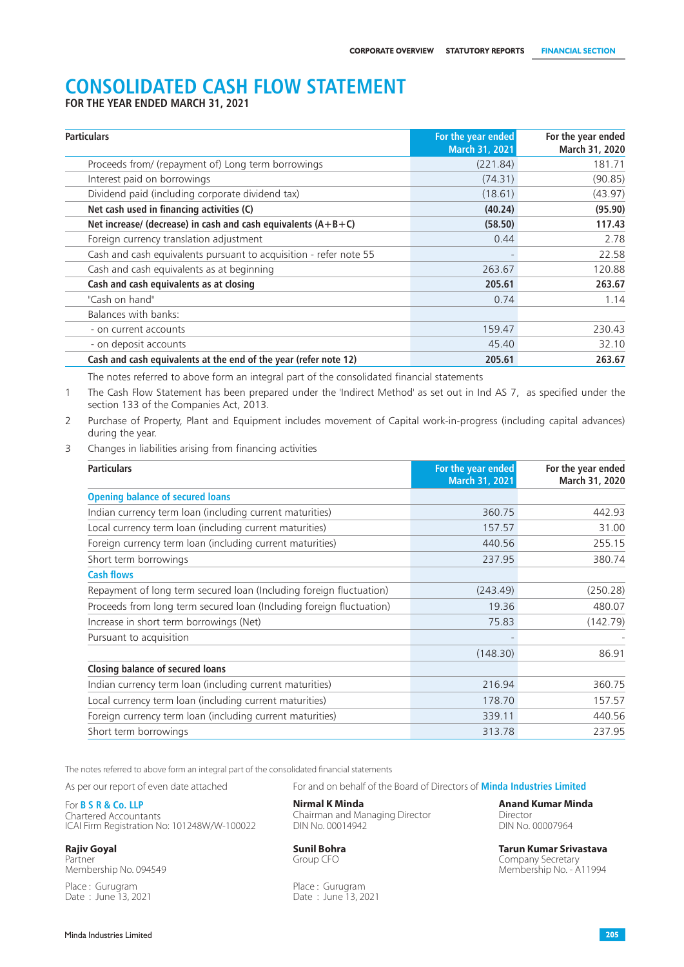# **CONSOLIDATED CASH FLOW STATEMENT**

**FOR THE YEAR ENDED MARCH 31, 2021**

| <b>Particulars</b>                                                  | For the year ended<br><b>March 31, 2021</b> | For the year ended<br>March 31, 2020 |
|---------------------------------------------------------------------|---------------------------------------------|--------------------------------------|
| Proceeds from/ (repayment of) Long term borrowings                  | (221.84)                                    | 181.71                               |
| Interest paid on borrowings                                         | (74.31)                                     | (90.85)                              |
| Dividend paid (including corporate dividend tax)                    | (18.61)                                     | (43.97)                              |
| Net cash used in financing activities (C)                           | (40.24)                                     | (95.90)                              |
| Net increase/ (decrease) in cash and cash equivalents $(A + B + C)$ | (58.50)                                     | 117.43                               |
| Foreign currency translation adjustment                             | 0.44                                        | 2.78                                 |
| Cash and cash equivalents pursuant to acquisition - refer note 55   |                                             | 22.58                                |
| Cash and cash equivalents as at beginning                           | 263.67                                      | 120.88                               |
| Cash and cash equivalents as at closing                             | 205.61                                      | 263.67                               |
| "Cash on hand"                                                      | 0.74                                        | 1.14                                 |
| Balances with banks:                                                |                                             |                                      |
| - on current accounts                                               | 159.47                                      | 230.43                               |
| - on deposit accounts                                               | 45.40                                       | 32.10                                |
| Cash and cash equivalents at the end of the year (refer note 12)    | 205.61                                      | 263.67                               |

The notes referred to above form an integral part of the consolidated financial statements

1 The Cash Flow Statement has been prepared under the 'Indirect Method' as set out in Ind AS 7, as specified under the section 133 of the Companies Act, 2013.

2 Purchase of Property, Plant and Equipment includes movement of Capital work-in-progress (including capital advances) during the year.

3 Changes in liabilities arising from financing activities

| <b>Particulars</b>                                                   | For the year ended<br>March 31, 2021 | For the year ended<br>March 31, 2020 |
|----------------------------------------------------------------------|--------------------------------------|--------------------------------------|
| <b>Opening balance of secured loans</b>                              |                                      |                                      |
| Indian currency term loan (including current maturities)             | 360.75                               | 442.93                               |
| Local currency term loan (including current maturities)              | 157.57                               | 31.00                                |
| Foreign currency term loan (including current maturities)            | 440.56                               | 255.15                               |
| Short term borrowings                                                | 237.95                               | 380.74                               |
| <b>Cash flows</b>                                                    |                                      |                                      |
| Repayment of long term secured loan (Including foreign fluctuation)  | (243.49)                             | (250.28)                             |
| Proceeds from long term secured loan (Including foreign fluctuation) | 19.36                                | 480.07                               |
| Increase in short term borrowings (Net)                              | 75.83                                | (142.79)                             |
| Pursuant to acquisition                                              |                                      |                                      |
|                                                                      | (148.30)                             | 86.91                                |
| <b>Closing balance of secured loans</b>                              |                                      |                                      |
| Indian currency term loan (including current maturities)             | 216.94                               | 360.75                               |
| Local currency term loan (including current maturities)              | 178.70                               | 157.57                               |
| Foreign currency term loan (including current maturities)            | 339.11                               | 440.56                               |
| Short term borrowings                                                | 313.78                               | 237.95                               |

The notes referred to above form an integral part of the consolidated financial statements

For **B S R & Co. LLP Nirmal K Minda Anand Kumar Minda** ICAI Firm Registration No: 101248W/W-100022

Partner Company Secretary Company Secretary Company Secretary Company Secretary Company Secretary Company Secretary<br>
Membership No. 094549

As per our report of even date attached For and on behalf of the Board of Directors of **Minda Industries Limited**

Chairman and Managing Director **Chairman and Managing Director** DIN No. 00007964

Place : Gurugram Place : Gurugram Place : Gurugram Place : Gurugram Place : Gurugram Place : Gurugram Place : Gurugram Place : Sune 13, 20 Date: June 13, 2021

**Rajiv Goyal Sunil Bohra Tarun Kumar Srivastava** Membership No. - A11994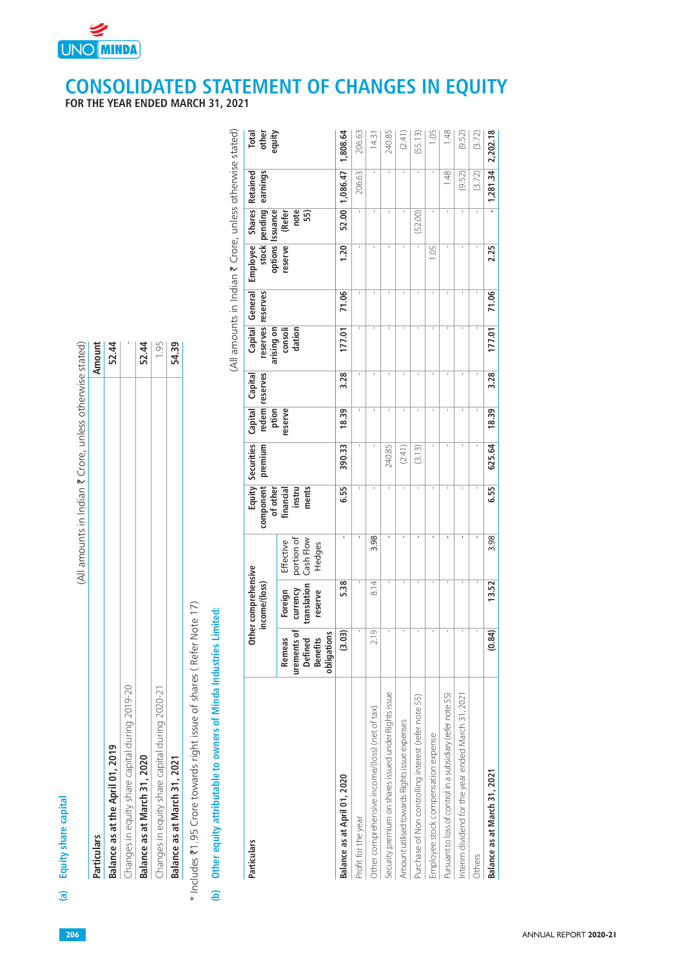

|                                               | (All amounts in Indian ₹ Crore, unless otherwise stated) |
|-----------------------------------------------|----------------------------------------------------------|
| articulars                                    | Amount                                                   |
| calance as at the April 01, 2019              | 52.44                                                    |
| hanges in equity share capital during 2019-20 |                                                          |
| calance as at March 31, 2020                  | 52.44                                                    |
| hanges in equity share capital during 2020-21 | 1.95                                                     |
| alance as at March 31, 2021                   | 54.39                                                    |

**UNO MINDA** 

| (All amounts in Indian ₹ Crore, unless otherwise stated)<br>Shares Retained<br>earnings<br>206.63<br>1.48<br>1,086.47<br>(9.52)<br>pending<br><b>Issuance</b><br>(Refer<br>note<br>52.00<br>(52.00)<br>55)<br>options<br>Employee<br>stock<br>reserve<br><b>1.20</b><br>1.05<br>General<br>reserves<br>71.06<br>Capital<br>reserves<br>arising on<br>consoli<br>dation<br>177.01<br>52.44<br>1.95<br>54.39<br>52.44<br>reserves<br>Capital<br>3.28<br>redem<br>Capital<br>ption<br>reserve<br>18.39<br>Securities<br>premium<br>390.33<br>240.85<br>(2.41)<br>(3.13)<br>Equity<br>component<br>of other<br>financial<br>instru<br>ments<br>6.55<br>$\mathbf{I}$<br>3.98<br>$\mathbf{I}$<br>$\blacksquare$<br>$\mathbf{I}$<br>$\mathbf{I}$<br>portion of<br>Cash Flow<br>Effective<br>Hedges<br>Other comprehensive<br>income/(loss)<br>5.38<br>8.14<br>currency<br>translation<br>Foreign<br>reserve<br>Note 17)<br>Limited:<br>urements of<br>(3.03)<br>2.19<br>$\mathbf{I}$<br>$\mathbf{1}$<br>л.<br>$\overline{1}$<br>obligations<br>Benefits<br>Remeas<br>ਨੂ<br>* Includes ₹1.95 Crore towards right issue of shares (Refer<br>Other equity attributable to owners of Minda Industries<br>Define<br>Changes in equity share capital during 2019-20<br>Changes in equity share capital during 2020-21<br>Security premium on shares issued under Rights issue<br>Interim dividend for the year ended March 31, 2021<br>Pursuant to loss of control in a subsidiary (refer note 55)<br>Purchase of Non controlling interest (refer note 55)<br>Other comprehensive income/(loss) (net of tax)<br>Amount utilised towards Rights issue expenses<br>Employee stock compensation expense<br>Balance as at the April 01, 2019<br>Balance as at March 31, 2020<br>Balance as at March 31, 2021<br>Balance as at April 01, 2020<br>Profit for the year<br>Particulars<br>ê |
|------------------------------------------------------------------------------------------------------------------------------------------------------------------------------------------------------------------------------------------------------------------------------------------------------------------------------------------------------------------------------------------------------------------------------------------------------------------------------------------------------------------------------------------------------------------------------------------------------------------------------------------------------------------------------------------------------------------------------------------------------------------------------------------------------------------------------------------------------------------------------------------------------------------------------------------------------------------------------------------------------------------------------------------------------------------------------------------------------------------------------------------------------------------------------------------------------------------------------------------------------------------------------------------------------------------------------------------------------------------------------------------------------------------------------------------------------------------------------------------------------------------------------------------------------------------------------------------------------------------------------------------------------------------------------------------------------------------------------------------------------------------------------------------------------------------------------------------------------------------------|
|                                                                                                                                                                                                                                                                                                                                                                                                                                                                                                                                                                                                                                                                                                                                                                                                                                                                                                                                                                                                                                                                                                                                                                                                                                                                                                                                                                                                                                                                                                                                                                                                                                                                                                                                                                                                                                                                        |
|                                                                                                                                                                                                                                                                                                                                                                                                                                                                                                                                                                                                                                                                                                                                                                                                                                                                                                                                                                                                                                                                                                                                                                                                                                                                                                                                                                                                                                                                                                                                                                                                                                                                                                                                                                                                                                                                        |
|                                                                                                                                                                                                                                                                                                                                                                                                                                                                                                                                                                                                                                                                                                                                                                                                                                                                                                                                                                                                                                                                                                                                                                                                                                                                                                                                                                                                                                                                                                                                                                                                                                                                                                                                                                                                                                                                        |
|                                                                                                                                                                                                                                                                                                                                                                                                                                                                                                                                                                                                                                                                                                                                                                                                                                                                                                                                                                                                                                                                                                                                                                                                                                                                                                                                                                                                                                                                                                                                                                                                                                                                                                                                                                                                                                                                        |
|                                                                                                                                                                                                                                                                                                                                                                                                                                                                                                                                                                                                                                                                                                                                                                                                                                                                                                                                                                                                                                                                                                                                                                                                                                                                                                                                                                                                                                                                                                                                                                                                                                                                                                                                                                                                                                                                        |
|                                                                                                                                                                                                                                                                                                                                                                                                                                                                                                                                                                                                                                                                                                                                                                                                                                                                                                                                                                                                                                                                                                                                                                                                                                                                                                                                                                                                                                                                                                                                                                                                                                                                                                                                                                                                                                                                        |
|                                                                                                                                                                                                                                                                                                                                                                                                                                                                                                                                                                                                                                                                                                                                                                                                                                                                                                                                                                                                                                                                                                                                                                                                                                                                                                                                                                                                                                                                                                                                                                                                                                                                                                                                                                                                                                                                        |
|                                                                                                                                                                                                                                                                                                                                                                                                                                                                                                                                                                                                                                                                                                                                                                                                                                                                                                                                                                                                                                                                                                                                                                                                                                                                                                                                                                                                                                                                                                                                                                                                                                                                                                                                                                                                                                                                        |
|                                                                                                                                                                                                                                                                                                                                                                                                                                                                                                                                                                                                                                                                                                                                                                                                                                                                                                                                                                                                                                                                                                                                                                                                                                                                                                                                                                                                                                                                                                                                                                                                                                                                                                                                                                                                                                                                        |
|                                                                                                                                                                                                                                                                                                                                                                                                                                                                                                                                                                                                                                                                                                                                                                                                                                                                                                                                                                                                                                                                                                                                                                                                                                                                                                                                                                                                                                                                                                                                                                                                                                                                                                                                                                                                                                                                        |
|                                                                                                                                                                                                                                                                                                                                                                                                                                                                                                                                                                                                                                                                                                                                                                                                                                                                                                                                                                                                                                                                                                                                                                                                                                                                                                                                                                                                                                                                                                                                                                                                                                                                                                                                                                                                                                                                        |
|                                                                                                                                                                                                                                                                                                                                                                                                                                                                                                                                                                                                                                                                                                                                                                                                                                                                                                                                                                                                                                                                                                                                                                                                                                                                                                                                                                                                                                                                                                                                                                                                                                                                                                                                                                                                                                                                        |
|                                                                                                                                                                                                                                                                                                                                                                                                                                                                                                                                                                                                                                                                                                                                                                                                                                                                                                                                                                                                                                                                                                                                                                                                                                                                                                                                                                                                                                                                                                                                                                                                                                                                                                                                                                                                                                                                        |
|                                                                                                                                                                                                                                                                                                                                                                                                                                                                                                                                                                                                                                                                                                                                                                                                                                                                                                                                                                                                                                                                                                                                                                                                                                                                                                                                                                                                                                                                                                                                                                                                                                                                                                                                                                                                                                                                        |
|                                                                                                                                                                                                                                                                                                                                                                                                                                                                                                                                                                                                                                                                                                                                                                                                                                                                                                                                                                                                                                                                                                                                                                                                                                                                                                                                                                                                                                                                                                                                                                                                                                                                                                                                                                                                                                                                        |
|                                                                                                                                                                                                                                                                                                                                                                                                                                                                                                                                                                                                                                                                                                                                                                                                                                                                                                                                                                                                                                                                                                                                                                                                                                                                                                                                                                                                                                                                                                                                                                                                                                                                                                                                                                                                                                                                        |
|                                                                                                                                                                                                                                                                                                                                                                                                                                                                                                                                                                                                                                                                                                                                                                                                                                                                                                                                                                                                                                                                                                                                                                                                                                                                                                                                                                                                                                                                                                                                                                                                                                                                                                                                                                                                                                                                        |
| $\mathbf{L}$                                                                                                                                                                                                                                                                                                                                                                                                                                                                                                                                                                                                                                                                                                                                                                                                                                                                                                                                                                                                                                                                                                                                                                                                                                                                                                                                                                                                                                                                                                                                                                                                                                                                                                                                                                                                                                                           |
| (3.72)<br>Others                                                                                                                                                                                                                                                                                                                                                                                                                                                                                                                                                                                                                                                                                                                                                                                                                                                                                                                                                                                                                                                                                                                                                                                                                                                                                                                                                                                                                                                                                                                                                                                                                                                                                                                                                                                                                                                       |
| 1,281.34<br>÷<br>2.25<br>71.06<br>177.01<br>3.28<br>18.39<br>625.64<br>6.55<br>3.98<br>13.52<br>.84)<br>S<br>Balance as at March 31, 2021                                                                                                                                                                                                                                                                                                                                                                                                                                                                                                                                                                                                                                                                                                                                                                                                                                                                                                                                                                                                                                                                                                                                                                                                                                                                                                                                                                                                                                                                                                                                                                                                                                                                                                                              |

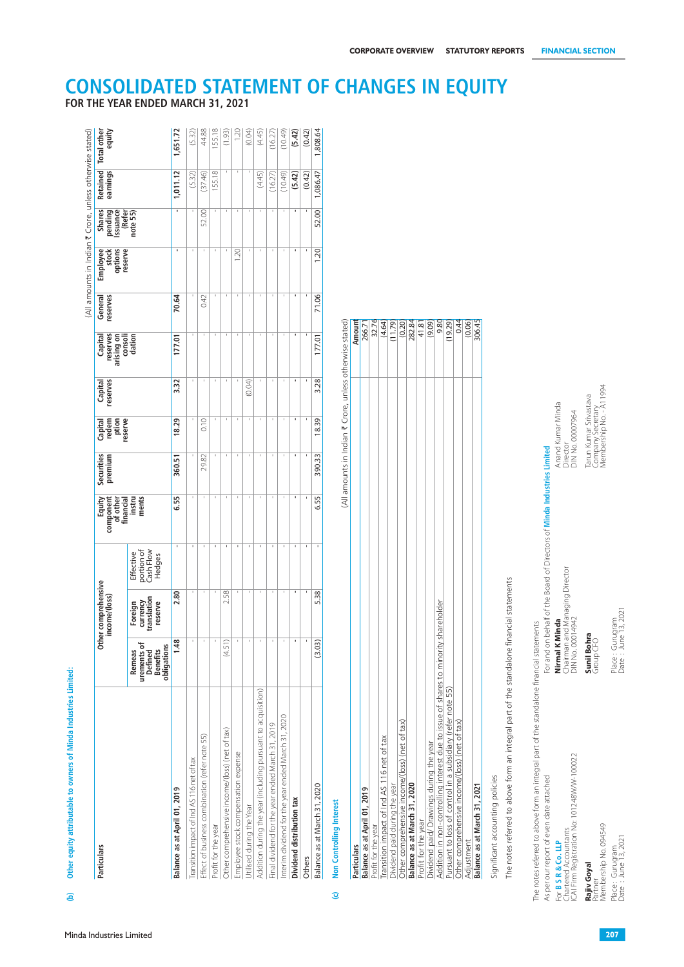| 44.88<br>155.18<br>1.20<br>(0.04)<br>(5.42)<br>1,808.64<br>1,651.72<br>(4.45)<br>(0.42)<br>(1.93)<br>(16.27)<br>(10.49)<br>(5.32)<br>155.18<br>1,011.12<br>(37.46)<br>(16.27)<br>(10.49)<br>(5.42)<br>(0.42)<br>1,086.47<br>(5.32)<br>(4.45)<br>52.00<br>52.00<br>1.20<br>1.20<br>71.06<br>70.64<br>0.42<br>Amount<br>(All amounts in Indian ₹ Crore, unless otherwise stated)<br>32.76<br>282.84<br>9.80<br>0.44<br>$\frac{(0.06)}{306.45}$<br>(4.64)<br>(0.20)<br>(11.79)<br>$\frac{41.81}{(9.09)}$<br>(19.29)<br>266.71<br>177.01<br>177.01<br>3.28<br>3.32<br>(0.04)<br>Tarun Kumar Srivastava<br>Company Secretary<br>Membership No. - A11994<br>Anand Kumar Minda<br>DIN No. 00007964<br>0.10<br>18.29<br>18.39<br>Director<br>For and on behalf of the Board of Directors of Minda Industries Limited<br>29.82<br>360.51<br>390.33<br>ments<br>6.55<br>6.55<br>Effective<br>portion of<br>Cash Flow<br>Hedges<br>Chairman and Managing Director<br>DIN No. 00014942<br>The notes referred to above form an integral part of the standalone financial statements<br>2.80<br>2.58<br>5.38<br>currency<br>translation<br>Profit for the year<br>Dividend paid/ Drawings during the year<br>Addition in non-controlling interest due to issue of shares to minority shareholder<br>Pursuant to loss of control in a subsidiary (refer note 55)<br>Other comprehensiv<br>reserve<br>Foreign<br>Nirmal K Minda<br>The notes referred to above form an integral part of the standalone financial statements<br>Sunil Bohra<br>$\circ$<br>1.48<br>(3.03)<br>(4.51)<br>$\blacksquare$<br>$\left  \cdot \right $<br>urements of<br>Defined<br>Benefits<br>obligations<br>Group CF<br>Remeas<br>Addition during the year (including pursuant to acquisition)<br>Interim dividend for the year ended March 31, 2020<br>Other comprehensive income/(loss) (net of tax)<br>Final dividend for the year ended March 31, 2019<br>Other comprehensive income/(loss) (net of tax)<br>Effect of business combination (refer note 55)<br>Profit for the year<br>Transition impact of Ind AS 116 net of tax<br>Dividend paid during the year<br>Employee stock compensation expense<br>For <b>B S R &amp; Co. LLP</b><br>Chartered Accountants<br>ICAI Firm Registration No: 101248W/W-100022<br>Transition impact of Ind AS 116 net of tax<br>Significant accounting policies<br>As per our report of even date attached<br>Balance as at March 31, 2020<br>Balance as at March 31, 2020<br>Balance as at March 31, 2021<br>Balance as at April 01, 2019<br>Balance as at April 01, 2019<br>Dividend distribution tax<br>Non Controlling Interest<br>Utilised during the Year<br>Profit for the year<br>Adjustment<br>Particulars<br>Others<br>Rajiv Goyal<br>$\mathbf{C}$ | Particulars                      | Other comprehensive<br>income/(loss) | Equity<br>component<br>of other<br>financial<br>financial | Securities<br>premium | Capital<br>redem<br>ption<br>reserve | Capital<br>reserves | Capital<br>reserves<br>arising on<br>consoli<br>dation | General<br>reserves | (All amounts in Indian ₹ Crore, unless otherwise stated)<br>Employee<br>stock<br>options | <b>Shares</b><br>pending<br>Issuance<br>(Refer<br>note 55) | Retained Total other<br>earnings | equity |
|---------------------------------------------------------------------------------------------------------------------------------------------------------------------------------------------------------------------------------------------------------------------------------------------------------------------------------------------------------------------------------------------------------------------------------------------------------------------------------------------------------------------------------------------------------------------------------------------------------------------------------------------------------------------------------------------------------------------------------------------------------------------------------------------------------------------------------------------------------------------------------------------------------------------------------------------------------------------------------------------------------------------------------------------------------------------------------------------------------------------------------------------------------------------------------------------------------------------------------------------------------------------------------------------------------------------------------------------------------------------------------------------------------------------------------------------------------------------------------------------------------------------------------------------------------------------------------------------------------------------------------------------------------------------------------------------------------------------------------------------------------------------------------------------------------------------------------------------------------------------------------------------------------------------------------------------------------------------------------------------------------------------------------------------------------------------------------------------------------------------------------------------------------------------------------------------------------------------------------------------------------------------------------------------------------------------------------------------------------------------------------------------------------------------------------------------------------------------------------------------------------------------------------------------------------------------------------------------------------------------------------------------------------------------------------------------------------------------------------------------------------------|----------------------------------|--------------------------------------|-----------------------------------------------------------|-----------------------|--------------------------------------|---------------------|--------------------------------------------------------|---------------------|------------------------------------------------------------------------------------------|------------------------------------------------------------|----------------------------------|--------|
|                                                                                                                                                                                                                                                                                                                                                                                                                                                                                                                                                                                                                                                                                                                                                                                                                                                                                                                                                                                                                                                                                                                                                                                                                                                                                                                                                                                                                                                                                                                                                                                                                                                                                                                                                                                                                                                                                                                                                                                                                                                                                                                                                                                                                                                                                                                                                                                                                                                                                                                                                                                                                                                                                                                                                               |                                  |                                      |                                                           |                       |                                      |                     |                                                        |                     | reserve                                                                                  |                                                            |                                  |        |
|                                                                                                                                                                                                                                                                                                                                                                                                                                                                                                                                                                                                                                                                                                                                                                                                                                                                                                                                                                                                                                                                                                                                                                                                                                                                                                                                                                                                                                                                                                                                                                                                                                                                                                                                                                                                                                                                                                                                                                                                                                                                                                                                                                                                                                                                                                                                                                                                                                                                                                                                                                                                                                                                                                                                                               |                                  |                                      |                                                           |                       |                                      |                     |                                                        |                     |                                                                                          |                                                            |                                  |        |
|                                                                                                                                                                                                                                                                                                                                                                                                                                                                                                                                                                                                                                                                                                                                                                                                                                                                                                                                                                                                                                                                                                                                                                                                                                                                                                                                                                                                                                                                                                                                                                                                                                                                                                                                                                                                                                                                                                                                                                                                                                                                                                                                                                                                                                                                                                                                                                                                                                                                                                                                                                                                                                                                                                                                                               |                                  |                                      |                                                           |                       |                                      |                     |                                                        |                     |                                                                                          |                                                            |                                  |        |
|                                                                                                                                                                                                                                                                                                                                                                                                                                                                                                                                                                                                                                                                                                                                                                                                                                                                                                                                                                                                                                                                                                                                                                                                                                                                                                                                                                                                                                                                                                                                                                                                                                                                                                                                                                                                                                                                                                                                                                                                                                                                                                                                                                                                                                                                                                                                                                                                                                                                                                                                                                                                                                                                                                                                                               |                                  |                                      |                                                           |                       |                                      |                     |                                                        |                     |                                                                                          |                                                            |                                  |        |
|                                                                                                                                                                                                                                                                                                                                                                                                                                                                                                                                                                                                                                                                                                                                                                                                                                                                                                                                                                                                                                                                                                                                                                                                                                                                                                                                                                                                                                                                                                                                                                                                                                                                                                                                                                                                                                                                                                                                                                                                                                                                                                                                                                                                                                                                                                                                                                                                                                                                                                                                                                                                                                                                                                                                                               |                                  |                                      |                                                           |                       |                                      |                     |                                                        |                     |                                                                                          |                                                            |                                  |        |
|                                                                                                                                                                                                                                                                                                                                                                                                                                                                                                                                                                                                                                                                                                                                                                                                                                                                                                                                                                                                                                                                                                                                                                                                                                                                                                                                                                                                                                                                                                                                                                                                                                                                                                                                                                                                                                                                                                                                                                                                                                                                                                                                                                                                                                                                                                                                                                                                                                                                                                                                                                                                                                                                                                                                                               |                                  |                                      |                                                           |                       |                                      |                     |                                                        |                     |                                                                                          |                                                            |                                  |        |
|                                                                                                                                                                                                                                                                                                                                                                                                                                                                                                                                                                                                                                                                                                                                                                                                                                                                                                                                                                                                                                                                                                                                                                                                                                                                                                                                                                                                                                                                                                                                                                                                                                                                                                                                                                                                                                                                                                                                                                                                                                                                                                                                                                                                                                                                                                                                                                                                                                                                                                                                                                                                                                                                                                                                                               |                                  |                                      |                                                           |                       |                                      |                     |                                                        |                     |                                                                                          |                                                            |                                  |        |
|                                                                                                                                                                                                                                                                                                                                                                                                                                                                                                                                                                                                                                                                                                                                                                                                                                                                                                                                                                                                                                                                                                                                                                                                                                                                                                                                                                                                                                                                                                                                                                                                                                                                                                                                                                                                                                                                                                                                                                                                                                                                                                                                                                                                                                                                                                                                                                                                                                                                                                                                                                                                                                                                                                                                                               |                                  |                                      |                                                           |                       |                                      |                     |                                                        |                     |                                                                                          |                                                            |                                  |        |
|                                                                                                                                                                                                                                                                                                                                                                                                                                                                                                                                                                                                                                                                                                                                                                                                                                                                                                                                                                                                                                                                                                                                                                                                                                                                                                                                                                                                                                                                                                                                                                                                                                                                                                                                                                                                                                                                                                                                                                                                                                                                                                                                                                                                                                                                                                                                                                                                                                                                                                                                                                                                                                                                                                                                                               |                                  |                                      |                                                           |                       |                                      |                     |                                                        |                     |                                                                                          |                                                            |                                  |        |
|                                                                                                                                                                                                                                                                                                                                                                                                                                                                                                                                                                                                                                                                                                                                                                                                                                                                                                                                                                                                                                                                                                                                                                                                                                                                                                                                                                                                                                                                                                                                                                                                                                                                                                                                                                                                                                                                                                                                                                                                                                                                                                                                                                                                                                                                                                                                                                                                                                                                                                                                                                                                                                                                                                                                                               |                                  |                                      |                                                           |                       |                                      |                     |                                                        |                     |                                                                                          |                                                            |                                  |        |
|                                                                                                                                                                                                                                                                                                                                                                                                                                                                                                                                                                                                                                                                                                                                                                                                                                                                                                                                                                                                                                                                                                                                                                                                                                                                                                                                                                                                                                                                                                                                                                                                                                                                                                                                                                                                                                                                                                                                                                                                                                                                                                                                                                                                                                                                                                                                                                                                                                                                                                                                                                                                                                                                                                                                                               |                                  |                                      |                                                           |                       |                                      |                     |                                                        |                     |                                                                                          |                                                            |                                  |        |
|                                                                                                                                                                                                                                                                                                                                                                                                                                                                                                                                                                                                                                                                                                                                                                                                                                                                                                                                                                                                                                                                                                                                                                                                                                                                                                                                                                                                                                                                                                                                                                                                                                                                                                                                                                                                                                                                                                                                                                                                                                                                                                                                                                                                                                                                                                                                                                                                                                                                                                                                                                                                                                                                                                                                                               |                                  |                                      |                                                           |                       |                                      |                     |                                                        |                     |                                                                                          |                                                            |                                  |        |
|                                                                                                                                                                                                                                                                                                                                                                                                                                                                                                                                                                                                                                                                                                                                                                                                                                                                                                                                                                                                                                                                                                                                                                                                                                                                                                                                                                                                                                                                                                                                                                                                                                                                                                                                                                                                                                                                                                                                                                                                                                                                                                                                                                                                                                                                                                                                                                                                                                                                                                                                                                                                                                                                                                                                                               |                                  |                                      |                                                           |                       |                                      |                     |                                                        |                     |                                                                                          |                                                            |                                  |        |
|                                                                                                                                                                                                                                                                                                                                                                                                                                                                                                                                                                                                                                                                                                                                                                                                                                                                                                                                                                                                                                                                                                                                                                                                                                                                                                                                                                                                                                                                                                                                                                                                                                                                                                                                                                                                                                                                                                                                                                                                                                                                                                                                                                                                                                                                                                                                                                                                                                                                                                                                                                                                                                                                                                                                                               |                                  |                                      |                                                           |                       |                                      |                     |                                                        |                     |                                                                                          |                                                            |                                  |        |
|                                                                                                                                                                                                                                                                                                                                                                                                                                                                                                                                                                                                                                                                                                                                                                                                                                                                                                                                                                                                                                                                                                                                                                                                                                                                                                                                                                                                                                                                                                                                                                                                                                                                                                                                                                                                                                                                                                                                                                                                                                                                                                                                                                                                                                                                                                                                                                                                                                                                                                                                                                                                                                                                                                                                                               |                                  |                                      |                                                           |                       |                                      |                     |                                                        |                     |                                                                                          |                                                            |                                  |        |
|                                                                                                                                                                                                                                                                                                                                                                                                                                                                                                                                                                                                                                                                                                                                                                                                                                                                                                                                                                                                                                                                                                                                                                                                                                                                                                                                                                                                                                                                                                                                                                                                                                                                                                                                                                                                                                                                                                                                                                                                                                                                                                                                                                                                                                                                                                                                                                                                                                                                                                                                                                                                                                                                                                                                                               |                                  |                                      |                                                           |                       |                                      |                     |                                                        |                     |                                                                                          |                                                            |                                  |        |
|                                                                                                                                                                                                                                                                                                                                                                                                                                                                                                                                                                                                                                                                                                                                                                                                                                                                                                                                                                                                                                                                                                                                                                                                                                                                                                                                                                                                                                                                                                                                                                                                                                                                                                                                                                                                                                                                                                                                                                                                                                                                                                                                                                                                                                                                                                                                                                                                                                                                                                                                                                                                                                                                                                                                                               |                                  |                                      |                                                           |                       |                                      |                     |                                                        |                     |                                                                                          |                                                            |                                  |        |
|                                                                                                                                                                                                                                                                                                                                                                                                                                                                                                                                                                                                                                                                                                                                                                                                                                                                                                                                                                                                                                                                                                                                                                                                                                                                                                                                                                                                                                                                                                                                                                                                                                                                                                                                                                                                                                                                                                                                                                                                                                                                                                                                                                                                                                                                                                                                                                                                                                                                                                                                                                                                                                                                                                                                                               |                                  |                                      |                                                           |                       |                                      |                     |                                                        |                     |                                                                                          |                                                            |                                  |        |
|                                                                                                                                                                                                                                                                                                                                                                                                                                                                                                                                                                                                                                                                                                                                                                                                                                                                                                                                                                                                                                                                                                                                                                                                                                                                                                                                                                                                                                                                                                                                                                                                                                                                                                                                                                                                                                                                                                                                                                                                                                                                                                                                                                                                                                                                                                                                                                                                                                                                                                                                                                                                                                                                                                                                                               |                                  |                                      |                                                           |                       |                                      |                     |                                                        |                     |                                                                                          |                                                            |                                  |        |
|                                                                                                                                                                                                                                                                                                                                                                                                                                                                                                                                                                                                                                                                                                                                                                                                                                                                                                                                                                                                                                                                                                                                                                                                                                                                                                                                                                                                                                                                                                                                                                                                                                                                                                                                                                                                                                                                                                                                                                                                                                                                                                                                                                                                                                                                                                                                                                                                                                                                                                                                                                                                                                                                                                                                                               |                                  |                                      |                                                           |                       |                                      |                     |                                                        |                     |                                                                                          |                                                            |                                  |        |
|                                                                                                                                                                                                                                                                                                                                                                                                                                                                                                                                                                                                                                                                                                                                                                                                                                                                                                                                                                                                                                                                                                                                                                                                                                                                                                                                                                                                                                                                                                                                                                                                                                                                                                                                                                                                                                                                                                                                                                                                                                                                                                                                                                                                                                                                                                                                                                                                                                                                                                                                                                                                                                                                                                                                                               |                                  |                                      |                                                           |                       |                                      |                     |                                                        |                     |                                                                                          |                                                            |                                  |        |
|                                                                                                                                                                                                                                                                                                                                                                                                                                                                                                                                                                                                                                                                                                                                                                                                                                                                                                                                                                                                                                                                                                                                                                                                                                                                                                                                                                                                                                                                                                                                                                                                                                                                                                                                                                                                                                                                                                                                                                                                                                                                                                                                                                                                                                                                                                                                                                                                                                                                                                                                                                                                                                                                                                                                                               |                                  |                                      |                                                           |                       |                                      |                     |                                                        |                     |                                                                                          |                                                            |                                  |        |
|                                                                                                                                                                                                                                                                                                                                                                                                                                                                                                                                                                                                                                                                                                                                                                                                                                                                                                                                                                                                                                                                                                                                                                                                                                                                                                                                                                                                                                                                                                                                                                                                                                                                                                                                                                                                                                                                                                                                                                                                                                                                                                                                                                                                                                                                                                                                                                                                                                                                                                                                                                                                                                                                                                                                                               |                                  |                                      |                                                           |                       |                                      |                     |                                                        |                     |                                                                                          |                                                            |                                  |        |
|                                                                                                                                                                                                                                                                                                                                                                                                                                                                                                                                                                                                                                                                                                                                                                                                                                                                                                                                                                                                                                                                                                                                                                                                                                                                                                                                                                                                                                                                                                                                                                                                                                                                                                                                                                                                                                                                                                                                                                                                                                                                                                                                                                                                                                                                                                                                                                                                                                                                                                                                                                                                                                                                                                                                                               |                                  |                                      |                                                           |                       |                                      |                     |                                                        |                     |                                                                                          |                                                            |                                  |        |
|                                                                                                                                                                                                                                                                                                                                                                                                                                                                                                                                                                                                                                                                                                                                                                                                                                                                                                                                                                                                                                                                                                                                                                                                                                                                                                                                                                                                                                                                                                                                                                                                                                                                                                                                                                                                                                                                                                                                                                                                                                                                                                                                                                                                                                                                                                                                                                                                                                                                                                                                                                                                                                                                                                                                                               |                                  |                                      |                                                           |                       |                                      |                     |                                                        |                     |                                                                                          |                                                            |                                  |        |
|                                                                                                                                                                                                                                                                                                                                                                                                                                                                                                                                                                                                                                                                                                                                                                                                                                                                                                                                                                                                                                                                                                                                                                                                                                                                                                                                                                                                                                                                                                                                                                                                                                                                                                                                                                                                                                                                                                                                                                                                                                                                                                                                                                                                                                                                                                                                                                                                                                                                                                                                                                                                                                                                                                                                                               |                                  |                                      |                                                           |                       |                                      |                     |                                                        |                     |                                                                                          |                                                            |                                  |        |
|                                                                                                                                                                                                                                                                                                                                                                                                                                                                                                                                                                                                                                                                                                                                                                                                                                                                                                                                                                                                                                                                                                                                                                                                                                                                                                                                                                                                                                                                                                                                                                                                                                                                                                                                                                                                                                                                                                                                                                                                                                                                                                                                                                                                                                                                                                                                                                                                                                                                                                                                                                                                                                                                                                                                                               |                                  |                                      |                                                           |                       |                                      |                     |                                                        |                     |                                                                                          |                                                            |                                  |        |
| Place: Gurugram                                                                                                                                                                                                                                                                                                                                                                                                                                                                                                                                                                                                                                                                                                                                                                                                                                                                                                                                                                                                                                                                                                                                                                                                                                                                                                                                                                                                                                                                                                                                                                                                                                                                                                                                                                                                                                                                                                                                                                                                                                                                                                                                                                                                                                                                                                                                                                                                                                                                                                                                                                                                                                                                                                                                               | Partner<br>Membership No. 094549 |                                      |                                                           |                       |                                      |                     |                                                        |                     |                                                                                          |                                                            |                                  |        |

**CONSOLIDATED STATEMENT OF CHANGES IN EQUITY** 

**FOR THE YEAR ENDED MARCH 31, 2021**

|                                                                                   | (All amounts in Indian र Crore, unless otherwise stated) |                         |
|-----------------------------------------------------------------------------------|----------------------------------------------------------|-------------------------|
| iculars                                                                           |                                                          | Amount                  |
| ance as at April 01, 2019                                                         |                                                          | 266.71                  |
| it for the year                                                                   |                                                          |                         |
| nsition impact of Ind AS 116 net of tax                                           |                                                          | $rac{32.76}{(4.64)}$    |
| dend paid during the year                                                         |                                                          |                         |
| er comprehensive income/(loss) (net of tax)                                       |                                                          |                         |
| ance as at March 31, 2020                                                         |                                                          | $\frac{(0.20)}{282.84}$ |
| fit for the year                                                                  |                                                          | 41.81                   |
| idend paid/ Drawings during the year                                              |                                                          | (9.09)                  |
| dition in non-controlling interest due to issue of shares to minority shareholder |                                                          | 9.80                    |
| suant to loss of control in a subsidiary (refer note 55)                          |                                                          | (62.29)                 |
| ner comprehensive income/(loss) (net of tax)                                      |                                                          | 0.44                    |
| ustment                                                                           |                                                          | (0.06)                  |
| rCOC PS hharle at an annum                                                        |                                                          | 206A5                   |

Date : June 13, 2021 Date : June 13, 2021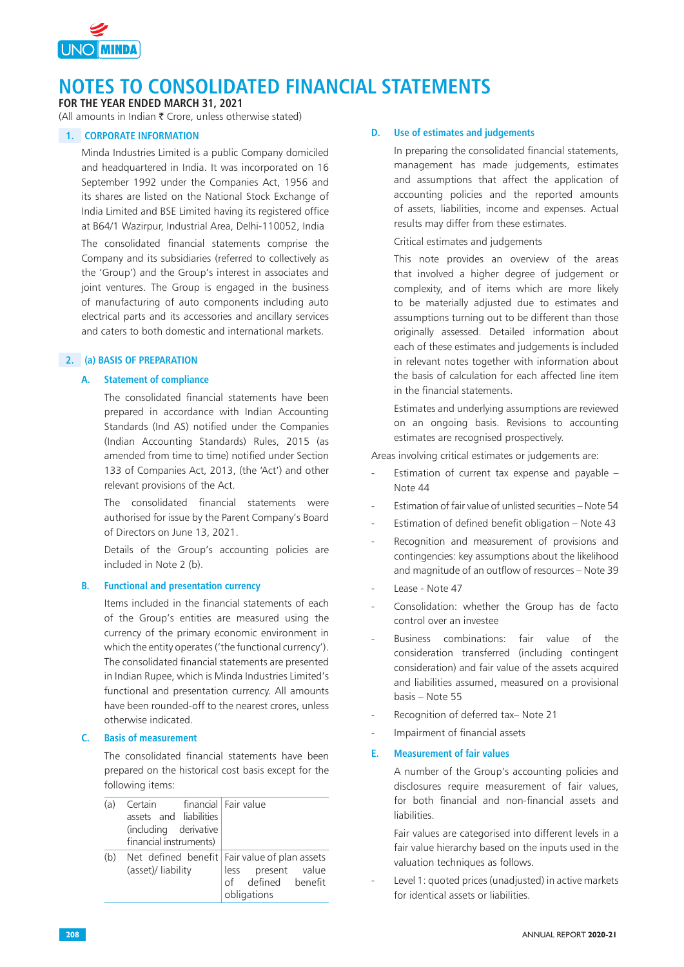

**FOR THE YEAR ENDED MARCH 31, 2021**

(All amounts in Indian  $\bar{\tau}$  Crore, unless otherwise stated)

## **1. CORPORATE INFORMATION**

Minda Industries Limited is a public Company domiciled and headquartered in India. It was incorporated on 16 September 1992 under the Companies Act, 1956 and its shares are listed on the National Stock Exchange of India Limited and BSE Limited having its registered office at B64/1 Wazirpur, Industrial Area, Delhi-110052, India

The consolidated financial statements comprise the Company and its subsidiaries (referred to collectively as the 'Group') and the Group's interest in associates and joint ventures. The Group is engaged in the business of manufacturing of auto components including auto electrical parts and its accessories and ancillary services and caters to both domestic and international markets.

## **2. (a) BASIS OF PREPARATION**

#### **A. Statement of compliance**

The consolidated financial statements have been prepared in accordance with Indian Accounting Standards (Ind AS) notified under the Companies (Indian Accounting Standards) Rules, 2015 (as amended from time to time) notified under Section 133 of Companies Act, 2013, (the 'Act') and other relevant provisions of the Act.

The consolidated financial statements were authorised for issue by the Parent Company's Board of Directors on June 13, 2021.

Details of the Group's accounting policies are included in Note 2 (b).

### **B. Functional and presentation currency**

Items included in the financial statements of each of the Group's entities are measured using the currency of the primary economic environment in which the entity operates ('the functional currency'). The consolidated financial statements are presented in Indian Rupee, which is Minda Industries Limited's functional and presentation currency. All amounts have been rounded-off to the nearest crores, unless otherwise indicated.

### **C. Basis of measurement**

The consolidated financial statements have been prepared on the historical cost basis except for the following items:

| (a) | Certain financial Fair value<br>assets and liabilities<br>(including derivative<br>financial instruments) |                                                                                                            |
|-----|-----------------------------------------------------------------------------------------------------------|------------------------------------------------------------------------------------------------------------|
| (b) | (asset)/ liability                                                                                        | Net defined benefit   Fair value of plan assets<br>less present value<br>of defined benefit<br>obligations |

### **D. Use of estimates and judgements**

In preparing the consolidated financial statements, management has made judgements, estimates and assumptions that affect the application of accounting policies and the reported amounts of assets, liabilities, income and expenses. Actual results may differ from these estimates.

Critical estimates and judgements

This note provides an overview of the areas that involved a higher degree of judgement or complexity, and of items which are more likely to be materially adjusted due to estimates and assumptions turning out to be different than those originally assessed. Detailed information about each of these estimates and judgements is included in relevant notes together with information about the basis of calculation for each affected line item in the financial statements.

Estimates and underlying assumptions are reviewed on an ongoing basis. Revisions to accounting estimates are recognised prospectively.

Areas involving critical estimates or judgements are:

- Estimation of current tax expense and payable  $-$ Note 44
- Estimation of fair value of unlisted securities Note 54
- Estimation of defined benefit obligation Note 43
- Recognition and measurement of provisions and contingencies: key assumptions about the likelihood and magnitude of an outflow of resources – Note 39
- Lease Note 47
- Consolidation: whether the Group has de facto control over an investee
- Business combinations: fair value of the consideration transferred (including contingent consideration) and fair value of the assets acquired and liabilities assumed, measured on a provisional basis – Note 55
- Recognition of deferred tax- Note 21
- Impairment of financial assets

#### **E. Measurement of fair values**

A number of the Group's accounting policies and disclosures require measurement of fair values, for both financial and non-financial assets and liabilities.

Fair values are categorised into different levels in a fair value hierarchy based on the inputs used in the valuation techniques as follows.

Level 1: quoted prices (unadjusted) in active markets for identical assets or liabilities.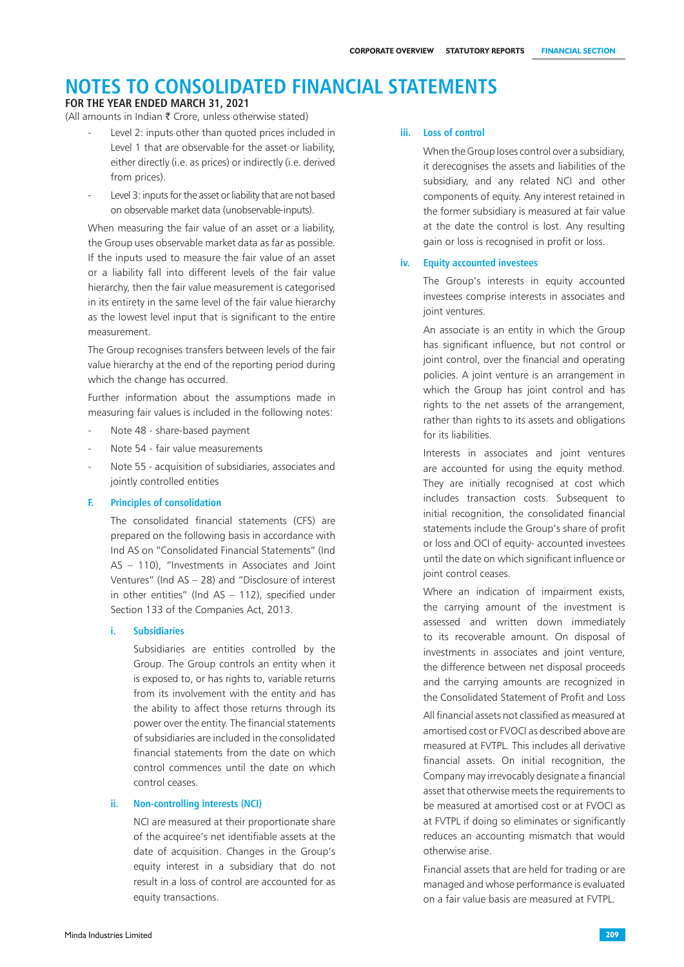#### **FOR THE YEAR ENDED MARCH 31, 2021**

(All amounts in Indian  $\bar{\tau}$  Crore, unless otherwise stated)

- Level 2: inputs other than quoted prices included in Level 1 that are observable for the asset or liability, either directly (i.e. as prices) or indirectly (i.e. derived from prices).
- Level 3: inputs for the asset or liability that are not based on observable market data (unobservable-inputs).

When measuring the fair value of an asset or a liability, the Group uses observable market data as far as possible. If the inputs used to measure the fair value of an asset or a liability fall into different levels of the fair value hierarchy, then the fair value measurement is categorised in its entirety in the same level of the fair value hierarchy as the lowest level input that is significant to the entire measurement.

The Group recognises transfers between levels of the fair value hierarchy at the end of the reporting period during which the change has occurred.

Further information about the assumptions made in measuring fair values is included in the following notes:

- Note 48 share-based payment
- Note 54 fair value measurements
- Note 55 acquisition of subsidiaries, associates and jointly controlled entities

#### **F. Principles of consolidation**

The consolidated financial statements (CFS) are prepared on the following basis in accordance with Ind AS on "Consolidated Financial Statements" (Ind AS – 110), "Investments in Associates and Joint Ventures" (Ind AS – 28) and "Disclosure of interest in other entities" (Ind AS – 112), specified under Section 133 of the Companies Act, 2013.

#### **i. Subsidiaries**

Subsidiaries are entities controlled by the Group. The Group controls an entity when it is exposed to, or has rights to, variable returns from its involvement with the entity and has the ability to affect those returns through its power over the entity. The financial statements of subsidiaries are included in the consolidated financial statements from the date on which control commences until the date on which control ceases.

#### **ii. Non-controlling interests (NCI)**

NCI are measured at their proportionate share of the acquiree's net identifiable assets at the date of acquisition. Changes in the Group's equity interest in a subsidiary that do not result in a loss of control are accounted for as equity transactions.

#### **iii. Loss of control**

When the Group loses control over a subsidiary, it derecognises the assets and liabilities of the subsidiary, and any related NCI and other components of equity. Any interest retained in the former subsidiary is measured at fair value at the date the control is lost. Any resulting gain or loss is recognised in profit or loss.

#### **iv. Equity accounted investees**

The Group's interests in equity accounted investees comprise interests in associates and joint ventures.

An associate is an entity in which the Group has significant influence, but not control or joint control, over the financial and operating policies. A joint venture is an arrangement in which the Group has joint control and has rights to the net assets of the arrangement, rather than rights to its assets and obligations for its liabilities.

Interests in associates and joint ventures are accounted for using the equity method. They are initially recognised at cost which includes transaction costs. Subsequent to initial recognition, the consolidated financial statements include the Group's share of profit or loss and OCI of equity- accounted investees until the date on which significant influence or joint control ceases.

Where an indication of impairment exists, the carrying amount of the investment is assessed and written down immediately to its recoverable amount. On disposal of investments in associates and joint venture, the difference between net disposal proceeds and the carrying amounts are recognized in the Consolidated Statement of Profit and Loss

All financial assets not classified as measured at amortised cost or FVOCI as described above are measured at FVTPL. This includes all derivative financial assets. On initial recognition, the Company may irrevocably designate a financial asset that otherwise meets the requirements to be measured at amortised cost or at FVOCI as at FVTPL if doing so eliminates or significantly reduces an accounting mismatch that would otherwise arise.

Financial assets that are held for trading or are managed and whose performance is evaluated on a fair value basis are measured at FVTPL.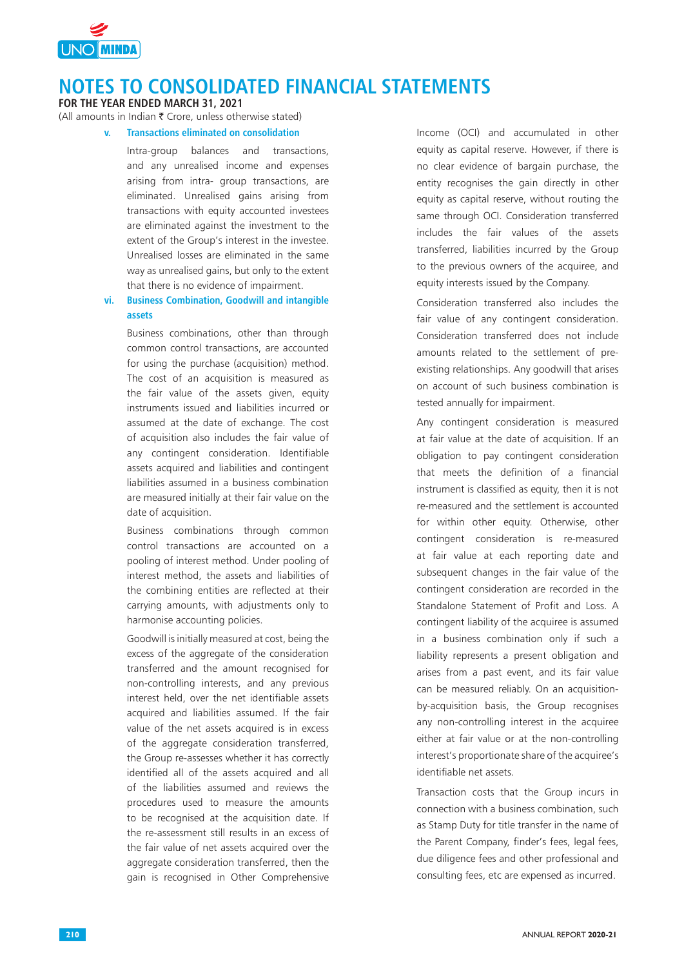

**FOR THE YEAR ENDED MARCH 31, 2021**

(All amounts in Indian  $\bar{\tau}$  Crore, unless otherwise stated)

 **v. Transactions eliminated on consolidation**

Intra-group balances and transactions, and any unrealised income and expenses arising from intra- group transactions, are eliminated. Unrealised gains arising from transactions with equity accounted investees are eliminated against the investment to the extent of the Group's interest in the investee. Unrealised losses are eliminated in the same way as unrealised gains, but only to the extent that there is no evidence of impairment.

### **vi. Business Combination, Goodwill and intangible assets**

Business combinations, other than through common control transactions, are accounted for using the purchase (acquisition) method. The cost of an acquisition is measured as the fair value of the assets given, equity instruments issued and liabilities incurred or assumed at the date of exchange. The cost of acquisition also includes the fair value of any contingent consideration. Identifiable assets acquired and liabilities and contingent liabilities assumed in a business combination are measured initially at their fair value on the date of acquisition.

Business combinations through common control transactions are accounted on a pooling of interest method. Under pooling of interest method, the assets and liabilities of the combining entities are reflected at their carrying amounts, with adjustments only to harmonise accounting policies.

Goodwill is initially measured at cost, being the excess of the aggregate of the consideration transferred and the amount recognised for non-controlling interests, and any previous interest held, over the net identifiable assets acquired and liabilities assumed. If the fair value of the net assets acquired is in excess of the aggregate consideration transferred, the Group re-assesses whether it has correctly identified all of the assets acquired and all of the liabilities assumed and reviews the procedures used to measure the amounts to be recognised at the acquisition date. If the re-assessment still results in an excess of the fair value of net assets acquired over the aggregate consideration transferred, then the gain is recognised in Other Comprehensive

Income (OCI) and accumulated in other equity as capital reserve. However, if there is no clear evidence of bargain purchase, the entity recognises the gain directly in other equity as capital reserve, without routing the same through OCI. Consideration transferred includes the fair values of the assets transferred, liabilities incurred by the Group to the previous owners of the acquiree, and equity interests issued by the Company.

Consideration transferred also includes the fair value of any contingent consideration. Consideration transferred does not include amounts related to the settlement of preexisting relationships. Any goodwill that arises on account of such business combination is tested annually for impairment.

Any contingent consideration is measured at fair value at the date of acquisition. If an obligation to pay contingent consideration that meets the definition of a financial instrument is classified as equity, then it is not re-measured and the settlement is accounted for within other equity. Otherwise, other contingent consideration is re-measured at fair value at each reporting date and subsequent changes in the fair value of the contingent consideration are recorded in the Standalone Statement of Profit and Loss. A contingent liability of the acquiree is assumed in a business combination only if such a liability represents a present obligation and arises from a past event, and its fair value can be measured reliably. On an acquisitionby-acquisition basis, the Group recognises any non-controlling interest in the acquiree either at fair value or at the non-controlling interest's proportionate share of the acquiree's identifiable net assets.

Transaction costs that the Group incurs in connection with a business combination, such as Stamp Duty for title transfer in the name of the Parent Company, finder's fees, legal fees, due diligence fees and other professional and consulting fees, etc are expensed as incurred.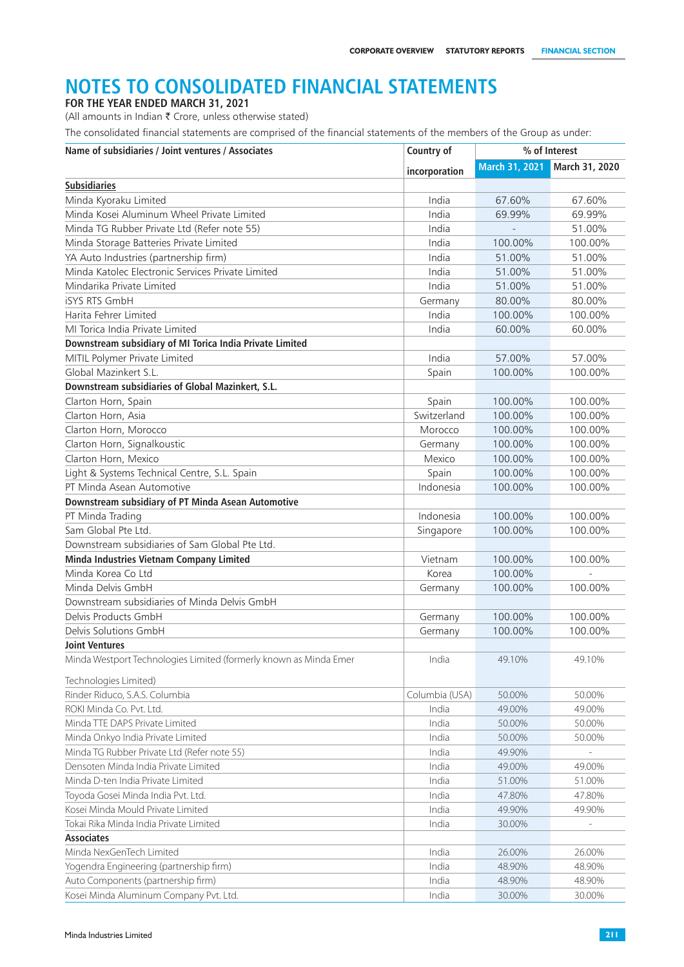**FOR THE YEAR ENDED MARCH 31, 2021**

(All amounts in Indian  $\bar{\tau}$  Crore, unless otherwise stated)

The consolidated financial statements are comprised of the financial statements of the members of the Group as under:

| Name of subsidiaries / Joint ventures / Associates                | Country of     | % of Interest  |                |  |
|-------------------------------------------------------------------|----------------|----------------|----------------|--|
|                                                                   | incorporation  | March 31, 2021 | March 31, 2020 |  |
| <b>Subsidiaries</b>                                               |                |                |                |  |
| Minda Kyoraku Limited                                             | India          | 67.60%         | 67.60%         |  |
| Minda Kosei Aluminum Wheel Private Limited                        | India          | 69.99%         | 69.99%         |  |
| Minda TG Rubber Private Ltd (Refer note 55)                       | India          |                | 51.00%         |  |
| Minda Storage Batteries Private Limited                           | India          | 100.00%        | 100.00%        |  |
| YA Auto Industries (partnership firm)                             | India          | 51.00%         | 51.00%         |  |
| Minda Katolec Electronic Services Private Limited                 | India          | 51.00%         | 51.00%         |  |
| Mindarika Private Limited                                         | India          | 51.00%         | 51.00%         |  |
| <b>iSYS RTS GmbH</b>                                              | Germany        | 80.00%         | 80.00%         |  |
| Harita Fehrer Limited                                             | India          | 100.00%        | 100.00%        |  |
| MI Torica India Private Limited                                   | India          | 60.00%         | 60.00%         |  |
| Downstream subsidiary of MI Torica India Private Limited          |                |                |                |  |
| MITIL Polymer Private Limited                                     | India          | 57.00%         | 57.00%         |  |
| Global Mazinkert S.L.                                             | Spain          | 100.00%        | 100.00%        |  |
| Downstream subsidiaries of Global Mazinkert, S.L.                 |                |                |                |  |
| Clarton Horn, Spain                                               | Spain          | 100.00%        | 100.00%        |  |
| Clarton Horn, Asia                                                | Switzerland    | 100.00%        | 100.00%        |  |
| Clarton Horn, Morocco                                             | Morocco        | 100.00%        | 100.00%        |  |
| Clarton Horn, Signalkoustic                                       | Germany        | 100.00%        | 100.00%        |  |
| Clarton Horn, Mexico                                              | Mexico         | 100.00%        | 100.00%        |  |
| Light & Systems Technical Centre, S.L. Spain                      | Spain          | 100.00%        | 100.00%        |  |
| PT Minda Asean Automotive                                         | Indonesia      | 100.00%        | 100.00%        |  |
| Downstream subsidiary of PT Minda Asean Automotive                |                |                |                |  |
| PT Minda Trading                                                  | Indonesia      | 100.00%        | 100.00%        |  |
| Sam Global Pte Ltd.                                               | Singapore      | 100.00%        | 100.00%        |  |
| Downstream subsidiaries of Sam Global Pte Ltd.                    |                |                |                |  |
| Minda Industries Vietnam Company Limited                          | Vietnam        | 100.00%        | 100.00%        |  |
| Minda Korea Co Ltd                                                | Korea          | 100.00%        |                |  |
| Minda Delvis GmbH                                                 | Germany        | 100.00%        | 100.00%        |  |
| Downstream subsidiaries of Minda Delvis GmbH                      |                |                |                |  |
| Delvis Products GmbH                                              | Germany        | 100.00%        | 100.00%        |  |
| Delvis Solutions GmbH                                             | Germany        | 100.00%        | 100.00%        |  |
| <b>Joint Ventures</b>                                             |                |                |                |  |
| Minda Westport Technologies Limited (formerly known as Minda Emer | India          | 49.10%         | 49.10%         |  |
| Technologies Limited)                                             |                |                |                |  |
| Rinder Riduco, S.A.S. Columbia                                    | Columbia (USA) | 50.00%         | 50.00%         |  |
| ROKI Minda Co. Pvt. Ltd.                                          | India          | 49.00%         | 49.00%         |  |
| Minda TTE DAPS Private Limited                                    | India          | 50.00%         | 50.00%         |  |
| Minda Onkyo India Private Limited                                 | India          | 50.00%         | 50.00%         |  |
| Minda TG Rubber Private Ltd (Refer note 55)                       | India          | 49.90%         |                |  |
| Densoten Minda India Private Limited                              | India          | 49.00%         | 49.00%         |  |
| Minda D-ten India Private Limited                                 | India          | 51.00%         | 51.00%         |  |
| Toyoda Gosei Minda India Pvt. Ltd.                                | India          | 47.80%         | 47.80%         |  |
| Kosei Minda Mould Private Limited                                 | India          | 49.90%         | 49.90%         |  |
| Tokai Rika Minda India Private Limited                            | India          | 30.00%         |                |  |
| <b>Associates</b>                                                 |                |                |                |  |
| Minda NexGenTech Limited                                          | India          | 26.00%         | 26.00%         |  |
| Yogendra Engineering (partnership firm)                           | India          | 48.90%         | 48.90%         |  |
| Auto Components (partnership firm)                                | India          | 48.90%         | 48.90%         |  |
| Kosei Minda Aluminum Company Pvt. Ltd.                            | India          | 30.00%         | 30.00%         |  |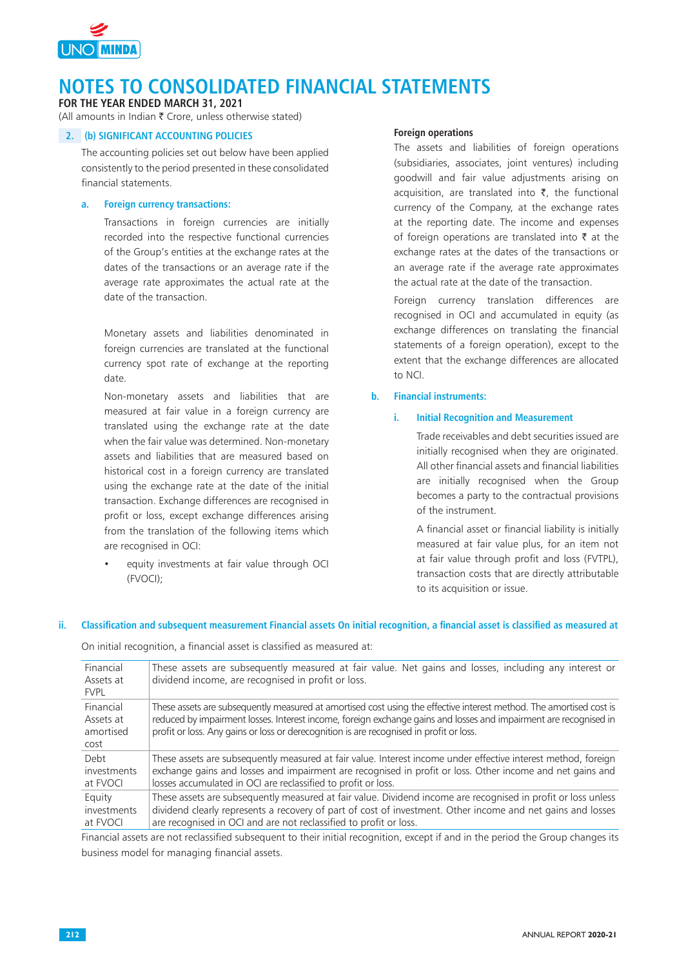

**FOR THE YEAR ENDED MARCH 31, 2021**

(All amounts in Indian  $\bar{\tau}$  Crore, unless otherwise stated)

### **2. (b) SIGNIFICANT ACCOUNTING POLICIES**

The accounting policies set out below have been applied consistently to the period presented in these consolidated financial statements.

#### **a. Foreign currency transactions:**

Transactions in foreign currencies are initially recorded into the respective functional currencies of the Group's entities at the exchange rates at the dates of the transactions or an average rate if the average rate approximates the actual rate at the date of the transaction.

Monetary assets and liabilities denominated in foreign currencies are translated at the functional currency spot rate of exchange at the reporting date.

Non-monetary assets and liabilities that are measured at fair value in a foreign currency are translated using the exchange rate at the date when the fair value was determined. Non-monetary assets and liabilities that are measured based on historical cost in a foreign currency are translated using the exchange rate at the date of the initial transaction. Exchange differences are recognised in profit or loss, except exchange differences arising from the translation of the following items which are recognised in OCI:

 • equity investments at fair value through OCI (FVOCI);

#### **Foreign operations**

The assets and liabilities of foreign operations (subsidiaries, associates, joint ventures) including goodwill and fair value adjustments arising on acquisition, are translated into  $\bar{\tau}$ , the functional currency of the Company, at the exchange rates at the reporting date. The income and expenses of foreign operations are translated into  $\bar{\tau}$  at the exchange rates at the dates of the transactions or an average rate if the average rate approximates the actual rate at the date of the transaction.

Foreign currency translation differences are recognised in OCI and accumulated in equity (as exchange differences on translating the financial statements of a foreign operation), except to the extent that the exchange differences are allocated to NCI.

#### **b. Financial instruments:**

#### **i. Initial Recognition and Measurement**

Trade receivables and debt securities issued are initially recognised when they are originated. All other financial assets and financial liabilities are initially recognised when the Group becomes a party to the contractual provisions of the instrument.

A financial asset or financial liability is initially measured at fair value plus, for an item not at fair value through profit and loss (FVTPL), transaction costs that are directly attributable to its acquisition or issue.

#### **ii. Classification and subsequent measurement Financial assets On initial recognition, a financial asset is classified as measured at**

On initial recognition, a financial asset is classified as measured at:

| Financial<br>Assets at<br><b>FVPL</b>       | These assets are subsequently measured at fair value. Net gains and losses, including any interest or<br>dividend income, are recognised in profit or loss.                                                                                                                                                                         |
|---------------------------------------------|-------------------------------------------------------------------------------------------------------------------------------------------------------------------------------------------------------------------------------------------------------------------------------------------------------------------------------------|
| Financial<br>Assets at<br>amortised<br>cost | These assets are subsequently measured at amortised cost using the effective interest method. The amortised cost is<br>reduced by impairment losses. Interest income, foreign exchange gains and losses and impairment are recognised in<br>profit or loss. Any gains or loss or derecognition is are recognised in profit or loss. |
| Debt                                        | These assets are subsequently measured at fair value. Interest income under effective interest method, foreign                                                                                                                                                                                                                      |
| investments                                 | exchange gains and losses and impairment are recognised in profit or loss. Other income and net gains and                                                                                                                                                                                                                           |
| at FVOCI                                    | losses accumulated in OCI are reclassified to profit or loss.                                                                                                                                                                                                                                                                       |
| Equity                                      | These assets are subsequently measured at fair value. Dividend income are recognised in profit or loss unless                                                                                                                                                                                                                       |
| investments                                 | dividend clearly represents a recovery of part of cost of investment. Other income and net gains and losses                                                                                                                                                                                                                         |
| at FVOCI                                    | are recognised in OCI and are not reclassified to profit or loss.                                                                                                                                                                                                                                                                   |

Financial assets are not reclassified subsequent to their initial recognition, except if and in the period the Group changes its business model for managing financial assets.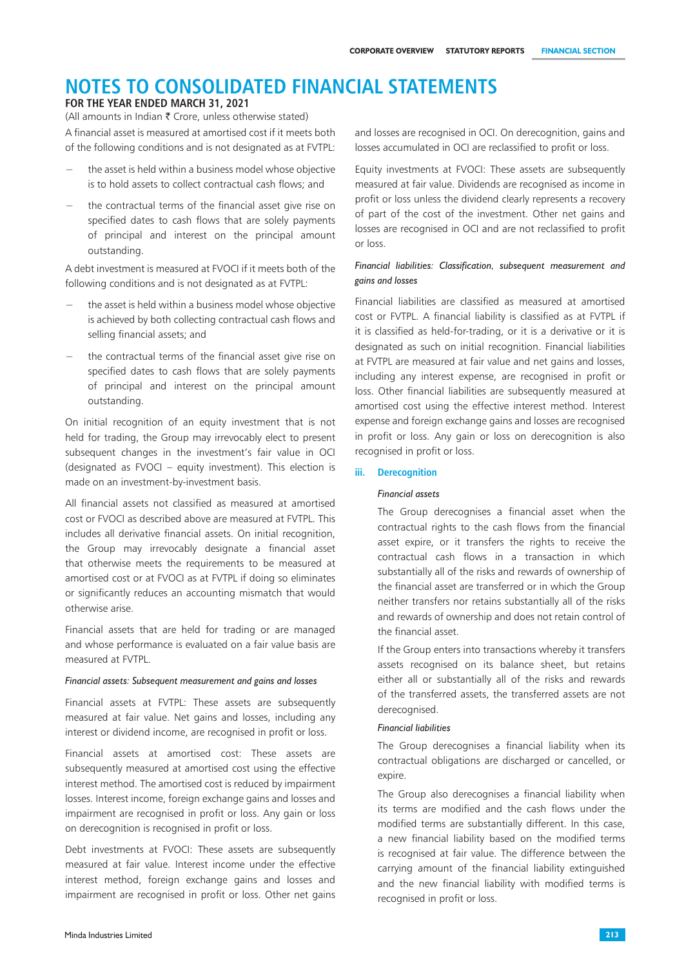### **FOR THE YEAR ENDED MARCH 31, 2021**

A financial asset is measured at amortised cost if it meets both of the following conditions and is not designated as at FVTPL: (All amounts in Indian  $\bar{\bar{\xi}}$  Crore, unless otherwise stated)

- the asset is held within a business model whose objective is to hold assets to collect contractual cash flows; and
- the contractual terms of the financial asset give rise on specified dates to cash flows that are solely payments of principal and interest on the principal amount outstanding.

A debt investment is measured at FVOCI if it meets both of the following conditions and is not designated as at FVTPL:

- the asset is held within a business model whose objective is achieved by both collecting contractual cash flows and selling financial assets; and
- the contractual terms of the financial asset give rise on specified dates to cash flows that are solely payments of principal and interest on the principal amount outstanding.

On initial recognition of an equity investment that is not held for trading, the Group may irrevocably elect to present subsequent changes in the investment's fair value in OCI (designated as FVOCI – equity investment). This election is made on an investment-by-investment basis.

All financial assets not classified as measured at amortised cost or FVOCI as described above are measured at FVTPL. This includes all derivative financial assets. On initial recognition, the Group may irrevocably designate a financial asset that otherwise meets the requirements to be measured at amortised cost or at FVOCI as at FVTPL if doing so eliminates or significantly reduces an accounting mismatch that would otherwise arise.

Financial assets that are held for trading or are managed and whose performance is evaluated on a fair value basis are measured at FVTPL.

#### *Financial assets: Subsequent measurement and gains and losses*

Financial assets at FVTPL: These assets are subsequently measured at fair value. Net gains and losses, including any interest or dividend income, are recognised in profit or loss.

Financial assets at amortised cost: These assets are subsequently measured at amortised cost using the effective interest method. The amortised cost is reduced by impairment losses. Interest income, foreign exchange gains and losses and impairment are recognised in profit or loss. Any gain or loss on derecognition is recognised in profit or loss.

Debt investments at FVOCI: These assets are subsequently measured at fair value. Interest income under the effective interest method, foreign exchange gains and losses and impairment are recognised in profit or loss. Other net gains

and losses are recognised in OCI. On derecognition, gains and losses accumulated in OCI are reclassified to profit or loss.

Equity investments at FVOCI: These assets are subsequently measured at fair value. Dividends are recognised as income in profit or loss unless the dividend clearly represents a recovery of part of the cost of the investment. Other net gains and losses are recognised in OCI and are not reclassified to profit or loss.

### *Financial liabilities: Classification, subsequent measurement and gains and losses*

Financial liabilities are classified as measured at amortised cost or FVTPL. A financial liability is classified as at FVTPL if it is classified as held-for-trading, or it is a derivative or it is designated as such on initial recognition. Financial liabilities at FVTPL are measured at fair value and net gains and losses, including any interest expense, are recognised in profit or loss. Other financial liabilities are subsequently measured at amortised cost using the effective interest method. Interest expense and foreign exchange gains and losses are recognised in profit or loss. Any gain or loss on derecognition is also recognised in profit or loss.

#### **iii. Derecognition**

#### *Financial assets*

The Group derecognises a financial asset when the contractual rights to the cash flows from the financial asset expire, or it transfers the rights to receive the contractual cash flows in a transaction in which substantially all of the risks and rewards of ownership of the financial asset are transferred or in which the Group neither transfers nor retains substantially all of the risks and rewards of ownership and does not retain control of the financial asset.

If the Group enters into transactions whereby it transfers assets recognised on its balance sheet, but retains either all or substantially all of the risks and rewards of the transferred assets, the transferred assets are not derecognised.

#### *Financial liabilities*

The Group derecognises a financial liability when its contractual obligations are discharged or cancelled, or expire.

The Group also derecognises a financial liability when its terms are modified and the cash flows under the modified terms are substantially different. In this case, a new financial liability based on the modified terms is recognised at fair value. The difference between the carrying amount of the financial liability extinguished and the new financial liability with modified terms is recognised in profit or loss.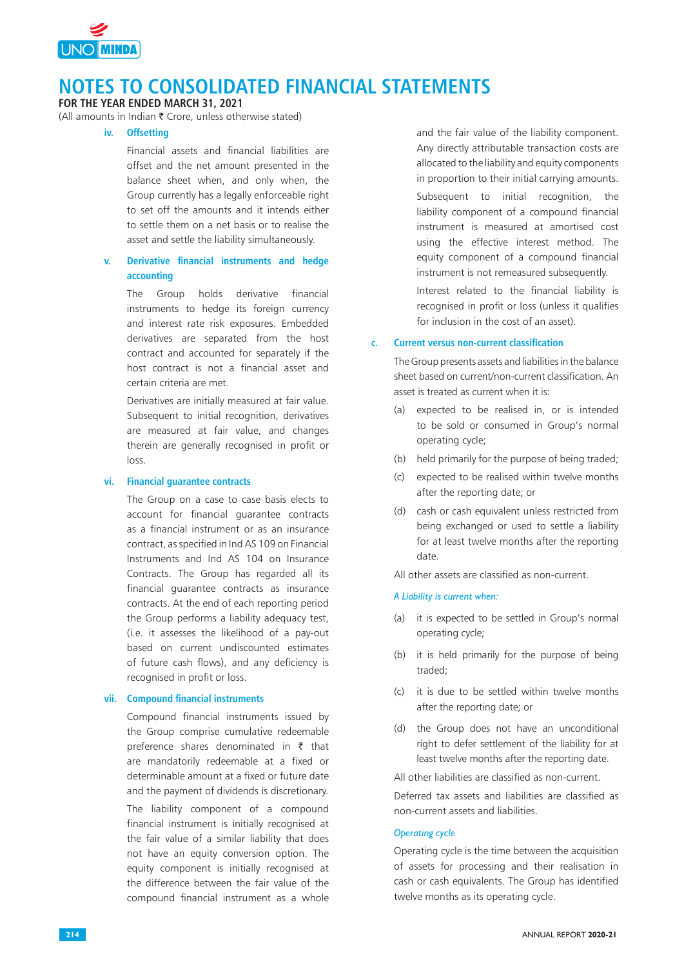

### **FOR THE YEAR ENDED MARCH 31, 2021**

(All amounts in Indian  $\bar{\tau}$  Crore, unless otherwise stated)

### **iv. Offsetting**

Financial assets and financial liabilities are offset and the net amount presented in the balance sheet when, and only when, the Group currently has a legally enforceable right to set off the amounts and it intends either to settle them on a net basis or to realise the asset and settle the liability simultaneously.

## **v. Derivative financial instruments and hedge accounting**

The Group holds derivative financial instruments to hedge its foreign currency and interest rate risk exposures. Embedded derivatives are separated from the host contract and accounted for separately if the host contract is not a financial asset and certain criteria are met.

Derivatives are initially measured at fair value. Subsequent to initial recognition, derivatives are measured at fair value, and changes therein are generally recognised in profit or loss.

#### **vi. Financial guarantee contracts**

The Group on a case to case basis elects to account for financial guarantee contracts as a financial instrument or as an insurance contract, as specified in Ind AS 109 on Financial Instruments and Ind AS 104 on Insurance Contracts. The Group has regarded all its financial guarantee contracts as insurance contracts. At the end of each reporting period the Group performs a liability adequacy test, (i.e. it assesses the likelihood of a pay-out based on current undiscounted estimates of future cash flows), and any deficiency is recognised in profit or loss.

#### **vii. Compound financial instruments**

Compound financial instruments issued by the Group comprise cumulative redeemable preference shares denominated in  $\bar{\tau}$  that are mandatorily redeemable at a fixed or determinable amount at a fixed or future date and the payment of dividends is discretionary. The liability component of a compound

financial instrument is initially recognised at the fair value of a similar liability that does not have an equity conversion option. The equity component is initially recognised at the difference between the fair value of the compound financial instrument as a whole

and the fair value of the liability component. Any directly attributable transaction costs are allocated to the liability and equity components in proportion to their initial carrying amounts.

Subsequent to initial recognition, the liability component of a compound financial instrument is measured at amortised cost using the effective interest method. The equity component of a compound financial instrument is not remeasured subsequently.

Interest related to the financial liability is recognised in profit or loss (unless it qualifies for inclusion in the cost of an asset).

#### **c. Current versus non-current classification**

The Group presents assets and liabilities in the balance sheet based on current/non-current classification. An asset is treated as current when it is:

- (a) expected to be realised in, or is intended to be sold or consumed in Group's normal operating cycle;
- (b) held primarily for the purpose of being traded;
- (c) expected to be realised within twelve months after the reporting date; or
- (d) cash or cash equivalent unless restricted from being exchanged or used to settle a liability for at least twelve months after the reporting date.

All other assets are classified as non-current.

### *A Liability is current when:*

- (a) it is expected to be settled in Group's normal operating cycle;
- (b) it is held primarily for the purpose of being traded;
- (c) it is due to be settled within twelve months after the reporting date; or
- (d) the Group does not have an unconditional right to defer settlement of the liability for at least twelve months after the reporting date.

All other liabilities are classified as non-current.

Deferred tax assets and liabilities are classified as non-current assets and liabilities.

#### *Operating cycle*

Operating cycle is the time between the acquisition of assets for processing and their realisation in cash or cash equivalents. The Group has identified twelve months as its operating cycle.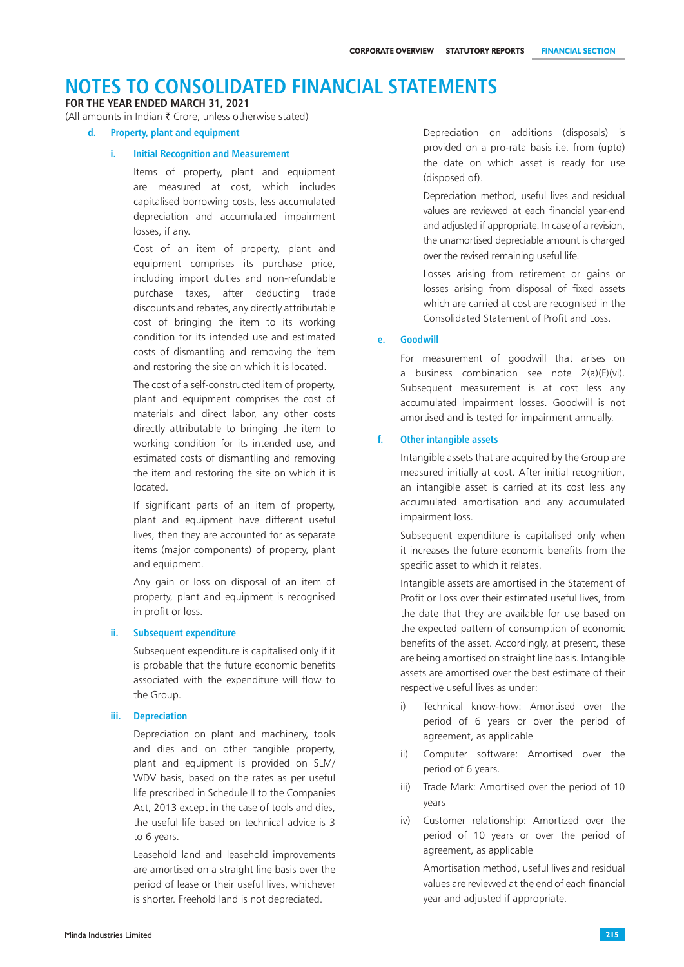### **FOR THE YEAR ENDED MARCH 31, 2021**

(All amounts in Indian  $\bar{\tau}$  Crore, unless otherwise stated)

#### **d. Property, plant and equipment**

#### **i. Initial Recognition and Measurement**

 Items of property, plant and equipment are measured at cost, which includes capitalised borrowing costs, less accumulated depreciation and accumulated impairment losses, if any.

 Cost of an item of property, plant and equipment comprises its purchase price, including import duties and non-refundable purchase taxes, after deducting trade discounts and rebates, any directly attributable cost of bringing the item to its working condition for its intended use and estimated costs of dismantling and removing the item and restoring the site on which it is located.

The cost of a self-constructed item of property, plant and equipment comprises the cost of materials and direct labor, any other costs directly attributable to bringing the item to working condition for its intended use, and estimated costs of dismantling and removing the item and restoring the site on which it is located.

If significant parts of an item of property, plant and equipment have different useful lives, then they are accounted for as separate items (major components) of property, plant and equipment.

Any gain or loss on disposal of an item of property, plant and equipment is recognised in profit or loss.

#### **ii. Subsequent expenditure**

Subsequent expenditure is capitalised only if it is probable that the future economic benefits associated with the expenditure will flow to the Group.

#### **iii. Depreciation**

Depreciation on plant and machinery, tools and dies and on other tangible property, plant and equipment is provided on SLM/ WDV basis, based on the rates as per useful life prescribed in Schedule II to the Companies Act, 2013 except in the case of tools and dies, the useful life based on technical advice is 3 to 6 years.

Leasehold land and leasehold improvements are amortised on a straight line basis over the period of lease or their useful lives, whichever is shorter. Freehold land is not depreciated.

Depreciation on additions (disposals) is provided on a pro-rata basis i.e. from (upto) the date on which asset is ready for use (disposed of).

Depreciation method, useful lives and residual values are reviewed at each financial year-end and adjusted if appropriate. In case of a revision, the unamortised depreciable amount is charged over the revised remaining useful life.

Losses arising from retirement or gains or losses arising from disposal of fixed assets which are carried at cost are recognised in the Consolidated Statement of Profit and Loss.

### **e. Goodwill**

For measurement of goodwill that arises on a business combination see note 2(a)(F)(vi). Subsequent measurement is at cost less any accumulated impairment losses. Goodwill is not amortised and is tested for impairment annually.

#### **f. Other intangible assets**

Intangible assets that are acquired by the Group are measured initially at cost. After initial recognition, an intangible asset is carried at its cost less any accumulated amortisation and any accumulated impairment loss.

Subsequent expenditure is capitalised only when it increases the future economic benefits from the specific asset to which it relates.

Intangible assets are amortised in the Statement of Profit or Loss over their estimated useful lives, from the date that they are available for use based on the expected pattern of consumption of economic benefits of the asset. Accordingly, at present, these are being amortised on straight line basis. Intangible assets are amortised over the best estimate of their respective useful lives as under:

- i) Technical know-how: Amortised over the period of 6 years or over the period of agreement, as applicable
- ii) Computer software: Amortised over the period of 6 years.
- iii) Trade Mark: Amortised over the period of 10 years
- iv) Customer relationship: Amortized over the period of 10 years or over the period of agreement, as applicable

 Amortisation method, useful lives and residual values are reviewed at the end of each financial year and adjusted if appropriate.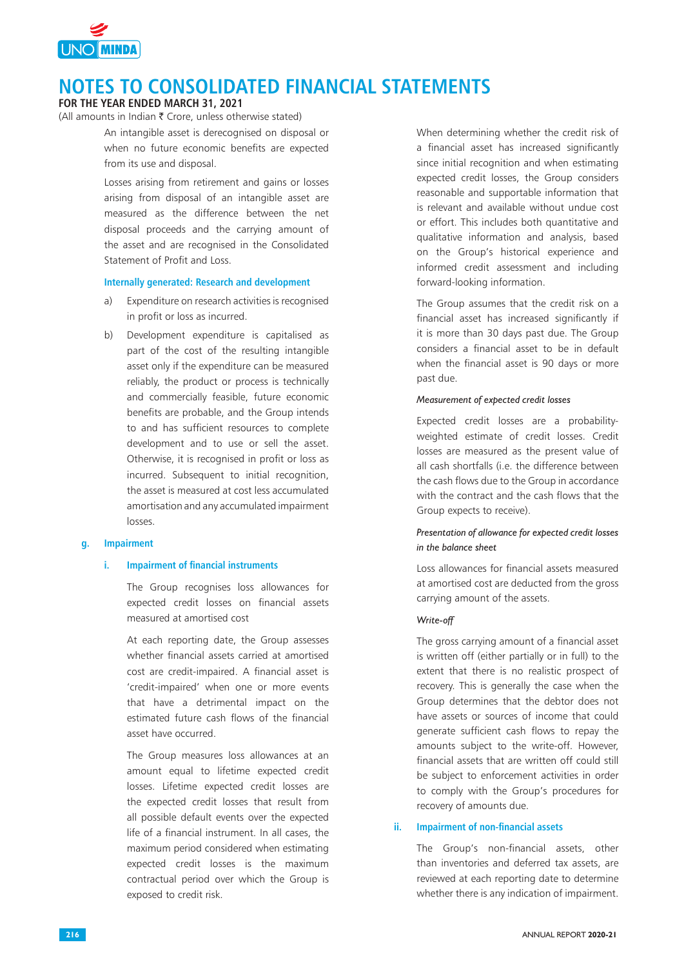

### **FOR THE YEAR ENDED MARCH 31, 2021**

(All amounts in Indian  $\bar{\tau}$  Crore, unless otherwise stated)

An intangible asset is derecognised on disposal or when no future economic benefits are expected from its use and disposal.

Losses arising from retirement and gains or losses arising from disposal of an intangible asset are measured as the difference between the net disposal proceeds and the carrying amount of the asset and are recognised in the Consolidated Statement of Profit and Loss.

### **Internally generated: Research and development**

- a) Expenditure on research activities is recognised in profit or loss as incurred.
- b) Development expenditure is capitalised as part of the cost of the resulting intangible asset only if the expenditure can be measured reliably, the product or process is technically and commercially feasible, future economic benefits are probable, and the Group intends to and has sufficient resources to complete development and to use or sell the asset. Otherwise, it is recognised in profit or loss as incurred. Subsequent to initial recognition, the asset is measured at cost less accumulated amortisation and any accumulated impairment losses.

#### **g. Impairment**

#### **i. Impairment of financial instruments**

The Group recognises loss allowances for expected credit losses on financial assets measured at amortised cost

At each reporting date, the Group assesses whether financial assets carried at amortised cost are credit‑impaired. A financial asset is 'credit‑impaired' when one or more events that have a detrimental impact on the estimated future cash flows of the financial asset have occurred.

The Group measures loss allowances at an amount equal to lifetime expected credit losses. Lifetime expected credit losses are the expected credit losses that result from all possible default events over the expected life of a financial instrument. In all cases, the maximum period considered when estimating expected credit losses is the maximum contractual period over which the Group is exposed to credit risk.

 When determining whether the credit risk of a financial asset has increased significantly since initial recognition and when estimating expected credit losses, the Group considers reasonable and supportable information that is relevant and available without undue cost or effort. This includes both quantitative and qualitative information and analysis, based on the Group's historical experience and informed credit assessment and including forward-looking information.

The Group assumes that the credit risk on a financial asset has increased significantly if it is more than 30 days past due. The Group considers a financial asset to be in default when the financial asset is 90 days or more past due.

#### *Measurement of expected credit losses*

Expected credit losses are a probabilityweighted estimate of credit losses. Credit losses are measured as the present value of all cash shortfalls (i.e. the difference between the cash flows due to the Group in accordance with the contract and the cash flows that the Group expects to receive).

### *Presentation of allowance for expected credit losses in the balance sheet*

Loss allowances for financial assets measured at amortised cost are deducted from the gross carrying amount of the assets.

#### *Write-off*

The gross carrying amount of a financial asset is written off (either partially or in full) to the extent that there is no realistic prospect of recovery. This is generally the case when the Group determines that the debtor does not have assets or sources of income that could generate sufficient cash flows to repay the amounts subject to the write-off. However, financial assets that are written off could still be subject to enforcement activities in order to comply with the Group's procedures for recovery of amounts due.

#### **ii. Impairment of non-financial assets**

The Group's non-financial assets, other than inventories and deferred tax assets, are reviewed at each reporting date to determine whether there is any indication of impairment.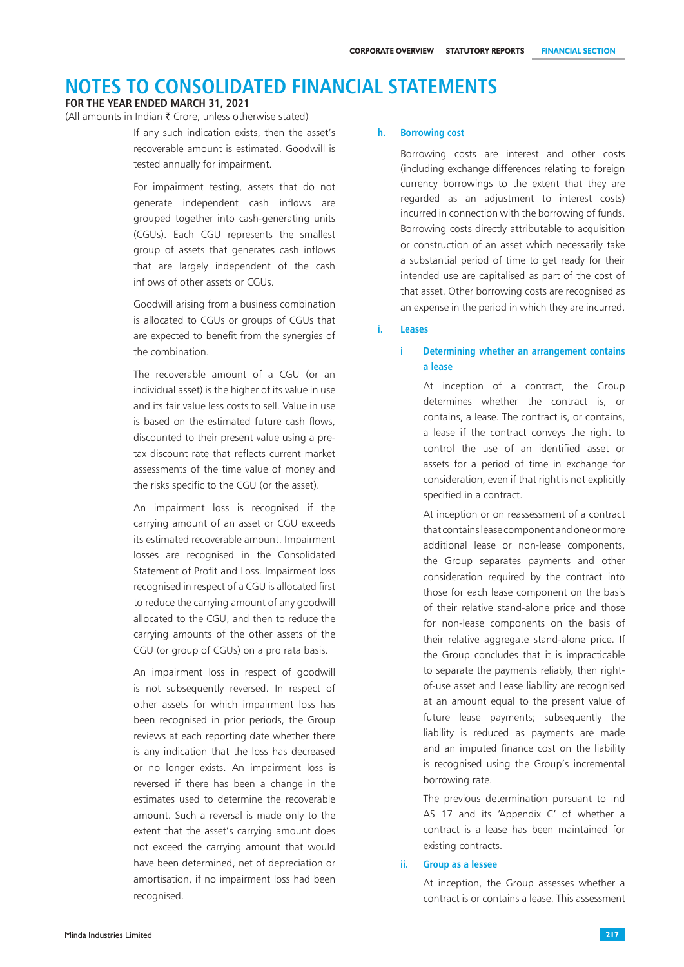#### **FOR THE YEAR ENDED MARCH 31, 2021**

(All amounts in Indian  $\bar{\tau}$  Crore, unless otherwise stated)

If any such indication exists, then the asset's recoverable amount is estimated. Goodwill is tested annually for impairment.

For impairment testing, assets that do not generate independent cash inflows are grouped together into cash-generating units (CGUs). Each CGU represents the smallest group of assets that generates cash inflows that are largely independent of the cash inflows of other assets or CGUs.

Goodwill arising from a business combination is allocated to CGUs or groups of CGUs that are expected to benefit from the synergies of the combination.

The recoverable amount of a CGU (or an individual asset) is the higher of its value in use and its fair value less costs to sell. Value in use is based on the estimated future cash flows, discounted to their present value using a pretax discount rate that reflects current market assessments of the time value of money and the risks specific to the CGU (or the asset).

An impairment loss is recognised if the carrying amount of an asset or CGU exceeds its estimated recoverable amount. Impairment losses are recognised in the Consolidated Statement of Profit and Loss. Impairment loss recognised in respect of a CGU is allocated first to reduce the carrying amount of any goodwill allocated to the CGU, and then to reduce the carrying amounts of the other assets of the CGU (or group of CGUs) on a pro rata basis.

An impairment loss in respect of goodwill is not subsequently reversed. In respect of other assets for which impairment loss has been recognised in prior periods, the Group reviews at each reporting date whether there is any indication that the loss has decreased or no longer exists. An impairment loss is reversed if there has been a change in the estimates used to determine the recoverable amount. Such a reversal is made only to the extent that the asset's carrying amount does not exceed the carrying amount that would have been determined, net of depreciation or amortisation, if no impairment loss had been recognised.

#### **h. Borrowing cost**

Borrowing costs are interest and other costs (including exchange differences relating to foreign currency borrowings to the extent that they are regarded as an adjustment to interest costs) incurred in connection with the borrowing of funds. Borrowing costs directly attributable to acquisition or construction of an asset which necessarily take a substantial period of time to get ready for their intended use are capitalised as part of the cost of that asset. Other borrowing costs are recognised as an expense in the period in which they are incurred.

#### **i. Leases**

### **i Determining whether an arrangement contains a lease**

At inception of a contract, the Group determines whether the contract is, or contains, a lease. The contract is, or contains, a lease if the contract conveys the right to control the use of an identified asset or assets for a period of time in exchange for consideration, even if that right is not explicitly specified in a contract.

At inception or on reassessment of a contract that contains lease component and one or more additional lease or non-lease components, the Group separates payments and other consideration required by the contract into those for each lease component on the basis of their relative stand-alone price and those for non-lease components on the basis of their relative aggregate stand-alone price. If the Group concludes that it is impracticable to separate the payments reliably, then rightof-use asset and Lease liability are recognised at an amount equal to the present value of future lease payments; subsequently the liability is reduced as payments are made and an imputed finance cost on the liability is recognised using the Group's incremental borrowing rate.

 The previous determination pursuant to Ind AS 17 and its 'Appendix C' of whether a contract is a lease has been maintained for existing contracts.

#### **ii. Group as a lessee**

At inception, the Group assesses whether a contract is or contains a lease. This assessment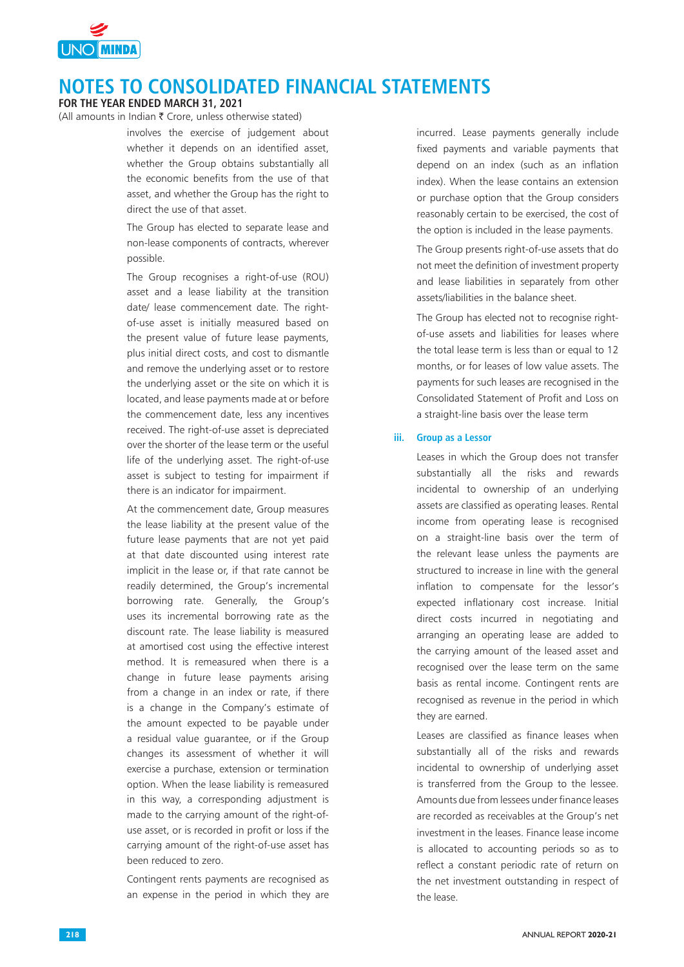

**FOR THE YEAR ENDED MARCH 31, 2021**

(All amounts in Indian  $\bar{\tau}$  Crore, unless otherwise stated)

involves the exercise of judgement about whether it depends on an identified asset, whether the Group obtains substantially all the economic benefits from the use of that asset, and whether the Group has the right to direct the use of that asset.

The Group has elected to separate lease and non-lease components of contracts, wherever possible.

The Group recognises a right-of-use (ROU) asset and a lease liability at the transition date/ lease commencement date. The rightof-use asset is initially measured based on the present value of future lease payments, plus initial direct costs, and cost to dismantle and remove the underlying asset or to restore the underlying asset or the site on which it is located, and lease payments made at or before the commencement date, less any incentives received. The right-of-use asset is depreciated over the shorter of the lease term or the useful life of the underlying asset. The right-of-use asset is subject to testing for impairment if there is an indicator for impairment.

At the commencement date, Group measures the lease liability at the present value of the future lease payments that are not yet paid at that date discounted using interest rate implicit in the lease or, if that rate cannot be readily determined, the Group's incremental borrowing rate. Generally, the Group's uses its incremental borrowing rate as the discount rate. The lease liability is measured at amortised cost using the effective interest method. It is remeasured when there is a change in future lease payments arising from a change in an index or rate, if there is a change in the Company's estimate of the amount expected to be payable under a residual value guarantee, or if the Group changes its assessment of whether it will exercise a purchase, extension or termination option. When the lease liability is remeasured in this way, a corresponding adjustment is made to the carrying amount of the right-ofuse asset, or is recorded in profit or loss if the carrying amount of the right-of-use asset has been reduced to zero.

Contingent rents payments are recognised as an expense in the period in which they are

incurred. Lease payments generally include fixed payments and variable payments that depend on an index (such as an inflation index). When the lease contains an extension or purchase option that the Group considers reasonably certain to be exercised, the cost of the option is included in the lease payments.

The Group presents right-of-use assets that do not meet the definition of investment property and lease liabilities in separately from other assets/liabilities in the balance sheet.

The Group has elected not to recognise rightof-use assets and liabilities for leases where the total lease term is less than or equal to 12 months, or for leases of low value assets. The payments for such leases are recognised in the Consolidated Statement of Profit and Loss on a straight-line basis over the lease term

#### **iii. Group as a Lessor**

Leases in which the Group does not transfer substantially all the risks and rewards incidental to ownership of an underlying assets are classified as operating leases. Rental income from operating lease is recognised on a straight-line basis over the term of the relevant lease unless the payments are structured to increase in line with the general inflation to compensate for the lessor's expected inflationary cost increase. Initial direct costs incurred in negotiating and arranging an operating lease are added to the carrying amount of the leased asset and recognised over the lease term on the same basis as rental income. Contingent rents are recognised as revenue in the period in which they are earned.

Leases are classified as finance leases when substantially all of the risks and rewards incidental to ownership of underlying asset is transferred from the Group to the lessee. Amounts due from lessees under finance leases are recorded as receivables at the Group's net investment in the leases. Finance lease income is allocated to accounting periods so as to reflect a constant periodic rate of return on the net investment outstanding in respect of the lease.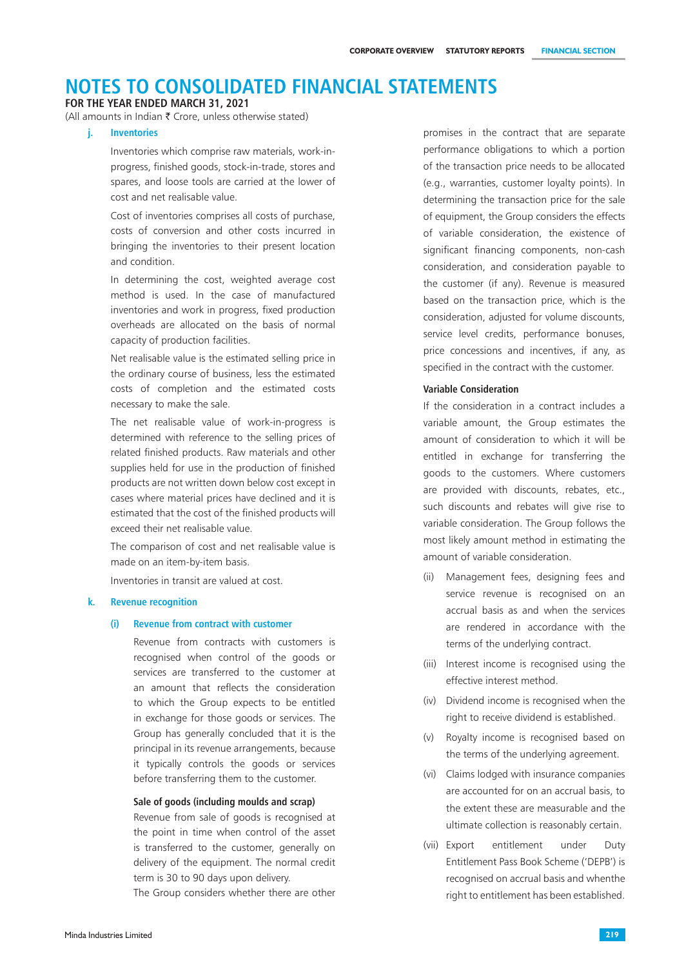### **FOR THE YEAR ENDED MARCH 31, 2021**

(All amounts in Indian  $\bar{\tau}$  Crore, unless otherwise stated)

### **j. Inventories**

Inventories which comprise raw materials, work-inprogress, finished goods, stock-in-trade, stores and spares, and loose tools are carried at the lower of cost and net realisable value.

Cost of inventories comprises all costs of purchase, costs of conversion and other costs incurred in bringing the inventories to their present location and condition.

In determining the cost, weighted average cost method is used. In the case of manufactured inventories and work in progress, fixed production overheads are allocated on the basis of normal capacity of production facilities.

 Net realisable value is the estimated selling price in the ordinary course of business, less the estimated costs of completion and the estimated costs necessary to make the sale.

The net realisable value of work-in-progress is determined with reference to the selling prices of related finished products. Raw materials and other supplies held for use in the production of finished products are not written down below cost except in cases where material prices have declined and it is estimated that the cost of the finished products will exceed their net realisable value.

The comparison of cost and net realisable value is made on an item-by-item basis.

Inventories in transit are valued at cost.

#### **k. Revenue recognition**

#### **(i) Revenue from contract with customer**

Revenue from contracts with customers is recognised when control of the goods or services are transferred to the customer at an amount that reflects the consideration to which the Group expects to be entitled in exchange for those goods or services. The Group has generally concluded that it is the principal in its revenue arrangements, because it typically controls the goods or services before transferring them to the customer.

#### **Sale of goods (including moulds and scrap)**

Revenue from sale of goods is recognised at the point in time when control of the asset is transferred to the customer, generally on delivery of the equipment. The normal credit term is 30 to 90 days upon delivery.

The Group considers whether there are other

promises in the contract that are separate performance obligations to which a portion of the transaction price needs to be allocated (e.g., warranties, customer loyalty points). In determining the transaction price for the sale of equipment, the Group considers the effects of variable consideration, the existence of significant financing components, non-cash consideration, and consideration payable to the customer (if any). Revenue is measured based on the transaction price, which is the consideration, adjusted for volume discounts, service level credits, performance bonuses, price concessions and incentives, if any, as specified in the contract with the customer.

#### **Variable Consideration**

If the consideration in a contract includes a variable amount, the Group estimates the amount of consideration to which it will be entitled in exchange for transferring the goods to the customers. Where customers are provided with discounts, rebates, etc., such discounts and rebates will give rise to variable consideration. The Group follows the most likely amount method in estimating the amount of variable consideration.

- (ii) Management fees, designing fees and service revenue is recognised on an accrual basis as and when the services are rendered in accordance with the terms of the underlying contract.
- (iii) Interest income is recognised using the effective interest method.
- (iv) Dividend income is recognised when the right to receive dividend is established.
- (v) Royalty income is recognised based on the terms of the underlying agreement.
- (vi) Claims lodged with insurance companies are accounted for on an accrual basis, to the extent these are measurable and the ultimate collection is reasonably certain.
- (vii) Export entitlement under Duty Entitlement Pass Book Scheme ('DEPB') is recognised on accrual basis and whenthe right to entitlement has been established.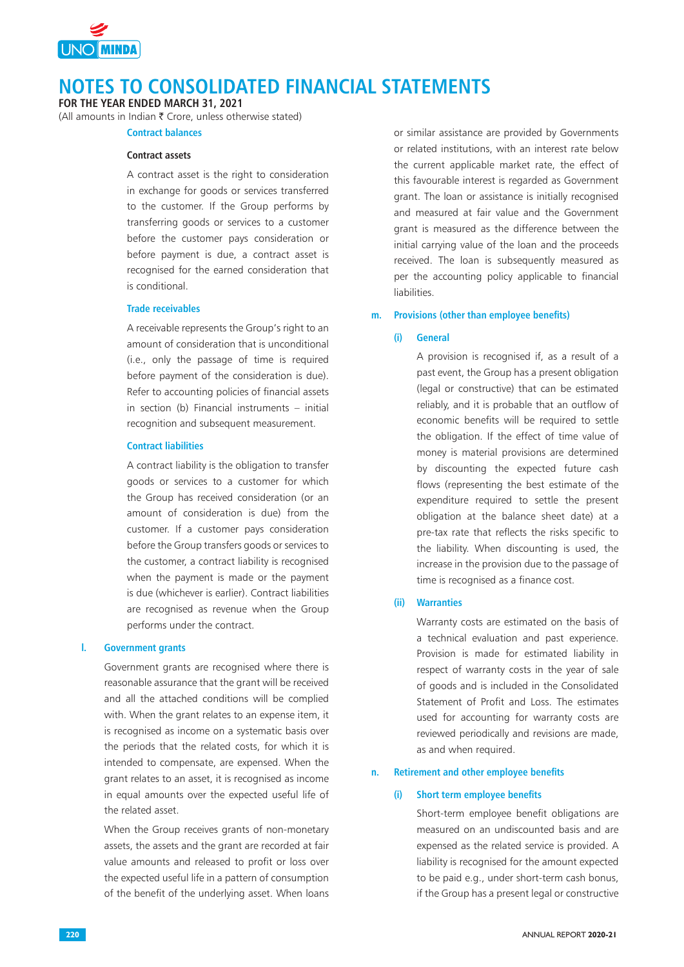

**FOR THE YEAR ENDED MARCH 31, 2021**

(All amounts in Indian  $\bar{\tau}$  Crore, unless otherwise stated)

# **Contract balances Contract assets**

A contract asset is the right to consideration in exchange for goods or services transferred to the customer. If the Group performs by transferring goods or services to a customer before the customer pays consideration or before payment is due, a contract asset is recognised for the earned consideration that is conditional.

#### **Trade receivables**

A receivable represents the Group's right to an amount of consideration that is unconditional (i.e., only the passage of time is required before payment of the consideration is due). Refer to accounting policies of financial assets in section (b) Financial instruments – initial recognition and subsequent measurement.

### **Contract liabilities**

A contract liability is the obligation to transfer goods or services to a customer for which the Group has received consideration (or an amount of consideration is due) from the customer. If a customer pays consideration before the Group transfers goods or services to the customer, a contract liability is recognised when the payment is made or the payment is due (whichever is earlier). Contract liabilities are recognised as revenue when the Group performs under the contract.

#### **l. Government grants**

Government grants are recognised where there is reasonable assurance that the grant will be received and all the attached conditions will be complied with. When the grant relates to an expense item, it is recognised as income on a systematic basis over the periods that the related costs, for which it is intended to compensate, are expensed. When the grant relates to an asset, it is recognised as income in equal amounts over the expected useful life of the related asset.

When the Group receives grants of non-monetary assets, the assets and the grant are recorded at fair value amounts and released to profit or loss over the expected useful life in a pattern of consumption of the benefit of the underlying asset. When loans

or similar assistance are provided by Governments or related institutions, with an interest rate below the current applicable market rate, the effect of this favourable interest is regarded as Government grant. The loan or assistance is initially recognised and measured at fair value and the Government grant is measured as the difference between the initial carrying value of the loan and the proceeds received. The loan is subsequently measured as per the accounting policy applicable to financial liabilities.

#### **m. Provisions (other than employee benefits)**

#### **(i) General**

A provision is recognised if, as a result of a past event, the Group has a present obligation (legal or constructive) that can be estimated reliably, and it is probable that an outflow of economic benefits will be required to settle the obligation. If the effect of time value of money is material provisions are determined by discounting the expected future cash flows (representing the best estimate of the expenditure required to settle the present obligation at the balance sheet date) at a pre-tax rate that reflects the risks specific to the liability. When discounting is used, the increase in the provision due to the passage of time is recognised as a finance cost.

### **(ii) Warranties**

Warranty costs are estimated on the basis of a technical evaluation and past experience. Provision is made for estimated liability in respect of warranty costs in the year of sale of goods and is included in the Consolidated Statement of Profit and Loss. The estimates used for accounting for warranty costs are reviewed periodically and revisions are made, as and when required.

#### **n. Retirement and other employee benefits**

#### **(i) Short term employee benefits**

Short-term employee benefit obligations are measured on an undiscounted basis and are expensed as the related service is provided. A liability is recognised for the amount expected to be paid e.g., under short-term cash bonus, if the Group has a present legal or constructive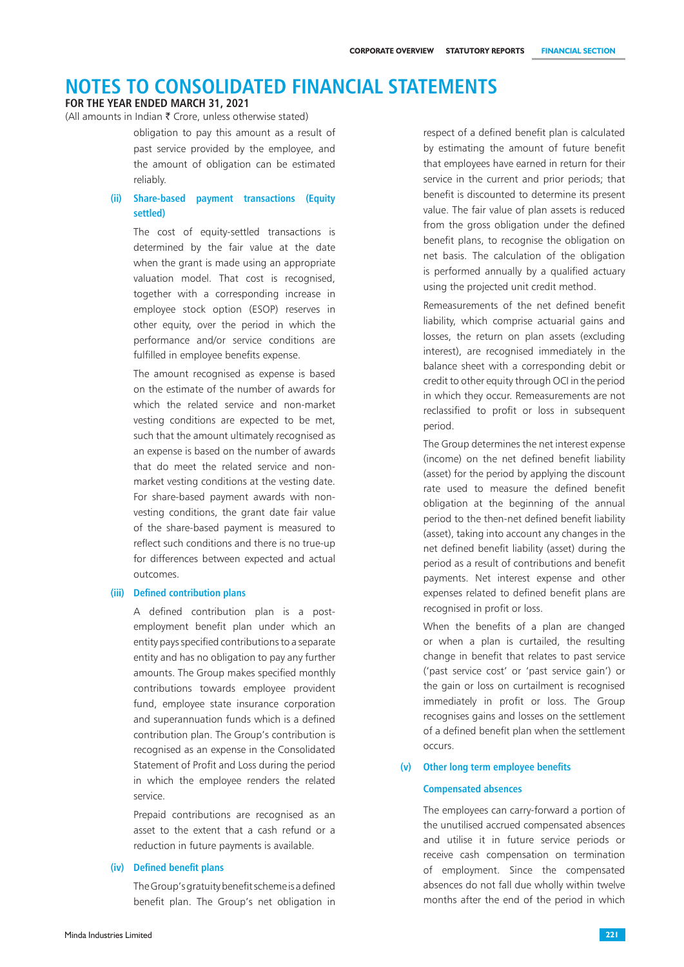#### **FOR THE YEAR ENDED MARCH 31, 2021**

(All amounts in Indian  $\bar{\tau}$  Crore, unless otherwise stated)

obligation to pay this amount as a result of past service provided by the employee, and the amount of obligation can be estimated reliably.

### **(ii) Share-based payment transactions (Equity settled)**

The cost of equity-settled transactions is determined by the fair value at the date when the grant is made using an appropriate valuation model. That cost is recognised, together with a corresponding increase in employee stock option (ESOP) reserves in other equity, over the period in which the performance and/or service conditions are fulfilled in employee benefits expense.

The amount recognised as expense is based on the estimate of the number of awards for which the related service and non-market vesting conditions are expected to be met, such that the amount ultimately recognised as an expense is based on the number of awards that do meet the related service and nonmarket vesting conditions at the vesting date. For share-based payment awards with nonvesting conditions, the grant date fair value of the share-based payment is measured to reflect such conditions and there is no true-up for differences between expected and actual outcomes.

#### **(iii) Defined contribution plans**

A defined contribution plan is a postemployment benefit plan under which an entity pays specified contributions to a separate entity and has no obligation to pay any further amounts. The Group makes specified monthly contributions towards employee provident fund, employee state insurance corporation and superannuation funds which is a defined contribution plan. The Group's contribution is recognised as an expense in the Consolidated Statement of Profit and Loss during the period in which the employee renders the related service.

Prepaid contributions are recognised as an asset to the extent that a cash refund or a reduction in future payments is available.

#### **(iv) Defined benefit plans**

The Group's gratuity benefit scheme is a defined benefit plan. The Group's net obligation in respect of a defined benefit plan is calculated by estimating the amount of future benefit that employees have earned in return for their service in the current and prior periods; that benefit is discounted to determine its present value. The fair value of plan assets is reduced from the gross obligation under the defined benefit plans, to recognise the obligation on net basis. The calculation of the obligation is performed annually by a qualified actuary using the projected unit credit method.

Remeasurements of the net defined benefit liability, which comprise actuarial gains and losses, the return on plan assets (excluding interest), are recognised immediately in the balance sheet with a corresponding debit or credit to other equity through OCI in the period in which they occur. Remeasurements are not reclassified to profit or loss in subsequent period.

 The Group determines the net interest expense (income) on the net defined benefit liability (asset) for the period by applying the discount rate used to measure the defined benefit obligation at the beginning of the annual period to the then-net defined benefit liability (asset), taking into account any changes in the net defined benefit liability (asset) during the period as a result of contributions and benefit payments. Net interest expense and other expenses related to defined benefit plans are recognised in profit or loss.

When the benefits of a plan are changed or when a plan is curtailed, the resulting change in benefit that relates to past service ('past service cost' or 'past service gain') or the gain or loss on curtailment is recognised immediately in profit or loss. The Group recognises gains and losses on the settlement of a defined benefit plan when the settlement occurs.

#### **(v) Other long term employee benefits**

#### **Compensated absences**

The employees can carry-forward a portion of the unutilised accrued compensated absences and utilise it in future service periods or receive cash compensation on termination of employment. Since the compensated absences do not fall due wholly within twelve months after the end of the period in which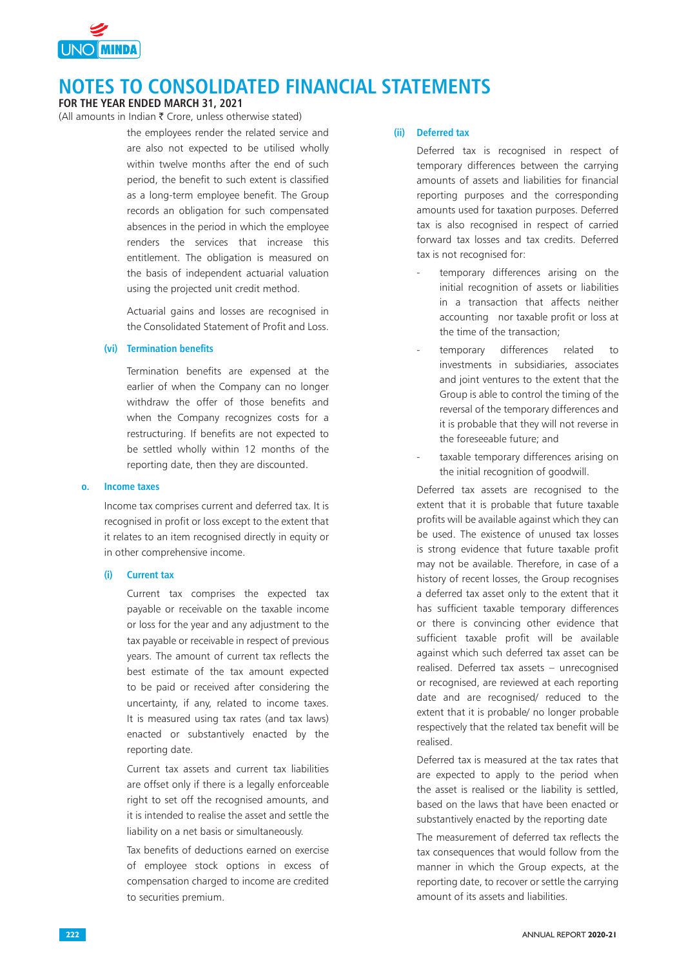

### **FOR THE YEAR ENDED MARCH 31, 2021**

(All amounts in Indian  $\bar{\tau}$  Crore, unless otherwise stated)

the employees render the related service and are also not expected to be utilised wholly within twelve months after the end of such period, the benefit to such extent is classified as a long-term employee benefit. The Group records an obligation for such compensated absences in the period in which the employee renders the services that increase this entitlement. The obligation is measured on the basis of independent actuarial valuation using the projected unit credit method.

Actuarial gains and losses are recognised in the Consolidated Statement of Profit and Loss.

### **(vi) Termination benefits**

Termination benefits are expensed at the earlier of when the Company can no longer withdraw the offer of those benefits and when the Company recognizes costs for a restructuring. If benefits are not expected to be settled wholly within 12 months of the reporting date, then they are discounted.

#### **o. Income taxes**

Income tax comprises current and deferred tax. It is recognised in profit or loss except to the extent that it relates to an item recognised directly in equity or in other comprehensive income.

### **(i) Current tax**

Current tax comprises the expected tax payable or receivable on the taxable income or loss for the year and any adjustment to the tax payable or receivable in respect of previous years. The amount of current tax reflects the best estimate of the tax amount expected to be paid or received after considering the uncertainty, if any, related to income taxes. It is measured using tax rates (and tax laws) enacted or substantively enacted by the reporting date.

Current tax assets and current tax liabilities are offset only if there is a legally enforceable right to set off the recognised amounts, and it is intended to realise the asset and settle the liability on a net basis or simultaneously.

Tax benefits of deductions earned on exercise of employee stock options in excess of compensation charged to income are credited to securities premium.

### **(ii) Deferred tax**

Deferred tax is recognised in respect of temporary differences between the carrying amounts of assets and liabilities for financial reporting purposes and the corresponding amounts used for taxation purposes. Deferred tax is also recognised in respect of carried forward tax losses and tax credits. Deferred tax is not recognised for:

- temporary differences arising on the initial recognition of assets or liabilities in a transaction that affects neither accounting nor taxable profit or loss at the time of the transaction;
- temporary differences related to investments in subsidiaries, associates and joint ventures to the extent that the Group is able to control the timing of the reversal of the temporary differences and it is probable that they will not reverse in the foreseeable future; and
- taxable temporary differences arising on the initial recognition of goodwill.

Deferred tax assets are recognised to the extent that it is probable that future taxable profits will be available against which they can be used. The existence of unused tax losses is strong evidence that future taxable profit may not be available. Therefore, in case of a history of recent losses, the Group recognises a deferred tax asset only to the extent that it has sufficient taxable temporary differences or there is convincing other evidence that sufficient taxable profit will be available against which such deferred tax asset can be realised. Deferred tax assets – unrecognised or recognised, are reviewed at each reporting date and are recognised/ reduced to the extent that it is probable/ no longer probable respectively that the related tax benefit will be realised.

Deferred tax is measured at the tax rates that are expected to apply to the period when the asset is realised or the liability is settled, based on the laws that have been enacted or substantively enacted by the reporting date

The measurement of deferred tax reflects the tax consequences that would follow from the manner in which the Group expects, at the reporting date, to recover or settle the carrying amount of its assets and liabilities.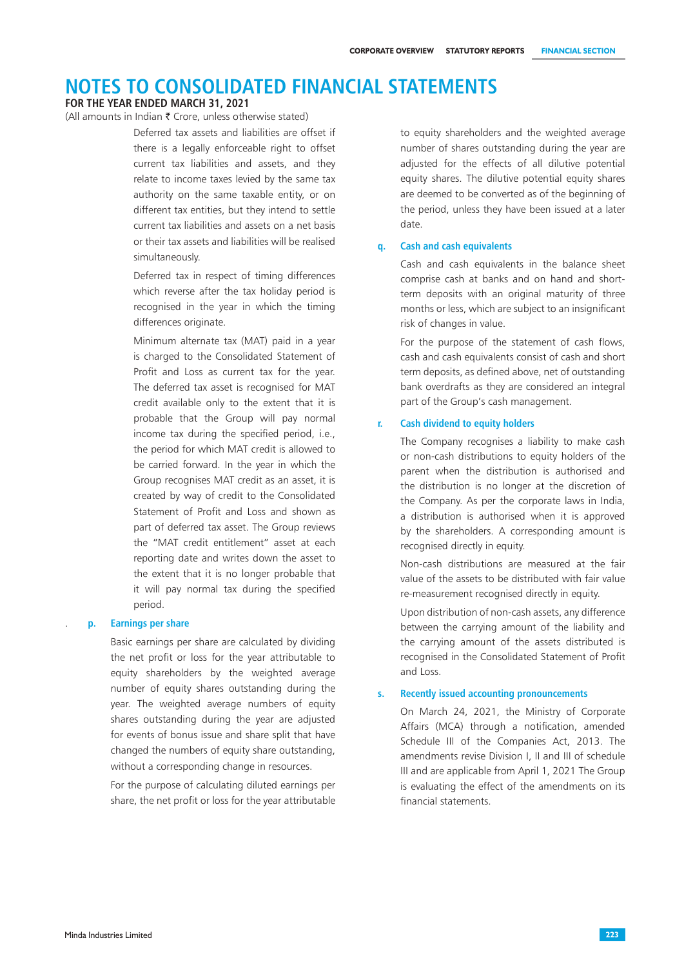#### **FOR THE YEAR ENDED MARCH 31, 2021**

(All amounts in Indian  $\bar{\bar{\xi}}$  Crore, unless otherwise stated)

Deferred tax assets and liabilities are offset if there is a legally enforceable right to offset current tax liabilities and assets, and they relate to income taxes levied by the same tax authority on the same taxable entity, or on different tax entities, but they intend to settle current tax liabilities and assets on a net basis or their tax assets and liabilities will be realised simultaneously.

Deferred tax in respect of timing differences which reverse after the tax holiday period is recognised in the year in which the timing differences originate.

Minimum alternate tax (MAT) paid in a year is charged to the Consolidated Statement of Profit and Loss as current tax for the year. The deferred tax asset is recognised for MAT credit available only to the extent that it is probable that the Group will pay normal income tax during the specified period, i.e., the period for which MAT credit is allowed to be carried forward. In the year in which the Group recognises MAT credit as an asset, it is created by way of credit to the Consolidated Statement of Profit and Loss and shown as part of deferred tax asset. The Group reviews the "MAT credit entitlement" asset at each reporting date and writes down the asset to the extent that it is no longer probable that it will pay normal tax during the specified period.

#### . **p. Earnings per share**

Basic earnings per share are calculated by dividing the net profit or loss for the year attributable to equity shareholders by the weighted average number of equity shares outstanding during the year. The weighted average numbers of equity shares outstanding during the year are adjusted for events of bonus issue and share split that have changed the numbers of equity share outstanding, without a corresponding change in resources.

For the purpose of calculating diluted earnings per share, the net profit or loss for the year attributable

to equity shareholders and the weighted average number of shares outstanding during the year are adjusted for the effects of all dilutive potential equity shares. The dilutive potential equity shares are deemed to be converted as of the beginning of the period, unless they have been issued at a later date.

### **q. Cash and cash equivalents**

Cash and cash equivalents in the balance sheet comprise cash at banks and on hand and shortterm deposits with an original maturity of three months or less, which are subject to an insignificant risk of changes in value.

For the purpose of the statement of cash flows, cash and cash equivalents consist of cash and short term deposits, as defined above, net of outstanding bank overdrafts as they are considered an integral part of the Group's cash management.

### **r. Cash dividend to equity holders**

The Company recognises a liability to make cash or non-cash distributions to equity holders of the parent when the distribution is authorised and the distribution is no longer at the discretion of the Company. As per the corporate laws in India, a distribution is authorised when it is approved by the shareholders. A corresponding amount is recognised directly in equity.

Non-cash distributions are measured at the fair value of the assets to be distributed with fair value re-measurement recognised directly in equity.

Upon distribution of non-cash assets, any difference between the carrying amount of the liability and the carrying amount of the assets distributed is recognised in the Consolidated Statement of Profit and Loss.

#### **s. Recently issued accounting pronouncements**

On March 24, 2021, the Ministry of Corporate Affairs (MCA) through a notification, amended Schedule III of the Companies Act, 2013. The amendments revise Division I, II and III of schedule III and are applicable from April 1, 2021 The Group is evaluating the effect of the amendments on its financial statements.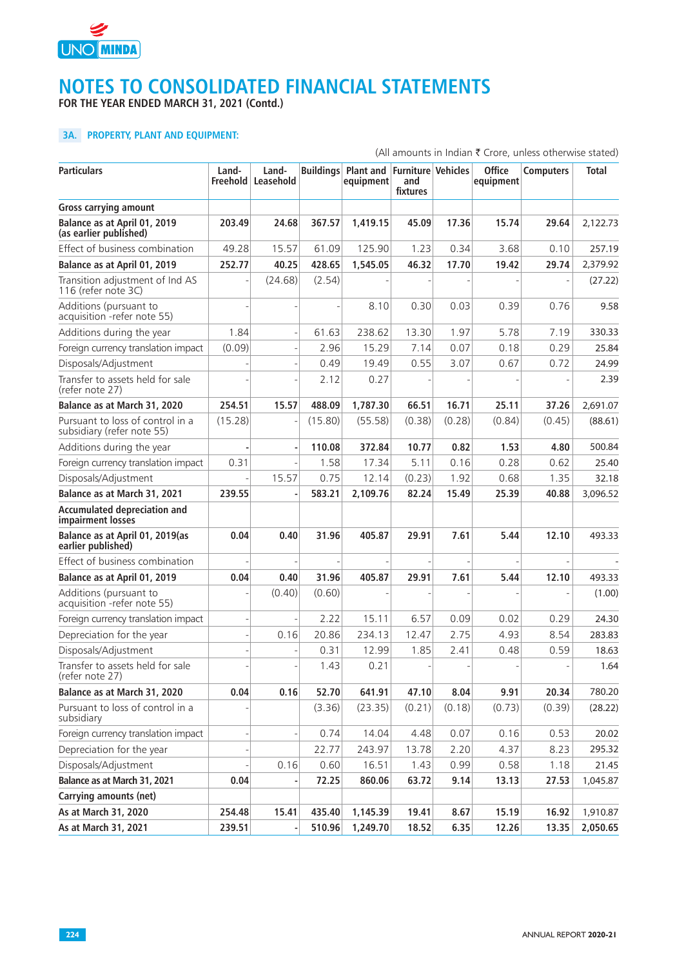

**FOR THE YEAR ENDED MARCH 31, 2021 (Contd.)**

# **3A. PROPERTY, PLANT AND EQUIPMENT:**

|                                                                |         |                             |         |                                         |                                              |        |                            | (All amounts in Indian ₹ Crore, unless otherwise stated) |          |
|----------------------------------------------------------------|---------|-----------------------------|---------|-----------------------------------------|----------------------------------------------|--------|----------------------------|----------------------------------------------------------|----------|
| <b>Particulars</b>                                             | Land-   | Land-<br>Freehold Leasehold |         | <b>Buildings Plant and</b><br>equipment | <b>Furniture Vehicles</b><br>and<br>fixtures |        | <b>Office</b><br>equipment | <b>Computers</b>                                         | Total    |
| <b>Gross carrying amount</b>                                   |         |                             |         |                                         |                                              |        |                            |                                                          |          |
| Balance as at April 01, 2019<br>(as earlier published)         | 203.49  | 24.68                       | 367.57  | 1.419.15                                | 45.09                                        | 17.36  | 15.74                      | 29.64                                                    | 2,122.73 |
| Effect of business combination                                 | 49.28   | 15.57                       | 61.09   | 125.90                                  | 1.23                                         | 0.34   | 3.68                       | 0.10                                                     | 257.19   |
| Balance as at April 01, 2019                                   | 252.77  | 40.25                       | 428.65  | 1,545.05                                | 46.32                                        | 17.70  | 19.42                      | 29.74                                                    | 2,379.92 |
| Transition adjustment of Ind AS<br>116 (refer note 3C)         |         | (24.68)                     | (2.54)  |                                         |                                              |        |                            |                                                          | (27.22)  |
| Additions (pursuant to<br>acquisition - refer note 55)         |         |                             |         | 8.10                                    | 0.30                                         | 0.03   | 0.39                       | 0.76                                                     | 9.58     |
| Additions during the year                                      | 1.84    |                             | 61.63   | 238.62                                  | 13.30                                        | 1.97   | 5.78                       | 7.19                                                     | 330.33   |
| Foreign currency translation impact                            | (0.09)  |                             | 2.96    | 15.29                                   | 7.14                                         | 0.07   | 0.18                       | 0.29                                                     | 25.84    |
| Disposals/Adjustment                                           |         |                             | 0.49    | 19.49                                   | 0.55                                         | 3.07   | 0.67                       | 0.72                                                     | 24.99    |
| Transfer to assets held for sale<br>(refer note 27)            |         |                             | 2.12    | 0.27                                    |                                              |        |                            |                                                          | 2.39     |
| Balance as at March 31, 2020                                   | 254.51  | 15.57                       | 488.09  | 1,787.30                                | 66.51                                        | 16.71  | 25.11                      | 37.26                                                    | 2,691.07 |
| Pursuant to loss of control in a<br>subsidiary (refer note 55) | (15.28) |                             | (15.80) | (55.58)                                 | (0.38)                                       | (0.28) | (0.84)                     | (0.45)                                                   | (88.61)  |
| Additions during the year                                      |         |                             | 110.08  | 372.84                                  | 10.77                                        | 0.82   | 1.53                       | 4.80                                                     | 500.84   |
| Foreign currency translation impact                            | 0.31    |                             | 1.58    | 17.34                                   | 5.11                                         | 0.16   | 0.28                       | 0.62                                                     | 25.40    |
| Disposals/Adjustment                                           |         | 15.57                       | 0.75    | 12.14                                   | (0.23)                                       | 1.92   | 0.68                       | 1.35                                                     | 32.18    |
| Balance as at March 31, 2021                                   | 239.55  |                             | 583.21  | 2,109.76                                | 82.24                                        | 15.49  | 25.39                      | 40.88                                                    | 3,096.52 |
| <b>Accumulated depreciation and</b><br>impairment losses       |         |                             |         |                                         |                                              |        |                            |                                                          |          |
| Balance as at April 01, 2019(as<br>earlier published)          | 0.04    | 0.40                        | 31.96   | 405.87                                  | 29.91                                        | 7.61   | 5.44                       | 12.10                                                    | 493.33   |
| Effect of business combination                                 |         |                             |         |                                         |                                              |        |                            |                                                          |          |
| Balance as at April 01, 2019                                   | 0.04    | 0.40                        | 31.96   | 405.87                                  | 29.91                                        | 7.61   | 5.44                       | 12.10                                                    | 493.33   |
| Additions (pursuant to<br>acquisition - refer note 55)         |         | (0.40)                      | (0.60)  |                                         |                                              |        |                            |                                                          | (1.00)   |
| Foreign currency translation impact                            |         |                             | 2.22    | 15.11                                   | 6.57                                         | 0.09   | 0.02                       | 0.29                                                     | 24.30    |
| Depreciation for the year                                      |         | 0.16                        | 20.86   | 234.13                                  | 12.47                                        | 2.75   | 4.93                       | 8.54                                                     | 283.83   |
| Disposals/Adjustment                                           |         |                             | 0.31    | 12.99                                   | 1.85                                         | 2.41   | 0.48                       | 0.59                                                     | 18.63    |
| Transfer to assets held for sale<br>(refer note 27)            |         |                             | 1.43    | 0.21                                    |                                              |        |                            |                                                          | 1.64     |
| Balance as at March 31, 2020                                   | 0.04    | 0.16                        | 52.70   | 641.91                                  | 47.10                                        | 8.04   | 9.91                       | 20.34                                                    | 780.20   |
| Pursuant to loss of control in a<br>subsidiary                 |         |                             | (3.36)  | (23.35)                                 | (0.21)                                       | (0.18) | (0.73)                     | (0.39)                                                   | (28.22)  |
| Foreign currency translation impact                            |         |                             | 0.74    | 14.04                                   | 4.48                                         | 0.07   | 0.16                       | 0.53                                                     | 20.02    |
| Depreciation for the year                                      |         |                             | 22.77   | 243.97                                  | 13.78                                        | 2.20   | 4.37                       | 8.23                                                     | 295.32   |
| Disposals/Adjustment                                           |         | 0.16                        | 0.60    | 16.51                                   | 1.43                                         | 0.99   | 0.58                       | 1.18                                                     | 21.45    |
| Balance as at March 31, 2021                                   | 0.04    |                             | 72.25   | 860.06                                  | 63.72                                        | 9.14   | 13.13                      | 27.53                                                    | 1,045.87 |
| <b>Carrying amounts (net)</b>                                  |         |                             |         |                                         |                                              |        |                            |                                                          |          |
| As at March 31, 2020                                           | 254.48  | 15.41                       | 435.40  | 1,145.39                                | 19.41                                        | 8.67   | 15.19                      | 16.92                                                    | 1,910.87 |
| As at March 31, 2021                                           | 239.51  |                             | 510.96  | 1,249.70                                | 18.52                                        | 6.35   | 12.26                      | 13.35                                                    | 2,050.65 |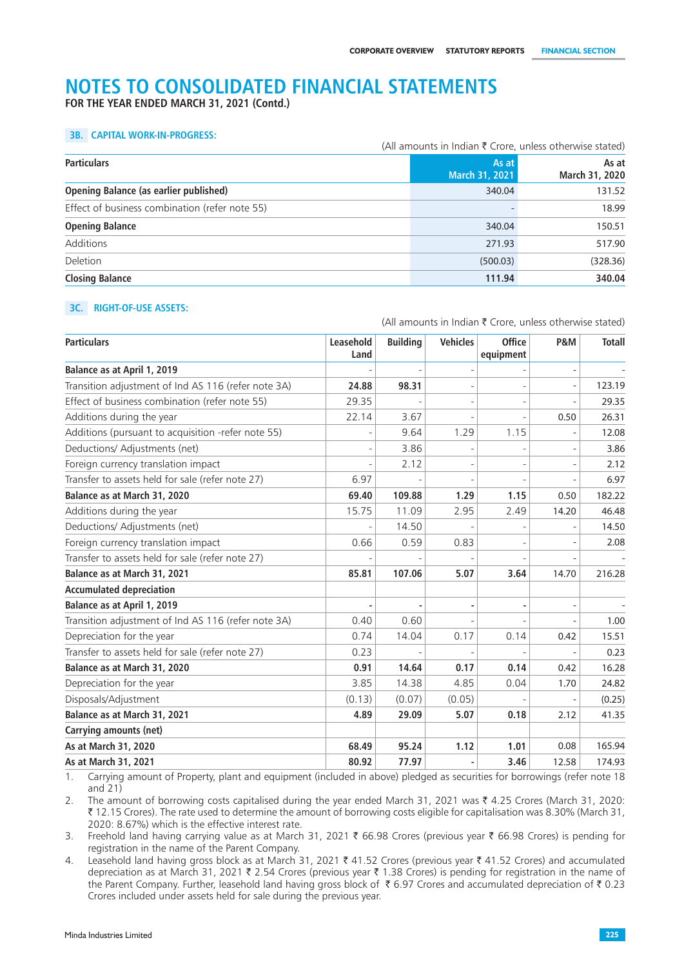**FOR THE YEAR ENDED MARCH 31, 2021 (Contd.)**

#### **3B. CAPITAL WORK-IN-PROGRESS:**

|                                                | (All amounts in Indian $\bar{\tau}$ Crore, unless otherwise stated) |                         |  |  |
|------------------------------------------------|---------------------------------------------------------------------|-------------------------|--|--|
| <b>Particulars</b>                             | As at<br>March 31, 2021                                             | As at<br>March 31, 2020 |  |  |
| <b>Opening Balance (as earlier published)</b>  | 340.04                                                              | 131.52                  |  |  |
| Effect of business combination (refer note 55) |                                                                     | 18.99                   |  |  |
| <b>Opening Balance</b>                         | 340.04                                                              | 150.51                  |  |  |
| Additions                                      | 271.93                                                              | 517.90                  |  |  |
| Deletion                                       | (500.03)                                                            | (328.36)                |  |  |
| <b>Closing Balance</b>                         | 111.94                                                              | 340.04                  |  |  |

#### **3C. RIGHT-OF-USE ASSETS:**

(All amounts in Indian  $\bar{\tau}$  Crore, unless otherwise stated) **Particulars Leasehold Land Building Vehicles Office equipment P&M Totall Balance as at April 1, 2019** - - - - - - Transition adjustment of Ind AS 116 (refer note 3A) **24.88 98.31** - - - 123.19 Effect of business combination (refer note 55)  $\vert$  29.35  $\vert$  -  $\vert$  -  $\vert$  -  $\vert$  29.35 Additions during the year  $\begin{array}{|c|c|c|c|c|c|c|c|c|c|c|c|} \hline \end{array}$  22.14 3.67 -  $\begin{array}{|c|c|c|c|c|c|c|c|c|} \hline \end{array}$  26.31 Additions (pursuant to acquisition -refer note 55)  $\vert$  - 9.64 1.29 1.15 - 112.08 Deductions/ Adjustments (net)  $\begin{vmatrix} 1 & 3.86 \\ -1 & 3.86 \end{vmatrix}$  -  $\begin{vmatrix} 3.86 \\ -1 & -1 \end{vmatrix}$  - 3.86 Foreign currency translation impact - 2.12 - - - 2.12 Transfer to assets held for sale (refer note 27)  $\vert$  6.97  $\vert$  -  $\vert$  -  $\vert$  -  $\vert$  -  $\vert$  6.97 6.97 **Balance as at March 31, 2020 69.40 109.88 1.29 1.15** 0.50 182.22 Additions during the year 15.75 11.09 2.95 2.49 14.20 46.48 Deductions/ Adjustments (net) 14.50 - 14.50 - 14.50 - 14.50 Foreign currency translation impact 0.66 0.59 0.83 - - 2.08 Transfer to assets held for sale (refer note 27) **Balance as at March 31, 2021 85.81 107.06 5.07 3.64** 14.70 216.28 **Accumulated depreciation Balance as at April 1, 2019** Transition adjustment of Ind AS 116 (refer note 3A) 0.40 0.60 - - - 1.00 Depreciation for the year 0.74 14.04 0.17 0.14 0.42 15.51 Transfer to assets held for sale (refer note 27) 0.23 - - - - 0.23 **Balance as at March 31, 2020 0.91 14.64 0.17 0.14** 0.42 16.28 Depreciation for the year 3.85 14.38 4.85 0.04 1.70 24.82 Disposals/Adjustment (0.13) (0.07) (0.05) - - (0.25) **Balance as at March 31, 2021 4.89 29.09 5.07 0.18** 2.12 41.35 **Carrying amounts (net) As at March 31, 2020 68.49 95.24 1.12 1.01** 0.08 165.94 **As at March 31, 2021 80.92 77.97 - 3.46** 12.58 174.93

1. Carrying amount of Property, plant and equipment (included in above) pledged as securities for borrowings (refer note 18 and 21)

2. The amount of borrowing costs capitalised during the year ended March 31, 2021 was ₹ 4.25 Crores (March 31, 2020: ` 12.15 Crores). The rate used to determine the amount of borrowing costs eligible for capitalisation was 8.30% (March 31, 2020: 8.67%) which is the effective interest rate.

3. Freehold land having carrying value as at March 31, 2021  $\bar{\tau}$  66.98 Crores (previous year  $\bar{\tau}$  66.98 Crores) is pending for registration in the name of the Parent Company.

4. Leasehold land having gross block as at March 31, 2021  $\bar{\tau}$  41.52 Crores (previous year  $\bar{\tau}$  41.52 Crores) and accumulated depreciation as at March 31, 2021  $\bar{\tau}$  2.54 Crores (previous year  $\bar{\tau}$  1.38 Crores) is pending for registration in the name of the Parent Company. Further, leasehold land having gross block of  $\bar{\tau}$  6.97 Crores and accumulated depreciation of  $\bar{\tau}$  0.23 Crores included under assets held for sale during the previous year.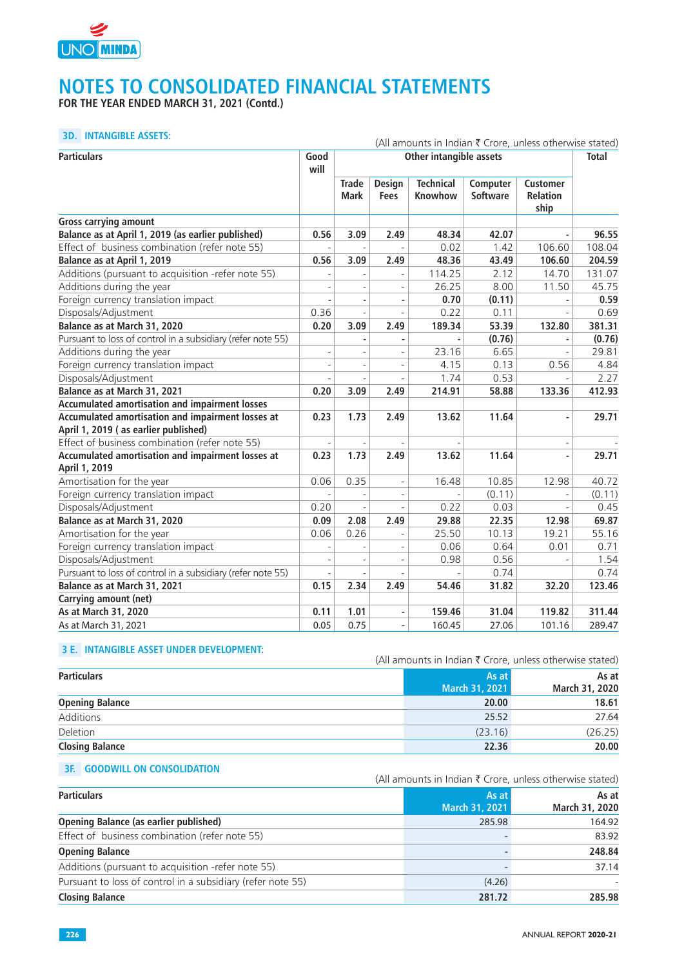

**FOR THE YEAR ENDED MARCH 31, 2021 (Contd.)**

## **3D. INTANGIBLE ASSETS:** (All amounts in Indian  $\bar{z}$  Crore, unless otherwise stated)

| <b>Particulars</b>                                                 | Good           | (All amounts in indian < Crore, unless otherwise stated)<br>Other intangible assets |                              |                             |                             |                                            | <b>Total</b> |
|--------------------------------------------------------------------|----------------|-------------------------------------------------------------------------------------|------------------------------|-----------------------------|-----------------------------|--------------------------------------------|--------------|
|                                                                    | will           |                                                                                     |                              |                             |                             |                                            |              |
|                                                                    |                | <b>Trade</b><br><b>Mark</b>                                                         | <b>Design</b><br><b>Fees</b> | <b>Technical</b><br>Knowhow | Computer<br><b>Software</b> | <b>Customer</b><br><b>Relation</b><br>ship |              |
| <b>Gross carrying amount</b>                                       |                |                                                                                     |                              |                             |                             |                                            |              |
| Balance as at April 1, 2019 (as earlier published)                 | 0.56           | 3.09                                                                                | 2.49                         | 48.34                       | 42.07                       |                                            | 96.55        |
| Effect of business combination (refer note 55)                     |                |                                                                                     |                              | 0.02                        | 1.42                        | 106.60                                     | 108.04       |
| Balance as at April 1, 2019                                        | 0.56           | 3.09                                                                                | 2.49                         | 48.36                       | 43.49                       | 106.60                                     | 204.59       |
| Additions (pursuant to acquisition -refer note 55)                 |                |                                                                                     |                              | 114.25                      | 2.12                        | 14.70                                      | 131.07       |
| Additions during the year                                          |                |                                                                                     |                              | 26.25                       | 8.00                        | 11.50                                      | 45.75        |
| Foreign currency translation impact                                |                | ä,                                                                                  |                              | 0.70                        | (0.11)                      |                                            | 0.59         |
| Disposals/Adjustment                                               | 0.36           |                                                                                     |                              | 0.22                        | 0.11                        |                                            | 0.69         |
| Balance as at March 31, 2020                                       | 0.20           | 3.09                                                                                | 2.49                         | 189.34                      | 53.39                       | 132.80                                     | 381.31       |
| Pursuant to loss of control in a subsidiary (refer note 55)        |                |                                                                                     |                              |                             | (0.76)                      |                                            | (0.76)       |
| Additions during the year                                          |                |                                                                                     |                              | 23.16                       | 6.65                        |                                            | 29.81        |
| Foreign currency translation impact                                | $\overline{a}$ |                                                                                     |                              | 4.15                        | 0.13                        | 0.56                                       | 4.84         |
| Disposals/Adjustment                                               |                |                                                                                     |                              | 1.74                        | 0.53                        |                                            | 2.27         |
| Balance as at March 31, 2021                                       | 0.20           | 3.09                                                                                | 2.49                         | 214.91                      | 58.88                       | 133.36                                     | 412.93       |
| Accumulated amortisation and impairment losses                     |                |                                                                                     |                              |                             |                             |                                            |              |
| Accumulated amortisation and impairment losses at                  | 0.23           | 1.73                                                                                | 2.49                         | 13.62                       | 11.64                       |                                            | 29.71        |
| April 1, 2019 (as earlier published)                               |                |                                                                                     |                              |                             |                             |                                            |              |
| Effect of business combination (refer note 55)                     |                |                                                                                     |                              |                             |                             |                                            |              |
| Accumulated amortisation and impairment losses at<br>April 1, 2019 | 0.23           | 1.73                                                                                | 2.49                         | 13.62                       | 11.64                       |                                            | 29.71        |
| Amortisation for the year                                          | 0.06           | 0.35                                                                                |                              | 16.48                       | 10.85                       | 12.98                                      | 40.72        |
| Foreign currency translation impact                                |                |                                                                                     |                              |                             | (0.11)                      |                                            | (0.11)       |
| Disposals/Adjustment                                               | 0.20           | $\overline{\phantom{a}}$                                                            |                              | 0.22                        | 0.03                        |                                            | 0.45         |
| Balance as at March 31, 2020                                       | 0.09           | 2.08                                                                                | 2.49                         | 29.88                       | 22.35                       | 12.98                                      | 69.87        |
| Amortisation for the year                                          | 0.06           | 0.26                                                                                |                              | 25.50                       | 10.13                       | 19.21                                      | 55.16        |
| Foreign currency translation impact                                |                |                                                                                     |                              | 0.06                        | 0.64                        | 0.01                                       | 0.71         |
| Disposals/Adjustment                                               |                | $\overline{\phantom{a}}$                                                            |                              | 0.98                        | 0.56                        |                                            | 1.54         |
| Pursuant to loss of control in a subsidiary (refer note 55)        |                |                                                                                     |                              |                             | 0.74                        |                                            | 0.74         |
| Balance as at March 31, 2021                                       | 0.15           | 2.34                                                                                | 2.49                         | 54.46                       | 31.82                       | 32.20                                      | 123.46       |
| Carrying amount (net)                                              |                |                                                                                     |                              |                             |                             |                                            |              |
| As at March 31, 2020                                               | 0.11           | 1.01                                                                                |                              | 159.46                      | 31.04                       | 119.82                                     | 311.44       |
| As at March 31, 2021                                               | 0.05           | 0.75                                                                                |                              | 160.45                      | 27.06                       | 101.16                                     | 289.47       |

# **3 E. INTANGIBLE ASSET UNDER DEVELOPMENT:**

|  | (All amounts in Indian ₹ Crore, unless otherwise stated) |
|--|----------------------------------------------------------|
|--|----------------------------------------------------------|

| <b>Particulars</b>     | As at          | As at          |
|------------------------|----------------|----------------|
|                        | March 31, 2021 | March 31, 2020 |
| <b>Opening Balance</b> | 20.00          | 18.61          |
| Additions              | 25.52          | 27.64          |
| Deletion               | (23.16)        | (26.25)        |
| <b>Closing Balance</b> | 22.36          | 20.00          |

### **3F. GOODWILL ON CONSOLIDATION**

(All amounts in Indian  $\bar{\tau}$  Crore, unless otherwise stated)

| <b>Particulars</b>                                          | As at          | As at          |
|-------------------------------------------------------------|----------------|----------------|
|                                                             | March 31, 2021 | March 31, 2020 |
| <b>Opening Balance (as earlier published)</b>               | 285.98         | 164.92         |
| Effect of business combination (refer note 55)              |                | 83.92          |
| <b>Opening Balance</b>                                      |                | 248.84         |
| Additions (pursuant to acquisition -refer note 55)          |                | 37.14          |
| Pursuant to loss of control in a subsidiary (refer note 55) | (4.26)         |                |
| <b>Closing Balance</b>                                      | 281.72         | 285.98         |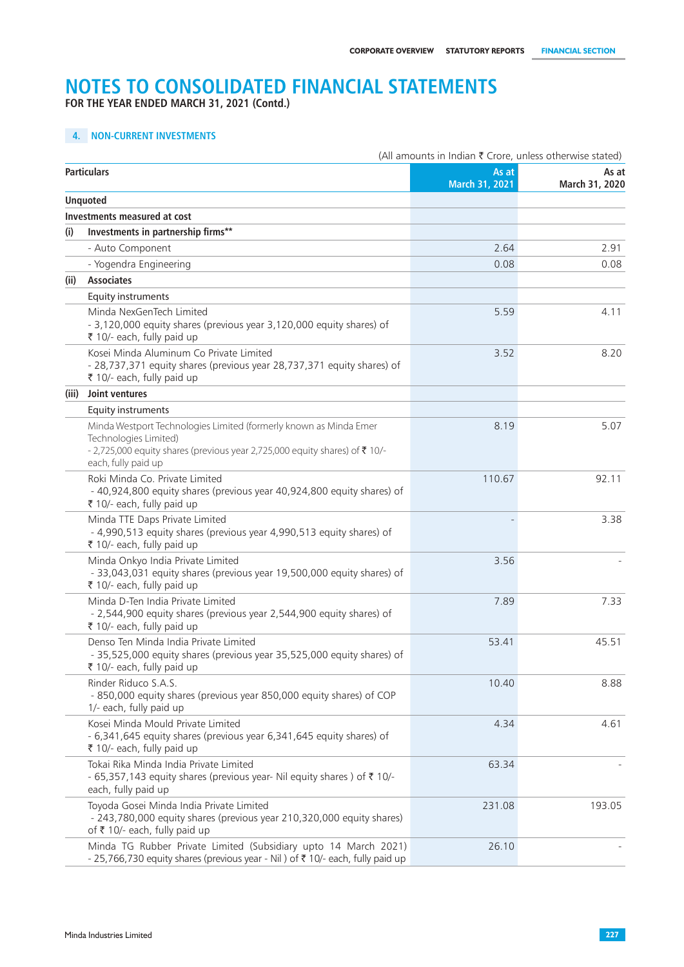**FOR THE YEAR ENDED MARCH 31, 2021 (Contd.)**

# **4. NON-CURRENT INVESTMENTS**

|       |                                                                                                                                                                                                | (All amounts in Indian ₹ Crore, unless otherwise stated) |                         |  |  |
|-------|------------------------------------------------------------------------------------------------------------------------------------------------------------------------------------------------|----------------------------------------------------------|-------------------------|--|--|
|       | <b>Particulars</b>                                                                                                                                                                             | As at<br>March 31, 2021                                  | As at<br>March 31, 2020 |  |  |
|       | <b>Unquoted</b>                                                                                                                                                                                |                                                          |                         |  |  |
|       | Investments measured at cost                                                                                                                                                                   |                                                          |                         |  |  |
| (i)   | Investments in partnership firms**                                                                                                                                                             |                                                          |                         |  |  |
|       | - Auto Component                                                                                                                                                                               | 2.64                                                     | 2.91                    |  |  |
|       | - Yogendra Engineering                                                                                                                                                                         | 0.08                                                     | 0.08                    |  |  |
| (ii)  | <b>Associates</b>                                                                                                                                                                              |                                                          |                         |  |  |
|       | <b>Equity instruments</b>                                                                                                                                                                      |                                                          |                         |  |  |
|       | Minda NexGenTech Limited<br>- 3,120,000 equity shares (previous year 3,120,000 equity shares) of<br>₹ 10/- each, fully paid up                                                                 | 5.59                                                     | 4.11                    |  |  |
|       | Kosei Minda Aluminum Co Private Limited<br>- 28,737,371 equity shares (previous year 28,737,371 equity shares) of<br>₹ 10/- each, fully paid up                                                | 3.52                                                     | 8.20                    |  |  |
| (iii) | Joint ventures                                                                                                                                                                                 |                                                          |                         |  |  |
|       | Equity instruments                                                                                                                                                                             |                                                          |                         |  |  |
|       | Minda Westport Technologies Limited (formerly known as Minda Emer<br>Technologies Limited)<br>-2,725,000 equity shares (previous year 2,725,000 equity shares) of ₹10/-<br>each, fully paid up | 8.19                                                     | 5.07                    |  |  |
|       | Roki Minda Co. Private Limited<br>- 40,924,800 equity shares (previous year 40,924,800 equity shares) of<br>₹ 10/- each, fully paid up                                                         | 110.67                                                   | 92.11                   |  |  |
|       | Minda TTE Daps Private Limited<br>- 4,990,513 equity shares (previous year 4,990,513 equity shares) of<br>₹ 10/- each, fully paid up                                                           |                                                          | 3.38                    |  |  |
|       | Minda Onkyo India Private Limited<br>- 33,043,031 equity shares (previous year 19,500,000 equity shares) of<br>₹ 10/- each, fully paid up                                                      | 3.56                                                     |                         |  |  |
|       | Minda D-Ten India Private Limited<br>- 2,544,900 equity shares (previous year 2,544,900 equity shares) of<br>₹ 10/- each, fully paid up                                                        | 7.89                                                     | 7.33                    |  |  |
|       | Denso Ten Minda India Private Limited<br>- 35,525,000 equity shares (previous year 35,525,000 equity shares) of<br>₹ 10/- each, fully paid up                                                  | 53.41                                                    | 45.51                   |  |  |
|       | Rinder Riduco S.A.S.<br>- 850,000 equity shares (previous year 850,000 equity shares) of COP<br>1/- each, fully paid up                                                                        | 10.40                                                    | 8.88                    |  |  |
|       | Kosei Minda Mould Private Limited<br>- 6,341,645 equity shares (previous year 6,341,645 equity shares) of<br>₹ 10/- each, fully paid up                                                        | 4.34                                                     | 4.61                    |  |  |
|       | Tokai Rika Minda India Private Limited<br>- 65,357,143 equity shares (previous year- Nil equity shares) of ₹ 10/-<br>each, fully paid up                                                       | 63.34                                                    |                         |  |  |
|       | Toyoda Gosei Minda India Private Limited<br>- 243,780,000 equity shares (previous year 210,320,000 equity shares)<br>of ₹ 10/- each, fully paid up                                             | 231.08                                                   | 193.05                  |  |  |
|       | Minda TG Rubber Private Limited (Subsidiary upto 14 March 2021)<br>- 25,766,730 equity shares (previous year - Nil) of ₹ 10/- each, fully paid up                                              | 26.10                                                    |                         |  |  |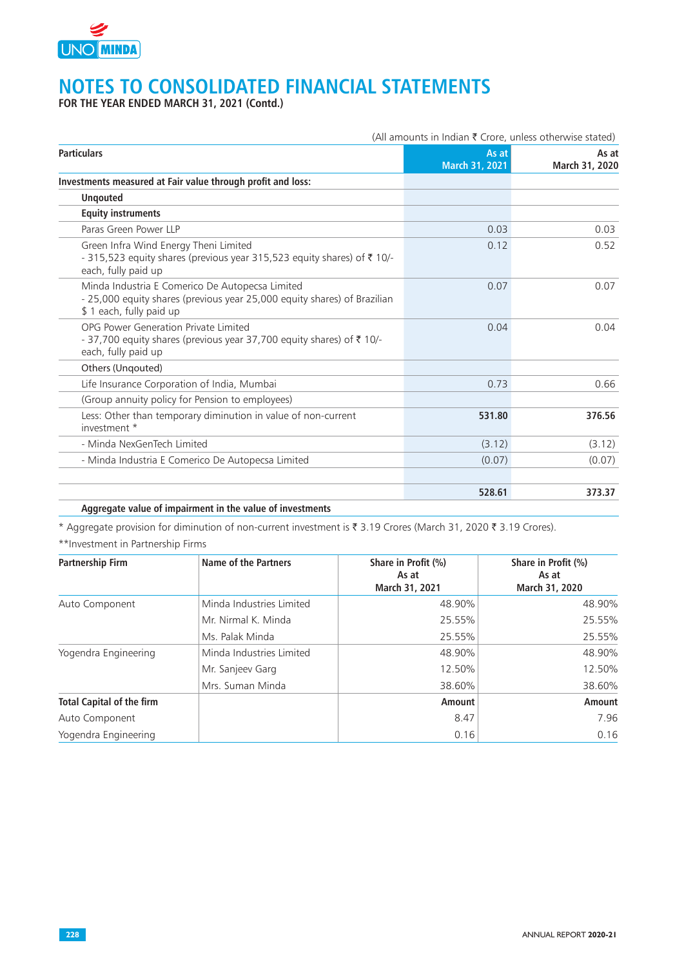

**FOR THE YEAR ENDED MARCH 31, 2021 (Contd.)**

|                                                                                                                                                        | (All amounts in Indian ₹ Crore, unless otherwise stated) |                         |  |
|--------------------------------------------------------------------------------------------------------------------------------------------------------|----------------------------------------------------------|-------------------------|--|
| <b>Particulars</b>                                                                                                                                     | As at<br>March 31, 2021                                  | As at<br>March 31, 2020 |  |
| Investments measured at Fair value through profit and loss:                                                                                            |                                                          |                         |  |
| <b>Unqouted</b>                                                                                                                                        |                                                          |                         |  |
| <b>Equity instruments</b>                                                                                                                              |                                                          |                         |  |
| Paras Green Power LLP                                                                                                                                  | 0.03                                                     | 0.03                    |  |
| Green Infra Wind Energy Theni Limited<br>- 315,523 equity shares (previous year 315,523 equity shares) of ₹ 10/-<br>each, fully paid up                | 0.12                                                     | 0.52                    |  |
| Minda Industria E Comerico De Autopecsa Limited<br>- 25,000 equity shares (previous year 25,000 equity shares) of Brazilian<br>\$1 each, fully paid up | 0.07                                                     | 0.07                    |  |
| OPG Power Generation Private Limited<br>- 37,700 equity shares (previous year 37,700 equity shares) of ₹ 10/-<br>each, fully paid up                   | 0.04                                                     | 0.04                    |  |
| Others (Ungouted)                                                                                                                                      |                                                          |                         |  |
| Life Insurance Corporation of India, Mumbai                                                                                                            | 0.73                                                     | 0.66                    |  |
| (Group annuity policy for Pension to employees)                                                                                                        |                                                          |                         |  |
| Less: Other than temporary diminution in value of non-current<br>investment *                                                                          | 531.80                                                   | 376.56                  |  |
| - Minda NexGenTech Limited                                                                                                                             | (3.12)                                                   | (3.12)                  |  |
| - Minda Industria E Comerico De Autopecsa Limited                                                                                                      | (0.07)                                                   | (0.07)                  |  |
|                                                                                                                                                        | 528.61                                                   | 373.37                  |  |

### **Aggregate value of impairment in the value of investments**

\* Aggregate provision for diminution of non-current investment is  $\bar{\tau}$  3.19 Crores (March 31, 2020  $\bar{\tau}$  3.19 Crores).

\*\*Investment in Partnership Firms

| <b>Partnership Firm</b>          | <b>Name of the Partners</b> | Share in Profit (%)<br>As at<br>March 31, 2021 | Share in Profit (%)<br>As at<br>March 31, 2020 |
|----------------------------------|-----------------------------|------------------------------------------------|------------------------------------------------|
| Auto Component                   | Minda Industries Limited    | 48.90%                                         | 48.90%                                         |
|                                  | Mr. Nirmal K. Minda         | 25.55%                                         | 25.55%                                         |
|                                  | Ms. Palak Minda             | 25.55%                                         | 25.55%                                         |
| Yogendra Engineering             | Minda Industries Limited    | 48.90%                                         | 48.90%                                         |
|                                  | Mr. Sanjeev Garg            | 12.50%                                         | 12.50%                                         |
|                                  | Mrs. Suman Minda            | 38.60%                                         | 38.60%                                         |
| <b>Total Capital of the firm</b> |                             | Amount                                         | <b>Amount</b>                                  |
| Auto Component                   |                             | 8.47                                           | 7.96                                           |
| Yogendra Engineering             |                             | 0.16                                           | 0.16                                           |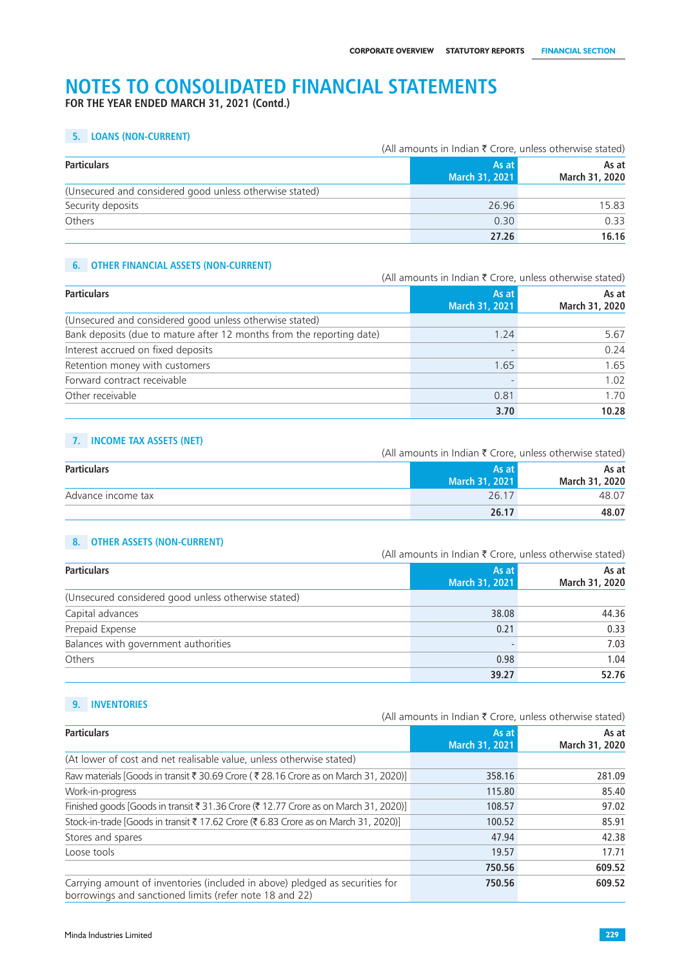**FOR THE YEAR ENDED MARCH 31, 2021 (Contd.)**

### **5. LOANS (NON-CURRENT)**

|                                                         | (All amounts in Indian ₹ Crore, unless otherwise stated) |                         |  |
|---------------------------------------------------------|----------------------------------------------------------|-------------------------|--|
| <b>Particulars</b>                                      | As at<br>March 31, 2021                                  | As at<br>March 31, 2020 |  |
| (Unsecured and considered good unless otherwise stated) |                                                          |                         |  |
| Security deposits                                       | 26.96                                                    | 15.83                   |  |
| Others                                                  | 0.30                                                     | 0.33                    |  |
|                                                         | 27.26                                                    | 16.16                   |  |

## **6. OTHER FINANCIAL ASSETS (NON-CURRENT)**

(All amounts in Indian  $\bar{\tau}$  Crore, unless otherwise stated)

| <b>Particulars</b>                                                    | As at          | As at          |
|-----------------------------------------------------------------------|----------------|----------------|
|                                                                       | March 31, 2021 | March 31, 2020 |
| (Unsecured and considered good unless otherwise stated)               |                |                |
| Bank deposits (due to mature after 12 months from the reporting date) | 1.24           | 5.67           |
| Interest accrued on fixed deposits                                    |                | 0.24           |
| Retention money with customers                                        | 1.65           | 1.65           |
| Forward contract receivable                                           |                | 1.02           |
| Other receivable                                                      | 0.81           | 1.70           |
|                                                                       | 3.70           | 10.28          |

# **7. INCOME TAX ASSETS (NET)**

(All amounts in Indian  $\bar{\tau}$  Crore, unless otherwise stated)

| <b>Particulars</b> | As at I               | As at          |
|--------------------|-----------------------|----------------|
|                    | <b>March 31, 2021</b> | March 31, 2020 |
| Advance income tax | 26.17                 | 48.07          |
|                    | 26.17                 | 48.07          |

### **8. OTHER ASSETS (NON-CURRENT)**

|                                                     |                         | (All amounts in Indian ₹ Crore, unless otherwise stated) |  |
|-----------------------------------------------------|-------------------------|----------------------------------------------------------|--|
| <b>Particulars</b>                                  | As at<br>March 31, 2021 | As at<br>March 31, 2020                                  |  |
| (Unsecured considered good unless otherwise stated) |                         |                                                          |  |
| Capital advances                                    | 38,08                   | 44.36                                                    |  |
| Prepaid Expense                                     | 0.21                    | 0.33                                                     |  |
| Balances with government authorities                |                         | 7.03                                                     |  |
| Others                                              | 0.98                    | 1.04                                                     |  |
|                                                     | 39.27                   | 52.76                                                    |  |

# **9. INVENTORIES**

(All amounts in Indian  $\bar{\tau}$  Crore, unless otherwise stated)

| <b>Particulars</b>                                                                                                                      | As at<br><b>March 31, 2021</b> | As at<br>March 31, 2020 |
|-----------------------------------------------------------------------------------------------------------------------------------------|--------------------------------|-------------------------|
| (At lower of cost and net realisable value, unless otherwise stated)                                                                    |                                |                         |
| Raw materials [Goods in transit ₹ 30.69 Crore (₹ 28.16 Crore as on March 31, 2020)]                                                     | 358.16                         | 281.09                  |
| Work-in-progress                                                                                                                        | 115.80                         | 85.40                   |
| Finished goods [Goods in transit ₹ 31.36 Crore (₹ 12.77 Crore as on March 31, 2020)]                                                    | 108.57                         | 97.02                   |
| Stock-in-trade [Goods in transit ₹ 17.62 Crore (₹ 6.83 Crore as on March 31, 2020)]                                                     | 100.52                         | 85.91                   |
| Stores and spares                                                                                                                       | 47.94                          | 42.38                   |
| Loose tools                                                                                                                             | 19.57                          | 17.71                   |
|                                                                                                                                         | 750.56                         | 609.52                  |
| Carrying amount of inventories (included in above) pledged as securities for<br>borrowings and sanctioned limits (refer note 18 and 22) | 750.56                         | 609.52                  |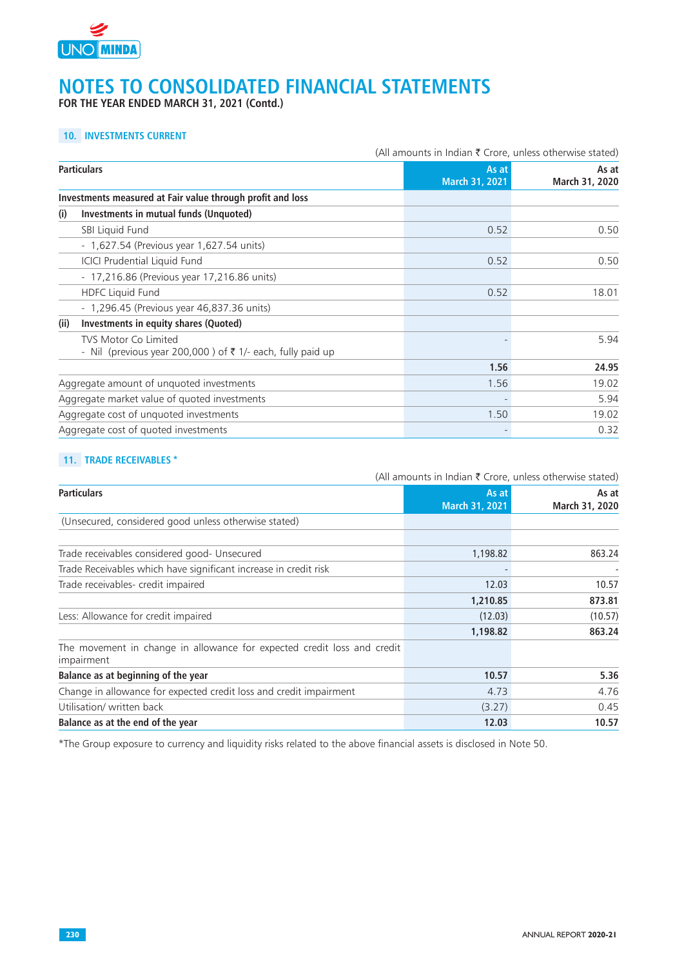

**FOR THE YEAR ENDED MARCH 31, 2021 (Contd.)**

## **10. INVESTMENTS CURRENT**

|                                                                                                      | (All amounts in Indian ₹ Crore, unless otherwise stated) |                         |
|------------------------------------------------------------------------------------------------------|----------------------------------------------------------|-------------------------|
| <b>Particulars</b>                                                                                   | As at<br><b>March 31, 2021</b>                           | As at<br>March 31, 2020 |
| Investments measured at Fair value through profit and loss                                           |                                                          |                         |
| Investments in mutual funds (Unquoted)<br>(i)                                                        |                                                          |                         |
| SBI Liquid Fund                                                                                      | 0.52                                                     | 0.50                    |
| - 1,627.54 (Previous year 1,627.54 units)                                                            |                                                          |                         |
| <b>ICICI Prudential Liquid Fund</b>                                                                  | 0.52                                                     | 0.50                    |
| - 17,216.86 (Previous year 17,216.86 units)                                                          |                                                          |                         |
| <b>HDFC Liquid Fund</b>                                                                              | 0.52                                                     | 18.01                   |
| - 1,296.45 (Previous year 46,837.36 units)                                                           |                                                          |                         |
| (ii)<br><b>Investments in equity shares (Quoted)</b>                                                 |                                                          |                         |
| <b>TVS Motor Co Limited</b><br>- Nil (previous year 200,000) of $\bar{\tau}$ 1/- each, fully paid up |                                                          | 5.94                    |
|                                                                                                      | 1.56                                                     | 24.95                   |
| Aggregate amount of unquoted investments                                                             | 1.56                                                     | 19.02                   |
| Aggregate market value of quoted investments                                                         |                                                          | 5.94                    |
| Aggregate cost of unquoted investments                                                               | 1.50                                                     | 19.02                   |
| Aggregate cost of quoted investments                                                                 |                                                          | 0.32                    |

## **11. TRADE RECEIVABLES \***

|                                                                                       | (All amounts in Indian ₹ Crore, unless otherwise stated) |                         |  |
|---------------------------------------------------------------------------------------|----------------------------------------------------------|-------------------------|--|
| <b>Particulars</b>                                                                    | As at<br><b>March 31, 2021</b>                           | As at<br>March 31, 2020 |  |
| (Unsecured, considered good unless otherwise stated)                                  |                                                          |                         |  |
| Trade receivables considered good- Unsecured                                          | 1,198.82                                                 | 863.24                  |  |
| Trade Receivables which have significant increase in credit risk                      |                                                          |                         |  |
| Trade receivables- credit impaired                                                    | 12.03                                                    | 10.57                   |  |
|                                                                                       | 1,210.85                                                 | 873.81                  |  |
| Less: Allowance for credit impaired                                                   | (12.03)                                                  | (10.57)                 |  |
|                                                                                       | 1,198.82                                                 | 863.24                  |  |
| The movement in change in allowance for expected credit loss and credit<br>impairment |                                                          |                         |  |
| Balance as at beginning of the year                                                   | 10.57                                                    | 5.36                    |  |
| Change in allowance for expected credit loss and credit impairment                    | 4.73                                                     | 4.76                    |  |
| Utilisation/ written back                                                             | (3.27)                                                   | 0.45                    |  |
| Balance as at the end of the year                                                     | 12.03                                                    | 10.57                   |  |

\*The Group exposure to currency and liquidity risks related to the above financial assets is disclosed in Note 50.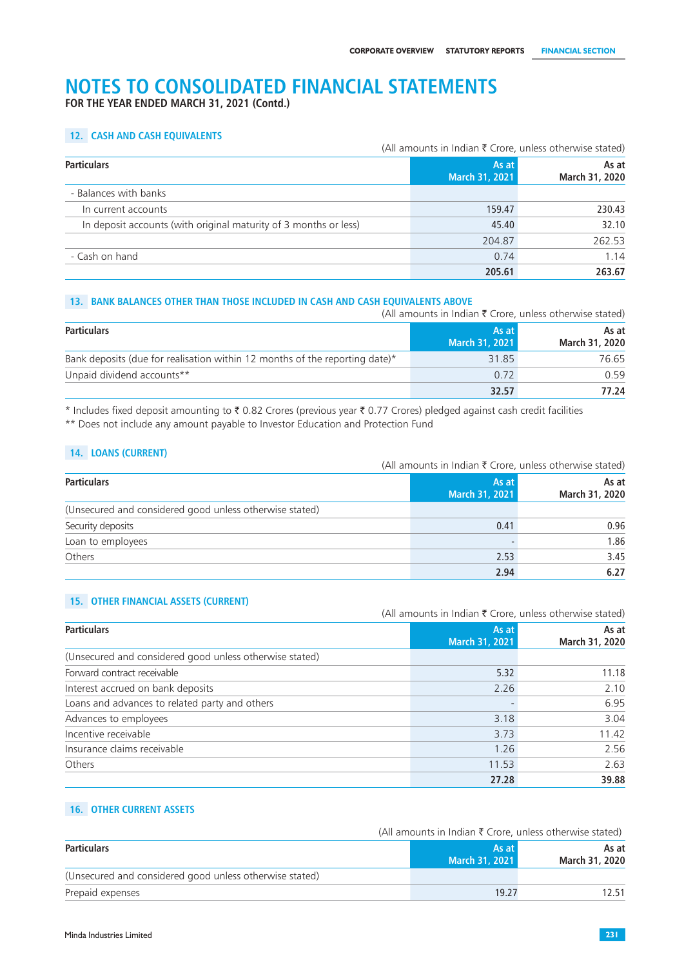**FOR THE YEAR ENDED MARCH 31, 2021 (Contd.)**

## **12. CASH AND CASH EQUIVALENTS**

|                                                                  | (All amounts in Indian $\bar{\tau}$ Crore, unless otherwise stated) |                         |
|------------------------------------------------------------------|---------------------------------------------------------------------|-------------------------|
| <b>Particulars</b>                                               | As at<br>March 31, 2021                                             | As at<br>March 31, 2020 |
| - Balances with banks                                            |                                                                     |                         |
| In current accounts                                              | 159.47                                                              | 230.43                  |
| In deposit accounts (with original maturity of 3 months or less) | 45.40                                                               | 32.10                   |
|                                                                  | 204.87                                                              | 262.53                  |
| - Cash on hand                                                   | 0.74                                                                | 1.14                    |
|                                                                  | 205.61                                                              | 263.67                  |

### **13. BANK BALANCES OTHER THAN THOSE INCLUDED IN CASH AND CASH EQUIVALENTS ABOVE**

|                                                                             | (All amounts in Indian $\bar{\tau}$ Crore, unless otherwise stated) |                                |
|-----------------------------------------------------------------------------|---------------------------------------------------------------------|--------------------------------|
| <b>Particulars</b>                                                          | As at<br>March 31, 2021                                             | As at<br><b>March 31, 2020</b> |
| Bank deposits (due for realisation within 12 months of the reporting date)* | 31.85                                                               | 76.65                          |
| Unpaid dividend accounts**                                                  | 0.72                                                                | 0.59                           |
|                                                                             | 32.57                                                               | 77.24                          |

\* Includes fixed deposit amounting to  $\bar{\tau}$  0.82 Crores (previous year  $\bar{\tau}$  0.77 Crores) pledged against cash credit facilities \*\* Does not include any amount payable to Investor Education and Protection Fund

#### **14. LOANS (CURRENT)**

|                                                         | (All amounts in Indian $\bar{\tau}$ Crore, unless otherwise stated) |                         |  |
|---------------------------------------------------------|---------------------------------------------------------------------|-------------------------|--|
| <b>Particulars</b>                                      | As at<br>March 31, 2021                                             | As at<br>March 31, 2020 |  |
| (Unsecured and considered good unless otherwise stated) |                                                                     |                         |  |
| Security deposits                                       | 0.41                                                                | 0.96                    |  |
| Loan to employees                                       |                                                                     | 1.86                    |  |
| Others                                                  | 2.53                                                                | 3.45                    |  |
|                                                         | 2.94                                                                | 6.27                    |  |

## **15. OTHER FINANCIAL ASSETS (CURRENT)**

|                                                         | (All amounts in Indian $\bar{\tau}$ Crore, unless otherwise stated) |                         |  |
|---------------------------------------------------------|---------------------------------------------------------------------|-------------------------|--|
| <b>Particulars</b>                                      | As at<br>March 31, 2021                                             | As at<br>March 31, 2020 |  |
| (Unsecured and considered good unless otherwise stated) |                                                                     |                         |  |
| Forward contract receivable                             | 5.32                                                                | 11.18                   |  |
| Interest accrued on bank deposits                       | 2.26                                                                | 2.10                    |  |
| Loans and advances to related party and others          |                                                                     | 6.95                    |  |
| Advances to employees                                   | 3.18                                                                | 3.04                    |  |
| Incentive receivable                                    | 3.73                                                                | 11.42                   |  |
| Insurance claims receivable                             | 1.26                                                                | 2.56                    |  |
| Others                                                  | 11.53                                                               | 2.63                    |  |
|                                                         | 27.28                                                               | 39.88                   |  |

#### **16. OTHER CURRENT ASSETS**

|                                                         |                         | (All amounts in Indian $\bar{\tau}$ Crore, unless otherwise stated) |  |  |
|---------------------------------------------------------|-------------------------|---------------------------------------------------------------------|--|--|
| <b>Particulars</b>                                      | As at<br>March 31, 2021 | As at<br>March 31, 2020                                             |  |  |
| (Unsecured and considered good unless otherwise stated) |                         |                                                                     |  |  |
| Prepaid expenses                                        | 19.27                   | 12 51                                                               |  |  |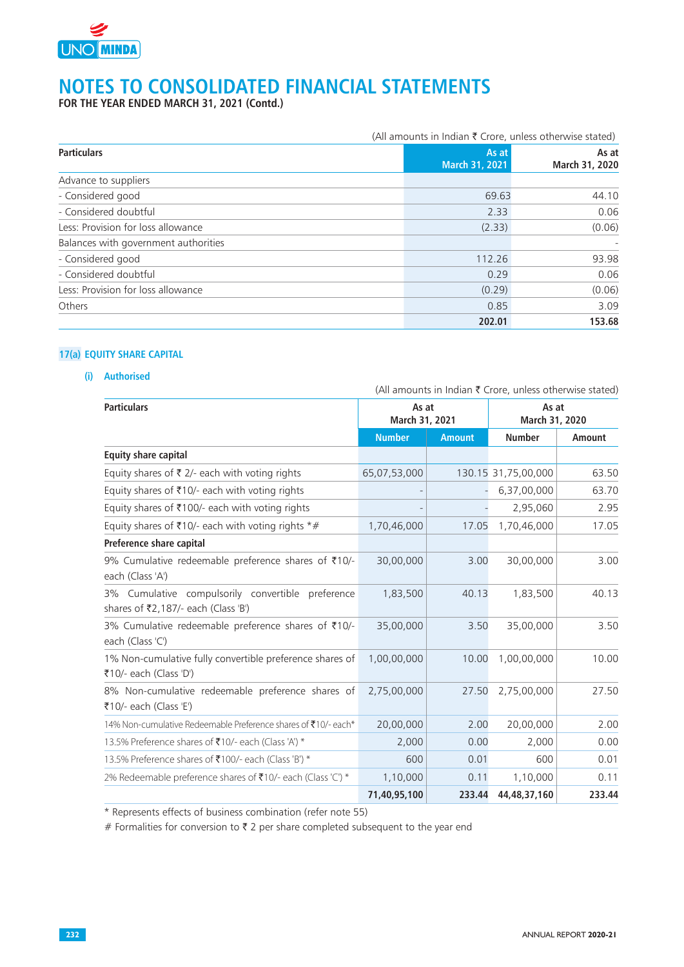

**FOR THE YEAR ENDED MARCH 31, 2021 (Contd.)**

|                                      |                | (All amounts in Indian ₹ Crore, unless otherwise stated) |  |  |  |
|--------------------------------------|----------------|----------------------------------------------------------|--|--|--|
| <b>Particulars</b>                   | March 31, 2021 | As at<br>As at<br>March 31, 2020                         |  |  |  |
| Advance to suppliers                 |                |                                                          |  |  |  |
| - Considered good                    |                | 44.10<br>69.63                                           |  |  |  |
| - Considered doubtful                |                | 0.06<br>2.33                                             |  |  |  |
| Less: Provision for loss allowance   | (2.33)         | (0.06)                                                   |  |  |  |
| Balances with government authorities |                |                                                          |  |  |  |
| - Considered good                    | 112.26         | 93.98                                                    |  |  |  |
| - Considered doubtful                |                | 0.06<br>0.29                                             |  |  |  |
| Less: Provision for loss allowance   | (0.29)         | (0.06)                                                   |  |  |  |
| Others                               |                | 3.09<br>0.85                                             |  |  |  |
|                                      | 202.01         | 153.68                                                   |  |  |  |

### **17(a) EQUITY SHARE CAPITAL**

## **(i) Authorised**

| <b>Particulars</b>                                                                       | As at<br>March 31, 2021 |               | As at<br>March 31, 2020 |               |
|------------------------------------------------------------------------------------------|-------------------------|---------------|-------------------------|---------------|
|                                                                                          | <b>Number</b>           | <b>Amount</b> | <b>Number</b>           | <b>Amount</b> |
| <b>Equity share capital</b>                                                              |                         |               |                         |               |
| Equity shares of $\bar{\tau}$ 2/- each with voting rights                                | 65,07,53,000            |               | 130.15 31,75,00,000     | 63.50         |
| Equity shares of ₹10/- each with voting rights                                           |                         |               | 6,37,00,000             | 63.70         |
| Equity shares of ₹100/- each with voting rights                                          |                         |               | 2,95,060                | 2.95          |
| Equity shares of ₹10/- each with voting rights $*#$                                      | 1,70,46,000             | 17.05         | 1,70,46,000             | 17.05         |
| Preference share capital                                                                 |                         |               |                         |               |
| 9% Cumulative redeemable preference shares of ₹10/-<br>each (Class 'A')                  | 30,00,000               | 3.00          | 30,00,000               | 3.00          |
| 3% Cumulative compulsorily convertible preference<br>shares of ₹2,187/- each (Class 'B') | 1,83,500                | 40.13         | 1,83,500                | 40.13         |
| 3% Cumulative redeemable preference shares of ₹10/-<br>each (Class 'C')                  | 35,00,000               | 3.50          | 35,00,000               | 3.50          |
| 1% Non-cumulative fully convertible preference shares of<br>₹10/- each (Class 'D')       | 1,00,00,000             | 10.00         | 1,00,00,000             | 10.00         |
| 8% Non-cumulative redeemable preference shares of<br>₹10/- each (Class 'E')              | 2,75,00,000             | 27.50         | 2,75,00,000             | 27.50         |
| 14% Non-cumulative Redeemable Preference shares of ₹10/- each*                           | 20,00,000               | 2.00          | 20,00,000               | 2.00          |
| 13.5% Preference shares of ₹10/- each (Class 'A') *                                      | 2,000                   | 0.00          | 2,000                   | 0.00          |
| 13.5% Preference shares of ₹100/- each (Class 'B') *                                     | 600                     | 0.01          | 600                     | 0.01          |
| 2% Redeemable preference shares of ₹10/- each (Class 'C') *                              | 1,10,000                | 0.11          | 1,10,000                | 0.11          |
|                                                                                          | 71,40,95,100            | 233.44        | 44,48,37,160            | 233.44        |

\* Represents effects of business combination (refer note 55)

# Formalities for conversion to  $\bar{\tau}$  2 per share completed subsequent to the year end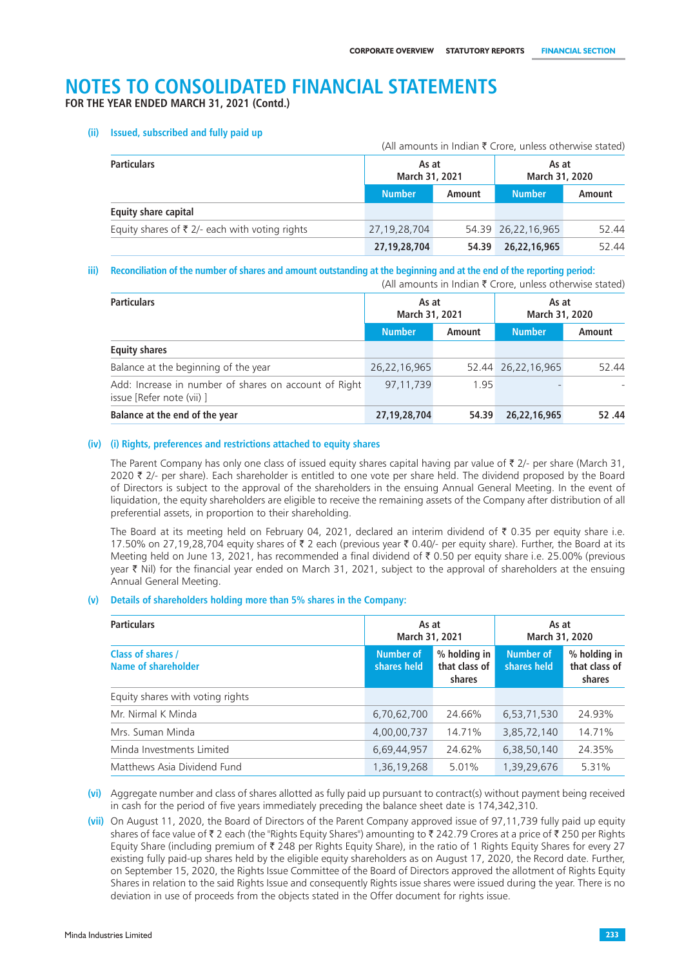**FOR THE YEAR ENDED MARCH 31, 2021 (Contd.)**

#### **(ii) Issued, subscribed and fully paid up**

|                                                           |               |                         | (All amounts in Indian ₹ Crore, unless otherwise stated) |                         |  |
|-----------------------------------------------------------|---------------|-------------------------|----------------------------------------------------------|-------------------------|--|
| <b>Particulars</b>                                        |               | As at<br>March 31, 2021 |                                                          | As at<br>March 31, 2020 |  |
|                                                           | <b>Number</b> | Amount                  | <b>Number</b>                                            | Amount                  |  |
| <b>Equity share capital</b>                               |               |                         |                                                          |                         |  |
| Equity shares of $\bar{\tau}$ 2/- each with voting rights | 27,19,28,704  |                         | 54.39 26,22,16,965                                       | 52.44                   |  |
|                                                           | 27,19,28,704  | 54.39                   | 26,22,16,965                                             | 52.44                   |  |

#### **iii) Reconciliation of the number of shares and amount outstanding at the beginning and at the end of the reporting period:**

(All amounts in Indian  $\bar{\tau}$  Crore, unless otherwise stated)

| <b>Particulars</b>                                                                 | As at<br>March 31, 2021 |        | As at<br>March 31, 2020 |        |
|------------------------------------------------------------------------------------|-------------------------|--------|-------------------------|--------|
|                                                                                    | <b>Number</b>           | Amount | <b>Number</b>           | Amount |
| <b>Equity shares</b>                                                               |                         |        |                         |        |
| Balance at the beginning of the year                                               | 26,22,16,965            |        | 52.44 26,22,16,965      | 52.44  |
| Add: Increase in number of shares on account of Right<br>issue [Refer note (vii) ] | 97.11.739               | 1.95   |                         |        |
| Balance at the end of the year                                                     | 27,19,28,704            | 54.39  | 26,22,16,965            | 52.44  |

#### **(iv) (i) Rights, preferences and restrictions attached to equity shares**

The Parent Company has only one class of issued equity shares capital having par value of  $\bar{\tau}$  2/- per share (March 31, 2020  $\bar{\tau}$  2/- per share). Each shareholder is entitled to one vote per share held. The dividend proposed by the Board of Directors is subject to the approval of the shareholders in the ensuing Annual General Meeting. In the event of liquidation, the equity shareholders are eligible to receive the remaining assets of the Company after distribution of all preferential assets, in proportion to their shareholding.

The Board at its meeting held on February 04, 2021, declared an interim dividend of  $\bar{\tau}$  0.35 per equity share i.e. 17.50% on 27,19,28,704 equity shares of ₹ 2 each (previous year ₹ 0.40/- per equity share). Further, the Board at its Meeting held on June 13, 2021, has recommended a final dividend of ` 0.50 per equity share i.e. 25.00% (previous year ₹ Nil) for the financial year ended on March 31, 2021, subject to the approval of shareholders at the ensuing Annual General Meeting.

#### **(v) Details of shareholders holding more than 5% shares in the Company:**

| <b>Particulars</b>                       | As at<br>March 31, 2021         |                                         | As at<br>March 31, 2020         |                                         |
|------------------------------------------|---------------------------------|-----------------------------------------|---------------------------------|-----------------------------------------|
| Class of shares /<br>Name of shareholder | <b>Number of</b><br>shares held | % holding in<br>that class of<br>shares | <b>Number of</b><br>shares held | % holding in<br>that class of<br>shares |
| Equity shares with voting rights         |                                 |                                         |                                 |                                         |
| Mr. Nirmal K Minda                       | 6,70,62,700                     | 24.66%                                  | 6,53,71,530                     | 24.93%                                  |
| Mrs. Suman Minda                         | 4,00,00,737                     | 14.71%                                  | 3,85,72,140                     | 14.71%                                  |
| Minda Investments Limited                | 6,69,44,957                     | 24.62%                                  | 6,38,50,140                     | 24.35%                                  |
| Matthews Asia Dividend Fund              | 1,36,19,268                     | 5.01%                                   | 1,39,29,676                     | 5.31%                                   |

**(vi)** Aggregate number and class of shares allotted as fully paid up pursuant to contract(s) without payment being received in cash for the period of five years immediately preceding the balance sheet date is 174,342,310.

**(vii)** On August 11, 2020, the Board of Directors of the Parent Company approved issue of 97,11,739 fully paid up equity shares of face value of ₹ 2 each (the "Rights Equity Shares") amounting to ₹ 242.79 Crores at a price of ₹ 250 per Rights Equity Share (including premium of  $\bar{\tau}$  248 per Rights Equity Share), in the ratio of 1 Rights Equity Shares for every 27 existing fully paid-up shares held by the eligible equity shareholders as on August 17, 2020, the Record date. Further, on September 15, 2020, the Rights Issue Committee of the Board of Directors approved the allotment of Rights Equity Shares in relation to the said Rights Issue and consequently Rights issue shares were issued during the year. There is no deviation in use of proceeds from the objects stated in the Offer document for rights issue.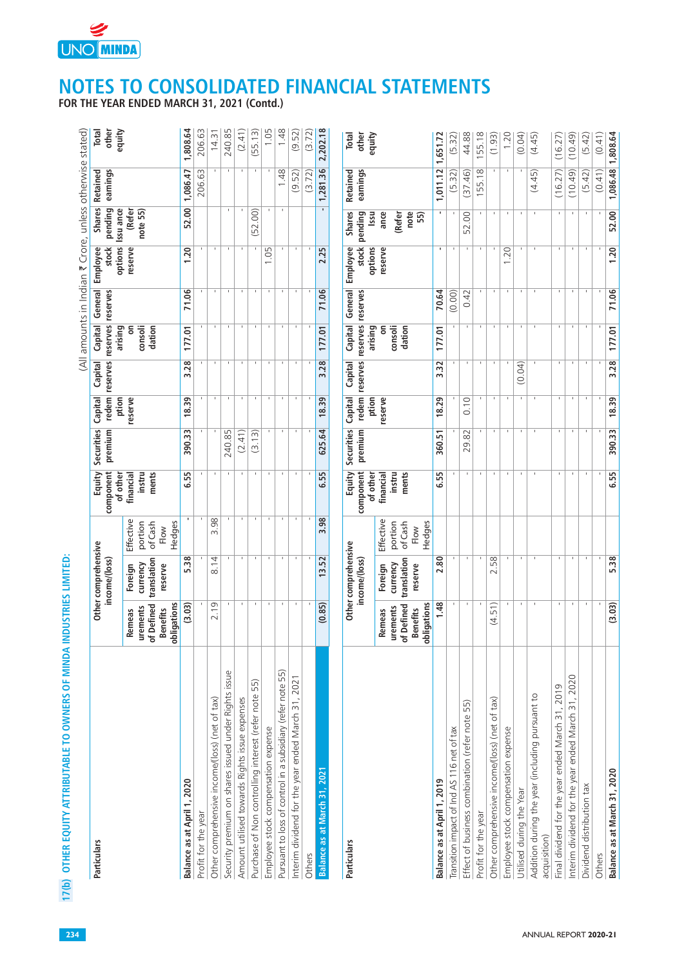

**FOR THE YEAR ENDED MARCH 31, 2021 (Contd.)**

| Particulars                                                     |                                                                    | Other comprehensive<br>income/(loss)          |                                                   | Equity<br>component                      | Securities<br>premium | redem<br>Capital | Capital<br>reserves | reserves                          | reserves            | Capital General Employee<br>stock | pending<br><b>Shares</b>              | Retained<br>earnings | other<br>Total |
|-----------------------------------------------------------------|--------------------------------------------------------------------|-----------------------------------------------|---------------------------------------------------|------------------------------------------|-----------------------|------------------|---------------------|-----------------------------------|---------------------|-----------------------------------|---------------------------------------|----------------------|----------------|
|                                                                 | obligations<br>of Defined<br>urements<br><b>Benefits</b><br>Remeas | translation<br>currency<br>Foreign<br>reserve | Effective<br>portion<br>of Cash<br>Hedges<br>Flow | of other<br>instru<br>ments<br>financial |                       | ption<br>reserve |                     | arising<br>ã<br>consoli<br>dation |                     | options<br>reserve                | Issu ance<br>(Refer<br>note 55)       |                      | equity         |
| Balance as at April 1, 2020                                     | (3.03)                                                             | 5.38                                          |                                                   | 6.55                                     | 390.33                | 18.39            | 3.28                | 177.01                            | 71.06               | 1.20                              | 52.00                                 | 1,086.47             | 1,808.64       |
| Profit for the year                                             |                                                                    |                                               |                                                   |                                          |                       |                  |                     |                                   |                     |                                   |                                       | 206.63               | 206.63         |
| Other comprehensive income/(loss) (net of tax)                  | 2.19                                                               | 8.14                                          | 3.98                                              |                                          |                       | $\mathbf{I}$     |                     |                                   |                     |                                   |                                       |                      | 14.31          |
| Security premium on shares issued under Rights issue            |                                                                    |                                               |                                                   |                                          | 240.85                | $\mathbf{I}$     |                     |                                   |                     |                                   |                                       |                      | 240.85         |
| Amount utilised towards Rights issue expenses                   |                                                                    |                                               |                                                   |                                          | (2.41)                | $\mathbf{I}$     |                     |                                   |                     |                                   |                                       |                      | (2.41)         |
| Purchase of Non controlling interest (refer note 55)            |                                                                    |                                               |                                                   |                                          | (3.13)                | $\mathbf{I}$     |                     | $\mathbf{I}$                      |                     |                                   | (52.00)                               |                      | (55.13)        |
| Employee stock compensation expense                             | $\mathbf{L}$                                                       |                                               |                                                   |                                          |                       | $\mathbf{I}$     | $\mathbf{L}$        |                                   |                     | 1.05                              |                                       |                      | 1.05           |
| Pursuant to loss of control in a subsidiary (refer note 55)     |                                                                    |                                               |                                                   |                                          |                       |                  |                     |                                   |                     |                                   |                                       | 1.48                 | 1.48           |
| Interim dividend for the year ended March 31, 2021              |                                                                    |                                               |                                                   |                                          |                       |                  |                     |                                   |                     |                                   |                                       | (9.52)               | (9.52)         |
| Others                                                          |                                                                    |                                               |                                                   |                                          |                       |                  |                     |                                   |                     |                                   |                                       | (3.72)               | (3.72)         |
| Balance as at March 31, 2021                                    | (0.85)                                                             | 13.52                                         | 3.98                                              | 6.55                                     | 625.64                | 18.39            | 3.28                | 177.01                            | 71.06               | 2.25                              | $\blacksquare$                        | 1,281.36             | 2,202.18       |
| Particulars                                                     |                                                                    | Other comprehensive<br>income/(loss)          |                                                   | Equity<br>component                      | Securities<br>premium | redem<br>Capital | reserves<br>Capital | Capital<br>reserves               | General<br>reserves | stock<br>Employee                 | <b>Shares</b><br>pending              | earnings<br>Retained | other<br>Total |
|                                                                 | obligations<br>of Defined<br>urements<br><b>Benefits</b><br>Remeas | translation<br>currency<br>Foreign<br>reserve | Effective<br>portion<br>of Cash<br>Hedges<br>Flow | of other<br>ments<br>instru<br>financial |                       | ption<br>reserve |                     | arising<br>ã<br>consoli<br>dation |                     | options<br>reserve                | note<br>Issu<br>ance<br>(Refer<br>55) |                      | equity         |
| Balance as at April 1, 2019                                     | 1.48                                                               | 2.80                                          |                                                   | 6.55                                     | 360.51                | 18.29            | 3.32                | 177.01                            | 70.64               |                                   |                                       | 1,011.12 1,651.72    |                |
| Transition impact of Ind AS 116 net of tax                      |                                                                    |                                               |                                                   |                                          |                       |                  |                     |                                   | (0.00)              |                                   |                                       | (5.32)               | (5.32)         |
| Effect of business combination (refer note 55)                  |                                                                    |                                               |                                                   |                                          | 29.82                 | 0.10             |                     |                                   | 0.42                |                                   | 52.00                                 | (37.46)              | 44.88          |
| Profit for the year                                             |                                                                    |                                               |                                                   |                                          |                       |                  | $\mathbf{I}$        |                                   |                     | л.                                |                                       | 155.18               | 155.18         |
| Other comprehensive income/(loss) (net of tax)                  | (4.51)                                                             | 58<br>$\sim$                                  |                                                   |                                          |                       |                  |                     |                                   |                     |                                   |                                       |                      | (1.93)         |
| Employee stock compensation expense                             |                                                                    |                                               |                                                   |                                          |                       | $\mathbf{I}$     |                     | $\blacksquare$                    |                     | 1.20                              | $\blacksquare$                        |                      | 1.20           |
| Utilised during the Year                                        |                                                                    | $\mathbf{I}$                                  |                                                   |                                          |                       | $\mathbf{I}$     | (0.04)              | $\mathbf{I}$                      |                     |                                   | $\mathbf{I}$                          |                      | (0.04)         |
| Addition during the year (including pursuant to<br>acquisition) |                                                                    |                                               |                                                   |                                          |                       |                  |                     |                                   |                     |                                   |                                       | (4.45)               | (4.45)         |
| Final dividend for the year ended March 31, 2019                | п.                                                                 |                                               |                                                   |                                          |                       | п.               |                     |                                   |                     |                                   | <b>T</b>                              | (16.27)              | (16.27)        |
| Interim dividend for the year ended March 31, 2020              | $\mathbf{I}$                                                       |                                               |                                                   |                                          |                       | $\mathbf{I}$     | $\mathbf I$         |                                   |                     |                                   | $\mathbf{I}$                          | (0.49)               | (10.49)        |
| Dividend distribution tax                                       |                                                                    |                                               |                                                   |                                          |                       |                  |                     |                                   |                     |                                   |                                       | (5.42)               | (5.42)         |
| Others                                                          |                                                                    |                                               |                                                   |                                          |                       |                  |                     |                                   |                     |                                   |                                       | (0.41)               | (0.41)         |
| Balance as at March 31, 2020                                    | (3.03)                                                             | 5.38                                          |                                                   | 6.55                                     | 390.33                | 18.39            | 3.28                | 177.01                            | 71.06               | 1.20                              | 52.00                                 | 1,086.48             | 1,808.64       |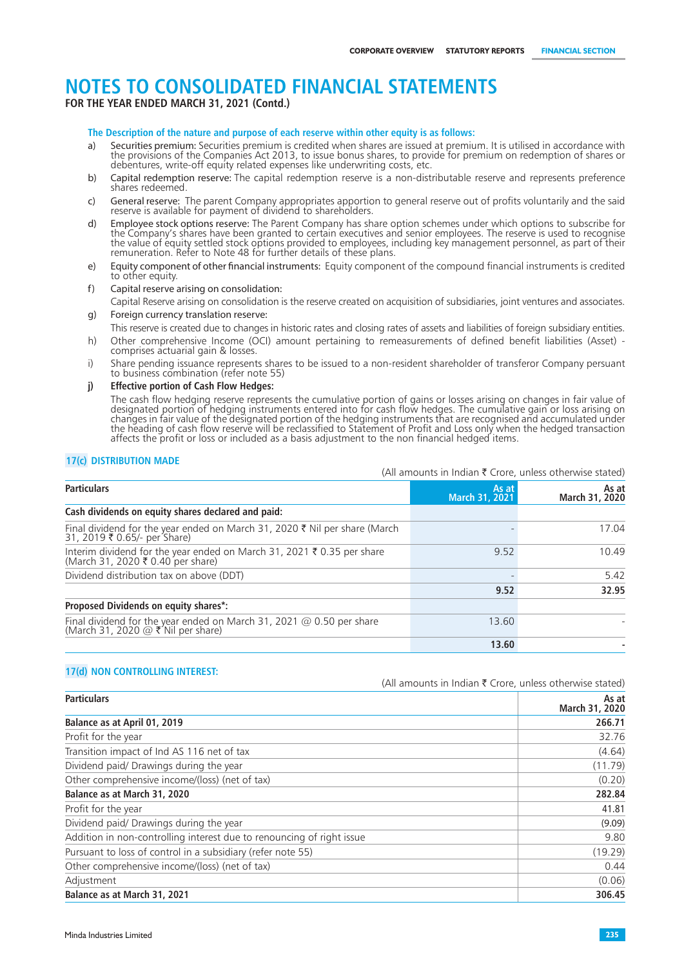**FOR THE YEAR ENDED MARCH 31, 2021 (Contd.)**

**The Description of the nature and purpose of each reserve within other equity is as follows:** 

- a) Securities premium: Securities premium is credited when shares are issued at premium. It is utilised in accordance with<br>the provisions of the Companies Act 2013, to issue bonus shares, to provide for premium on redempti debentures, write-off equity related expenses like underwriting costs, etc.
- b) Capital redemption reserve: The capital redemption reserve is a non-distributable reserve and represents preference shares redeemed
- c) General reserve: The parent Company appropriates apportion to general reserve out of profits voluntarily and the said<br>reserve is available for payment of dividend to shareholders.
- d) Employee stock options reserve: The Parent Company has share option schemes under which options to subscribe for<br>the Company's shares have been granted to certain executives and senior employees. The reserve is used to the value of equity settled stock options provided to employees, including key management personnel, as part of their remuneration. Refer to Note 48 for further details of these plans.
- e) Equity component of other financial instruments: Equity component of the compound financial instruments is credited to other equity.
- f) Capital reserve arising on consolidation:
- Capital Reserve arising on consolidation is the reserve created on acquisition of subsidiaries, joint ventures and associates. g) Foreign currency translation reserve:
- This reserve is created due to changes in historic rates and closing rates of assets and liabilities of foreign subsidiary entities.
- h) Other comprehensive Income (OCI) amount pertaining to remeasurements of defined benefit liabilities (Asset) comprises actuarial gain & losses.
- i) Share pending issuance represents shares to be issued to a non-resident shareholder of transferor Company persuant to business combination (refer note 55)
- **j) Effective portion of Cash Flow Hedges:**

The cash flow hedging reserve represents the cumulative portion of gains or losses arising on changes in fair value of designated portion of hedging instruments entered into for cash flow hedges. The cumulative gain or loss arising on changes in fair value of the designated portion of the hedging instruments that are recognised and accumulated under the heading of cash flow reserve will be reclassified to Statement of Profit and Loss only when the hedged transaction affects the profit or loss or included as a basis adjustment to the non financial hedged items.

#### **17(c) DISTRIBUTION MADE**

|                                                                                                          | (All amounts in Indian $\bar{\tau}$ Crore, unless otherwise stated) |                         |
|----------------------------------------------------------------------------------------------------------|---------------------------------------------------------------------|-------------------------|
| <b>Particulars</b>                                                                                       | As at<br>March 31, 2021                                             | As at<br>March 31, 2020 |
| Cash dividends on equity shares declared and paid:                                                       |                                                                     |                         |
| Final dividend for the year ended on March 31, 2020 ₹ Nil per share (March 31, 2019 ₹ 0.65/- per Share)  |                                                                     | 17.04                   |
| Interim dividend for the year ended on March 31, 2021 ₹ 0.35 per share (March 31, 2020 ₹ 0.40 per share) | 9.52                                                                | 10.49                   |
| Dividend distribution tax on above (DDT)                                                                 |                                                                     | 5.42                    |
|                                                                                                          | 9.52                                                                | 32.95                   |
| Proposed Dividends on equity shares*:                                                                    |                                                                     |                         |
| Final dividend for the year ended on March 31, 2021 @ 0.50 per share (March 31, 2020 @ ₹ Nil per share)  | 13.60                                                               |                         |
|                                                                                                          | 13.60                                                               |                         |

#### **17(d) NON CONTROLLING INTEREST:**

| <b>Particulars</b>                                                    | As at<br>March 31, 2020 |
|-----------------------------------------------------------------------|-------------------------|
| Balance as at April 01, 2019                                          | 266.71                  |
| Profit for the year                                                   | 32.76                   |
| Transition impact of Ind AS 116 net of tax                            | (4.64)                  |
| Dividend paid/ Drawings during the year                               | (11.79)                 |
| Other comprehensive income/(loss) (net of tax)                        | (0.20)                  |
| Balance as at March 31, 2020                                          | 282.84                  |
| Profit for the year                                                   | 41.81                   |
| Dividend paid/ Drawings during the year                               | (9.09)                  |
| Addition in non-controlling interest due to renouncing of right issue | 9.80                    |
| Pursuant to loss of control in a subsidiary (refer note 55)           | (19.29)                 |
| Other comprehensive income/(loss) (net of tax)                        | 0.44                    |
| Adjustment                                                            | (0.06)                  |
| Balance as at March 31, 2021                                          | 306.45                  |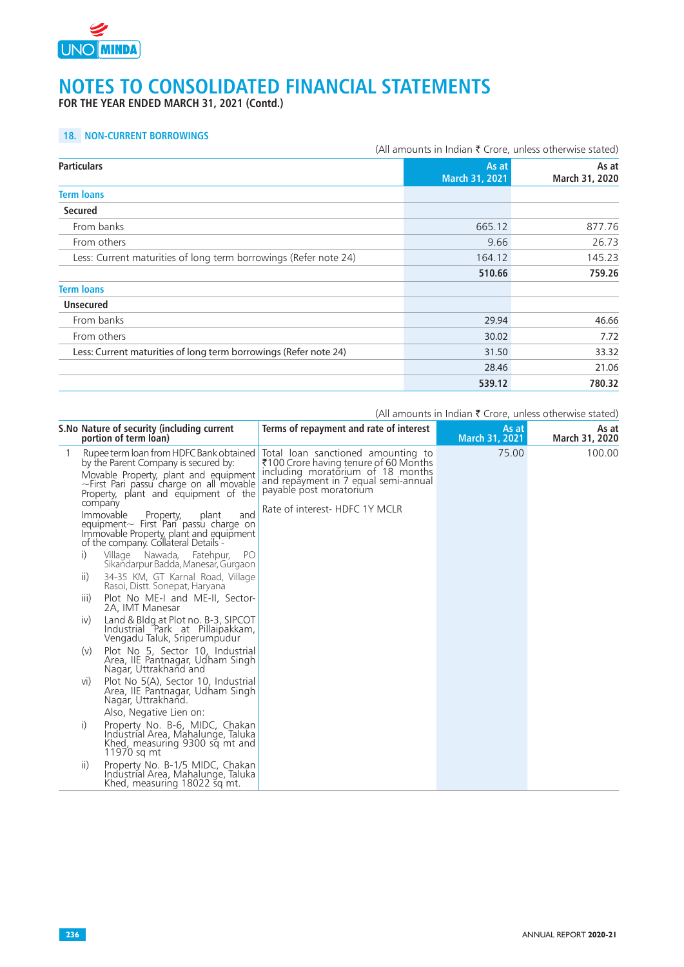

**FOR THE YEAR ENDED MARCH 31, 2021 (Contd.)**

### **18. NON-CURRENT BORROWINGS**

|                                                                  | (All amounts in Indian ₹ Crore, unless otherwise stated) |                         |  |
|------------------------------------------------------------------|----------------------------------------------------------|-------------------------|--|
| <b>Particulars</b>                                               | As at<br>March 31, 2021                                  | As at<br>March 31, 2020 |  |
| <b>Term loans</b>                                                |                                                          |                         |  |
| <b>Secured</b>                                                   |                                                          |                         |  |
| From banks                                                       | 665.12                                                   | 877.76                  |  |
| From others                                                      | 9.66                                                     | 26.73                   |  |
| Less: Current maturities of long term borrowings (Refer note 24) | 164.12                                                   | 145.23                  |  |
|                                                                  | 510.66                                                   | 759.26                  |  |
| <b>Term loans</b>                                                |                                                          |                         |  |
| <b>Unsecured</b>                                                 |                                                          |                         |  |
| From banks                                                       | 29.94                                                    | 46.66                   |  |
| From others                                                      | 30.02                                                    | 7.72                    |  |
| Less: Current maturities of long term borrowings (Refer note 24) | 31.50                                                    | 33.32                   |  |
|                                                                  | 28.46                                                    | 21.06                   |  |
|                                                                  | 539.12                                                   | 780.32                  |  |

|   | S.No Nature of security (including current<br>portion of term loan)                                                                                                                                                                                                                                                                                                                                                                                                                                                                                                                                                                                                                                                                                         | Terms of repayment and rate of interest                                                                                                                                                                               | As at<br>March 31, 2021 | As at<br>March 31, 2020 |
|---|-------------------------------------------------------------------------------------------------------------------------------------------------------------------------------------------------------------------------------------------------------------------------------------------------------------------------------------------------------------------------------------------------------------------------------------------------------------------------------------------------------------------------------------------------------------------------------------------------------------------------------------------------------------------------------------------------------------------------------------------------------------|-----------------------------------------------------------------------------------------------------------------------------------------------------------------------------------------------------------------------|-------------------------|-------------------------|
| 1 | Rupee term loan from HDFC Bank obtained<br>by the Parent Company is secured by:<br>Movable Property, plant and equipment<br>~First Pari passu charge on all movable<br>Property, plant and equipment of the<br>company<br>Immovable<br>Property,<br>and<br>plant<br>equipment $\sim$ First Pari passu charge on<br>Immovable Property, plant and equipment<br>of the company. Collateral Details -<br>i)<br>Fatehpur,<br>PO.<br>Village Nawada,<br>Sikandarpur Badda, Manesar, Gurgaon<br>ii)<br>34-35 KM, GT Karnal Road, Village<br>Rasoi, Distt. Sonepat, Haryana<br>Plot No ME-I and ME-II, Sector-<br>$\parallel$<br>2A, IMT Manesar<br>iv)<br>Land & Bldg at Plot no. B-3, SIPCOT<br>Industrial Park at Pillaipakkam,<br>Vengadu Taluk, Sriperumpudur | Total loan sanctioned amounting to<br>₹100 Crore having tenure of 60 Months<br>including moratorium of 18 months<br>and repayment in 7 equal semi-annual<br>payable post moratorium<br>Rate of interest- HDFC 1Y MCLR | 75.00                   | 100.00                  |
|   | (v)<br>Plot No 5, Sector 10, Industrial<br>Area, IIE Pantnagar, Udham Singh<br>Nagar, Uttrakhand and                                                                                                                                                                                                                                                                                                                                                                                                                                                                                                                                                                                                                                                        |                                                                                                                                                                                                                       |                         |                         |
|   | Plot No 5(A), Sector 10, Industrial<br>VI)<br>Area, IIE Pantnagar, Udham Singh<br>Nagar, Uttrakhand.<br>Also, Negative Lien on:                                                                                                                                                                                                                                                                                                                                                                                                                                                                                                                                                                                                                             |                                                                                                                                                                                                                       |                         |                         |
|   | i)<br>Property No. B-6, MIDC, Chakan<br>Industrial Area, Mahalunge, Taluka<br>Khed, measuring 9300 sq mt and<br>11970 sq mt                                                                                                                                                                                                                                                                                                                                                                                                                                                                                                                                                                                                                                 |                                                                                                                                                                                                                       |                         |                         |
|   | ii)<br>Property No. B-1/5 MIDC, Chakan<br>Industrial Area, Mahalunge, Taluka<br>Khed, measuring 18022 sq mt.                                                                                                                                                                                                                                                                                                                                                                                                                                                                                                                                                                                                                                                |                                                                                                                                                                                                                       |                         |                         |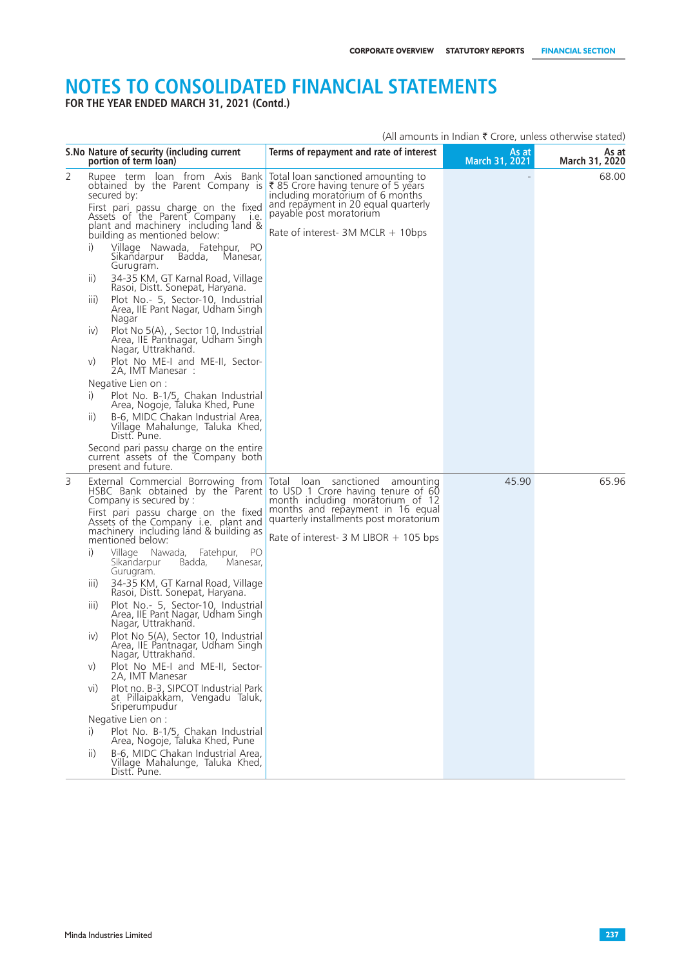**FOR THE YEAR ENDED MARCH 31, 2021 (Contd.)**

|   | S. No Nature of security (including current<br>portion of term loan)                                                                                                                                                                                                                                                                                                                                                                                                                                                                                                                                                                                                                                                                                                                                                                                                                                                                                                                                                                                                                | Terms of repayment and rate of interest                                                                                                                                                                                 | As at<br>March 31, 2021 | As at<br>March 31, 2020 |
|---|-------------------------------------------------------------------------------------------------------------------------------------------------------------------------------------------------------------------------------------------------------------------------------------------------------------------------------------------------------------------------------------------------------------------------------------------------------------------------------------------------------------------------------------------------------------------------------------------------------------------------------------------------------------------------------------------------------------------------------------------------------------------------------------------------------------------------------------------------------------------------------------------------------------------------------------------------------------------------------------------------------------------------------------------------------------------------------------|-------------------------------------------------------------------------------------------------------------------------------------------------------------------------------------------------------------------------|-------------------------|-------------------------|
| 2 | Rupee term loan from Axis Bank<br>obtained by the Parent Company is<br>secured by:<br>First pari passu charge on the fixed<br>Assets of the Parent Company<br>I.e.<br>plant and machinery including land &<br>building as mentioned below:<br>i)<br>Village Nawada, Fatehpur, PO<br>Sikandarpur Badda,<br>Manesar,<br>Gurugram.<br>34-35 KM, GT Karnal Road, Village<br>$\overline{  }$<br>Rasoi, Distt. Sonepat, Haryana.<br>Plot No.- 5, Sector-10, Industrial<br>$\parallel$<br>Area, IIE Pant Nagar, Udham Singh<br>Nagar<br>Plot No 5(A), Sector 10, Industrial<br>$\mathsf{iv}$<br>Area, IIE Pantnagar, Udham Singh<br>Nagar, Uttrakhand.<br>Plot No ME-I and ME-II, Sector-<br>V)<br>2A, IMT Manesar :<br>Negative Lien on :<br>i)<br>Plot No. B-1/5, Chakan Industrial<br>Area, Nogoje, Taluka Khed, Pune<br>B-6, MIDC Chakan Industrial Area,<br>$\overline{11}$<br>Village Mahalunge, Taluka Khed,<br>Distt. Pune.<br>Second pari passu charge on the entire<br>current assets of the Company both<br>present and future.                                                 | Total loan sanctioned amounting to<br>₹85 Crore having tenure of 5 years<br>including moratorium of 6 months<br>and repayment in 20 equal quarterly<br>payable post moratorium<br>Rate of interest- $3M$ MCLR $+$ 10bps |                         | 68.00                   |
| 3 | External Commercial Borrowing from<br>HSBC Bank obtained by the Parent to USD 1 Crore having tenure of 60<br>Company is secured by :<br>First pari passu charge on the fixed<br>Assets of the Company <i>i.e.</i> plant and<br>machinery including land & building as<br>mentioned below:<br>i)<br>Village Nawada, Fatehpur,<br>- PO<br>Manesar,<br>Sikandarpur<br>Badda,<br>Gurugram.<br>34-35 KM, GT Karnal Road, Village<br>$\parallel$<br>Rasoi, Distt. Sonepat, Haryana.<br>Plot No.- 5, Sector-10, Industrial<br>$\parallel$<br>Area, IIE Pant Nagar, Udham Singh<br>Nagar, Uttrakhand.<br>Plot No 5(A), Sector 10, Industrial<br>IV)<br>Area, IIE Pantnagar, Udham Singh<br>Nagar, Uttrakhañd.<br>Plot No ME-I and ME-II, Sector-<br>V)<br>2A, IMT Manesar<br>Plot no. B-3, SIPCOT Industrial Park<br>vi)<br>at Pillaipakkam, Vengadu Taluk,<br>Sriperumpudur<br>Negative Lien on :<br>Plot No. B-1/5, Chakan Industrial<br>i)<br>Area, Nogoje, Taluka Khed, Pune<br>B-6, MIDC Chakan Industrial Area,<br>$\overline{11}$<br>Village Mahalunge, Taluka Khed,<br>Distt. Pune. | Total loan sanctioned amounting<br>month including moratorium of 12<br>months and repayment in 16 equal<br>quarterly installments post moratorium<br>Rate of interest- $3 \text{ M LIBOR} + 105 \text{ bps}$            | 45.90                   | 65.96                   |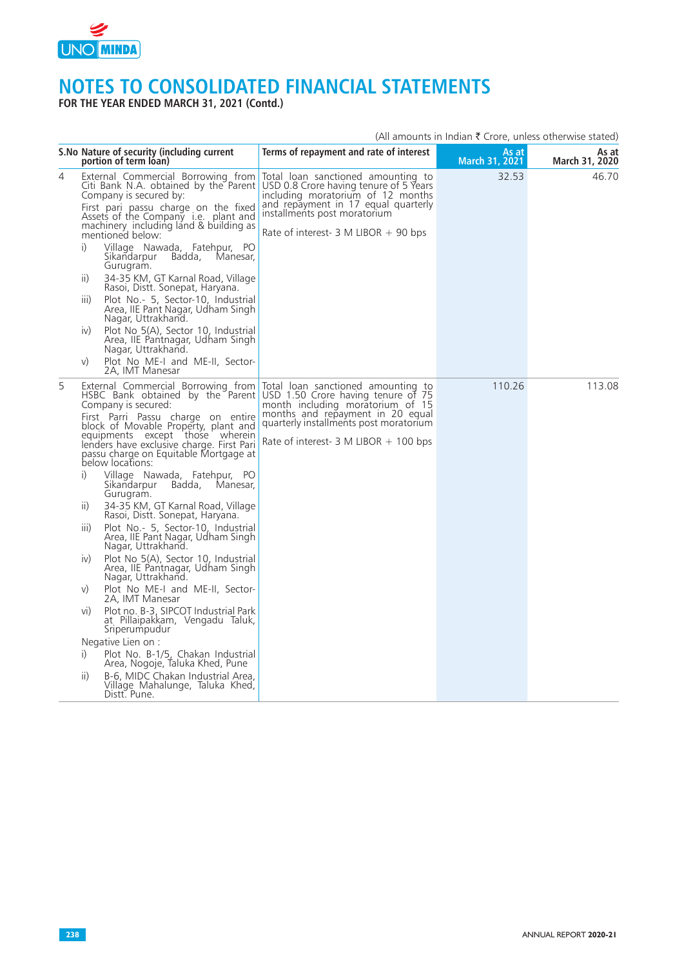

**FOR THE YEAR ENDED MARCH 31, 2021 (Contd.)**

|   | S. No Nature of security (including current<br>portion of term loan)                                                                                                                                                                                                                                                                                                                                                                                                                                                                                                                                                                                                                                                                                                                                                                                                                                                                                                                                                                                                                                                                      | Terms of repayment and rate of interest                                                                                                                                                                                                               | As at<br>March 31, 2021 | As at<br>March 31, 2020 |
|---|-------------------------------------------------------------------------------------------------------------------------------------------------------------------------------------------------------------------------------------------------------------------------------------------------------------------------------------------------------------------------------------------------------------------------------------------------------------------------------------------------------------------------------------------------------------------------------------------------------------------------------------------------------------------------------------------------------------------------------------------------------------------------------------------------------------------------------------------------------------------------------------------------------------------------------------------------------------------------------------------------------------------------------------------------------------------------------------------------------------------------------------------|-------------------------------------------------------------------------------------------------------------------------------------------------------------------------------------------------------------------------------------------------------|-------------------------|-------------------------|
| 4 | External Commercial Borrowing from<br>Citi Bank N.A. obtained by the Parent<br>Company is secured by:<br>First pari passu charge on the fixed<br>Assets of the Company i.e. plant and<br>machinery including land & building as<br>mentioned below:<br>i)<br>Village Nawada, Fatehpur, PO<br>Badda,<br>Manesar,<br>Sikandarpur<br>Gurugram.<br>34-35 KM, GT Karnal Road, Village<br>$\overline{11}$<br>Rasoi, Distt. Sonepat, Haryana.<br>Plot No.- 5, Sector-10, Industrial<br>iii)<br>Area, IIE Pant Nagar, Udham Singh<br>Nagar, Uttrakhand.<br>Plot No 5(A), Sector 10, Industrial<br>iv)<br>Area, IIE Pantnagar, Udham Singh<br>Nagar, Uttrakhand.<br>Plot No ME-I and ME-II, Sector-<br>V)<br>2A, IMT Manesar                                                                                                                                                                                                                                                                                                                                                                                                                       | Total loan sanctioned amounting to<br>USD 0.8 Crore having tenure of 5 Years<br>including moratorium of 12 months<br>and repayment in 17 equal quarterly<br>installments post moratorium<br>Rate of interest- $3$ M LIBOR + 90 bps                    | 32.53                   | 46.70                   |
| 5 | External Commercial Borrowing from<br>HSBC Bank obtained by the Parent<br>Company is secured:<br>First Parri Passu charge on entire<br>block of Movable Property, plant and<br>equipments except those wherein<br>lenders have exclusive charge. First Pari<br>passu charge on Equitable Mortgage at<br>below locations:<br>i)<br>Village Nawada, Fatehpur, PO<br>Sikandarpur Badda,<br>Manesar,<br>Gurugram.<br>34-35 KM, GT Karnal Road, Village<br>$\vert \vert$<br>Rasoi, Distt. Sonepat, Haryana.<br>Plot No. - 5, Sector-10, Industrial<br>$\overline{III}$ )<br>Area, IIE Pant Nagar, Udham Singh<br>Nagar, Uttrakhand.<br>Plot No 5(A), Sector 10, Industrial<br>$\mathsf{iv}$<br>Area, IIE Pantnagar, Udham Singh<br>Nagar, Uttrakhand.<br>Plot No ME-I and ME-II, Sector-<br>V)<br>2A, IMT Manesar<br>Plot no. B-3, SIPCOT Industrial Park<br>V <sub>1</sub><br>at Pillaipakkam, Vengadu Taluk,<br>Sriperumpudur<br>Negative Lien on :<br>i)<br>Plot No. B-1/5, Chakan Industrial<br>Area, Nogoje, Taluka Khed, Pune<br>B-6, MIDC Chakan Industrial Area,<br>$\overline{11}$<br>Village Mahalunge, Taluka Khed,<br>Distt. Pune. | Total loan sanctioned amounting to<br>USD 1.50 Crore having tenure of 75<br>month including moratorium of 15<br>months and repayment in 20 equal<br>quarterly installments post moratorium<br>Rate of interest- $3 \text{ M LIBOR} + 100 \text{ bps}$ | 110.26                  | 113.08                  |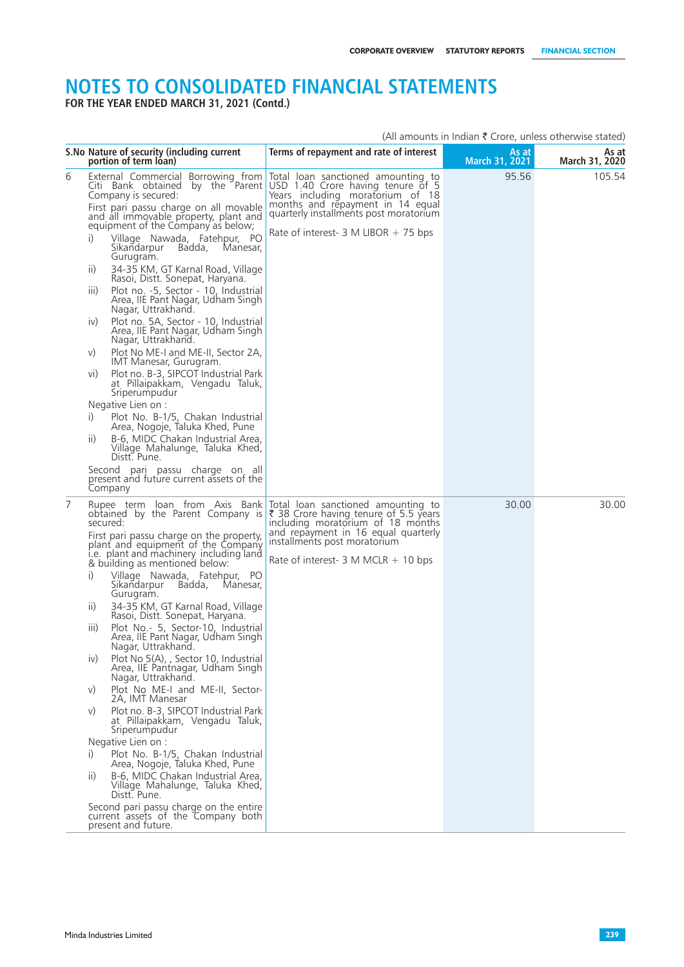**FOR THE YEAR ENDED MARCH 31, 2021 (Contd.)**

|   | S.No Nature of security (including current<br>portion of term loan)                                                                                                                                                                                                                                                                                                                                                                                                                                                                                                                                                                                                                                                                                                                                                                                                                                                                                                                                                                                                                                                                    | Terms of repayment and rate of interest                                                                                                                                                                                                           | As at<br>March 31, 2021 | As at<br>March 31, 2020 |
|---|----------------------------------------------------------------------------------------------------------------------------------------------------------------------------------------------------------------------------------------------------------------------------------------------------------------------------------------------------------------------------------------------------------------------------------------------------------------------------------------------------------------------------------------------------------------------------------------------------------------------------------------------------------------------------------------------------------------------------------------------------------------------------------------------------------------------------------------------------------------------------------------------------------------------------------------------------------------------------------------------------------------------------------------------------------------------------------------------------------------------------------------|---------------------------------------------------------------------------------------------------------------------------------------------------------------------------------------------------------------------------------------------------|-------------------------|-------------------------|
| 6 | External Commercial Borrowing from<br>Citi Bank obtained by the Parent<br>Company is secured:<br>First pari passu charge on all movable<br>and all immovable property, plant and<br>equipment of the Company as below;<br>i)<br>Village Nawada, Fatehpur, PO<br>Sikandarpur<br>Badda, Manesar,<br>Gurugram.<br>$\overline{11}$<br>34-35 KM, GT Karnal Road, Village<br>Rasoi, Distt. Sonepat, Haryana.<br>Plot no. -5, Sector - 10, Industrial<br>iii)<br>Area, IIE Pant Nagar, Udham Singh<br>Nagar, Uttrakhand.<br>Plot no. 5A, Sector - 10, Industrial<br>iv)<br>Area, IIE Pant Nagar, Udham Singh<br>Nagar, Uttrakhand.<br>Plot No ME-I and ME-II, Sector 2A,<br>V)<br>IMT Manesar, Gurugram.<br>Plot no. B-3, SIPCOT Industrial Park<br>V <sub>1</sub><br>at Pillaipakkam, Vengadu Taluk,<br>Sriperumpudur<br>Negative Lien on :<br>Plot No. B-1/5, Chakan Industrial<br>$\left( \right)$<br>Area, Nogoje, Taluka Khed, Pune<br>B-6, MIDC Chakan Industrial Area,<br>$\overline{11}$<br>Village Mahalunge, Taluka Khed,<br>Distt. Pune.<br>Second pari passu charge on all<br>present and future current assets of the<br>Company | Total loan sanctioned amounting to<br>USD 1.40 Crore having tenure of 5<br>Years including moratorium of 18<br>months and repayment in 14 equal<br>quarterly installments post moratorium<br>Rate of interest- 3 M LIBOR + 75 bps                 | 95.56                   | 105.54                  |
| 7 | Rupee term loan from Axis Bank<br>obtained by the Parent Company is<br>secured:<br>First pari passu charge on the property,<br>plant and equipment of the Company<br>i.e. plant and machinery including land<br>& building as mentioned below:<br>i)<br>Village Nawada, Fatehpur, PO<br>Sikandarpur Badda, Manesar,<br>Gurugram.<br>34-35 KM, GT Karnal Road, Village<br>$\vert \vert$<br>Rasoi, Distt. Sonepat, Haryana.<br>Plot No.- 5, Sector-10, Industrial<br>iii)<br>Area, IIE Pant Nagar, Udham Singh<br>Nagar, Uttrakhand.<br>iv)<br>Plot No 5(A), , Sector 10, Industrial<br>Area, IIE Pantnagar, Udham Singh<br>Nagar, Uttrakhand.<br>Plot No ME-I and ME-II, Sector-<br>V)<br>2A, IMT Manesar<br>Plot no. B-3, SIPCOT Industrial Park<br>V)<br>at Pillaipakkam, Vengadu Taluk,<br>Sriperumpudur<br>Negative Lien on :<br>Plot No. B-1/5, Chakan Industrial<br>i)<br>Area, Nogoje, Taluka Khed, Pune<br>B-6, MIDC Chakan Industrial Area,<br>ii)<br>Village Mahalunge, Taluka Khed,<br>Distt. Pune.<br>Second pari passu charge on the entire<br>current assets of the Company both<br>present and future.                   | Total loan sanctioned amounting to<br>₹ 38 Crore having tenure of 5.5 years<br>including moratorium of 18 months<br>and repayment in 16 equal quarterly<br>installments post moratorium<br>Rate of interest- $3 \text{ M } MCLR + 10 \text{ bps}$ | 30.00                   | 30.00                   |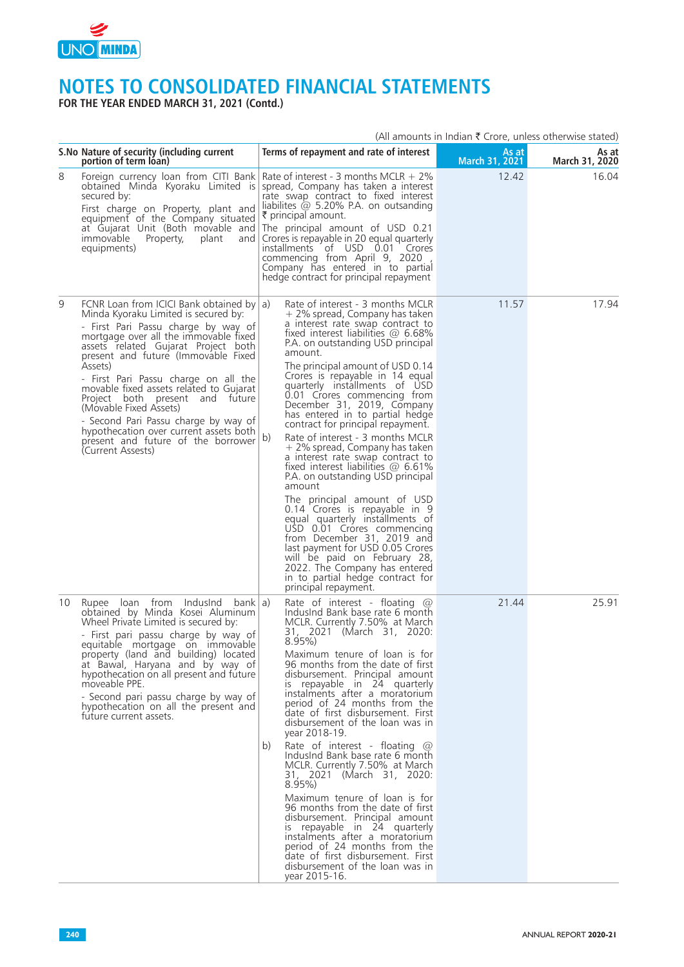

**FOR THE YEAR ENDED MARCH 31, 2021 (Contd.)**

|    | S. No Nature of security (including current<br>portion of term loan)                                                                                                                                                                                                                                                                                                                                                                                                                                                                                   |    | Terms of repayment and rate of interest                                                                                                                                                                                                                                                                                                                                                                                                                                                                                                                                                                                                                                                                                                                                                                                                                                                                                                                                           | As at<br>March 31, 2021 | As at<br>March 31, 2020 |
|----|--------------------------------------------------------------------------------------------------------------------------------------------------------------------------------------------------------------------------------------------------------------------------------------------------------------------------------------------------------------------------------------------------------------------------------------------------------------------------------------------------------------------------------------------------------|----|-----------------------------------------------------------------------------------------------------------------------------------------------------------------------------------------------------------------------------------------------------------------------------------------------------------------------------------------------------------------------------------------------------------------------------------------------------------------------------------------------------------------------------------------------------------------------------------------------------------------------------------------------------------------------------------------------------------------------------------------------------------------------------------------------------------------------------------------------------------------------------------------------------------------------------------------------------------------------------------|-------------------------|-------------------------|
| 8  | Foreign currency loan from CITI Bank Rate of interest - 3 months MCLR + 2%<br>obtained Minda Kyoraku Limited is spread, Company has taken a interest<br>secured by:<br>First charge on Property, plant and<br>equipment of the Company situated<br>at Gujarat Unit (Both movable and The principal amount of USD 0.21<br>immovable<br>Property,<br>plant<br>and<br>equipments)                                                                                                                                                                         |    | rate swap contract to fixed interest<br>liabilites $\omega$ 5.20% P.A. on outsanding<br>₹ principal amount.<br>Crores is repayable in 20 equal quarterly<br>installments of USD 0.01 Crores<br>commencing from April 9, 2020<br>Company has entered in to partial<br>hedge contract for principal repayment                                                                                                                                                                                                                                                                                                                                                                                                                                                                                                                                                                                                                                                                       | 12.42                   | 16.04                   |
| 9  | FCNR Loan from ICICI Bank obtained by a)<br>Minda Kyoraku Limited is secured by:<br>- First Pari Passu charge by way of<br>mortgage over all the immovable fixed<br>assets related Gujarat Project both<br>present and future (Immovable Fixed<br>Assets)<br>- First Pari Passu charge on all the<br>movable fixed assets related to Gujarat<br>Project both present and future<br>(Movable Fixed Assets)<br>- Second Pari Passu charge by way of<br>hypothecation over current assets both<br>present and future of the borrower<br>(Current Assests) | b) | Rate of interest - 3 months MCLR<br>+ 2% spread, Company has taken<br>a interest rate swap contract to<br>fixed interest liabilities $@$ 6.68%<br>P.A. on outstanding USD principal<br>amount.<br>The principal amount of USD 0.14<br>Crores is repayable in 14 equal<br>quarterly installments of USD<br>0.01 Crores commencing from<br>December 31, 2019, Company<br>has entered in to partial hedge<br>contract for principal repayment.<br>Rate of interest - 3 months MCLR<br>+ 2% spread, Company has taken<br>a interest rate swap contract to<br>fixed interest liabilities $\omega$ 6.61%<br>P.A. on outstanding USD principal<br>amount<br>The principal amount of USD<br>0.14 Crores is repayable in 9<br>equal quarterly installments of<br>USD 0.01 Crores commencing<br>from December 31, 2019 and<br>last payment for USD 0.05 Crores<br>will be paid on February 28,<br>2022. The Company has entered<br>in to partial hedge contract for<br>principal repayment. | 11.57                   | 17.94                   |
| 10 | Rupee loan from<br>IndusInd<br>bank a)<br>obtained by Minda Kosei Aluminum<br>Wheel Private Limited is secured by:<br>- First pari passu charge by way of<br>equitable mortgage on immovable<br>property (land and building) located<br>at Bawal, Haryana and by way of<br>hypothecation on all present and future<br>moveable PPE.<br>- Second pari passu charge by way of<br>hypothecation on all the present and<br>future current assets.                                                                                                          | b) | Rate of interest - floating $\omega$<br>Indusind Bank base rate 6 month<br>MCLR. Currently 7.50% at March<br>31, 2021 (March 31, 2020:<br>$8.95\%$<br>Maximum tenure of loan is for<br>96 months from the date of first<br>disbursement. Principal amount<br>is repayable in 24 quarterly<br>instalments after a moratorium<br>period of 24 months from the<br>date of first disbursement. First<br>disbursement of the loan was in<br>year 2018-19.<br>Rate of interest - floating $@$<br>Indusind Bank base rate 6 month<br>MCLR. Currently 7.50% at March<br>31, 2021 (March 31, 2020:<br>$8.95\%$<br>Maximum tenure of loan is for<br>96 months from the date of first<br>disbursement. Principal amount<br>is repayable in 24 quarterly<br>instalments after a moratorium<br>period of 24 months from the<br>date of first disbursement. First<br>disbursement of the loan was in<br>vear 2015-16.                                                                           | 21.44                   | 25.91                   |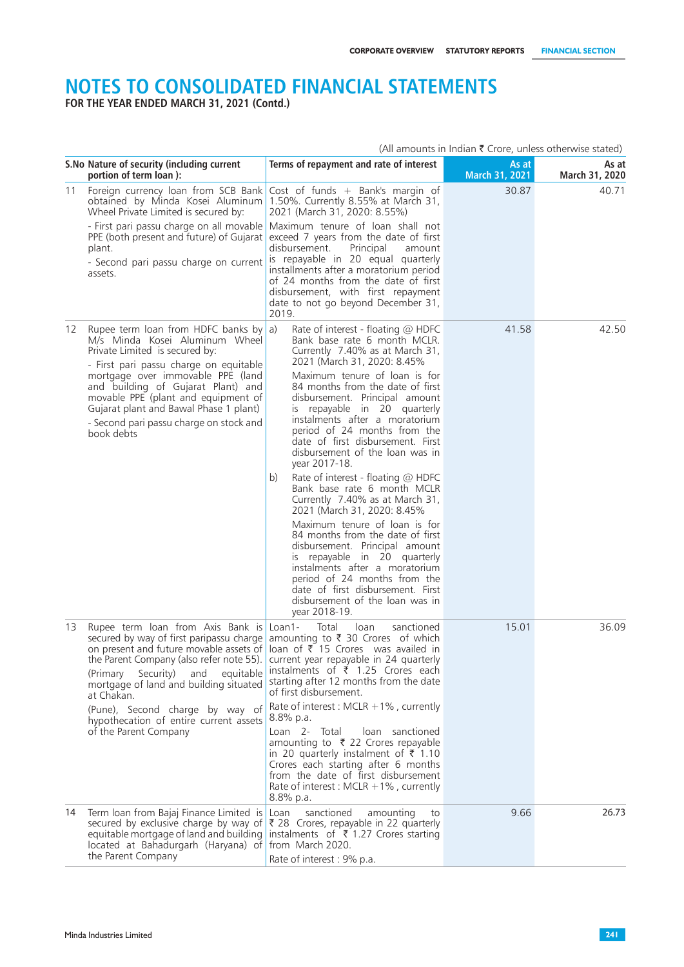**FOR THE YEAR ENDED MARCH 31, 2021 (Contd.)**

|    | (All amounts in Indian $\bar{\tau}$ Crore, unless otherwise stated)                                                                                                                                                                                                                                                                                                                       |                                                                                                                                                                                                                                                                                                |                         |                         |
|----|-------------------------------------------------------------------------------------------------------------------------------------------------------------------------------------------------------------------------------------------------------------------------------------------------------------------------------------------------------------------------------------------|------------------------------------------------------------------------------------------------------------------------------------------------------------------------------------------------------------------------------------------------------------------------------------------------|-------------------------|-------------------------|
|    | S. No Nature of security (including current<br>portion of term loan):                                                                                                                                                                                                                                                                                                                     | Terms of repayment and rate of interest                                                                                                                                                                                                                                                        | As at<br>March 31, 2021 | As at<br>March 31, 2020 |
|    | 11 Foreign currency loan from SCB Bank Cost of funds + Bank's margin of<br>obtained by Minda Kosei Aluminum<br>Wheel Private Limited is secured by:                                                                                                                                                                                                                                       | 1.50%. Currently 8.55% at March 31,<br>2021 (March 31, 2020: 8.55%)                                                                                                                                                                                                                            | 30.87                   | 40.71                   |
|    | PPE (both present and future) of Gujarat<br>plant.<br>- Second pari passu charge on current                                                                                                                                                                                                                                                                                               | - First pari passu charge on all movable Maximum tenure of loan shall not<br>exceed 7 years from the date of first<br>disbursement.<br>Principal<br>amount<br>is repayable in 20 equal quarterly                                                                                               |                         |                         |
|    | assets.                                                                                                                                                                                                                                                                                                                                                                                   | installments after a moratorium period<br>of 24 months from the date of first<br>disbursement, with first repayment<br>date to not go beyond December 31,<br>2019.                                                                                                                             |                         |                         |
| 12 | Rupee term loan from HDFC banks by a)<br>M/s Minda Kosei Aluminum Wheel<br>Private Limited is secured by:<br>- First pari passu charge on equitable<br>mortgage over immovable PPE (land<br>and building of Gujarat Plant) and                                                                                                                                                            | Rate of interest - floating $@$ HDFC<br>Bank base rate 6 month MCLR.<br>Currently 7.40% as at March 31,<br>2021 (March 31, 2020: 8.45%<br>Maximum tenure of loan is for<br>84 months from the date of first                                                                                    | 41.58                   | 42.50                   |
|    | movable PPE (plant and equipment of<br>Gujarat plant and Bawal Phase 1 plant)<br>- Second pari passu charge on stock and<br>book debts                                                                                                                                                                                                                                                    | disbursement. Principal amount<br>repayable in 20 quarterly<br>is i<br>instalments after a moratorium<br>period of 24 months from the<br>date of first disbursement. First<br>disbursement of the loan was in<br>year 2017-18.                                                                 |                         |                         |
|    |                                                                                                                                                                                                                                                                                                                                                                                           | Rate of interest - floating @ HDFC<br>b)<br>Bank base rate 6 month MCLR<br>Currently 7.40% as at March 31,<br>2021 (March 31, 2020: 8.45%                                                                                                                                                      |                         |                         |
|    |                                                                                                                                                                                                                                                                                                                                                                                           | Maximum tenure of loan is for<br>84 months from the date of first<br>disbursement. Principal amount<br>is repayable in 20 quarterly<br>instalments after a moratorium<br>period of 24 months from the<br>date of first disbursement. First<br>disbursement of the loan was in<br>year 2018-19. |                         |                         |
|    | 13 Rupee term loan from Axis Bank is Loan1-<br>secured by way of first paripassu charge amounting to ₹ 30 Crores of which<br>on present and future movable assets of loan of ₹ 15 Crores was availed in<br>the Parent Company (also refer note 55). current year repayable in 24 quarterly<br>(Primary Security)<br>and equitable<br>mortgage of land and building situated<br>at Chakan. | loan<br>Total<br>sanctioned<br>instalments of $\bar{\tau}$ 1.25 Crores each<br>starting after 12 months from the date<br>of first disbursement.                                                                                                                                                | 15.01                   | 36.09                   |
|    | (Pune), Second charge by way of<br>hypothecation of entire current assets                                                                                                                                                                                                                                                                                                                 | Rate of interest : MCLR $+1\%$ , currently<br>$8.8\%$ p.a.                                                                                                                                                                                                                                     |                         |                         |
|    | of the Parent Company                                                                                                                                                                                                                                                                                                                                                                     | Loan 2- Total<br>loan sanctioned<br>amounting to ₹ 22 Crores repayable<br>in 20 quarterly instalment of ₹ 1.10<br>Crores each starting after 6 months<br>from the date of first disbursement<br>Rate of interest : MCLR $+1\%$ , currently<br>8.8% p.a.                                        |                         |                         |
| 14 | Term loan from Bajaj Finance Limited is<br>secured by exclusive charge by way of ₹ 28 Crores, repayable in 22 quarterly<br>equitable mortgage of land and building<br>located at Bahadurgarh (Haryana) of from March 2020.<br>the Parent Company                                                                                                                                          | sanctioned<br>Loan<br>amounting<br>to<br>instalments of $\bar{\tau}$ 1.27 Crores starting<br>Rate of interest : 9% p.a.                                                                                                                                                                        | 9.66                    | 26.73                   |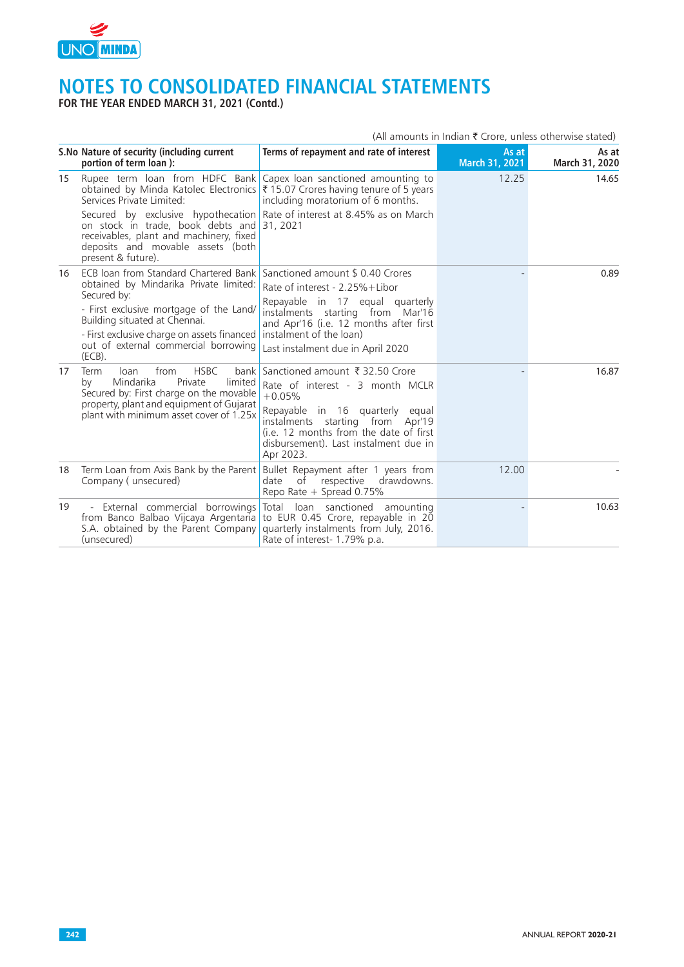

**FOR THE YEAR ENDED MARCH 31, 2021 (Contd.)**

|    | S. No Nature of security (including current<br>portion of term loan):                                                                                                                                                        | Terms of repayment and rate of interest                                                                                                                                                                                                                    | As at<br>March 31, 2021 | As at<br>March 31, 2020 |
|----|------------------------------------------------------------------------------------------------------------------------------------------------------------------------------------------------------------------------------|------------------------------------------------------------------------------------------------------------------------------------------------------------------------------------------------------------------------------------------------------------|-------------------------|-------------------------|
| 15 | Rupee term loan from HDFC Bank<br>obtained by Minda Katolec Electronics ₹ 15.07 Crores having tenure of 5 years<br>Services Private Limited:                                                                                 | Capex loan sanctioned amounting to<br>including moratorium of 6 months.                                                                                                                                                                                    | 12.25                   | 14.65                   |
|    | Secured by exclusive hypothecation Rate of interest at 8.45% as on March<br>on stock in trade, book debts and 31, 2021<br>receivables, plant and machinery, fixed<br>deposits and movable assets (both<br>present & future). |                                                                                                                                                                                                                                                            |                         |                         |
| 16 | ECB loan from Standard Chartered Bank Sanctioned amount \$ 0.40 Crores<br>obtained by Mindarika Private limited:                                                                                                             | Rate of interest - 2.25%+Libor                                                                                                                                                                                                                             |                         | 0.89                    |
|    | Secured by:<br>- First exclusive mortgage of the Land/<br>Building situated at Chennai.<br>- First exclusive charge on assets financed instalment of the loan)<br>out of external commercial borrowing<br>(ECB).             | Repayable in 17 equal quarterly<br>instalments starting from Mar'16<br>and Apr'16 (i.e. 12 months after first<br>Last instalment due in April 2020                                                                                                         |                         |                         |
| 17 | from<br><b>HSBC</b><br>loan<br><b>Term</b><br>Mindarika<br>Private<br>limited<br>by<br>Secured by: First charge on the movable<br>property, plant and equipment of Gujarat<br>plant with minimum asset cover of 1.25x        | bank Sanctioned amount ₹ 32.50 Crore<br>Rate of interest - 3 month MCLR<br>$+0.05%$<br>Repayable in 16 quarterly equal<br>instalments starting from Apr'19<br>(i.e. 12 months from the date of first<br>disbursement). Last instalment due in<br>Apr 2023. |                         | 16.87                   |
| 18 | Term Loan from Axis Bank by the Parent<br>Company (unsecured)                                                                                                                                                                | Bullet Repayment after 1 years from<br>respective<br>drawdowns.<br>date<br>of<br>Repo Rate + Spread 0.75%                                                                                                                                                  | 12.00                   |                         |
| 19 | from Banco Balbao Vijcaya Argentaria to EUR 0.45 Crore, repayable in 20<br>S.A. obtained by the Parent Company<br>(unsecured)                                                                                                | - External commercial borrowings Total loan sanctioned amounting<br>quarterly instalments from July, 2016.<br>Rate of interest- 1.79% p.a.                                                                                                                 |                         | 10.63                   |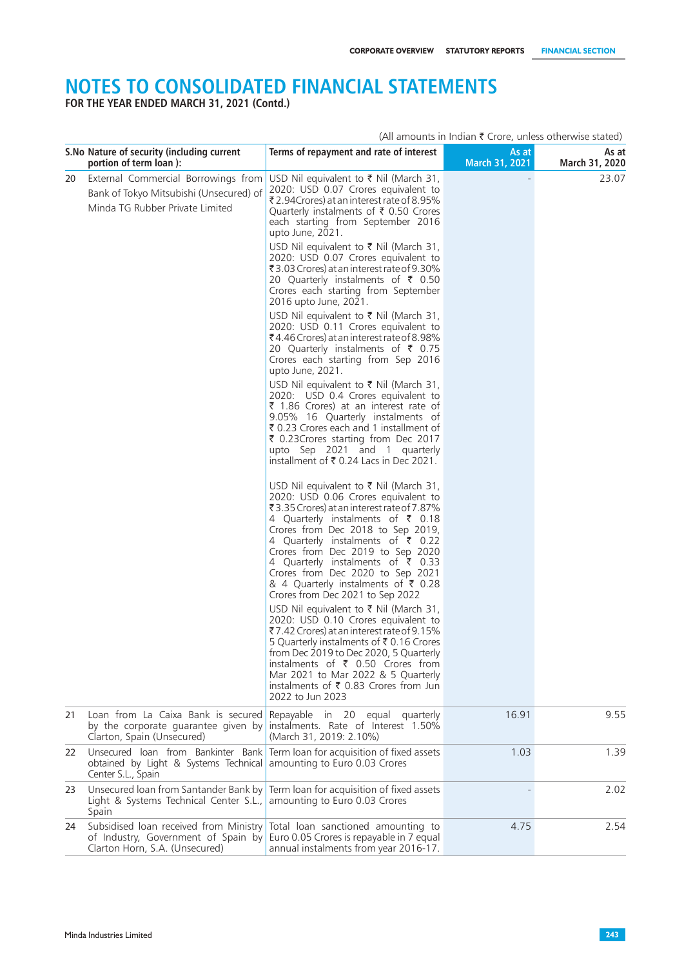**FOR THE YEAR ENDED MARCH 31, 2021 (Contd.)**

|    | S.No Nature of security (including current<br>portion of term loan):                                              | Terms of repayment and rate of interest                                                                                                                                                                                                                                                                                                                                                                                            | As at<br>March 31, 2021 | As at<br>March 31, 2020 |
|----|-------------------------------------------------------------------------------------------------------------------|------------------------------------------------------------------------------------------------------------------------------------------------------------------------------------------------------------------------------------------------------------------------------------------------------------------------------------------------------------------------------------------------------------------------------------|-------------------------|-------------------------|
| 20 | External Commercial Borrowings from<br>Bank of Tokyo Mitsubishi (Unsecured) of<br>Minda TG Rubber Private Limited | USD Nil equivalent to $\bar{\tau}$ Nil (March 31,<br>2020: USD 0.07 Crores equivalent to<br>₹2.94Crores) at an interest rate of 8.95%<br>Quarterly instalments of ₹ 0.50 Crores<br>each starting from September 2016<br>upto June, 2021.<br>USD Nil equivalent to ₹ Nil (March 31,                                                                                                                                                 |                         | 23.07                   |
|    |                                                                                                                   | 2020: USD 0.07 Crores equivalent to<br>₹3.03 Crores) at an interest rate of 9.30%<br>20 Quarterly instalments of ₹ 0.50<br>Crores each starting from September<br>2016 upto June, 2021.                                                                                                                                                                                                                                            |                         |                         |
|    |                                                                                                                   | USD Nil equivalent to ₹ Nil (March 31,<br>2020: USD 0.11 Crores equivalent to<br>₹4.46 Crores) at an interest rate of 8.98%<br>20 Quarterly instalments of ₹ 0.75<br>Crores each starting from Sep 2016<br>upto June, 2021.                                                                                                                                                                                                        |                         |                         |
|    |                                                                                                                   | USD Nil equivalent to ₹ Nil (March 31,<br>2020: USD 0.4 Crores equivalent to<br>₹ 1.86 Crores) at an interest rate of<br>9.05% 16 Quarterly instalments of<br>₹ 0.23 Crores each and 1 installment of<br>₹ 0.23 Crores starting from Dec 2017<br>upto Sep 2021 and 1 quarterly<br>installment of ₹ 0.24 Lacs in Dec 2021.                                                                                                          |                         |                         |
|    |                                                                                                                   | USD Nil equivalent to ₹ Nil (March 31,<br>2020: USD 0.06 Crores equivalent to<br>₹3.35 Crores) at an interest rate of 7.87%<br>4 Quarterly instalments of ₹ 0.18<br>Crores from Dec 2018 to Sep 2019,<br>4 Quarterly instalments of ₹ 0.22<br>Crores from Dec 2019 to Sep 2020<br>4 Quarterly instalments of ₹ 0.33<br>Crores from Dec 2020 to Sep 2021<br>& 4 Quarterly instalments of ₹ 0.28<br>Crores from Dec 2021 to Sep 2022 |                         |                         |
|    |                                                                                                                   | USD Nil equivalent to ₹ Nil (March 31,<br>2020: USD 0.10 Crores equivalent to<br>₹7.42 Crores) at an interest rate of 9.15%<br>5 Quarterly instalments of ₹ 0.16 Crores<br>from Dec 2019 to Dec 2020, 5 Quarterly<br>instalments of $\bar{\tau}$ 0.50 Crores from<br>Mar 2021 to Mar 2022 & 5 Quarterly<br>instalments of ₹ 0.83 Crores from Jun<br>2022 to Jun 2023                                                               |                         |                         |
| 21 | Loan from La Caixa Bank is secured<br>by the corporate guarantee given by<br>Clarton, Spain (Unsecured)           | Repayable in 20 equal quarterly<br>instalments. Rate of Interest 1.50%<br>(March 31, 2019: 2.10%)                                                                                                                                                                                                                                                                                                                                  | 16.91                   | 9.55                    |
| 22 | Unsecured Joan from Bankinter Bank<br>obtained by Light & Systems Technical<br>Center S.L., Spain                 | Term loan for acquisition of fixed assets<br>amounting to Euro 0.03 Crores                                                                                                                                                                                                                                                                                                                                                         | 1.03                    | 1.39                    |
| 23 | Unsecured loan from Santander Bank by<br>Light & Systems Technical Center S.L.,<br>Spain                          | Term loan for acquisition of fixed assets<br>amounting to Euro 0.03 Crores                                                                                                                                                                                                                                                                                                                                                         |                         | 2.02                    |
| 24 | Subsidised loan received from Ministry<br>of Industry, Government of Spain by<br>Clarton Horn, S.A. (Unsecured)   | Total loan sanctioned amounting to<br>Euro 0.05 Crores is repayable in 7 equal<br>annual instalments from year 2016-17.                                                                                                                                                                                                                                                                                                            | 4.75                    | 2.54                    |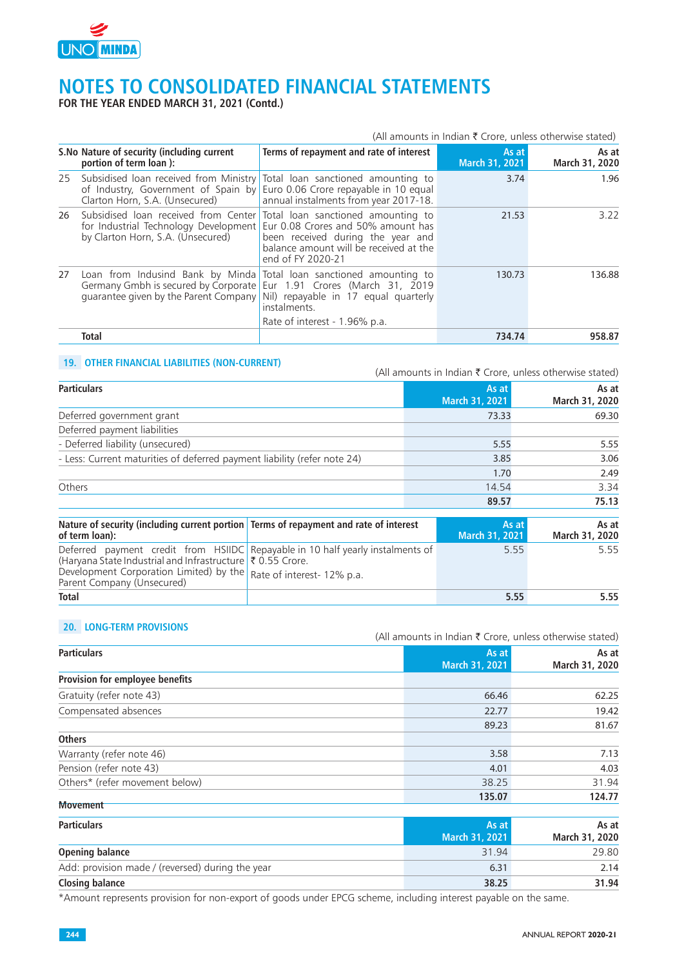

**FOR THE YEAR ENDED MARCH 31, 2021 (Contd.)**

| (All amounts in Indian $\bar{\tau}$ Crore, unless otherwise stated) |                                                                                                                                                                                                                           |                                                                                                  |                         |                         |
|---------------------------------------------------------------------|---------------------------------------------------------------------------------------------------------------------------------------------------------------------------------------------------------------------------|--------------------------------------------------------------------------------------------------|-------------------------|-------------------------|
|                                                                     | S. No Nature of security (including current<br>portion of term loan):                                                                                                                                                     | Terms of repayment and rate of interest                                                          | As at<br>March 31, 2021 | As at<br>March 31, 2020 |
| 25                                                                  | Subsidised loan received from Ministry Total loan sanctioned amounting to<br>of Industry, Government of Spain by<br>Clarton Horn, S.A. (Unsecured)                                                                        | Euro 0.06 Crore repayable in 10 equal<br>annual instalments from year 2017-18.                   | 3.74                    | 1.96                    |
| 26                                                                  | Subsidised loan received from Center Total loan sanctioned amounting to<br>for Industrial Technology Development Eur 0.08 Crores and 50% amount has<br>by Clarton Horn, S.A. (Unsecured)                                  | been received during the year and<br>balance amount will be received at the<br>end of FY 2020-21 | 21.53                   | 3.22                    |
| 27                                                                  | Loan from Indusind Bank by Minda Total loan sanctioned amounting to<br>Germany Gmbh is secured by Corporate Eur 1.91 Crores (March 31, 2019<br>guarantee given by the Parent Company Nil) repayable in 17 equal quarterly | instalments.                                                                                     | 130.73                  | 136.88                  |
|                                                                     |                                                                                                                                                                                                                           | Rate of interest - 1.96% p.a.                                                                    |                         |                         |
|                                                                     | <b>Total</b>                                                                                                                                                                                                              |                                                                                                  | 734.74                  | 958.87                  |

#### **19. OTHER FINANCIAL LIABILITIES (NON-CURRENT)**

(All amounts in Indian  $\bar{\tau}$  Crore, unless otherwise stated)

| <b>Particulars</b>                                                                                                                                                         |                                                                          |       | As at<br>March 31, 2021 |      | As at<br>March 31, 2020 |
|----------------------------------------------------------------------------------------------------------------------------------------------------------------------------|--------------------------------------------------------------------------|-------|-------------------------|------|-------------------------|
| Deferred government grant                                                                                                                                                  |                                                                          |       | 73.33                   |      | 69.30                   |
| Deferred payment liabilities                                                                                                                                               |                                                                          |       |                         |      |                         |
| - Deferred liability (unsecured)                                                                                                                                           |                                                                          |       | 5.55                    |      | 5.55                    |
| - Less: Current maturities of deferred payment liability (refer note 24)                                                                                                   |                                                                          |       | 3.85                    |      | 3.06                    |
|                                                                                                                                                                            |                                                                          |       | 1.70                    |      | 2.49                    |
| Others                                                                                                                                                                     |                                                                          | 14.54 |                         | 3.34 |                         |
|                                                                                                                                                                            |                                                                          |       | 89.57                   |      | 75.13                   |
| Nature of security (including current portion   Terms of repayment and rate of interest<br>of term loan):                                                                  |                                                                          |       | As at<br>March 31, 2021 |      | As at<br>March 31, 2020 |
| Deferred payment credit from HSIIDC<br>(Haryana State Industrial and Infrastructure ₹ 0.55 Crore.<br>Development Corporation Limited) by the<br>Parent Company (Unsecured) | Repayable in 10 half yearly instalments of<br>Rate of interest- 12% p.a. |       |                         | 5.55 | 5.55                    |
| <b>Total</b>                                                                                                                                                               |                                                                          |       |                         | 5.55 | 5.55                    |

### **20. LONG-TERM PROVISIONS**

(All amounts in Indian  $\bar{\tau}$  Crore, unless otherwise stated)

| <b>Particulars</b>                               | As at                 | As at                               |
|--------------------------------------------------|-----------------------|-------------------------------------|
|                                                  | March 31, 2021        | March 31, 2020                      |
| Provision for employee benefits                  |                       |                                     |
| Gratuity (refer note 43)                         | 66.46                 | 62.25                               |
| Compensated absences                             | 22.77                 | 19.42                               |
|                                                  | 89.23                 | 81.67                               |
| <b>Others</b>                                    |                       |                                     |
| Warranty (refer note 46)                         | 3.58                  | 7.13                                |
| Pension (refer note 43)                          | 4.01                  | 4.03                                |
| Others* (refer movement below)                   | 38.25                 | 31.94                               |
| <b>Movement</b>                                  | 135.07                | 124.77                              |
|                                                  |                       |                                     |
| <b>Particulars</b>                               | As at                 | As at                               |
|                                                  | <b>March 31, 2021</b> | March 31, 2020                      |
| <b>Opening balance</b>                           | 31.94                 | 29.80                               |
| Add: provision made / (reversed) during the year | 6.31                  | 2.14                                |
| <b>Closing balance</b>                           | 38.25                 | 31.94                               |
|                                                  |                       | the contract of the contract of the |

\*Amount represents provision for non-export of goods under EPCG scheme, including interest payable on the same.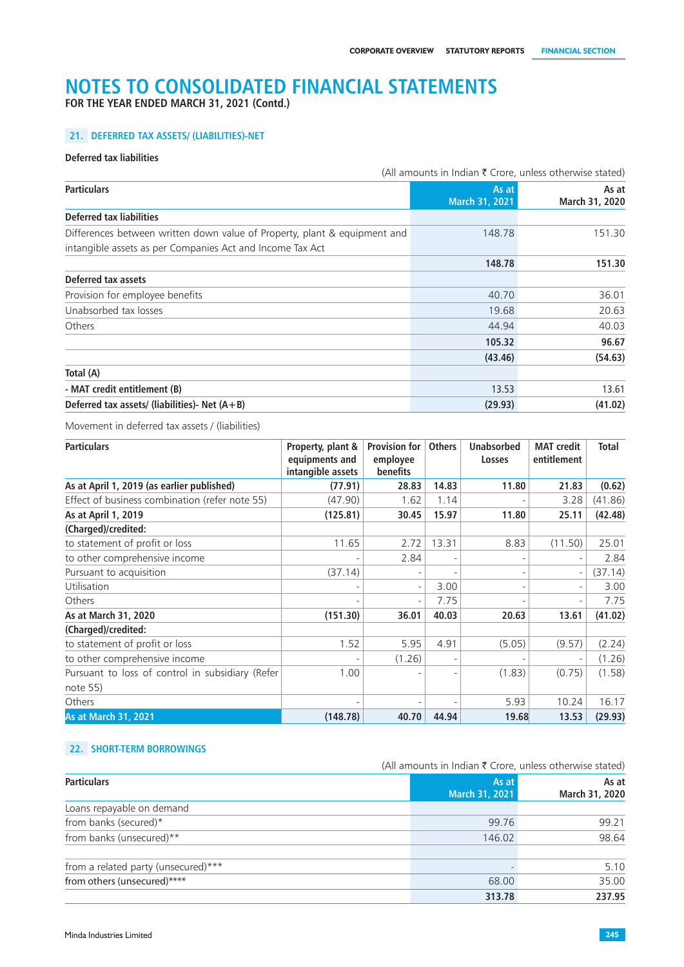**FOR THE YEAR ENDED MARCH 31, 2021 (Contd.)**

## **21. DEFERRED TAX ASSETS/ (LIABILITIES)-NET**

#### **Deferred tax liabilities**

|                                                                           | (All amounts in Indian ₹ Crore, unless otherwise stated) |                         |  |
|---------------------------------------------------------------------------|----------------------------------------------------------|-------------------------|--|
| <b>Particulars</b>                                                        | As at<br>March 31, 2021                                  | As at<br>March 31, 2020 |  |
| <b>Deferred tax liabilities</b>                                           |                                                          |                         |  |
| Differences between written down value of Property, plant & equipment and | 148.78                                                   | 151.30                  |  |
| intangible assets as per Companies Act and Income Tax Act                 |                                                          |                         |  |
|                                                                           | 148.78                                                   | 151.30                  |  |
| Deferred tax assets                                                       |                                                          |                         |  |
| Provision for employee benefits                                           | 40.70                                                    | 36.01                   |  |
| Unabsorbed tax losses                                                     | 19.68                                                    | 20.63                   |  |
| Others                                                                    | 44.94                                                    | 40.03                   |  |
|                                                                           | 105.32                                                   | 96.67                   |  |
|                                                                           | (43.46)                                                  | (54.63)                 |  |
| Total (A)                                                                 |                                                          |                         |  |
| - MAT credit entitlement (B)                                              | 13.53                                                    | 13.61                   |  |
| Deferred tax assets/ (liabilities)- Net $(A + B)$<br>(29.93)              |                                                          | (41.02)                 |  |

Movement in deferred tax assets / (liabilities)

| <b>Particulars</b>                               | Property, plant &<br>equipments and | <b>Provision for</b><br>employee | <b>Others</b> | <b>Unabsorbed</b><br>Losses | <b>MAT</b> credit<br>entitlement | <b>Total</b> |
|--------------------------------------------------|-------------------------------------|----------------------------------|---------------|-----------------------------|----------------------------------|--------------|
|                                                  | intangible assets                   | benefits                         |               |                             |                                  |              |
| As at April 1, 2019 (as earlier published)       | (77.91)                             | 28.83                            | 14.83         | 11.80                       | 21.83                            | (0.62)       |
| Effect of business combination (refer note 55)   | (47.90)                             | 1.62                             | 1.14          |                             | 3.28                             | (41.86)      |
| As at April 1, 2019                              | (125.81)                            | 30.45                            | 15.97         | 11.80                       | 25.11                            | (42.48)      |
| (Charged)/credited:                              |                                     |                                  |               |                             |                                  |              |
| to statement of profit or loss                   | 11.65                               | 2.72                             | 13.31         | 8.83                        | (11.50)                          | 25.01        |
| to other comprehensive income                    |                                     | 2.84                             |               |                             | $\overline{a}$                   | 2.84         |
| Pursuant to acquisition                          | (37.14)                             |                                  |               |                             | $\overline{a}$                   | (37.14)      |
| Utilisation                                      |                                     | $\overline{\phantom{a}}$         | 3.00          |                             | $\overline{a}$                   | 3.00         |
| Others                                           |                                     | $\overline{\phantom{a}}$         | 7.75          |                             | $\overline{a}$                   | 7.75         |
| As at March 31, 2020                             | (151.30)                            | 36.01                            | 40.03         | 20.63                       | 13.61                            | (41.02)      |
| (Charged)/credited:                              |                                     |                                  |               |                             |                                  |              |
| to statement of profit or loss                   | 1.52                                | 5.95                             | 4.91          | (5.05)                      | (9.57)                           | (2.24)       |
| to other comprehensive income                    |                                     | (1.26)                           |               |                             | $\overline{a}$                   | (1.26)       |
| Pursuant to loss of control in subsidiary (Refer | 1.00                                |                                  |               | (1.83)                      | (0.75)                           | (1.58)       |
| note 55)                                         |                                     |                                  |               |                             |                                  |              |
| Others                                           |                                     |                                  |               | 5.93                        | 10.24                            | 16.17        |
| <b>As at March 31, 2021</b>                      | (148.78)                            | 40.70                            | 44.94         | 19.68                       | 13.53                            | (29.93)      |

## **22. SHORT-TERM BORROWINGS**

|                                     | (All amounts in Indian ₹ Crore, unless otherwise stated) |                         |
|-------------------------------------|----------------------------------------------------------|-------------------------|
| <b>Particulars</b>                  | As at<br>March 31, 2021                                  | As at<br>March 31, 2020 |
| Loans repayable on demand           |                                                          |                         |
| from banks (secured)*               | 99.76                                                    | 99.21                   |
| from banks (unsecured)**            | 146.02                                                   | 98.64                   |
| from a related party (unsecured)*** |                                                          | 5.10                    |
| from others (unsecured)*****        | 68.00                                                    | 35.00                   |
|                                     | 313.78                                                   | 237.95                  |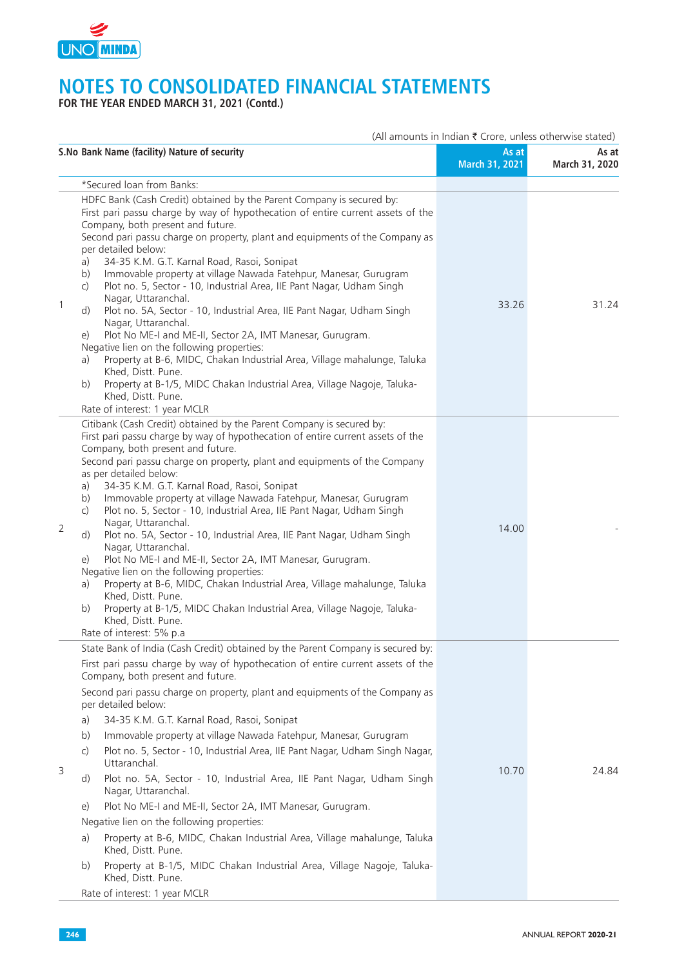

**FOR THE YEAR ENDED MARCH 31, 2021 (Contd.)**

|                | S. No Bank Name (facility) Nature of security                                                                                                                                                                                                                                                                                                                                                                                                                                                                                                                                                                                                                                                                                                                                                                                                                                                                                                                                                                                         | As at<br>March 31, 2021 | As at<br>March 31, 2020 |
|----------------|---------------------------------------------------------------------------------------------------------------------------------------------------------------------------------------------------------------------------------------------------------------------------------------------------------------------------------------------------------------------------------------------------------------------------------------------------------------------------------------------------------------------------------------------------------------------------------------------------------------------------------------------------------------------------------------------------------------------------------------------------------------------------------------------------------------------------------------------------------------------------------------------------------------------------------------------------------------------------------------------------------------------------------------|-------------------------|-------------------------|
|                | *Secured loan from Banks:                                                                                                                                                                                                                                                                                                                                                                                                                                                                                                                                                                                                                                                                                                                                                                                                                                                                                                                                                                                                             |                         |                         |
| $\mathbf{1}$   | HDFC Bank (Cash Credit) obtained by the Parent Company is secured by:<br>First pari passu charge by way of hypothecation of entire current assets of the<br>Company, both present and future.<br>Second pari passu charge on property, plant and equipments of the Company as<br>per detailed below:<br>34-35 K.M. G.T. Karnal Road, Rasoi, Sonipat<br>a)<br>Immovable property at village Nawada Fatehpur, Manesar, Gurugram<br>b)<br>Plot no. 5, Sector - 10, Industrial Area, IIE Pant Nagar, Udham Singh<br>$\mathsf{C}$<br>Nagar, Uttaranchal.<br>Plot no. 5A, Sector - 10, Industrial Area, IIE Pant Nagar, Udham Singh<br>d)<br>Nagar, Uttaranchal.<br>Plot No ME-I and ME-II, Sector 2A, IMT Manesar, Gurugram.<br>e)<br>Negative lien on the following properties:<br>Property at B-6, MIDC, Chakan Industrial Area, Village mahalunge, Taluka<br>a)<br>Khed, Distt. Pune.<br>Property at B-1/5, MIDC Chakan Industrial Area, Village Nagoje, Taluka-<br>b)<br>Khed, Distt. Pune.<br>Rate of interest: 1 year MCLR           | 33.26                   | 31.24                   |
| $\overline{2}$ | Citibank (Cash Credit) obtained by the Parent Company is secured by:<br>First pari passu charge by way of hypothecation of entire current assets of the<br>Company, both present and future.<br>Second pari passu charge on property, plant and equipments of the Company<br>as per detailed below:<br>34-35 K.M. G.T. Karnal Road, Rasoi, Sonipat<br>a)<br>Immovable property at village Nawada Fatehpur, Manesar, Gurugram<br>b)<br>Plot no. 5, Sector - 10, Industrial Area, IIE Pant Nagar, Udham Singh<br>C)<br>Nagar, Uttaranchal.<br>Plot no. 5A, Sector - 10, Industrial Area, IIE Pant Nagar, Udham Singh<br>d)<br>Nagar, Uttaranchal.<br>Plot No ME-I and ME-II, Sector 2A, IMT Manesar, Gurugram.<br>e)<br>Negative lien on the following properties:<br>Property at B-6, MIDC, Chakan Industrial Area, Village mahalunge, Taluka<br>a)<br>Khed, Distt. Pune.<br>Property at B-1/5, MIDC Chakan Industrial Area, Village Nagoje, Taluka-<br>b)<br>Khed, Distt. Pune.<br>Rate of interest: 5% p.a                           | 14.00                   |                         |
| 3              | State Bank of India (Cash Credit) obtained by the Parent Company is secured by:<br>First pari passu charge by way of hypothecation of entire current assets of the<br>Company, both present and future.<br>Second pari passu charge on property, plant and equipments of the Company as<br>per detailed below:<br>34-35 K.M. G.T. Karnal Road, Rasoi, Sonipat<br>a)<br>Immovable property at village Nawada Fatehpur, Manesar, Gurugram<br>b)<br>Plot no. 5, Sector - 10, Industrial Area, IIE Pant Nagar, Udham Singh Nagar,<br>$\mathsf{C}$<br>Uttaranchal.<br>Plot no. 5A, Sector - 10, Industrial Area, IIE Pant Nagar, Udham Singh<br>d)<br>Nagar, Uttaranchal.<br>Plot No ME-I and ME-II, Sector 2A, IMT Manesar, Gurugram.<br>e)<br>Negative lien on the following properties:<br>Property at B-6, MIDC, Chakan Industrial Area, Village mahalunge, Taluka<br>a)<br>Khed, Distt. Pune.<br>Property at B-1/5, MIDC Chakan Industrial Area, Village Nagoje, Taluka-<br>b)<br>Khed, Distt. Pune.<br>Rate of interest: 1 year MCLR | 10.70                   | 24.84                   |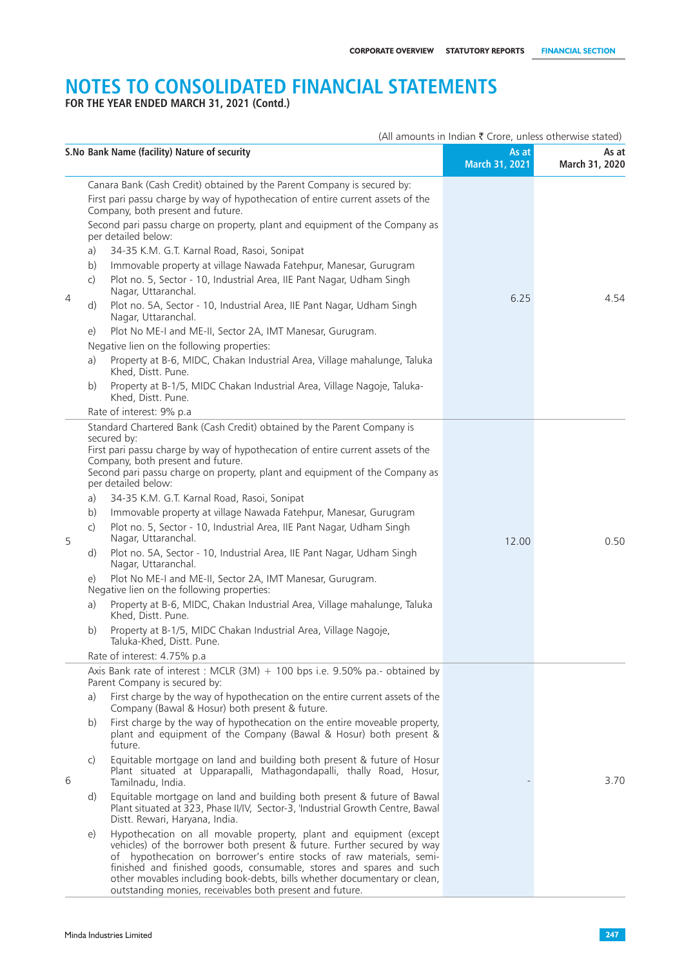**FOR THE YEAR ENDED MARCH 31, 2021 (Contd.)**

|   |                                                  | S.No Bank Name (facility) Nature of security                                                                                                                                                                                                                                                                                                                                                                                                                                                                                                                                                                                                                                                                                                                                                                                                                                                                                                                                                                                                                                                                                                                                                                               | As at<br>March 31, 2021 | As at<br>March 31, 2020 |
|---|--------------------------------------------------|----------------------------------------------------------------------------------------------------------------------------------------------------------------------------------------------------------------------------------------------------------------------------------------------------------------------------------------------------------------------------------------------------------------------------------------------------------------------------------------------------------------------------------------------------------------------------------------------------------------------------------------------------------------------------------------------------------------------------------------------------------------------------------------------------------------------------------------------------------------------------------------------------------------------------------------------------------------------------------------------------------------------------------------------------------------------------------------------------------------------------------------------------------------------------------------------------------------------------|-------------------------|-------------------------|
| 4 | a)<br>b)<br>$\mathsf{C}$<br>d)<br>e)<br>a)<br>b) | Canara Bank (Cash Credit) obtained by the Parent Company is secured by:<br>First pari passu charge by way of hypothecation of entire current assets of the<br>Company, both present and future.<br>Second pari passu charge on property, plant and equipment of the Company as<br>per detailed below:<br>34-35 K.M. G.T. Karnal Road, Rasoi, Sonipat<br>Immovable property at village Nawada Fatehpur, Manesar, Gurugram<br>Plot no. 5, Sector - 10, Industrial Area, IIE Pant Nagar, Udham Singh<br>Nagar, Uttaranchal.<br>Plot no. 5A, Sector - 10, Industrial Area, IIE Pant Nagar, Udham Singh<br>Nagar, Uttaranchal.<br>Plot No ME-I and ME-II, Sector 2A, IMT Manesar, Gurugram.<br>Negative lien on the following properties:<br>Property at B-6, MIDC, Chakan Industrial Area, Village mahalunge, Taluka<br>Khed, Distt. Pune.<br>Property at B-1/5, MIDC Chakan Industrial Area, Village Nagoje, Taluka-                                                                                                                                                                                                                                                                                                          | 6.25                    | 4.54                    |
|   |                                                  | Khed, Distt. Pune.<br>Rate of interest: 9% p.a                                                                                                                                                                                                                                                                                                                                                                                                                                                                                                                                                                                                                                                                                                                                                                                                                                                                                                                                                                                                                                                                                                                                                                             |                         |                         |
| 5 | a)<br>b)<br>C)<br>d)<br>e)<br>a)<br>b)           | Standard Chartered Bank (Cash Credit) obtained by the Parent Company is<br>secured by:<br>First pari passu charge by way of hypothecation of entire current assets of the<br>Company, both present and future.<br>Second pari passu charge on property, plant and equipment of the Company as<br>per detailed below:<br>34-35 K.M. G.T. Karnal Road, Rasoi, Sonipat<br>Immovable property at village Nawada Fatehpur, Manesar, Gurugram<br>Plot no. 5, Sector - 10, Industrial Area, IIE Pant Nagar, Udham Singh<br>Nagar, Uttaranchal.<br>Plot no. 5A, Sector - 10, Industrial Area, IIE Pant Nagar, Udham Singh<br>Nagar, Uttaranchal.<br>Plot No ME-I and ME-II, Sector 2A, IMT Manesar, Gurugram.<br>Negative lien on the following properties:<br>Property at B-6, MIDC, Chakan Industrial Area, Village mahalunge, Taluka<br>Khed, Distt. Pune.<br>Property at B-1/5, MIDC Chakan Industrial Area, Village Nagoje,<br>Taluka-Khed, Distt. Pune.<br>Rate of interest: 4.75% p.a.                                                                                                                                                                                                                                      | 12.00                   | 0.50                    |
| 6 | a)<br>b)<br>C)<br>d)<br>e)                       | Axis Bank rate of interest : MCLR $(3M) + 100$ bps i.e. 9.50% pa.- obtained by<br>Parent Company is secured by:<br>First charge by the way of hypothecation on the entire current assets of the<br>Company (Bawal & Hosur) both present & future.<br>First charge by the way of hypothecation on the entire moveable property,<br>plant and equipment of the Company (Bawal & Hosur) both present &<br>future.<br>Equitable mortgage on land and building both present & future of Hosur<br>Plant situated at Upparapalli, Mathagondapalli, thally Road, Hosur,<br>Tamilnadu, India.<br>Equitable mortgage on land and building both present & future of Bawal<br>Plant situated at 323, Phase II/IV, Sector-3, 'Industrial Growth Centre, Bawal<br>Distt. Rewari, Haryana, India.<br>Hypothecation on all movable property, plant and equipment (except<br>vehicles) of the borrower both present & future. Further secured by way<br>of hypothecation on borrower's entire stocks of raw materials, semi-<br>finished and finished goods, consumable, stores and spares and such<br>other movables including book-debts, bills whether documentary or clean,<br>outstanding monies, receivables both present and future. |                         | 3.70                    |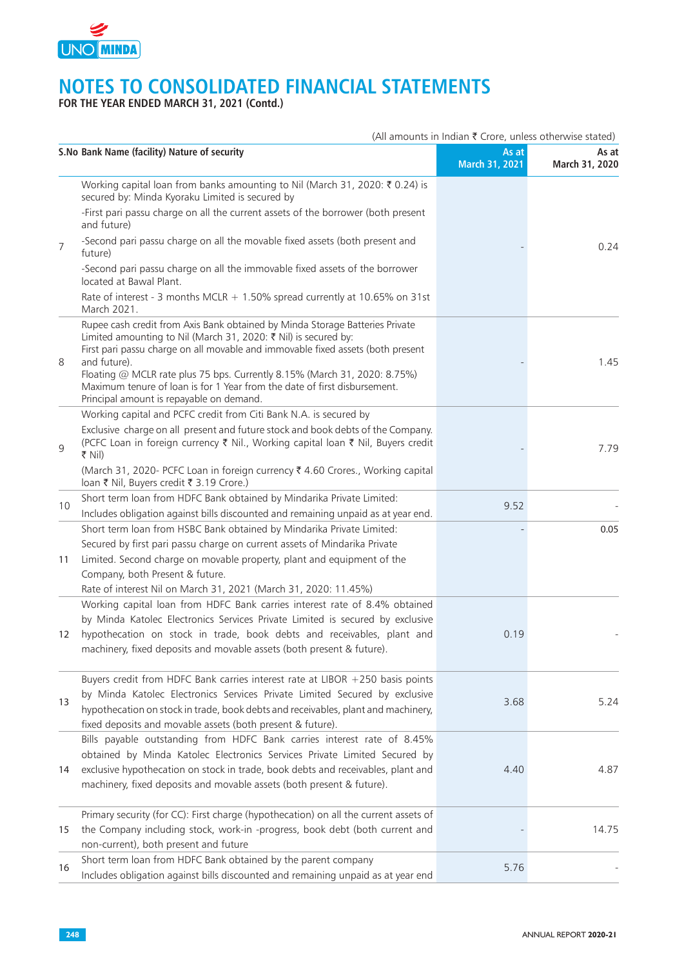

**FOR THE YEAR ENDED MARCH 31, 2021 (Contd.)**

|                | (All amounts in Indian ₹ Crore, unless otherwise stated)                                                                                                                                                                                                                                                                                                                                                                                                 |                         |                         |  |
|----------------|----------------------------------------------------------------------------------------------------------------------------------------------------------------------------------------------------------------------------------------------------------------------------------------------------------------------------------------------------------------------------------------------------------------------------------------------------------|-------------------------|-------------------------|--|
|                | S. No Bank Name (facility) Nature of security                                                                                                                                                                                                                                                                                                                                                                                                            | As at<br>March 31, 2021 | As at<br>March 31, 2020 |  |
|                | Working capital loan from banks amounting to Nil (March 31, 2020: ₹ 0.24) is<br>secured by: Minda Kyoraku Limited is secured by                                                                                                                                                                                                                                                                                                                          |                         |                         |  |
|                | -First pari passu charge on all the current assets of the borrower (both present<br>and future)                                                                                                                                                                                                                                                                                                                                                          |                         |                         |  |
| $\overline{7}$ | -Second pari passu charge on all the movable fixed assets (both present and<br>future)                                                                                                                                                                                                                                                                                                                                                                   |                         | 0.24                    |  |
|                | -Second pari passu charge on all the immovable fixed assets of the borrower<br>located at Bawal Plant.                                                                                                                                                                                                                                                                                                                                                   |                         |                         |  |
|                | Rate of interest - 3 months MCLR $+$ 1.50% spread currently at 10.65% on 31st<br>March 2021.                                                                                                                                                                                                                                                                                                                                                             |                         |                         |  |
| 8              | Rupee cash credit from Axis Bank obtained by Minda Storage Batteries Private<br>Limited amounting to Nil (March 31, 2020: ₹ Nil) is secured by:<br>First pari passu charge on all movable and immovable fixed assets (both present<br>and future).<br>Floating @ MCLR rate plus 75 bps. Currently 8.15% (March 31, 2020: 8.75%)<br>Maximum tenure of loan is for 1 Year from the date of first disbursement.<br>Principal amount is repayable on demand. |                         | 1.45                    |  |
|                | Working capital and PCFC credit from Citi Bank N.A. is secured by                                                                                                                                                                                                                                                                                                                                                                                        |                         |                         |  |
| 9              | Exclusive charge on all present and future stock and book debts of the Company.<br>(PCFC Loan in foreign currency ₹ Nil., Working capital loan ₹ Nil, Buyers credit<br>₹ Nil)                                                                                                                                                                                                                                                                            |                         | 7.79                    |  |
|                | (March 31, 2020- PCFC Loan in foreign currency ₹ 4.60 Crores., Working capital<br>loan ₹ Nil, Buyers credit ₹ 3.19 Crore.)                                                                                                                                                                                                                                                                                                                               |                         |                         |  |
| 10             | Short term loan from HDFC Bank obtained by Mindarika Private Limited:                                                                                                                                                                                                                                                                                                                                                                                    | 9.52                    |                         |  |
|                | Includes obligation against bills discounted and remaining unpaid as at year end.                                                                                                                                                                                                                                                                                                                                                                        |                         |                         |  |
|                | Short term loan from HSBC Bank obtained by Mindarika Private Limited:                                                                                                                                                                                                                                                                                                                                                                                    |                         | 0.05                    |  |
|                | Secured by first pari passu charge on current assets of Mindarika Private                                                                                                                                                                                                                                                                                                                                                                                |                         |                         |  |
| 11             | Limited. Second charge on movable property, plant and equipment of the                                                                                                                                                                                                                                                                                                                                                                                   |                         |                         |  |
|                | Company, both Present & future.                                                                                                                                                                                                                                                                                                                                                                                                                          |                         |                         |  |
|                | Rate of interest Nil on March 31, 2021 (March 31, 2020: 11.45%)                                                                                                                                                                                                                                                                                                                                                                                          |                         |                         |  |
|                | Working capital loan from HDFC Bank carries interest rate of 8.4% obtained                                                                                                                                                                                                                                                                                                                                                                               |                         |                         |  |
|                | by Minda Katolec Electronics Services Private Limited is secured by exclusive                                                                                                                                                                                                                                                                                                                                                                            |                         |                         |  |
| 12             | hypothecation on stock in trade, book debts and receivables, plant and<br>machinery, fixed deposits and movable assets (both present & future).                                                                                                                                                                                                                                                                                                          | 0.19                    |                         |  |
|                | Buyers credit from HDFC Bank carries interest rate at LIBOR +250 basis points                                                                                                                                                                                                                                                                                                                                                                            |                         |                         |  |
|                | by Minda Katolec Electronics Services Private Limited Secured by exclusive                                                                                                                                                                                                                                                                                                                                                                               |                         |                         |  |
| 13             | hypothecation on stock in trade, book debts and receivables, plant and machinery,                                                                                                                                                                                                                                                                                                                                                                        | 3.68                    | 5.24                    |  |
|                | fixed deposits and movable assets (both present & future).                                                                                                                                                                                                                                                                                                                                                                                               |                         |                         |  |
|                | Bills payable outstanding from HDFC Bank carries interest rate of 8.45%                                                                                                                                                                                                                                                                                                                                                                                  |                         |                         |  |
|                | obtained by Minda Katolec Electronics Services Private Limited Secured by                                                                                                                                                                                                                                                                                                                                                                                |                         |                         |  |
| 14             | exclusive hypothecation on stock in trade, book debts and receivables, plant and<br>machinery, fixed deposits and movable assets (both present & future).                                                                                                                                                                                                                                                                                                | 4.40                    | 4.87                    |  |
|                | Primary security (for CC): First charge (hypothecation) on all the current assets of                                                                                                                                                                                                                                                                                                                                                                     |                         |                         |  |
| 15             | the Company including stock, work-in -progress, book debt (both current and<br>non-current), both present and future                                                                                                                                                                                                                                                                                                                                     |                         | 14.75                   |  |
| 16             | Short term loan from HDFC Bank obtained by the parent company<br>Includes obligation against bills discounted and remaining unpaid as at year end                                                                                                                                                                                                                                                                                                        | 5.76                    |                         |  |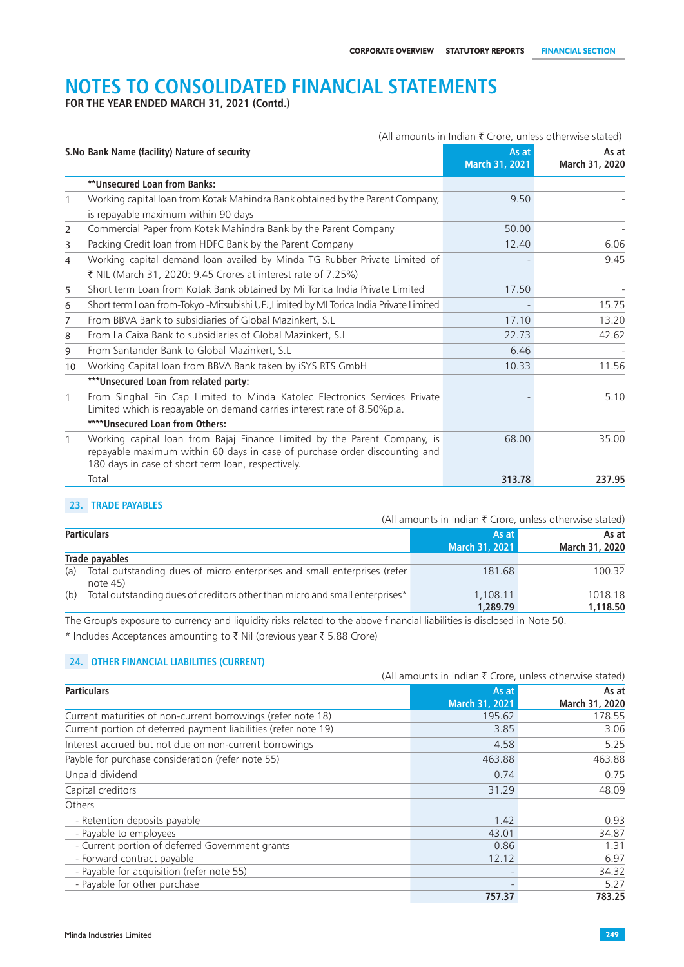**FOR THE YEAR ENDED MARCH 31, 2021 (Contd.)**

| (All amounts in Indian $\bar{\tau}$ Crore, unless otherwise stated)                    |                                                                                                                                                                                                                                          |                         |  |  |
|----------------------------------------------------------------------------------------|------------------------------------------------------------------------------------------------------------------------------------------------------------------------------------------------------------------------------------------|-------------------------|--|--|
|                                                                                        | As at<br>March 31, 2021                                                                                                                                                                                                                  | As at<br>March 31, 2020 |  |  |
| **Unsecured Loan from Banks:                                                           |                                                                                                                                                                                                                                          |                         |  |  |
| Working capital loan from Kotak Mahindra Bank obtained by the Parent Company,          | 9.50                                                                                                                                                                                                                                     |                         |  |  |
| is repayable maximum within 90 days                                                    |                                                                                                                                                                                                                                          |                         |  |  |
| Commercial Paper from Kotak Mahindra Bank by the Parent Company                        | 50.00                                                                                                                                                                                                                                    |                         |  |  |
| Packing Credit loan from HDFC Bank by the Parent Company                               | 12.40                                                                                                                                                                                                                                    | 6.06                    |  |  |
| Working capital demand loan availed by Minda TG Rubber Private Limited of              |                                                                                                                                                                                                                                          | 9.45                    |  |  |
| ₹ NIL (March 31, 2020: 9.45 Crores at interest rate of 7.25%)                          |                                                                                                                                                                                                                                          |                         |  |  |
| Short term Loan from Kotak Bank obtained by Mi Torica India Private Limited            | 17.50                                                                                                                                                                                                                                    |                         |  |  |
| Short term Loan from-Tokyo -Mitsubishi UFJ, Limited by MI Torica India Private Limited |                                                                                                                                                                                                                                          | 15.75                   |  |  |
| From BBVA Bank to subsidiaries of Global Mazinkert, S.L.                               | 17.10                                                                                                                                                                                                                                    | 13.20                   |  |  |
| From La Caixa Bank to subsidiaries of Global Mazinkert, S.L.                           | 22.73                                                                                                                                                                                                                                    | 42.62                   |  |  |
| From Santander Bank to Global Mazinkert, S.L.                                          | 6.46                                                                                                                                                                                                                                     |                         |  |  |
| Working Capital loan from BBVA Bank taken by iSYS RTS GmbH                             | 10.33                                                                                                                                                                                                                                    | 11.56                   |  |  |
| *** Unsecured Loan from related party:                                                 |                                                                                                                                                                                                                                          |                         |  |  |
| From Singhal Fin Cap Limited to Minda Katolec Electronics Services Private             |                                                                                                                                                                                                                                          | 5.10                    |  |  |
|                                                                                        |                                                                                                                                                                                                                                          |                         |  |  |
|                                                                                        |                                                                                                                                                                                                                                          |                         |  |  |
| Working capital loan from Bajaj Finance Limited by the Parent Company, is              | 68.00                                                                                                                                                                                                                                    | 35.00                   |  |  |
| 180 days in case of short term loan, respectively.                                     |                                                                                                                                                                                                                                          |                         |  |  |
| Total                                                                                  | 313.78                                                                                                                                                                                                                                   | 237.95                  |  |  |
|                                                                                        | S.No Bank Name (facility) Nature of security<br>Limited which is repayable on demand carries interest rate of 8.50%p.a.<br>****Unsecured Loan from Others:<br>repayable maximum within 60 days in case of purchase order discounting and |                         |  |  |

### **23. TRADE PAYABLES**

|                                                                                               | (All amounts in Indian $\bar{\tau}$ Crore, unless otherwise stated) |                         |
|-----------------------------------------------------------------------------------------------|---------------------------------------------------------------------|-------------------------|
| <b>Particulars</b>                                                                            | As at<br>March 31, 2021                                             | As at<br>March 31, 2020 |
| Trade payables                                                                                |                                                                     |                         |
| Total outstanding dues of micro enterprises and small enterprises (refer<br>(a)<br>note $45)$ | 181.68                                                              | 100.32                  |
| (b)<br>Total outstanding dues of creditors other than micro and small enterprises*            | 1,108.11<br>1,289.79                                                | 1018.18<br>1,118.50     |

The Group's exposure to currency and liquidity risks related to the above financial liabilities is disclosed in Note 50. \* Includes Acceptances amounting to  $\bar{\tau}$  Nil (previous year  $\bar{\tau}$  5.88 Crore)

### **24. OTHER FINANCIAL LIABILITIES (CURRENT)**

|                                                                 | (All amounts in Indian ₹ Crore, unless otherwise stated) |                |
|-----------------------------------------------------------------|----------------------------------------------------------|----------------|
| <b>Particulars</b>                                              | As at                                                    | As at          |
|                                                                 | March 31, 2021                                           | March 31, 2020 |
| Current maturities of non-current borrowings (refer note 18)    | 195.62                                                   | 178.55         |
| Current portion of deferred payment liabilities (refer note 19) | 3.85                                                     | 3.06           |
| Interest accrued but not due on non-current borrowings          | 4.58                                                     | 5.25           |
| Payble for purchase consideration (refer note 55)               | 463.88                                                   | 463.88         |
| Unpaid dividend                                                 | 0.74                                                     | 0.75           |
| Capital creditors                                               | 31.29                                                    | 48.09          |
| Others                                                          |                                                          |                |
| - Retention deposits payable                                    | 1.42                                                     | 0.93           |
| - Payable to employees                                          | 43.01                                                    | 34.87          |
| - Current portion of deferred Government grants                 | 0.86                                                     | 1.31           |
| - Forward contract payable                                      | 12.12                                                    | 6.97           |
| - Payable for acquisition (refer note 55)                       |                                                          | 34.32          |
| - Payable for other purchase                                    |                                                          | 5.27           |
|                                                                 | 757.37                                                   | 783.25         |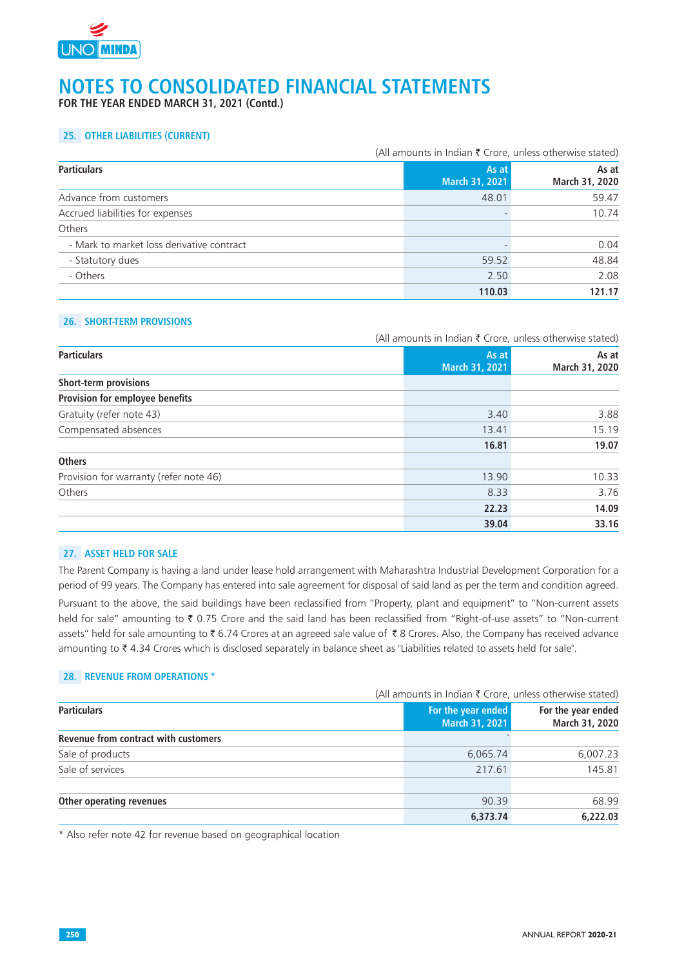

**FOR THE YEAR ENDED MARCH 31, 2021 (Contd.)**

## **25. OTHER LIABILITIES (CURRENT)**

|                                           | (All amounts in Indian ₹ Crore, unless otherwise stated) |                         |
|-------------------------------------------|----------------------------------------------------------|-------------------------|
| <b>Particulars</b>                        | As at<br>March 31, 2021                                  | As at<br>March 31, 2020 |
| Advance from customers                    | 48.01                                                    | 59.47                   |
| Accrued liabilities for expenses          |                                                          | 10.74                   |
| Others                                    |                                                          |                         |
| - Mark to market loss derivative contract |                                                          | 0.04                    |
| - Statutory dues                          | 59.52                                                    | 48.84                   |
| - Others                                  | 2.50                                                     | 2.08                    |
|                                           | 110.03                                                   | 121.17                  |

## **26. SHORT-TERM PROVISIONS**

|                                        |                         | (All amounts in Indian ₹ Crore, unless otherwise stated) |  |
|----------------------------------------|-------------------------|----------------------------------------------------------|--|
| <b>Particulars</b>                     | As at<br>March 31, 2021 | As at<br>March 31, 2020                                  |  |
| Short-term provisions                  |                         |                                                          |  |
| Provision for employee benefits        |                         |                                                          |  |
| Gratuity (refer note 43)               | 3.40                    | 3.88                                                     |  |
| Compensated absences                   | 13.41                   | 15.19                                                    |  |
|                                        | 16.81                   | 19.07                                                    |  |
| <b>Others</b>                          |                         |                                                          |  |
| Provision for warranty (refer note 46) | 13.90                   | 10.33                                                    |  |
| Others                                 | 8.33                    | 3.76                                                     |  |
|                                        | 22.23                   | 14.09                                                    |  |
|                                        | 39.04                   | 33.16                                                    |  |

#### **27. ASSET HELD FOR SALE**

The Parent Company is having a land under lease hold arrangement with Maharashtra Industrial Development Corporation for a period of 99 years. The Company has entered into sale agreement for disposal of said land as per the term and condition agreed.

Pursuant to the above, the said buildings have been reclassified from "Property, plant and equipment" to "Non-current assets held for sale" amounting to ₹ 0.75 Crore and the said land has been reclassified from "Right-of-use assets" to "Non-current assets" held for sale amounting to ₹6.74 Crores at an agreeed sale value of ₹8 Crores. Also, the Company has received advance amounting to ₹4.34 Crores which is disclosed separately in balance sheet as "Liabilities related to assets held for sale".

### **28. REVENUE FROM OPERATIONS \***

|                                      |                                      | (All amounts in Indian ₹ Crore, unless otherwise stated) |  |
|--------------------------------------|--------------------------------------|----------------------------------------------------------|--|
| <b>Particulars</b>                   | For the year ended<br>March 31, 2021 | For the year ended<br>March 31, 2020                     |  |
| Revenue from contract with customers |                                      |                                                          |  |
| Sale of products                     | 6,065.74                             | 6,007.23                                                 |  |
| Sale of services                     | 217.61                               | 145.81                                                   |  |
| Other operating revenues             | 90.39                                | 68.99                                                    |  |
|                                      | 6,373.74                             | 6.222.03                                                 |  |

\* Also refer note 42 for revenue based on geographical location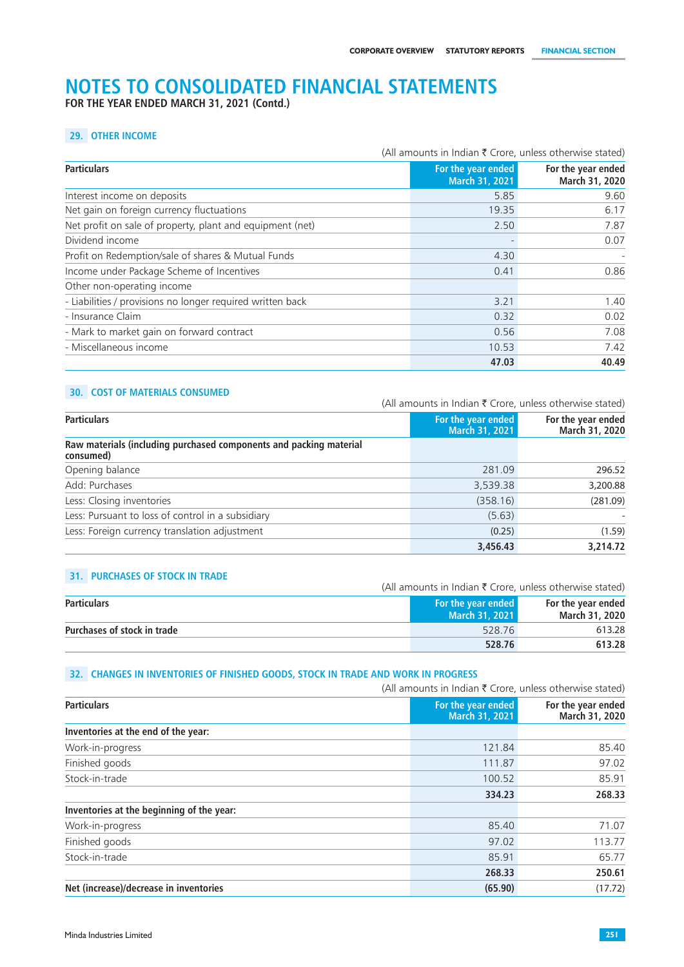**FOR THE YEAR ENDED MARCH 31, 2021 (Contd.)**

## **29. OTHER INCOME**

|                                                            |  | (All amounts in Indian ₹ Crore, unless otherwise stated) |                                      |
|------------------------------------------------------------|--|----------------------------------------------------------|--------------------------------------|
| <b>Particulars</b>                                         |  | For the year ended<br><b>March 31, 2021</b>              | For the year ended<br>March 31, 2020 |
| Interest income on deposits                                |  | 5.85                                                     | 9.60                                 |
| Net gain on foreign currency fluctuations                  |  | 19.35                                                    | 6.17                                 |
| Net profit on sale of property, plant and equipment (net)  |  | 2.50                                                     | 7.87                                 |
| Dividend income                                            |  |                                                          | 0.07                                 |
| Profit on Redemption/sale of shares & Mutual Funds         |  | 4.30                                                     |                                      |
| Income under Package Scheme of Incentives                  |  | 0.41                                                     | 0.86                                 |
| Other non-operating income                                 |  |                                                          |                                      |
| - Liabilities / provisions no longer required written back |  | 3.21                                                     | 1.40                                 |
| - Insurance Claim                                          |  | 0.32                                                     | 0.02                                 |
| - Mark to market gain on forward contract                  |  | 0.56                                                     | 7.08                                 |
| - Miscellaneous income                                     |  | 10.53                                                    | 7.42                                 |
|                                                            |  | 47.03                                                    | 40.49                                |

## **30. COST OF MATERIALS CONSUMED**

|                                                                                 | (All amounts in Indian ₹ Crore, unless otherwise stated) |                                      |
|---------------------------------------------------------------------------------|----------------------------------------------------------|--------------------------------------|
| <b>Particulars</b>                                                              | For the year ended<br><b>March 31, 2021</b>              | For the year ended<br>March 31, 2020 |
| Raw materials (including purchased components and packing material<br>consumed) |                                                          |                                      |
| Opening balance                                                                 | 281.09                                                   | 296.52                               |
| Add: Purchases                                                                  | 3,539.38                                                 | 3,200.88                             |
| Less: Closing inventories                                                       | (358.16)                                                 | (281.09)                             |
| Less: Pursuant to loss of control in a subsidiary                               | (5.63)                                                   |                                      |
| Less: Foreign currency translation adjustment                                   | (0.25)                                                   | (1.59)                               |
|                                                                                 | 3,456.43                                                 | 3,214.72                             |

## **31. PURCHASES OF STOCK IN TRADE**

| <b>JI. FUNCHAJLJ UL JIUCK IN HAPL</b><br>(All amounts in Indian $\bar{\tau}$ Crore, unless otherwise stated) |                                             |                                      |
|--------------------------------------------------------------------------------------------------------------|---------------------------------------------|--------------------------------------|
| <b>Particulars</b>                                                                                           | <b>For the year ended</b><br>March 31, 2021 | For the year ended<br>March 31, 2020 |
| <b>Purchases of stock in trade</b>                                                                           | 528.76                                      | 613.28                               |
|                                                                                                              | 528.76                                      | 613.28                               |

#### **32. CHANGES IN INVENTORIES OF FINISHED GOODS, STOCK IN TRADE AND WORK IN PROGRESS**

|                                           | (All amounts in Indian $\bar{\tau}$ Crore, unless otherwise stated) |                                      |
|-------------------------------------------|---------------------------------------------------------------------|--------------------------------------|
| <b>Particulars</b>                        | For the year ended<br>March 31, 2021                                | For the year ended<br>March 31, 2020 |
| Inventories at the end of the year:       |                                                                     |                                      |
| Work-in-progress                          | 121.84                                                              | 85.40                                |
| Finished goods                            | 111.87                                                              | 97.02                                |
| Stock-in-trade                            | 100.52                                                              | 85.91                                |
|                                           | 334.23                                                              | 268.33                               |
| Inventories at the beginning of the year: |                                                                     |                                      |
| Work-in-progress                          | 85.40                                                               | 71.07                                |
| Finished goods                            | 97.02                                                               | 113.77                               |
| Stock-in-trade                            | 85.91                                                               | 65.77                                |
|                                           | 268.33                                                              | 250.61                               |
| Net (increase)/decrease in inventories    | (65.90)                                                             | (17.72)                              |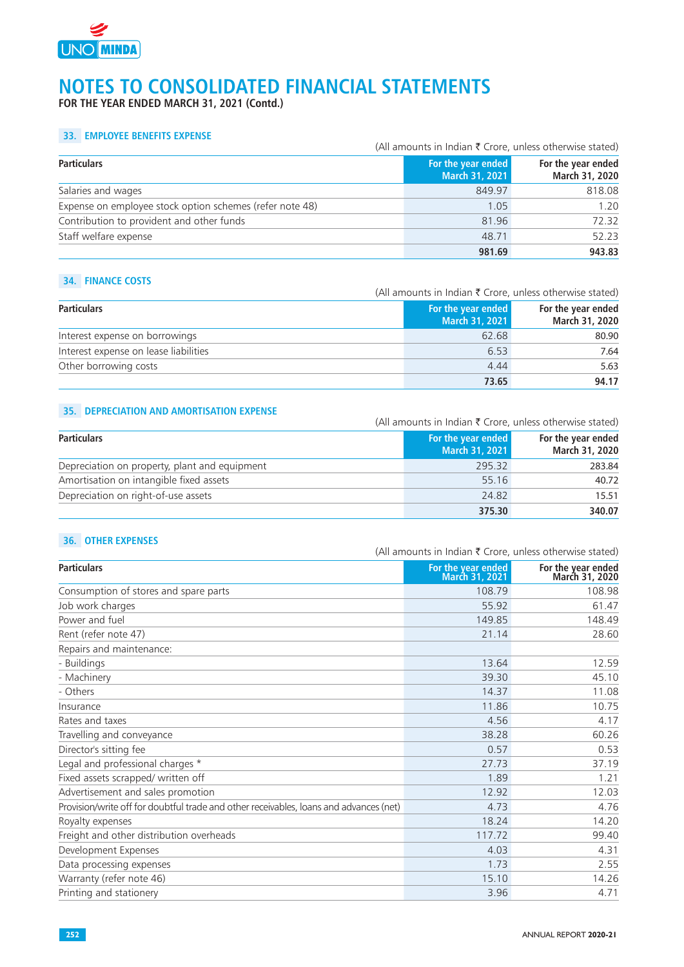

**FOR THE YEAR ENDED MARCH 31, 2021 (Contd.)**

### **33. EMPLOYEE BENEFITS EXPENSE**

|                                                          | (All amounts in Indian $\bar{\tau}$ Crore, unless otherwise stated) |                                      |
|----------------------------------------------------------|---------------------------------------------------------------------|--------------------------------------|
| <b>Particulars</b>                                       | For the year ended<br>March 31, 2021                                | For the year ended<br>March 31, 2020 |
| Salaries and wages                                       | 849.97                                                              | 818.08                               |
| Expense on employee stock option schemes (refer note 48) | 1.05                                                                | 1.20                                 |
| Contribution to provident and other funds                | 81.96                                                               | 72.32                                |
| Staff welfare expense                                    | 48.71                                                               | 52.23                                |
|                                                          | 981.69                                                              | 943.83                               |

#### **34. FINANCE COSTS**

(All amounts in Indian  $\bar{\tau}$  Crore, unless otherwise stated)

| <b>Particulars</b>                    | For the year ended<br>March 31, 2021 | For the year ended<br>March 31, 2020 |
|---------------------------------------|--------------------------------------|--------------------------------------|
| Interest expense on borrowings        | 62.68                                | 80.90                                |
| Interest expense on lease liabilities | 6.53                                 | 7.64                                 |
| Other borrowing costs                 | 4.44                                 | 5.63                                 |
|                                       | 73.65                                | 94.17                                |

## **35. DEPRECIATION AND AMORTISATION EXPENSE**

| <b>Particulars</b>                            |  | (All amounts in Indian ₹ Crore, unless otherwise stated) |                                      |
|-----------------------------------------------|--|----------------------------------------------------------|--------------------------------------|
|                                               |  | For the year ended<br>March 31, 2021                     | For the year ended<br>March 31, 2020 |
| Depreciation on property, plant and equipment |  | 295.32                                                   | 283.84                               |
| Amortisation on intangible fixed assets       |  | 55.16                                                    | 40.72                                |
| Depreciation on right-of-use assets           |  | 24.82                                                    | 15.51                                |
|                                               |  | 375.30                                                   | 340.07                               |

### **36. OTHER EXPENSES**

|                                                                                        | (All amounts in Indian ₹ Crore, unless otherwise stated) |                                      |
|----------------------------------------------------------------------------------------|----------------------------------------------------------|--------------------------------------|
| <b>Particulars</b>                                                                     | For the year ended<br>March 31, 2021                     | For the year ended<br>March 31, 2020 |
| Consumption of stores and spare parts                                                  | 108.79                                                   | 108.98                               |
| Job work charges                                                                       | 55.92                                                    | 61.47                                |
| Power and fuel                                                                         | 149.85                                                   | 148.49                               |
| Rent (refer note 47)                                                                   | 21.14                                                    | 28.60                                |
| Repairs and maintenance:                                                               |                                                          |                                      |
| - Buildings                                                                            | 13.64                                                    | 12.59                                |
| - Machinery                                                                            | 39.30                                                    | 45.10                                |
| - Others                                                                               | 14.37                                                    | 11.08                                |
| Insurance                                                                              | 11.86                                                    | 10.75                                |
| Rates and taxes                                                                        | 4.56                                                     | 4.17                                 |
| Travelling and conveyance                                                              | 38.28                                                    | 60.26                                |
| Director's sitting fee                                                                 | 0.57                                                     | 0.53                                 |
| Legal and professional charges *                                                       | 27.73                                                    | 37.19                                |
| Fixed assets scrapped/ written off                                                     | 1.89                                                     | 1.21                                 |
| Advertisement and sales promotion                                                      | 12.92                                                    | 12.03                                |
| Provision/write off for doubtful trade and other receivables, loans and advances (net) | 4.73                                                     | 4.76                                 |
| Royalty expenses                                                                       | 18.24                                                    | 14.20                                |
| Freight and other distribution overheads                                               | 117.72                                                   | 99.40                                |
| Development Expenses                                                                   | 4.03                                                     | 4.31                                 |
| Data processing expenses                                                               | 1.73                                                     | 2.55                                 |
| Warranty (refer note 46)                                                               | 15.10                                                    | 14.26                                |
| Printing and stationery                                                                | 3.96                                                     | 4.71                                 |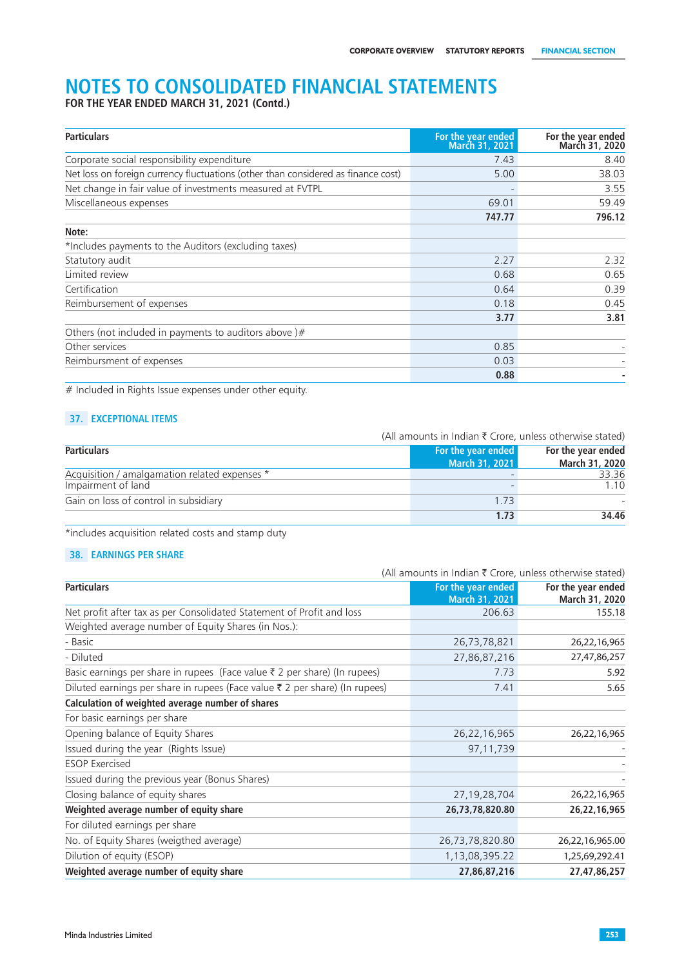**FOR THE YEAR ENDED MARCH 31, 2021 (Contd.)**

| <b>Particulars</b>                                                                | For the year ended<br><b>March 31, 2021</b> | For the year ended<br>March 31, 2020 |
|-----------------------------------------------------------------------------------|---------------------------------------------|--------------------------------------|
| Corporate social responsibility expenditure                                       | 7.43                                        | 8.40                                 |
| Net loss on foreign currency fluctuations (other than considered as finance cost) | 5.00                                        | 38.03                                |
| Net change in fair value of investments measured at FVTPL                         |                                             | 3.55                                 |
| Miscellaneous expenses                                                            | 69.01                                       | 59.49                                |
|                                                                                   | 747.77                                      | 796.12                               |
| Note:                                                                             |                                             |                                      |
| *Includes payments to the Auditors (excluding taxes)                              |                                             |                                      |
| Statutory audit                                                                   | 2.27                                        | 2.32                                 |
| Limited review                                                                    | 0.68                                        | 0.65                                 |
| Certification                                                                     | 0.64                                        | 0.39                                 |
| Reimbursement of expenses                                                         | 0.18                                        | 0.45                                 |
|                                                                                   | 3.77                                        | 3.81                                 |
| Others (not included in payments to auditors above) $#$                           |                                             |                                      |
| Other services                                                                    | 0.85                                        |                                      |
| Reimbursment of expenses                                                          | 0.03                                        |                                      |
|                                                                                   | 0.88                                        |                                      |

# Included in Rights Issue expenses under other equity.

## **37. EXCEPTIONAL ITEMS**

|                                               | (All amounts in Indian $\bar{\tau}$ Crore, unless otherwise stated) |                    |
|-----------------------------------------------|---------------------------------------------------------------------|--------------------|
| <b>Particulars</b>                            | <b>For the year ended</b>                                           | For the year ended |
|                                               | March 31, 2021                                                      | March 31, 2020     |
| Acquisition / amalgamation related expenses * |                                                                     | 33.36              |
| Impairment of land                            |                                                                     | 1.10               |
| Gain on loss of control in subsidiary         | 1.73                                                                |                    |
|                                               | 1.73                                                                | 34.46              |

\*includes acquisition related costs and stamp duty

## **38. EARNINGS PER SHARE**

|                                                                                      | (All amounts in Indian ₹ Crore, unless otherwise stated) |                    |
|--------------------------------------------------------------------------------------|----------------------------------------------------------|--------------------|
| <b>Particulars</b>                                                                   | For the year ended                                       | For the year ended |
|                                                                                      | March 31, 2021                                           | March 31, 2020     |
| Net profit after tax as per Consolidated Statement of Profit and loss                | 206.63                                                   | 155.18             |
| Weighted average number of Equity Shares (in Nos.):                                  |                                                          |                    |
| - Basic                                                                              | 26,73,78,821                                             | 26,22,16,965       |
| - Diluted                                                                            | 27,86,87,216                                             | 27,47,86,257       |
| Basic earnings per share in rupees (Face value $\bar{\tau}$ 2 per share) (In rupees) | 7.73                                                     | 5.92               |
| Diluted earnings per share in rupees (Face value ₹ 2 per share) (In rupees)          | 7.41                                                     | 5.65               |
| Calculation of weighted average number of shares                                     |                                                          |                    |
| For basic earnings per share                                                         |                                                          |                    |
| Opening balance of Equity Shares                                                     | 26,22,16,965                                             | 26,22,16,965       |
| Issued during the year (Rights Issue)                                                | 97,11,739                                                |                    |
| <b>ESOP Exercised</b>                                                                |                                                          |                    |
| Issued during the previous year (Bonus Shares)                                       |                                                          |                    |
| Closing balance of equity shares                                                     | 27, 19, 28, 704                                          | 26,22,16,965       |
| Weighted average number of equity share                                              | 26,73,78,820.80                                          | 26,22,16,965       |
| For diluted earnings per share                                                       |                                                          |                    |
| No. of Equity Shares (weigthed average)                                              | 26,73,78,820.80                                          | 26,22,16,965.00    |
| Dilution of equity (ESOP)                                                            | 1,13,08,395.22                                           | 1,25,69,292.41     |
| Weighted average number of equity share                                              | 27,86,87,216                                             | 27,47,86,257       |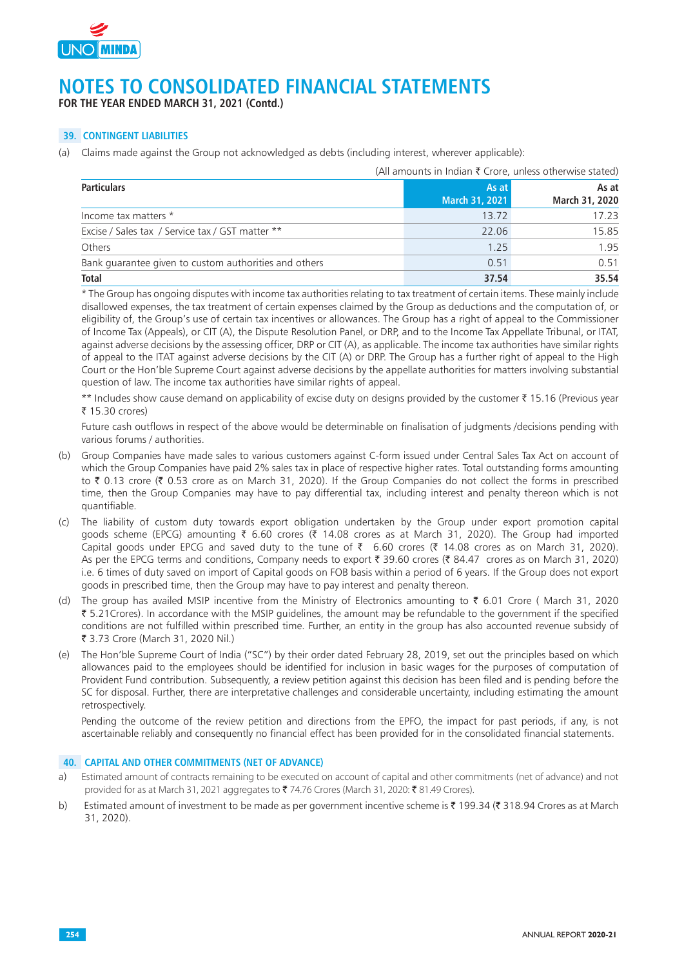

**FOR THE YEAR ENDED MARCH 31, 2021 (Contd.)**

## **39. CONTINGENT LIABILITIES**

(a) Claims made against the Group not acknowledged as debts (including interest, wherever applicable):

|                                                       | (All amounts in Indian $\bar{\tau}$ Crore, unless otherwise stated) |                         |
|-------------------------------------------------------|---------------------------------------------------------------------|-------------------------|
| <b>Particulars</b>                                    | As at<br>March 31, 2021                                             | As at<br>March 31, 2020 |
| Income tax matters *                                  | 13.72                                                               | 17.23                   |
| Excise / Sales tax / Service tax / GST matter **      | 22.06                                                               | 15.85                   |
| Others                                                | 1.25                                                                | 1.95                    |
| Bank guarantee given to custom authorities and others | 0.51                                                                | 0.51                    |
| <b>Total</b>                                          | 37.54                                                               | 35.54                   |

\* The Group has ongoing disputes with income tax authorities relating to tax treatment of certain items. These mainly include disallowed expenses, the tax treatment of certain expenses claimed by the Group as deductions and the computation of, or eligibility of, the Group's use of certain tax incentives or allowances. The Group has a right of appeal to the Commissioner of Income Tax (Appeals), or CIT (A), the Dispute Resolution Panel, or DRP, and to the Income Tax Appellate Tribunal, or ITAT, against adverse decisions by the assessing officer, DRP or CIT (A), as applicable. The income tax authorities have similar rights of appeal to the ITAT against adverse decisions by the CIT (A) or DRP. The Group has a further right of appeal to the High Court or the Hon'ble Supreme Court against adverse decisions by the appellate authorities for matters involving substantial question of law. The income tax authorities have similar rights of appeal.

\*\* Includes show cause demand on applicability of excise duty on designs provided by the customer ₹ 15.16 (Previous year  $\bar{z}$  15.30 crores)

Future cash outflows in respect of the above would be determinable on finalisation of judgments /decisions pending with various forums / authorities.

- (b) Group Companies have made sales to various customers against C-form issued under Central Sales Tax Act on account of which the Group Companies have paid 2% sales tax in place of respective higher rates. Total outstanding forms amounting to  $\bar{\tau}$  0.13 crore ( $\bar{\tau}$  0.53 crore as on March 31, 2020). If the Group Companies do not collect the forms in prescribed time, then the Group Companies may have to pay differential tax, including interest and penalty thereon which is not quantifiable.
- (c) The liability of custom duty towards export obligation undertaken by the Group under export promotion capital goods scheme (EPCG) amounting  $\bar{\tau}$  6.60 crores ( $\bar{\tau}$  14.08 crores as at March 31, 2020). The Group had imported Capital goods under EPCG and saved duty to the tune of  $\bar{\tau}$  6.60 crores ( $\bar{\tau}$  14.08 crores as on March 31, 2020). As per the EPCG terms and conditions, Company needs to export  $\bar{\tau}$  39.60 crores ( $\bar{\tau}$  84.47 crores as on March 31, 2020) i.e. 6 times of duty saved on import of Capital goods on FOB basis within a period of 6 years. If the Group does not export goods in prescribed time, then the Group may have to pay interest and penalty thereon.
- (d) The group has availed MSIP incentive from the Ministry of Electronics amounting to  $\bar{\tau}$  6.01 Crore ( March 31, 2020 ` 5.21Crores). In accordance with the MSIP guidelines, the amount may be refundable to the government if the specified conditions are not fulfilled within prescribed time. Further, an entity in the group has also accounted revenue subsidy of ₹ 3.73 Crore (March 31, 2020 Nil.)
- (e) The Hon'ble Supreme Court of India ("SC") by their order dated February 28, 2019, set out the principles based on which allowances paid to the employees should be identified for inclusion in basic wages for the purposes of computation of Provident Fund contribution. Subsequently, a review petition against this decision has been filed and is pending before the SC for disposal. Further, there are interpretative challenges and considerable uncertainty, including estimating the amount retrospectively.

Pending the outcome of the review petition and directions from the EPFO, the impact for past periods, if any, is not ascertainable reliably and consequently no financial effect has been provided for in the consolidated financial statements.

#### **40. CAPITAL AND OTHER COMMITMENTS (NET OF ADVANCE)**

- a) Estimated amount of contracts remaining to be executed on account of capital and other commitments (net of advance) and not provided for as at March 31, 2021 aggregates to ₹74.76 Crores (March 31, 2020: ₹81.49 Crores).
- b) Estimated amount of investment to be made as per government incentive scheme is  $\bar{\tau}$  199.34 ( $\bar{\tau}$  318.94 Crores as at March 31, 2020).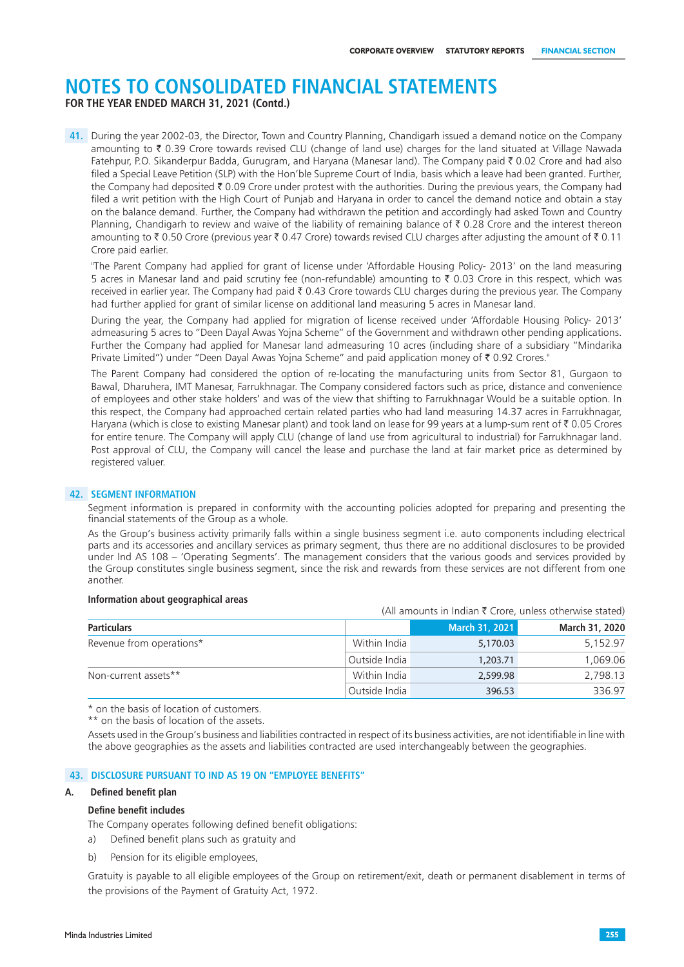**FOR THE YEAR ENDED MARCH 31, 2021 (Contd.)**

**41.** During the year 2002-03, the Director, Town and Country Planning, Chandigarh issued a demand notice on the Company amounting to  $\bar{\zeta}$  0.39 Crore towards revised CLU (change of land use) charges for the land situated at Village Nawada Fatehpur, P.O. Sikanderpur Badda, Gurugram, and Haryana (Manesar land). The Company paid ₹ 0.02 Crore and had also filed a Special Leave Petition (SLP) with the Hon'ble Supreme Court of India, basis which a leave had been granted. Further, the Company had deposited  $\bar{\tau}$  0.09 Crore under protest with the authorities. During the previous years, the Company had filed a writ petition with the High Court of Punjab and Haryana in order to cancel the demand notice and obtain a stay on the balance demand. Further, the Company had withdrawn the petition and accordingly had asked Town and Country Planning, Chandigarh to review and waive of the liability of remaining balance of  $\bar{\tau}$  0.28 Crore and the interest thereon amounting to  $\bar{\tau}$  0.50 Crore (previous year  $\bar{\tau}$  0.47 Crore) towards revised CLU charges after adjusting the amount of  $\bar{\tau}$  0.11 Crore paid earlier.

"The Parent Company had applied for grant of license under 'Affordable Housing Policy- 2013' on the land measuring 5 acres in Manesar land and paid scrutiny fee (non-refundable) amounting to  $\bar{\tau}$  0.03 Crore in this respect, which was received in earlier year. The Company had paid ₹ 0.43 Crore towards CLU charges during the previous year. The Company had further applied for grant of similar license on additional land measuring 5 acres in Manesar land.

During the year, the Company had applied for migration of license received under 'Affordable Housing Policy- 2013' admeasuring 5 acres to "Deen Dayal Awas Yojna Scheme" of the Government and withdrawn other pending applications. Further the Company had applied for Manesar land admeasuring 10 acres (including share of a subsidiary "Mindarika Private Limited") under "Deen Dayal Awas Yojna Scheme" and paid application money of ₹ 0.92 Crores."

The Parent Company had considered the option of re-locating the manufacturing units from Sector 81, Gurgaon to Bawal, Dharuhera, IMT Manesar, Farrukhnagar. The Company considered factors such as price, distance and convenience of employees and other stake holders' and was of the view that shifting to Farrukhnagar Would be a suitable option. In this respect, the Company had approached certain related parties who had land measuring 14.37 acres in Farrukhnagar, Haryana (which is close to existing Manesar plant) and took land on lease for 99 years at a lump-sum rent of  $\bar{\tau}$  0.05 Crores for entire tenure. The Company will apply CLU (change of land use from agricultural to industrial) for Farrukhnagar land. Post approval of CLU, the Company will cancel the lease and purchase the land at fair market price as determined by registered valuer.

#### **42. SEGMENT INFORMATION**

Segment information is prepared in conformity with the accounting policies adopted for preparing and presenting the financial statements of the Group as a whole.

As the Group's business activity primarily falls within a single business segment i.e. auto components including electrical parts and its accessories and ancillary services as primary segment, thus there are no additional disclosures to be provided under Ind AS 108 – 'Operating Segments'. The management considers that the various goods and services provided by the Group constitutes single business segment, since the risk and rewards from these services are not different from one another.

#### **Information about geographical areas**

(All amounts in Indian  $\bar{\tau}$  Crore, unless otherwise stated)

| <b>Particulars</b>       |               | March 31, 2021 | March 31, 2020 |
|--------------------------|---------------|----------------|----------------|
| Revenue from operations* | Within India  | 5,170.03       | 5,152.97       |
|                          | Outside India | 1,203.71       | 1.069.06       |
| Non-current assets**     | Within India  | 2,599.98       | 2.798.13       |
|                          | Outside India | 396.53         | 336.97         |

\* on the basis of location of customers.

\*\* on the basis of location of the assets.

Assets used in the Group's business and liabilities contracted in respect of its business activities, are not identifiable in line with the above geographies as the assets and liabilities contracted are used interchangeably between the geographies.

#### **43. DISCLOSURE PURSUANT TO IND AS 19 ON "EMPLOYEE BENEFITS"**

#### **A. Defined benefit plan**

#### **Define benefit includes**

The Company operates following defined benefit obligations:

- a) Defined benefit plans such as gratuity and
- b) Pension for its eligible employees,

Gratuity is payable to all eligible employees of the Group on retirement/exit, death or permanent disablement in terms of the provisions of the Payment of Gratuity Act, 1972.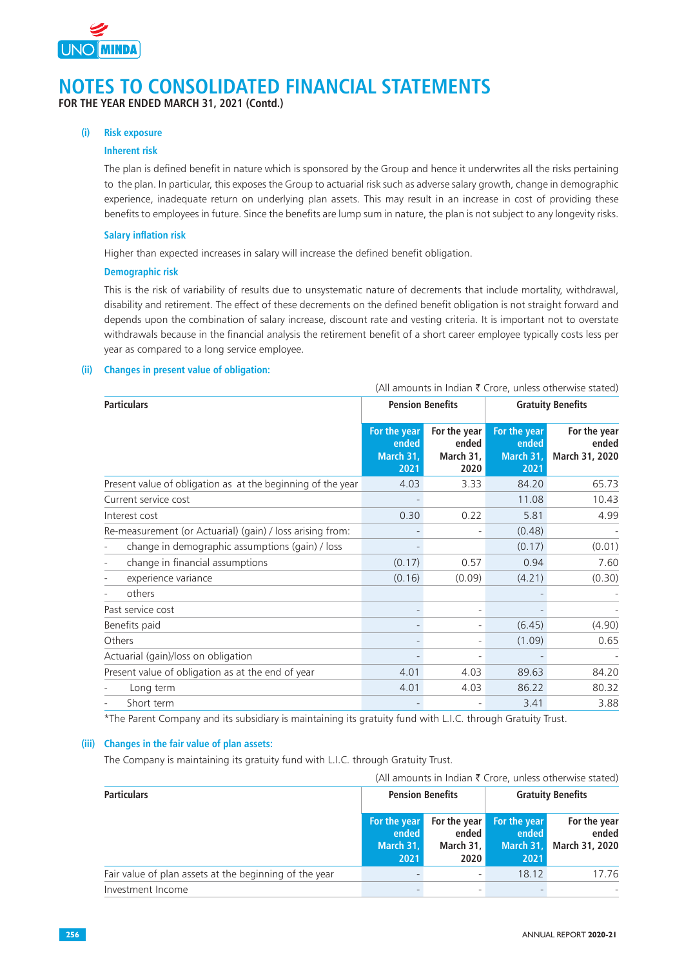

**FOR THE YEAR ENDED MARCH 31, 2021 (Contd.)**

#### **(i) Risk exposure**

#### **Inherent risk**

The plan is defined benefit in nature which is sponsored by the Group and hence it underwrites all the risks pertaining to the plan. In particular, this exposes the Group to actuarial risk such as adverse salary growth, change in demographic experience, inadequate return on underlying plan assets. This may result in an increase in cost of providing these benefits to employees in future. Since the benefits are lump sum in nature, the plan is not subject to any longevity risks.

#### **Salary inflation risk**

Higher than expected increases in salary will increase the defined benefit obligation.

#### **Demographic risk**

This is the risk of variability of results due to unsystematic nature of decrements that include mortality, withdrawal, disability and retirement. The effect of these decrements on the defined benefit obligation is not straight forward and depends upon the combination of salary increase, discount rate and vesting criteria. It is important not to overstate withdrawals because in the financial analysis the retirement benefit of a short career employee typically costs less per year as compared to a long service employee.

### **(ii) Changes in present value of obligation:**

|                                                             | (All amounts in Indian ₹ Crore, unless otherwise stated) |                                            |                                            |                                         |
|-------------------------------------------------------------|----------------------------------------------------------|--------------------------------------------|--------------------------------------------|-----------------------------------------|
| <b>Particulars</b>                                          | <b>Pension Benefits</b>                                  |                                            | <b>Gratuity Benefits</b>                   |                                         |
|                                                             | For the year<br>ended<br>March 31,<br>2021               | For the year<br>ended<br>March 31,<br>2020 | For the year<br>ended<br>March 31,<br>2021 | For the year<br>ended<br>March 31, 2020 |
| Present value of obligation as at the beginning of the year | 4.03                                                     | 3.33                                       | 84.20                                      | 65.73                                   |
| Current service cost                                        |                                                          |                                            | 11.08                                      | 10.43                                   |
| Interest cost                                               | 0.30                                                     | 0.22                                       | 5.81                                       | 4.99                                    |
| Re-measurement (or Actuarial) (gain) / loss arising from:   |                                                          |                                            | (0.48)                                     |                                         |
| change in demographic assumptions (gain) / loss             |                                                          |                                            | (0.17)                                     | (0.01)                                  |
| change in financial assumptions                             | (0.17)                                                   | 0.57                                       | 0.94                                       | 7.60                                    |
| experience variance                                         | (0.16)                                                   | (0.09)                                     | (4.21)                                     | (0.30)                                  |
| others                                                      |                                                          |                                            |                                            |                                         |
| Past service cost                                           |                                                          |                                            |                                            |                                         |
| Benefits paid                                               |                                                          |                                            | (6.45)                                     | (4.90)                                  |
| Others                                                      |                                                          |                                            | (1.09)                                     | 0.65                                    |
| Actuarial (gain)/loss on obligation                         |                                                          |                                            |                                            |                                         |
| Present value of obligation as at the end of year           | 4.01                                                     | 4.03                                       | 89.63                                      | 84.20                                   |
| Long term                                                   | 4.01                                                     | 4.03                                       | 86.22                                      | 80.32                                   |
| Short term                                                  |                                                          |                                            | 3.41                                       | 3.88                                    |

\*The Parent Company and its subsidiary is maintaining its gratuity fund with L.I.C. through Gratuity Trust.

#### **(iii) Changes in the fair value of plan assets:**

The Company is maintaining its gratuity fund with L.I.C. through Gratuity Trust.

| (All amounts in Indian ₹ Crore, unless otherwise stated) |  |  |  |  |  |
|----------------------------------------------------------|--|--|--|--|--|
|----------------------------------------------------------|--|--|--|--|--|

| <b>Particulars</b>                                     | <b>Pension Benefits</b>                    |                                              | <b>Gratuity Benefits</b>                   |                                         |  |
|--------------------------------------------------------|--------------------------------------------|----------------------------------------------|--------------------------------------------|-----------------------------------------|--|
|                                                        | For the year<br>ended<br>March 31,<br>2021 | For the year<br>ended  <br>March 31,<br>2020 | For the year<br>ended<br>March 31,<br>2021 | For the year<br>ended<br>March 31, 2020 |  |
| Fair value of plan assets at the beginning of the year |                                            | $\overline{\phantom{a}}$                     | 18.12                                      | 17.76                                   |  |
| Investment Income                                      |                                            |                                              |                                            |                                         |  |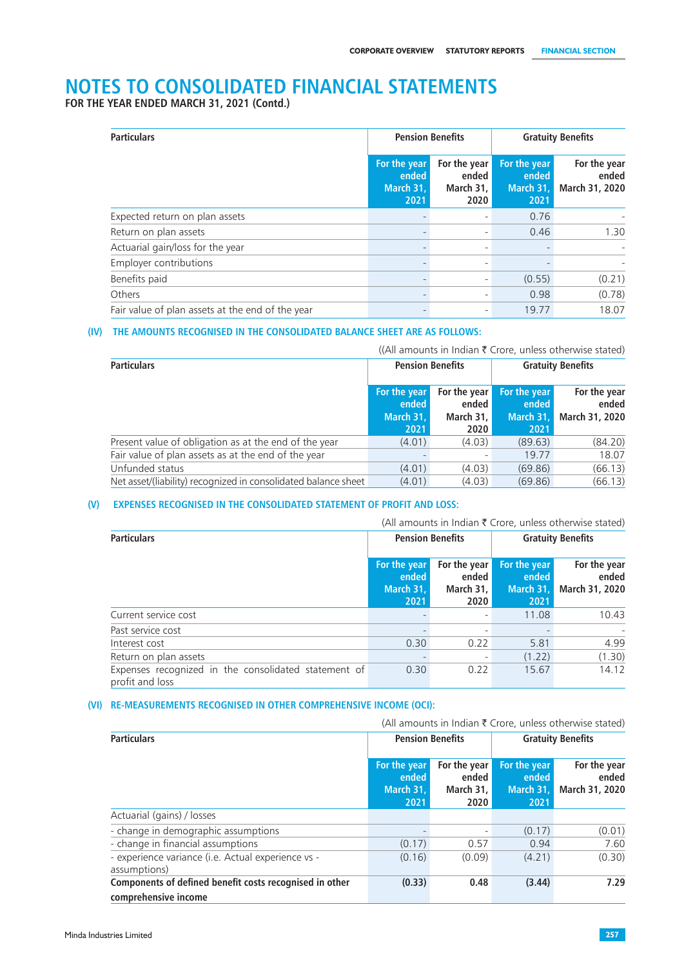**FOR THE YEAR ENDED MARCH 31, 2021 (Contd.)**

| <b>Particulars</b>                               |                                            | <b>Pension Benefits</b>                      | <b>Gratuity Benefits</b>                   |                                         |
|--------------------------------------------------|--------------------------------------------|----------------------------------------------|--------------------------------------------|-----------------------------------------|
|                                                  | For the year<br>ended<br>March 31,<br>2021 | For the year<br>ended<br>March $31,$<br>2020 | For the year<br>ended<br>March 31,<br>2021 | For the year<br>ended<br>March 31, 2020 |
| Expected return on plan assets                   |                                            | ٠                                            | 0.76                                       |                                         |
| Return on plan assets                            |                                            | ٠                                            | 0.46                                       | 1.30                                    |
| Actuarial gain/loss for the year                 |                                            | ٠                                            |                                            |                                         |
| Employer contributions                           |                                            | $\overline{\phantom{a}}$                     |                                            |                                         |
| Benefits paid                                    |                                            | $\overline{\phantom{a}}$                     | (0.55)                                     | (0.21)                                  |
| Others                                           |                                            | $\overline{\phantom{a}}$                     | 0.98                                       | (0.78)                                  |
| Fair value of plan assets at the end of the year |                                            | $\overline{\phantom{a}}$                     | 19.77                                      | 18.07                                   |

#### **(IV) THE AMOUNTS RECOGNISED IN THE CONSOLIDATED BALANCE SHEET ARE AS FOLLOWS:**

|                                                                |                                            |                                              |                                            | ((All amounts in Indian $\bar{\tau}$ Crore, unless otherwise stated) |
|----------------------------------------------------------------|--------------------------------------------|----------------------------------------------|--------------------------------------------|----------------------------------------------------------------------|
| <b>Particulars</b>                                             | <b>Pension Benefits</b>                    |                                              |                                            | <b>Gratuity Benefits</b>                                             |
|                                                                | For the year<br>ended<br>March 31,<br>2021 | For the year<br>ended<br>March $31,$<br>2020 | For the year<br>ended<br>March 31,<br>2021 | For the year<br>ended<br>March 31, 2020                              |
| Present value of obligation as at the end of the year          | (4.01)                                     | (4.03)                                       | (89.63)                                    | (84.20)                                                              |
| Fair value of plan assets as at the end of the year            |                                            |                                              | 19.77                                      | 18.07                                                                |
| Unfunded status                                                | (4.01)                                     | (4.03)                                       | (69.86)                                    | (66.13)                                                              |
| Net asset/(liability) recognized in consolidated balance sheet | (4.01)                                     | (4.03)                                       | (69.86)                                    | (66.13)                                                              |

### **(V) EXPENSES RECOGNISED IN THE CONSOLIDATED STATEMENT OF PROFIT AND LOSS:**

|                                                                         | (All amounts in Indian ₹ Crore, unless otherwise stated) |                                              |                                            |                                         |  |
|-------------------------------------------------------------------------|----------------------------------------------------------|----------------------------------------------|--------------------------------------------|-----------------------------------------|--|
| <b>Particulars</b>                                                      | <b>Pension Benefits</b>                                  |                                              | <b>Gratuity Benefits</b>                   |                                         |  |
|                                                                         | For the year<br>ended<br>March 31,<br>2021               | For the year<br>ended<br>March $31,$<br>2020 | For the year<br>ended<br>March 31,<br>2021 | For the year<br>ended<br>March 31, 2020 |  |
| Current service cost                                                    |                                                          |                                              | 11.08                                      | 10.43                                   |  |
| Past service cost                                                       |                                                          | $\overline{\phantom{a}}$                     |                                            |                                         |  |
| Interest cost                                                           | 0.30                                                     | 0.22                                         | 5.81                                       | 4.99                                    |  |
| Return on plan assets                                                   |                                                          | $\overline{\phantom{a}}$                     | (1.22)                                     | (1.30)                                  |  |
| Expenses recognized in the consolidated statement of<br>profit and loss | 0.30                                                     | 0.22                                         | 15.67                                      | 14.12                                   |  |

#### **(VI) RE-MEASUREMENTS RECOGNISED IN OTHER COMPREHENSIVE INCOME (OCI):**

|                                                                    | (All amounts in Indian ₹ Crore, unless otherwise stated) |                                            |                                            |                                         |
|--------------------------------------------------------------------|----------------------------------------------------------|--------------------------------------------|--------------------------------------------|-----------------------------------------|
| <b>Particulars</b>                                                 | <b>Pension Benefits</b>                                  |                                            | <b>Gratuity Benefits</b>                   |                                         |
|                                                                    | For the year<br>ended<br>March 31.<br>2021               | For the year<br>ended<br>March 31.<br>2020 | For the year<br>ended<br>March 31.<br>2021 | For the year<br>ended<br>March 31, 2020 |
| Actuarial (gains) / losses                                         |                                                          |                                            |                                            |                                         |
| - change in demographic assumptions                                |                                                          |                                            | (0.17)                                     | (0.01)                                  |
| - change in financial assumptions                                  | (0.17)                                                   | 0.57                                       | 0.94                                       | 7.60                                    |
| - experience variance (i.e. Actual experience vs -<br>assumptions) | (0.16)                                                   | (0.09)                                     | (4.21)                                     | (0.30)                                  |
| Components of defined benefit costs recognised in other            | (0.33)                                                   | 0.48                                       | (3.44)                                     | 7.29                                    |
| comprehensive income                                               |                                                          |                                            |                                            |                                         |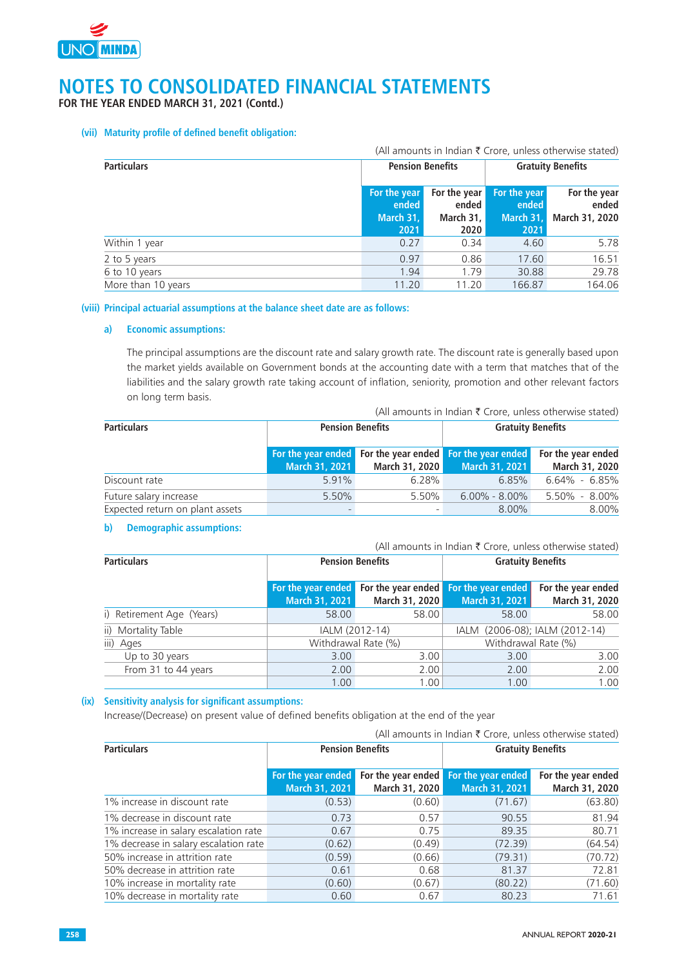

**FOR THE YEAR ENDED MARCH 31, 2021 (Contd.)**

#### **(vii) Maturity profile of defined benefit obligation:**

| (All amounts in Indian $\bar{\tau}$ Crore, unless otherwise stated)       |                                            |                                                     |                                            |                                         |
|---------------------------------------------------------------------------|--------------------------------------------|-----------------------------------------------------|--------------------------------------------|-----------------------------------------|
| <b>Particulars</b><br><b>Gratuity Benefits</b><br><b>Pension Benefits</b> |                                            |                                                     |                                            |                                         |
|                                                                           | For the year<br>ended<br>March 31,<br>2021 | For the year<br>ended  <br>March 31,<br><b>2020</b> | For the year<br>ended<br>March 31,<br>2021 | For the year<br>ended<br>March 31, 2020 |
| Within 1 year                                                             | 0.27                                       | 0.34                                                | 4.60                                       | 5.78                                    |
| 2 to 5 years                                                              | 0.97                                       | 0.86                                                | 17.60                                      | 16.51                                   |
| 6 to 10 years                                                             | 1.94                                       | 1.79                                                | 30.88                                      | 29.78                                   |
| More than 10 years                                                        | 11.20                                      | 11.20                                               | 166.87                                     | 164.06                                  |

#### **(viii) Principal actuarial assumptions at the balance sheet date are as follows:**

### **a) Economic assumptions:**

The principal assumptions are the discount rate and salary growth rate. The discount rate is generally based upon the market yields available on Government bonds at the accounting date with a term that matches that of the liabilities and the salary growth rate taking account of inflation, seniority, promotion and other relevant factors on long term basis.

| <b>Particulars</b>              | <b>Pension Benefits</b> |                | <b>Gratuity Benefits</b>                                                                             |                   |
|---------------------------------|-------------------------|----------------|------------------------------------------------------------------------------------------------------|-------------------|
|                                 | March 31, 2021          | March 31, 2020 | For the year ended For the year ended For the year ended For the year ended<br><b>March 31, 2021</b> | March 31, 2020    |
| Discount rate                   | 5.91%                   | 6.28%          | $6.85\%$                                                                                             | $6.64\% - 6.85\%$ |
| Future salary increase          | 5.50%                   | $5.50\%$       | $6.00\%$ - $8.00\%$                                                                                  | $5.50\% - 8.00\%$ |
| Expected return on plant assets |                         |                | $8.00\%$                                                                                             | 8.00%             |

#### **b) Demographic assumptions:**

(All amounts in Indian  $\bar{\tau}$  Crore, unless otherwise stated)

| <b>Particulars</b>        |                | <b>Pension Benefits</b> |                                                                                   | <b>Gratuity Benefits</b>             |  |
|---------------------------|----------------|-------------------------|-----------------------------------------------------------------------------------|--------------------------------------|--|
|                           | March 31, 2021 | March 31, 2020          | For the year ended For the year ended For the year ended<br><b>March 31, 2021</b> | For the year ended<br>March 31, 2020 |  |
| i) Retirement Age (Years) | 58.00          | 58.00                   | 58.00                                                                             | 58.00                                |  |
| ii) Mortality Table       |                | IALM (2012-14)          |                                                                                   | IALM (2006-08); IALM (2012-14)       |  |
| iii) Ages                 |                | Withdrawal Rate (%)     | Withdrawal Rate (%)                                                               |                                      |  |
| Up to 30 years            | 3.00           | 3.00                    | 3.00                                                                              | 3.00                                 |  |
| From 31 to 44 years       | 2.00           | 2.00                    | 2.00                                                                              | 2.00                                 |  |
|                           | 1.00           | 1.00                    | 1.00                                                                              | 1.00                                 |  |

#### **(ix) Sensitivity analysis for significant assumptions:**

Increase/(Decrease) on present value of defined benefits obligation at the end of the year

| (All amounts in Indian ₹ Crore, unless otherwise stated) |                                      |                |                                                         |                                      |
|----------------------------------------------------------|--------------------------------------|----------------|---------------------------------------------------------|--------------------------------------|
| <b>Particulars</b>                                       | <b>Pension Benefits</b>              |                | <b>Gratuity Benefits</b>                                |                                      |
|                                                          | For the year ended<br>March 31, 2021 | March 31, 2020 | For the year ended For the year ended<br>March 31, 2021 | For the year ended<br>March 31, 2020 |
| 1% increase in discount rate                             | (0.53)                               | (0.60)         | (71.67)                                                 | (63.80)                              |
| 1% decrease in discount rate                             | 0.73                                 | 0.57           | 90.55                                                   | 81.94                                |
| 1% increase in salary escalation rate                    | 0.67                                 | 0.75           | 89.35                                                   | 80.71                                |
| 1% decrease in salary escalation rate                    | (0.62)                               | (0.49)         | (72.39)                                                 | (64.54)                              |
| 50% increase in attrition rate                           | (0.59)                               | (0.66)         | (79.31)                                                 | (70.72)                              |
| 50% decrease in attrition rate                           | 0.61                                 | 0.68           | 81.37                                                   | 72.81                                |
| 10% increase in mortality rate                           | (0.60)                               | (0.67)         | (80.22)                                                 | (71.60)                              |
| 10% decrease in mortality rate                           | 0.60                                 | 0.67           | 80.23                                                   | 71.61                                |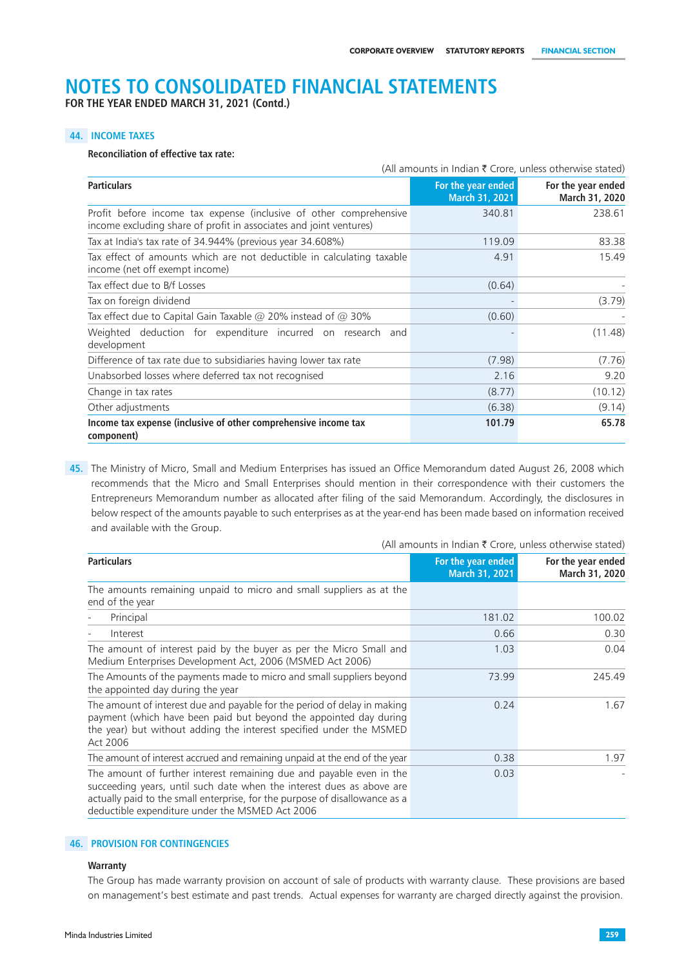**FOR THE YEAR ENDED MARCH 31, 2021 (Contd.)**

#### **44. INCOME TAXES**

#### **Reconciliation of effective tax rate:**

|                                                                                                                                          | (All amounts in Indian $\bar{\tau}$ Crore, unless otherwise stated) |                                      |
|------------------------------------------------------------------------------------------------------------------------------------------|---------------------------------------------------------------------|--------------------------------------|
| <b>Particulars</b>                                                                                                                       | For the year ended<br>March 31, 2021                                | For the year ended<br>March 31, 2020 |
| Profit before income tax expense (inclusive of other comprehensive<br>income excluding share of profit in associates and joint ventures) | 340.81                                                              | 238.61                               |
| Tax at India's tax rate of 34.944% (previous year 34.608%)                                                                               | 119.09                                                              | 83.38                                |
| Tax effect of amounts which are not deductible in calculating taxable<br>income (net off exempt income)                                  | 4.91                                                                | 15.49                                |
| Tax effect due to B/f Losses                                                                                                             | (0.64)                                                              |                                      |
| Tax on foreign dividend                                                                                                                  |                                                                     | (3.79)                               |
| Tax effect due to Capital Gain Taxable @ 20% instead of @ 30%                                                                            | (0.60)                                                              |                                      |
| Weighted deduction for expenditure incurred on research and<br>development                                                               |                                                                     | (11.48)                              |
| Difference of tax rate due to subsidiaries having lower tax rate                                                                         | (7.98)                                                              | (7.76)                               |
| Unabsorbed losses where deferred tax not recognised                                                                                      | 2.16                                                                | 9.20                                 |
| Change in tax rates                                                                                                                      | (8.77)                                                              | (10.12)                              |
| Other adjustments                                                                                                                        | (6.38)                                                              | (9.14)                               |
| Income tax expense (inclusive of other comprehensive income tax<br>component)                                                            | 101.79                                                              | 65.78                                |

**45.** The Ministry of Micro, Small and Medium Enterprises has issued an Office Memorandum dated August 26, 2008 which recommends that the Micro and Small Enterprises should mention in their correspondence with their customers the Entrepreneurs Memorandum number as allocated after filing of the said Memorandum. Accordingly, the disclosures in below respect of the amounts payable to such enterprises as at the year-end has been made based on information received and available with the Group.

| <b>Particulars</b>                                                                                                                                                                                                                                                              | For the year ended<br>March 31, 2021 | For the year ended<br>March 31, 2020 |
|---------------------------------------------------------------------------------------------------------------------------------------------------------------------------------------------------------------------------------------------------------------------------------|--------------------------------------|--------------------------------------|
| The amounts remaining unpaid to micro and small suppliers as at the<br>end of the year                                                                                                                                                                                          |                                      |                                      |
| Principal                                                                                                                                                                                                                                                                       | 181.02                               | 100.02                               |
| Interest                                                                                                                                                                                                                                                                        | 0.66                                 | 0.30                                 |
| The amount of interest paid by the buyer as per the Micro Small and<br>Medium Enterprises Development Act, 2006 (MSMED Act 2006)                                                                                                                                                | 1.03                                 | 0.04                                 |
| The Amounts of the payments made to micro and small suppliers beyond<br>the appointed day during the year                                                                                                                                                                       | 73.99                                | 245.49                               |
| The amount of interest due and payable for the period of delay in making<br>payment (which have been paid but beyond the appointed day during<br>the year) but without adding the interest specified under the MSMED<br>Act 2006                                                | 0.24                                 | 1.67                                 |
| The amount of interest accrued and remaining unpaid at the end of the year                                                                                                                                                                                                      | 0.38                                 | 1.97                                 |
| The amount of further interest remaining due and payable even in the<br>succeeding years, until such date when the interest dues as above are<br>actually paid to the small enterprise, for the purpose of disallowance as a<br>deductible expenditure under the MSMED Act 2006 | 0.03                                 |                                      |

#### (All amounts in Indian  $\bar{\tau}$  Crore, unless otherwise stated)

## **46. PROVISION FOR CONTINGENCIES**

#### **Warranty**

The Group has made warranty provision on account of sale of products with warranty clause. These provisions are based on management's best estimate and past trends. Actual expenses for warranty are charged directly against the provision.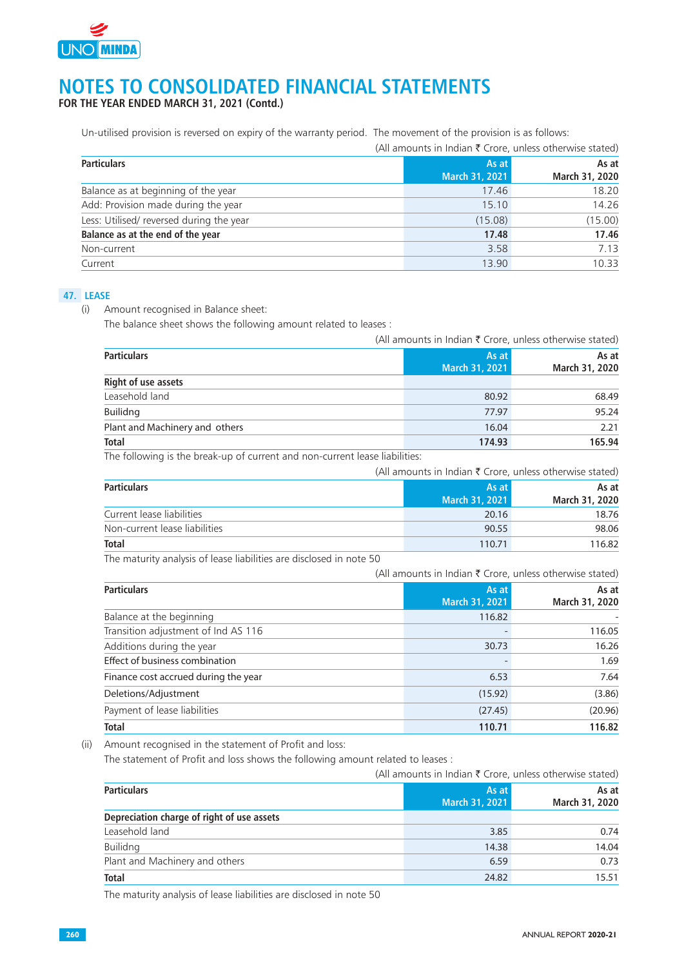

**FOR THE YEAR ENDED MARCH 31, 2021 (Contd.)**

Un-utilised provision is reversed on expiry of the warranty period. The movement of the provision is as follows:

|                                          |                         | (All amounts in Indian ₹ Crore, unless otherwise stated) |  |
|------------------------------------------|-------------------------|----------------------------------------------------------|--|
| <b>Particulars</b>                       | As at<br>March 31, 2021 | As at<br>March 31, 2020                                  |  |
| Balance as at beginning of the year      | 17.46                   | 18.20                                                    |  |
| Add: Provision made during the year      | 15.10                   | 14.26                                                    |  |
| Less: Utilised/ reversed during the year | (15.08)                 | (15.00)                                                  |  |
| Balance as at the end of the year        | 17.48                   | 17.46                                                    |  |
| Non-current                              | 3.58                    | 7.13                                                     |  |
| Current                                  | 13.90                   | 10.33                                                    |  |

## **47. LEASE**

(i) Amount recognised in Balance sheet:

The balance sheet shows the following amount related to leases :

|                                |  | (All amounts in Indian ₹ Crore, unless otherwise stated) |                         |
|--------------------------------|--|----------------------------------------------------------|-------------------------|
| <b>Particulars</b>             |  | As at<br>March 31, 2021                                  | As at<br>March 31, 2020 |
| <b>Right of use assets</b>     |  |                                                          |                         |
| Leasehold land                 |  | 80.92                                                    | 68.49                   |
| Builidng                       |  | 77.97                                                    | 95.24                   |
| Plant and Machinery and others |  | 16.04                                                    | 2.21                    |
| <b>Total</b>                   |  | 174.93                                                   | 165.94                  |

The following is the break-up of current and non-current lease liabilities:

|                               | (All amounts in Indian $\bar{\tau}$ Crore, unless otherwise stated) |                         |  |
|-------------------------------|---------------------------------------------------------------------|-------------------------|--|
| <b>Particulars</b>            | As at I<br>March 31, 2021                                           | As at<br>March 31, 2020 |  |
| Current lease liabilities     | 20.16                                                               | 18.76                   |  |
| Non-current lease liabilities | 90.55                                                               | 98.06                   |  |
| Total                         | 110.71                                                              | 116.82                  |  |

The maturity analysis of lease liabilities are disclosed in note 50

|                                      |                         | (All amounts in Indian ₹ Crore, unless otherwise stated) |  |
|--------------------------------------|-------------------------|----------------------------------------------------------|--|
| <b>Particulars</b>                   | As at<br>March 31, 2021 | As at<br>March 31, 2020                                  |  |
| Balance at the beginning             | 116.82                  |                                                          |  |
| Transition adjustment of Ind AS 116  |                         | 116.05                                                   |  |
| Additions during the year            | 30.73                   | 16.26                                                    |  |
| Effect of business combination       |                         | 1.69                                                     |  |
| Finance cost accrued during the year | 6.53                    | 7.64                                                     |  |
| Deletions/Adjustment                 | (15.92)                 | (3.86)                                                   |  |
| Payment of lease liabilities         | (27.45)                 | (20.96)                                                  |  |
| <b>Total</b>                         | 110.71                  | 116.82                                                   |  |

(ii) Amount recognised in the statement of Profit and loss:

The statement of Profit and loss shows the following amount related to leases :

|                                            | (All amounts in Indian $\bar{\tau}$ Crore, unless otherwise stated) |                         |
|--------------------------------------------|---------------------------------------------------------------------|-------------------------|
| <b>Particulars</b>                         | As at<br>March 31, 2021                                             | As at<br>March 31, 2020 |
| Depreciation charge of right of use assets |                                                                     |                         |
| Leasehold land                             | 3.85                                                                | 0.74                    |
| <b>Builidng</b>                            | 14.38                                                               | 14.04                   |
| Plant and Machinery and others             | 6.59                                                                | 0.73                    |
| <b>Total</b>                               | 24.82                                                               | 15.51                   |

The maturity analysis of lease liabilities are disclosed in note 50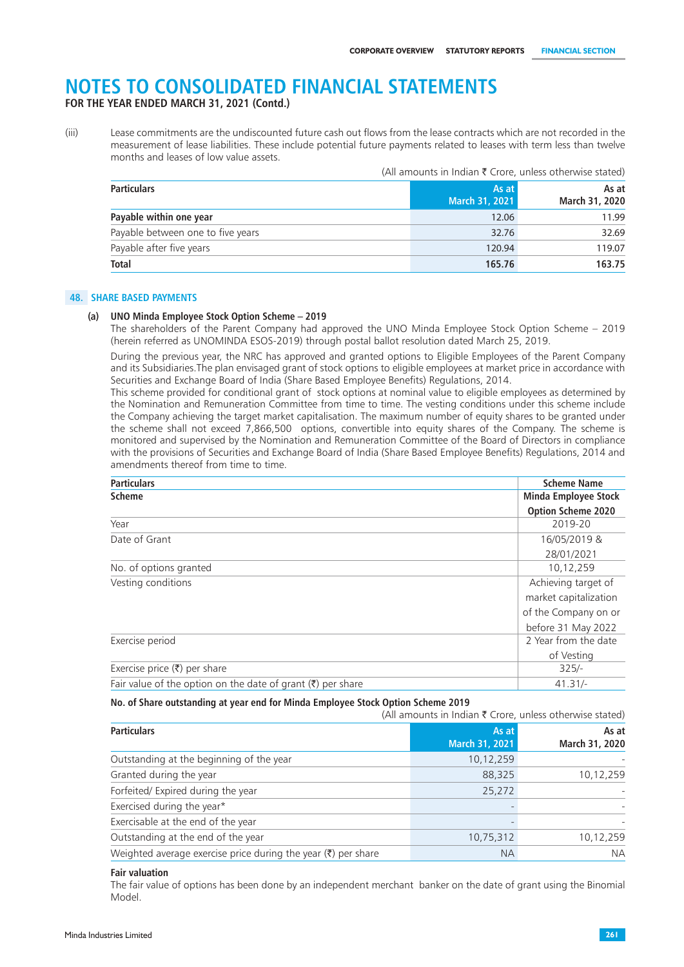**FOR THE YEAR ENDED MARCH 31, 2021 (Contd.)**

(iii) Lease commitments are the undiscounted future cash out flows from the lease contracts which are not recorded in the measurement of lease liabilities. These include potential future payments related to leases with term less than twelve months and leases of low value assets.

|                                   | (All amounts in Indian ₹ Crore, unless otherwise stated) |                         |  |
|-----------------------------------|----------------------------------------------------------|-------------------------|--|
| <b>Particulars</b>                | As at<br>March 31, 2021                                  | As at<br>March 31, 2020 |  |
| Payable within one year           | 12.06                                                    | 11.99                   |  |
| Payable between one to five years | 32.76                                                    | 32.69                   |  |
| Payable after five years          | 120.94                                                   | 119.07                  |  |
| Total                             | 165.76                                                   | 163.75                  |  |

#### **48. SHARE BASED PAYMENTS**

#### **(a) UNO Minda Employee Stock Option Scheme – 2019**

The shareholders of the Parent Company had approved the UNO Minda Employee Stock Option Scheme – 2019 (herein referred as UNOMINDA ESOS-2019) through postal ballot resolution dated March 25, 2019.

During the previous year, the NRC has approved and granted options to Eligible Employees of the Parent Company and its Subsidiaries.The plan envisaged grant of stock options to eligible employees at market price in accordance with Securities and Exchange Board of India (Share Based Employee Benefits) Regulations, 2014.

This scheme provided for conditional grant of stock options at nominal value to eligible employees as determined by the Nomination and Remuneration Committee from time to time. The vesting conditions under this scheme include the Company achieving the target market capitalisation. The maximum number of equity shares to be granted under the scheme shall not exceed 7,866,500 options, convertible into equity shares of the Company. The scheme is monitored and supervised by the Nomination and Remuneration Committee of the Board of Directors in compliance with the provisions of Securities and Exchange Board of India (Share Based Employee Benefits) Regulations, 2014 and amendments thereof from time to time.

| <b>Particulars</b>                                                  | <b>Scheme Name</b>          |
|---------------------------------------------------------------------|-----------------------------|
| <b>Scheme</b>                                                       | <b>Minda Employee Stock</b> |
|                                                                     | <b>Option Scheme 2020</b>   |
| Year                                                                | 2019-20                     |
| Date of Grant                                                       | 16/05/2019 &                |
|                                                                     | 28/01/2021                  |
| No. of options granted                                              | 10,12,259                   |
| Vesting conditions                                                  | Achieving target of         |
|                                                                     | market capitalization       |
|                                                                     | of the Company on or        |
|                                                                     | before 31 May 2022          |
| Exercise period                                                     | 2 Year from the date        |
|                                                                     | of Vesting                  |
| Exercise price $(\overline{\zeta})$ per share                       | $325/-$                     |
| Fair value of the option on the date of grant $(\bar{x})$ per share | $41.31/-$                   |

#### **No. of Share outstanding at year end for Minda Employee Stock Option Scheme 2019**

|                                                                          | (All amounts in Indian $\bar{\tau}$ Crore, unless otherwise stated) |                         |
|--------------------------------------------------------------------------|---------------------------------------------------------------------|-------------------------|
| <b>Particulars</b>                                                       | As at<br>March 31, 2021                                             | As at<br>March 31, 2020 |
| Outstanding at the beginning of the year                                 | 10,12,259                                                           |                         |
| Granted during the year                                                  | 88,325                                                              | 10,12,259               |
| Forfeited/ Expired during the year                                       | 25,272                                                              |                         |
| Exercised during the year*                                               |                                                                     |                         |
| Exercisable at the end of the year                                       |                                                                     |                         |
| Outstanding at the end of the year                                       | 10,75,312                                                           | 10,12,259               |
| Weighted average exercise price during the year $(\bar{\tau})$ per share | <b>NA</b>                                                           | <b>NA</b>               |

#### **Fair valuation**

The fair value of options has been done by an independent merchant banker on the date of grant using the Binomial Model.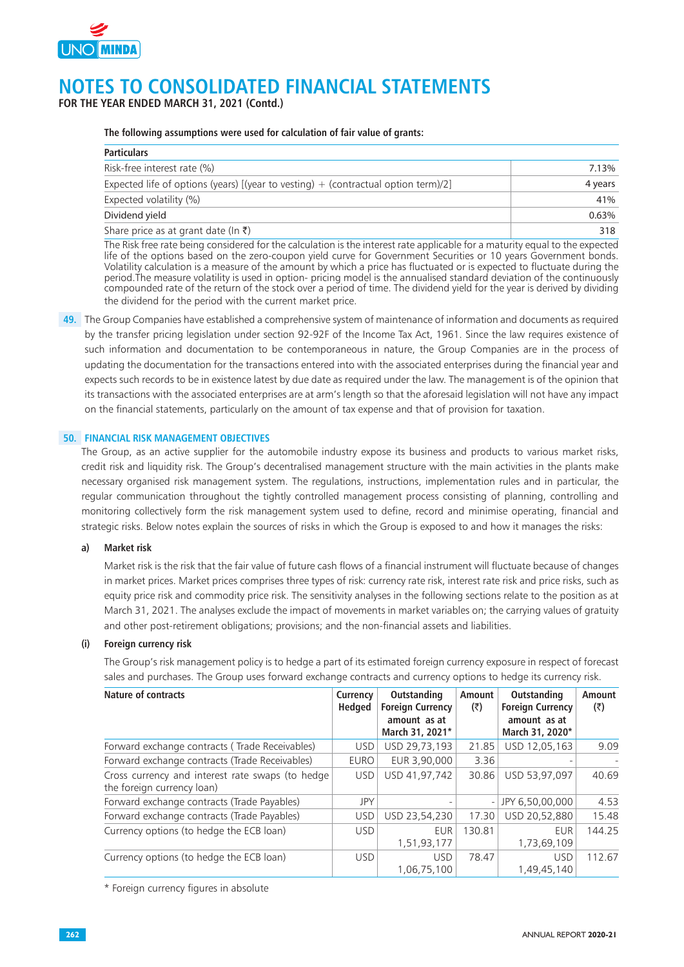

**FOR THE YEAR ENDED MARCH 31, 2021 (Contd.)**

#### **The following assumptions were used for calculation of fair value of grants:**

| <b>Particulars</b>                                                                   |         |
|--------------------------------------------------------------------------------------|---------|
| Risk-free interest rate (%)                                                          | 7.13%   |
| Expected life of options (years) [(year to vesting) $+$ (contractual option term)/2] | 4 years |
| Expected volatility (%)                                                              | 41%     |
| Dividend yield                                                                       | 0.63%   |
| Share price as at grant date (In ₹)                                                  | 318     |

The Risk free rate being considered for the calculation is the interest rate applicable for a maturity equal to the expected life of the options based on the zero-coupon yield curve for Government Securities or 10 years Government bonds. Volatility calculation is a measure of the amount by which a price has fluctuated or is expected to fluctuate during the period.The measure volatility is used in option- pricing model is the annualised standard deviation of the continuously compounded rate of the return of the stock over a period of time. The dividend yield for the year is derived by dividing the dividend for the period with the current market price.

**49.** The Group Companies have established a comprehensive system of maintenance of information and documents as required by the transfer pricing legislation under section 92-92F of the Income Tax Act, 1961. Since the law requires existence of such information and documentation to be contemporaneous in nature, the Group Companies are in the process of updating the documentation for the transactions entered into with the associated enterprises during the financial year and expects such records to be in existence latest by due date as required under the law. The management is of the opinion that its transactions with the associated enterprises are at arm's length so that the aforesaid legislation will not have any impact on the financial statements, particularly on the amount of tax expense and that of provision for taxation.

#### **50. FINANCIAL RISK MANAGEMENT OBJECTIVES**

The Group, as an active supplier for the automobile industry expose its business and products to various market risks, credit risk and liquidity risk. The Group's decentralised management structure with the main activities in the plants make necessary organised risk management system. The regulations, instructions, implementation rules and in particular, the regular communication throughout the tightly controlled management process consisting of planning, controlling and monitoring collectively form the risk management system used to define, record and minimise operating, financial and strategic risks. Below notes explain the sources of risks in which the Group is exposed to and how it manages the risks:

#### **a) Market risk**

Market risk is the risk that the fair value of future cash flows of a financial instrument will fluctuate because of changes in market prices. Market prices comprises three types of risk: currency rate risk, interest rate risk and price risks, such as equity price risk and commodity price risk. The sensitivity analyses in the following sections relate to the position as at March 31, 2021. The analyses exclude the impact of movements in market variables on; the carrying values of gratuity and other post-retirement obligations; provisions; and the non-financial assets and liabilities.

#### **(i) Foreign currency risk**

The Group's risk management policy is to hedge a part of its estimated foreign currency exposure in respect of forecast sales and purchases. The Group uses forward exchange contracts and currency options to hedge its currency risk.

| <b>Nature of contracts</b>                                                     | Currency<br><b>Hedged</b> | <b>Outstanding</b><br><b>Foreign Currency</b><br>amount as at<br>March 31, 2021* | Amount<br>$(\overline{\zeta})$ | Outstanding<br><b>Foreign Currency</b><br>amount as at<br>March 31, 2020* | Amount<br>(₹) |
|--------------------------------------------------------------------------------|---------------------------|----------------------------------------------------------------------------------|--------------------------------|---------------------------------------------------------------------------|---------------|
| Forward exchange contracts (Trade Receivables)                                 | <b>USD</b>                | USD 29,73,193                                                                    | 21.85                          | USD 12,05,163                                                             | 9.09          |
| Forward exchange contracts (Trade Receivables)                                 | EURO                      | EUR 3,90,000                                                                     | 3.36                           |                                                                           |               |
| Cross currency and interest rate swaps (to hedge<br>the foreign currency loan) | <b>USD</b>                | USD 41.97.742                                                                    | 30.86                          | USD 53,97,097                                                             | 40.69         |
| Forward exchange contracts (Trade Payables)                                    | JPY                       |                                                                                  | $\overline{\phantom{a}}$       | JPY 6,50,00,000                                                           | 4.53          |
| Forward exchange contracts (Trade Payables)                                    | <b>USD</b>                | USD 23,54,230                                                                    | 17.30                          | USD 20.52.880                                                             | 15.48         |
| Currency options (to hedge the ECB loan)                                       | <b>USD</b>                | <b>EUR</b><br>1,51,93,177                                                        | 130.81                         | EUR.<br>1,73,69,109                                                       | 144.25        |
| Currency options (to hedge the ECB loan)                                       | <b>USD</b>                | <b>USD</b><br>1.06.75.100                                                        | 78.47                          | <b>USD</b><br>1,49,45,140                                                 | 112.67        |

\* Foreign currency figures in absolute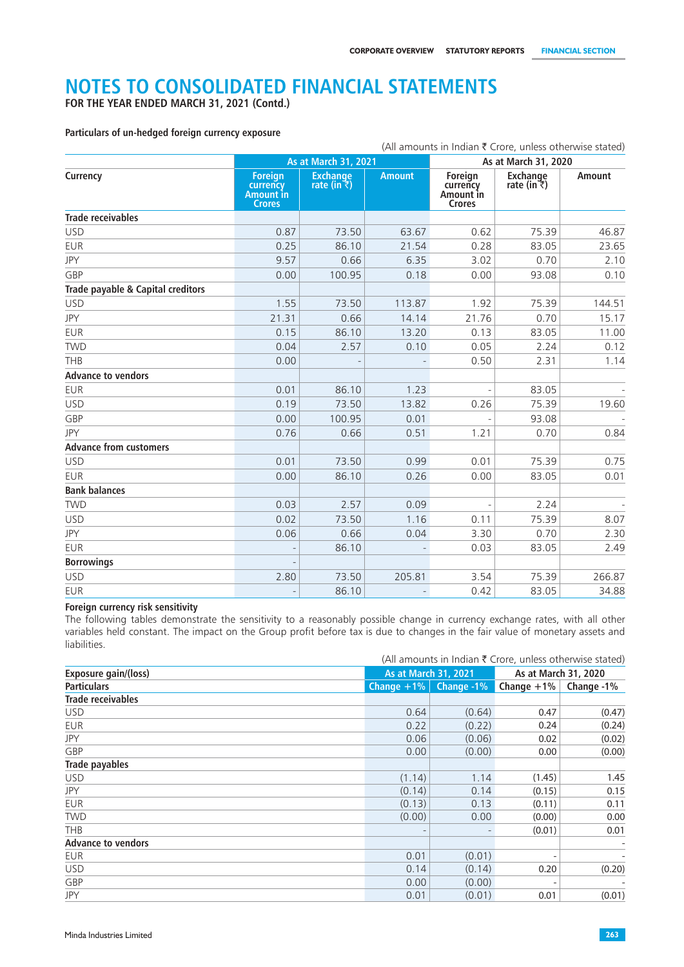**FOR THE YEAR ENDED MARCH 31, 2021 (Contd.)**

#### **Particulars of un-hedged foreign currency exposure**

|                                   |                                                          |                                         |               |                                                   | (All amounts in Indian ₹ Crore, unless otherwise stated) |               |
|-----------------------------------|----------------------------------------------------------|-----------------------------------------|---------------|---------------------------------------------------|----------------------------------------------------------|---------------|
|                                   | As at March 31, 2021                                     |                                         |               | As at March 31, 2020                              |                                                          |               |
| Currency                          | <b>Foreign</b><br>currency<br>Amount in<br><b>Crores</b> | <b>Exchange</b><br>rate (in $\bar{z}$ ) | <b>Amount</b> | Foreign<br>currency<br>Amount in<br><b>Crores</b> | <b>Exchange</b><br>rate (in $\bar{z}$ )                  | <b>Amount</b> |
| <b>Trade receivables</b>          |                                                          |                                         |               |                                                   |                                                          |               |
| <b>USD</b>                        | 0.87                                                     | 73.50                                   | 63.67         | 0.62                                              | 75.39                                                    | 46.87         |
| <b>EUR</b>                        | 0.25                                                     | 86.10                                   | 21.54         | 0.28                                              | 83.05                                                    | 23.65         |
| JPY                               | 9.57                                                     | 0.66                                    | 6.35          | 3.02                                              | 0.70                                                     | 2.10          |
| GBP                               | 0.00                                                     | 100.95                                  | 0.18          | 0.00                                              | 93.08                                                    | 0.10          |
| Trade payable & Capital creditors |                                                          |                                         |               |                                                   |                                                          |               |
| <b>USD</b>                        | 1.55                                                     | 73.50                                   | 113.87        | 1.92                                              | 75.39                                                    | 144.51        |
| <b>JPY</b>                        | 21.31                                                    | 0.66                                    | 14.14         | 21.76                                             | 0.70                                                     | 15.17         |
| <b>EUR</b>                        | 0.15                                                     | 86.10                                   | 13.20         | 0.13                                              | 83.05                                                    | 11.00         |
| <b>TWD</b>                        | 0.04                                                     | 2.57                                    | 0.10          | 0.05                                              | 2.24                                                     | 0.12          |
| THB                               | 0.00                                                     |                                         |               | 0.50                                              | 2.31                                                     | 1.14          |
| <b>Advance to vendors</b>         |                                                          |                                         |               |                                                   |                                                          |               |
| <b>EUR</b>                        | 0.01                                                     | 86.10                                   | 1.23          |                                                   | 83.05                                                    |               |
| <b>USD</b>                        | 0.19                                                     | 73.50                                   | 13.82         | 0.26                                              | 75.39                                                    | 19.60         |
| GBP                               | 0.00                                                     | 100.95                                  | 0.01          |                                                   | 93.08                                                    |               |
| <b>JPY</b>                        | 0.76                                                     | 0.66                                    | 0.51          | 1.21                                              | 0.70                                                     | 0.84          |
| <b>Advance from customers</b>     |                                                          |                                         |               |                                                   |                                                          |               |
| <b>USD</b>                        | 0.01                                                     | 73.50                                   | 0.99          | 0.01                                              | 75.39                                                    | 0.75          |
| EUR                               | 0.00                                                     | 86.10                                   | 0.26          | 0.00                                              | 83.05                                                    | 0.01          |
| <b>Bank balances</b>              |                                                          |                                         |               |                                                   |                                                          |               |
| <b>TWD</b>                        | 0.03                                                     | 2.57                                    | 0.09          |                                                   | 2.24                                                     |               |
| <b>USD</b>                        | 0.02                                                     | 73.50                                   | 1.16          | 0.11                                              | 75.39                                                    | 8.07          |
| JPY                               | 0.06                                                     | 0.66                                    | 0.04          | 3.30                                              | 0.70                                                     | 2.30          |
| <b>EUR</b>                        |                                                          | 86.10                                   |               | 0.03                                              | 83.05                                                    | 2.49          |
| <b>Borrowings</b>                 |                                                          |                                         |               |                                                   |                                                          |               |
| <b>USD</b>                        | 2.80                                                     | 73.50                                   | 205.81        | 3.54                                              | 75.39                                                    | 266.87        |
| <b>EUR</b>                        |                                                          | 86.10                                   |               | 0.42                                              | 83.05                                                    | 34.88         |

#### **Foreign currency risk sensitivity**

The following tables demonstrate the sensitivity to a reasonably possible change in currency exchange rates, with all other variables held constant. The impact on the Group profit before tax is due to changes in the fair value of monetary assets and liabilities.

|                           |               |                             | (All amounts in Indian $\bar{\tau}$ Crore, unless otherwise stated) |                          |  |
|---------------------------|---------------|-----------------------------|---------------------------------------------------------------------|--------------------------|--|
| Exposure gain/(loss)      |               | <b>As at March 31, 2021</b> |                                                                     | As at March 31, 2020     |  |
| <b>Particulars</b>        | Change $+1\%$ | Change -1%                  | Change $+1\%$                                                       | Change -1%               |  |
| <b>Trade receivables</b>  |               |                             |                                                                     |                          |  |
| <b>USD</b>                | 0.64          | (0.64)                      | 0.47                                                                | (0.47)                   |  |
| <b>EUR</b>                | 0.22          | (0.22)                      | 0.24                                                                | (0.24)                   |  |
| <b>JPY</b>                | 0.06          | (0.06)                      | 0.02                                                                | (0.02)                   |  |
| GBP                       | 0.00          | (0.00)                      | 0.00                                                                | (0.00)                   |  |
| Trade payables            |               |                             |                                                                     |                          |  |
| <b>USD</b>                | (1.14)        | 1.14                        | (1.45)                                                              | 1.45                     |  |
| <b>JPY</b>                | (0.14)        | 0.14                        | (0.15)                                                              | 0.15                     |  |
| <b>EUR</b>                | (0.13)        | 0.13                        | (0.11)                                                              | 0.11                     |  |
| <b>TWD</b>                | (0.00)        | 0.00                        | (0.00)                                                              | 0.00                     |  |
| <b>THB</b>                |               |                             | (0.01)                                                              | 0.01                     |  |
| <b>Advance to vendors</b> |               |                             |                                                                     | $\overline{\phantom{a}}$ |  |
| <b>EUR</b>                | 0.01          | (0.01)                      |                                                                     | $\overline{\phantom{a}}$ |  |
| <b>USD</b>                | 0.14          | (0.14)                      | 0.20                                                                | (0.20)                   |  |
| GBP                       | 0.00          | (0.00)                      |                                                                     |                          |  |
| <b>JPY</b>                | 0.01          | (0.01)                      | 0.01                                                                | (0.01)                   |  |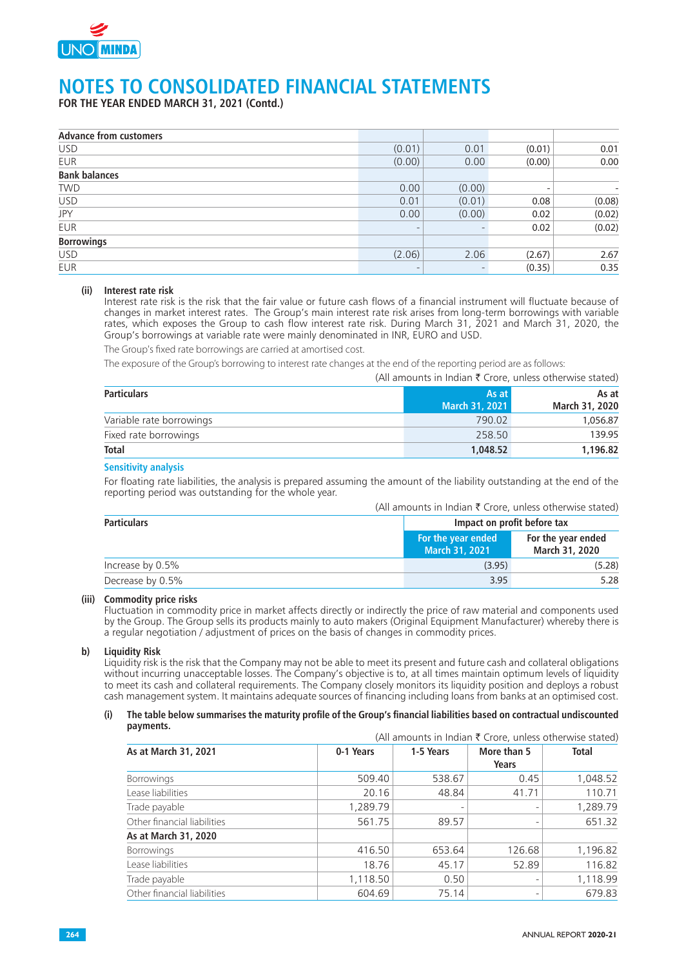

**FOR THE YEAR ENDED MARCH 31, 2021 (Contd.)**

| <b>Advance from customers</b> |        |        |                          |        |
|-------------------------------|--------|--------|--------------------------|--------|
| <b>USD</b>                    | (0.01) | 0.01   | (0.01)                   | 0.01   |
| <b>EUR</b>                    | (0.00) | 0.00   | (0.00)                   | 0.00   |
| <b>Bank balances</b>          |        |        |                          |        |
| <b>TWD</b>                    | 0.00   | (0.00) | $\overline{\phantom{0}}$ |        |
| <b>USD</b>                    | 0.01   | (0.01) | 0.08                     | (0.08) |
| JPY                           | 0.00   | (0.00) | 0.02                     | (0.02) |
| <b>EUR</b>                    |        |        | 0.02                     | (0.02) |
| <b>Borrowings</b>             |        |        |                          |        |
| <b>USD</b>                    | (2.06) | 2.06   | (2.67)                   | 2.67   |
| <b>EUR</b>                    |        |        | (0.35)                   | 0.35   |

#### **(ii) Interest rate risk**

Interest rate risk is the risk that the fair value or future cash flows of a financial instrument will fluctuate because of changes in market interest rates. The Group's main interest rate risk arises from long-term borrowings with variable rates, which exposes the Group to cash flow interest rate risk. During March 31, 2021 and March 31, 2020, the Group's borrowings at variable rate were mainly denominated in INR, EURO and USD.

The Group's fixed rate borrowings are carried at amortised cost.

The exposure of the Group's borrowing to interest rate changes at the end of the reporting period are as follows:

|                          | (All amounts in indian < Crore, unless otherwise stated) |                         |
|--------------------------|----------------------------------------------------------|-------------------------|
| <b>Particulars</b>       | 'As at l<br>March 31, 2021                               | As at<br>March 31, 2020 |
| Variable rate borrowings | 790.02                                                   | 1,056.87                |
| Fixed rate borrowings    | 258.50                                                   | 139.95                  |
| <b>Total</b>             | 1.048.52                                                 | 1,196.82                |

#### **Sensitivity analysis**

For floating rate liabilities, the analysis is prepared assuming the amount of the liability outstanding at the end of the reporting period was outstanding for the whole year.

#### (All amounts in Indian  $\bar{\tau}$  Crore, unless otherwise stated)

 $\overline{(\lambda]}$  amounts in Indian  $\overline{\tau}$  Crore, unless otherwise stated)

| <b>Particulars</b> | Impact on profit before tax                 |                                      |  |
|--------------------|---------------------------------------------|--------------------------------------|--|
|                    | For the year ended<br><b>March 31, 2021</b> | For the year ended<br>March 31, 2020 |  |
| Increase by 0.5%   | (3.95)                                      | (5.28)                               |  |
| Decrease by 0.5%   | 3.95                                        | 5.28                                 |  |

#### **(iii) Commodity price risks**

Fluctuation in commodity price in market affects directly or indirectly the price of raw material and components used by the Group. The Group sells its products mainly to auto makers (Original Equipment Manufacturer) whereby there is a regular negotiation / adjustment of prices on the basis of changes in commodity prices.

#### **b) Liquidity Risk**

Liquidity risk is the risk that the Company may not be able to meet its present and future cash and collateral obligations without incurring unacceptable losses. The Company's objective is to, at all times maintain optimum levels of liquidity to meet its cash and collateral requirements. The Company closely monitors its liquidity position and deploys a robust cash management system. It maintains adequate sources of financing including loans from banks at an optimised cost.

#### **(i) The table below summarises the maturity profile of the Group's financial liabilities based on contractual undiscounted payments.**

|                             |           |           | (All amounts in Indian ₹ Crore, unless otherwise stated) |              |
|-----------------------------|-----------|-----------|----------------------------------------------------------|--------------|
| As at March 31, 2021        | 0-1 Years | 1-5 Years | More than 5<br>Years                                     | <b>Total</b> |
| <b>Borrowings</b>           | 509.40    | 538.67    | 0.45                                                     | 1,048.52     |
| Lease liabilities           | 20.16     | 48.84     | 41.71                                                    | 110.71       |
| Trade payable               | 1,289.79  |           | $\overline{\phantom{a}}$                                 | 1,289.79     |
| Other financial liabilities | 561.75    | 89.57     | $\overline{\phantom{a}}$                                 | 651.32       |
| As at March 31, 2020        |           |           |                                                          |              |
| <b>Borrowings</b>           | 416.50    | 653.64    | 126.68                                                   | 1,196.82     |
| Lease liabilities           | 18.76     | 45.17     | 52.89                                                    | 116.82       |
| Trade payable               | 1,118.50  | 0.50      |                                                          | 1,118.99     |
| Other financial liabilities | 604.69    | 75.14     | $\overline{\phantom{a}}$                                 | 679.83       |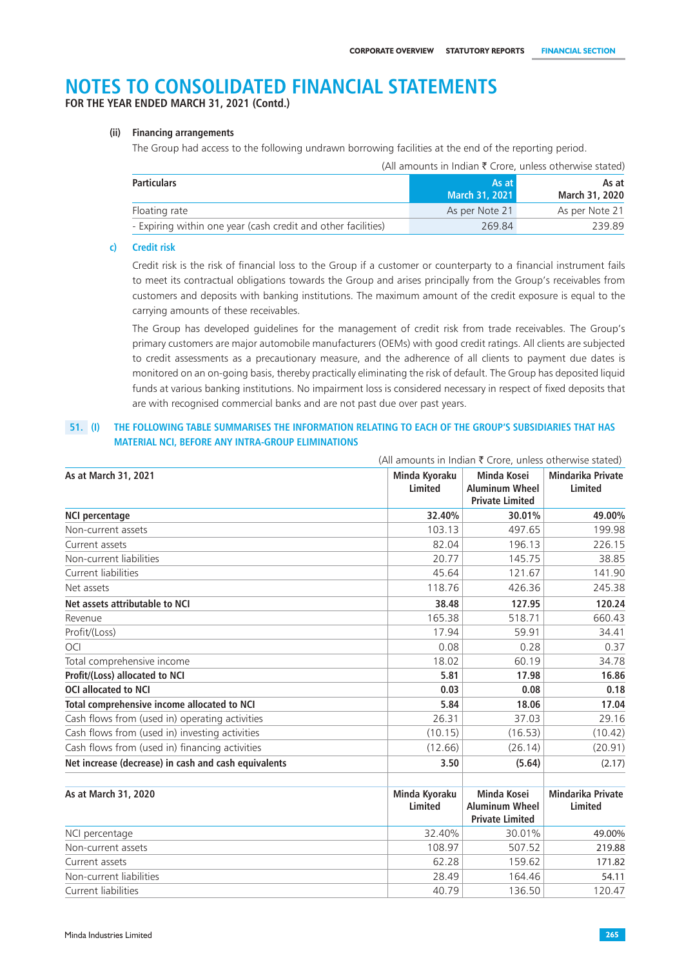**FOR THE YEAR ENDED MARCH 31, 2021 (Contd.)**

#### **(ii) Financing arrangements**

The Group had access to the following undrawn borrowing facilities at the end of the reporting period.

|                                                               | (All amounts in Indian $\bar{\tau}$ Crore, unless otherwise stated) |                         |
|---------------------------------------------------------------|---------------------------------------------------------------------|-------------------------|
| <b>Particulars</b>                                            | As at<br>March 31, 2021                                             | As at<br>March 31, 2020 |
| Floating rate                                                 | As per Note 21                                                      | As per Note 21          |
| - Expiring within one year (cash credit and other facilities) | 269.84                                                              | 239.89                  |

#### **c) Credit risk**

Credit risk is the risk of financial loss to the Group if a customer or counterparty to a financial instrument fails to meet its contractual obligations towards the Group and arises principally from the Group's receivables from customers and deposits with banking institutions. The maximum amount of the credit exposure is equal to the carrying amounts of these receivables.

The Group has developed guidelines for the management of credit risk from trade receivables. The Group's primary customers are major automobile manufacturers (OEMs) with good credit ratings. All clients are subjected to credit assessments as a precautionary measure, and the adherence of all clients to payment due dates is monitored on an on-going basis, thereby practically eliminating the risk of default. The Group has deposited liquid funds at various banking institutions. No impairment loss is considered necessary in respect of fixed deposits that are with recognised commercial banks and are not past due over past years.

#### **51. (I) THE FOLLOWING TABLE SUMMARISES THE INFORMATION RELATING TO EACH OF THE GROUP'S SUBSIDIARIES THAT HAS MATERIAL NCI, BEFORE ANY INTRA-GROUP ELIMINATIONS**

|                                                      | (All amounts in Indian $\bar{\tau}$ Crore, unless otherwise stated) |                                                                |                                     |
|------------------------------------------------------|---------------------------------------------------------------------|----------------------------------------------------------------|-------------------------------------|
| As at March 31, 2021                                 | Minda Kyoraku<br>Limited                                            | Minda Kosei<br><b>Aluminum Wheel</b><br><b>Private Limited</b> | <b>Mindarika Private</b><br>Limited |
| <b>NCI percentage</b>                                | 32.40%                                                              | 30.01%                                                         | 49.00%                              |
| Non-current assets                                   | 103.13                                                              | 497.65                                                         | 199.98                              |
| Current assets                                       | 82.04                                                               | 196.13                                                         | 226.15                              |
| Non-current liabilities                              | 20.77                                                               | 145.75                                                         | 38.85                               |
| Current liabilities                                  | 45.64                                                               | 121.67                                                         | 141.90                              |
| Net assets                                           | 118.76                                                              | 426.36                                                         | 245.38                              |
| Net assets attributable to NCI                       | 38.48                                                               | 127.95                                                         | 120.24                              |
| Revenue                                              | 165.38                                                              | 518.71                                                         | 660.43                              |
| Profit/(Loss)                                        | 17.94                                                               | 59.91                                                          | 34.41                               |
| OCI                                                  | 0.08                                                                | 0.28                                                           | 0.37                                |
| Total comprehensive income                           | 18.02                                                               | 60.19                                                          | 34.78                               |
| Profit/(Loss) allocated to NCI                       | 5.81                                                                | 17.98                                                          | 16.86                               |
| <b>OCI allocated to NCI</b>                          | 0.03                                                                | 0.08                                                           | 0.18                                |
| Total comprehensive income allocated to NCI          | 5.84                                                                | 18.06                                                          | 17.04                               |
| Cash flows from (used in) operating activities       | 26.31                                                               | 37.03                                                          | 29.16                               |
| Cash flows from (used in) investing activities       | (10.15)                                                             | (16.53)                                                        | (10.42)                             |
| Cash flows from (used in) financing activities       | (12.66)                                                             | (26.14)                                                        | (20.91)                             |
| Net increase (decrease) in cash and cash equivalents | 3.50                                                                | (5.64)                                                         | (2.17)                              |
| As at March 31, 2020                                 | Minda Kyoraku<br>Limited                                            | Minda Kosei<br><b>Aluminum Wheel</b><br><b>Private Limited</b> | <b>Mindarika Private</b><br>Limited |
| NCI percentage                                       | 32.40%                                                              | 30.01%                                                         | 49.00%                              |
| Non-current assets                                   | 108.97                                                              | 507.52                                                         | 219.88                              |
| Current assets                                       | 62.28                                                               | 159.62                                                         | 171.82                              |
| Non-current liabilities                              | 28.49                                                               | 164.46                                                         | 54.11                               |
| Current liabilities                                  | 40.79                                                               | 136.50                                                         | 120.47                              |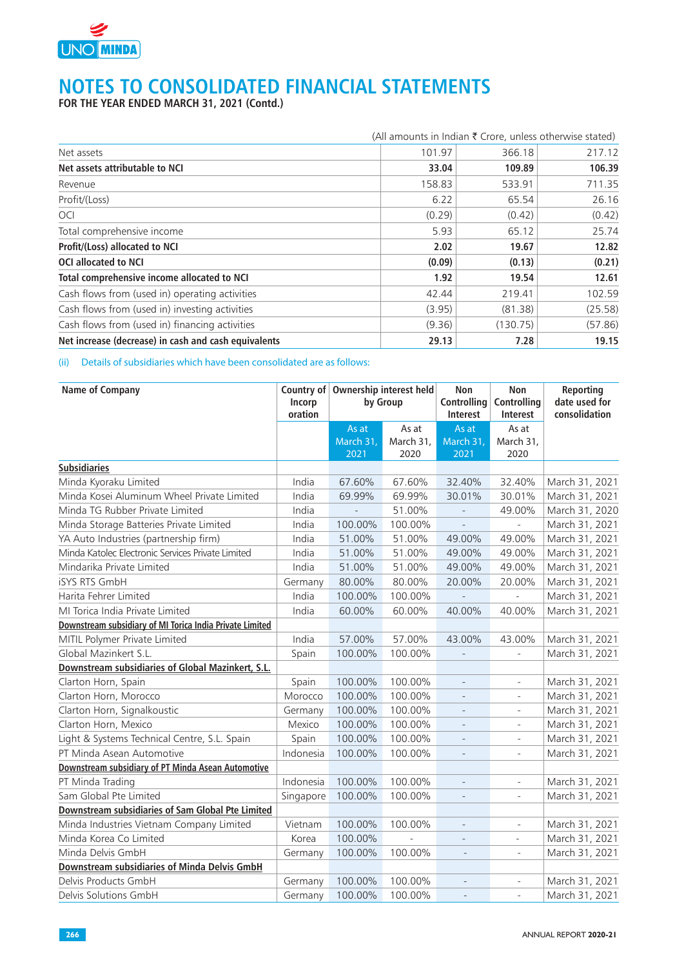

**FOR THE YEAR ENDED MARCH 31, 2021 (Contd.)**

|                                                      | (All amounts in Indian ₹ Crore, unless otherwise stated) |          |         |
|------------------------------------------------------|----------------------------------------------------------|----------|---------|
| Net assets                                           | 101.97                                                   | 366.18   | 217.12  |
| Net assets attributable to NCI                       | 33.04                                                    | 109.89   | 106.39  |
| Revenue                                              | 158.83                                                   | 533.91   | 711.35  |
| Profit/(Loss)                                        | 6.22                                                     | 65.54    | 26.16   |
| OCI                                                  | (0.29)                                                   | (0.42)   | (0.42)  |
| Total comprehensive income                           | 5.93                                                     | 65.12    | 25.74   |
| Profit/(Loss) allocated to NCI                       | 2.02                                                     | 19.67    | 12.82   |
| <b>OCI allocated to NCI</b>                          | (0.09)                                                   | (0.13)   | (0.21)  |
| Total comprehensive income allocated to NCI          | 1.92                                                     | 19.54    | 12.61   |
| Cash flows from (used in) operating activities       | 42.44                                                    | 219.41   | 102.59  |
| Cash flows from (used in) investing activities       | (3.95)                                                   | (81.38)  | (25.58) |
| Cash flows from (used in) financing activities       | (9.36)                                                   | (130.75) | (57.86) |
| Net increase (decrease) in cash and cash equivalents | 29.13                                                    | 7.28     | 19.15   |

(ii) Details of subsidiaries which have been consolidated are as follows:

| Name of Company                                          | Country of<br>Incorp<br>oration |                   | <b>Ownership interest held</b><br>by Group | <b>Non</b><br><b>Controlling</b><br>Interest | Non<br><b>Controlling</b><br>Interest | Reporting<br>date used for<br>consolidation |
|----------------------------------------------------------|---------------------------------|-------------------|--------------------------------------------|----------------------------------------------|---------------------------------------|---------------------------------------------|
|                                                          |                                 | As at             | As at                                      | As at                                        | As at                                 |                                             |
|                                                          |                                 | March 31,<br>2021 | March 31,<br>2020                          | March 31,<br>2021                            | March 31,<br>2020                     |                                             |
| <b>Subsidiaries</b>                                      |                                 |                   |                                            |                                              |                                       |                                             |
| Minda Kyoraku Limited                                    | India                           | 67.60%            | 67.60%                                     | 32.40%                                       | 32.40%                                | March 31, 2021                              |
| Minda Kosei Aluminum Wheel Private Limited               | India                           | 69.99%            | 69.99%                                     | 30.01%                                       | 30.01%                                | March 31, 2021                              |
| Minda TG Rubber Private Limited                          | India                           |                   | 51.00%                                     | $\qquad \qquad -$                            | 49.00%                                | March 31, 2020                              |
| Minda Storage Batteries Private Limited                  | India                           | 100.00%           | 100.00%                                    |                                              | $\overline{a}$                        | March 31, 2021                              |
| YA Auto Industries (partnership firm)                    | India                           | 51.00%            | 51.00%                                     | 49.00%                                       | 49.00%                                | March 31, 2021                              |
| Minda Katolec Electronic Services Private Limited        | India                           | 51.00%            | 51.00%                                     | 49.00%                                       | 49.00%                                | March 31, 2021                              |
| Mindarika Private Limited                                | India                           | 51.00%            | 51.00%                                     | 49.00%                                       | 49.00%                                | March 31, 2021                              |
| <b>iSYS RTS GmbH</b>                                     | Germany                         | 80.00%            | 80.00%                                     | 20.00%                                       | 20.00%                                | March 31, 2021                              |
| Harita Fehrer Limited                                    | India                           | 100.00%           | 100.00%                                    |                                              | $\overline{a}$                        | March 31, 2021                              |
| MI Torica India Private Limited                          | India                           | 60.00%            | 60.00%                                     | 40.00%                                       | 40.00%                                | March 31, 2021                              |
| Downstream subsidiary of MI Torica India Private Limited |                                 |                   |                                            |                                              |                                       |                                             |
| MITIL Polymer Private Limited                            | India                           | 57.00%            | 57.00%                                     | 43.00%                                       | 43.00%                                | March 31, 2021                              |
| Global Mazinkert S.L.                                    | Spain                           | 100.00%           | 100.00%                                    |                                              |                                       | March 31, 2021                              |
| Downstream subsidiaries of Global Mazinkert, S.L.        |                                 |                   |                                            |                                              |                                       |                                             |
| Clarton Horn, Spain                                      | Spain                           | 100.00%           | 100.00%                                    | $\overline{a}$                               | $\overline{a}$                        | March 31, 2021                              |
| Clarton Horn, Morocco                                    | Morocco                         | 100.00%           | 100.00%                                    | $\overline{a}$                               | $\overline{a}$                        | March 31, 2021                              |
| Clarton Horn, Signalkoustic                              | Germany                         | 100.00%           | 100.00%                                    | $\overline{\phantom{a}}$                     | $\frac{1}{2}$                         | March 31, 2021                              |
| Clarton Horn, Mexico                                     | Mexico                          | 100.00%           | 100.00%                                    | $\overline{\phantom{a}}$                     | $\blacksquare$                        | March 31, 2021                              |
| Light & Systems Technical Centre, S.L. Spain             | Spain                           | 100.00%           | 100.00%                                    | $\overline{\phantom{a}}$                     | $\overline{\phantom{a}}$              | March 31, 2021                              |
| PT Minda Asean Automotive                                | Indonesia                       | 100.00%           | 100.00%                                    | $\overline{\phantom{a}}$                     | $\overline{a}$                        | March 31, 2021                              |
| Downstream subsidiary of PT Minda Asean Automotive       |                                 |                   |                                            |                                              |                                       |                                             |
| PT Minda Trading                                         | Indonesia                       | 100.00%           | 100.00%                                    | $\overline{\phantom{a}}$                     | $\frac{1}{2}$                         | March 31, 2021                              |
| Sam Global Pte Limited                                   | Singapore                       | 100.00%           | 100.00%                                    | $\overline{\phantom{0}}$                     | $\overline{\phantom{0}}$              | March 31, 2021                              |
| Downstream subsidiaries of Sam Global Pte Limited        |                                 |                   |                                            |                                              |                                       |                                             |
| Minda Industries Vietnam Company Limited                 | Vietnam                         | 100.00%           | 100.00%                                    | $\overline{a}$                               | $\frac{1}{2}$                         | March 31, 2021                              |
| Minda Korea Co Limited                                   | Korea                           | 100.00%           | $\overline{a}$                             |                                              | $\overline{a}$                        | March 31, 2021                              |
| Minda Delvis GmbH                                        | Germany                         | 100.00%           | 100.00%                                    | $\overline{a}$                               | $\overline{a}$                        | March 31, 2021                              |
| <b>Downstream subsidiaries of Minda Delvis GmbH</b>      |                                 |                   |                                            |                                              |                                       |                                             |
| Delvis Products GmbH                                     | Germany                         | 100.00%           | 100.00%                                    |                                              | $\overline{\phantom{0}}$              | March 31, 2021                              |
| Delvis Solutions GmbH                                    | Germany                         | 100.00%           | 100.00%                                    |                                              | $\overline{a}$                        | March 31, 2021                              |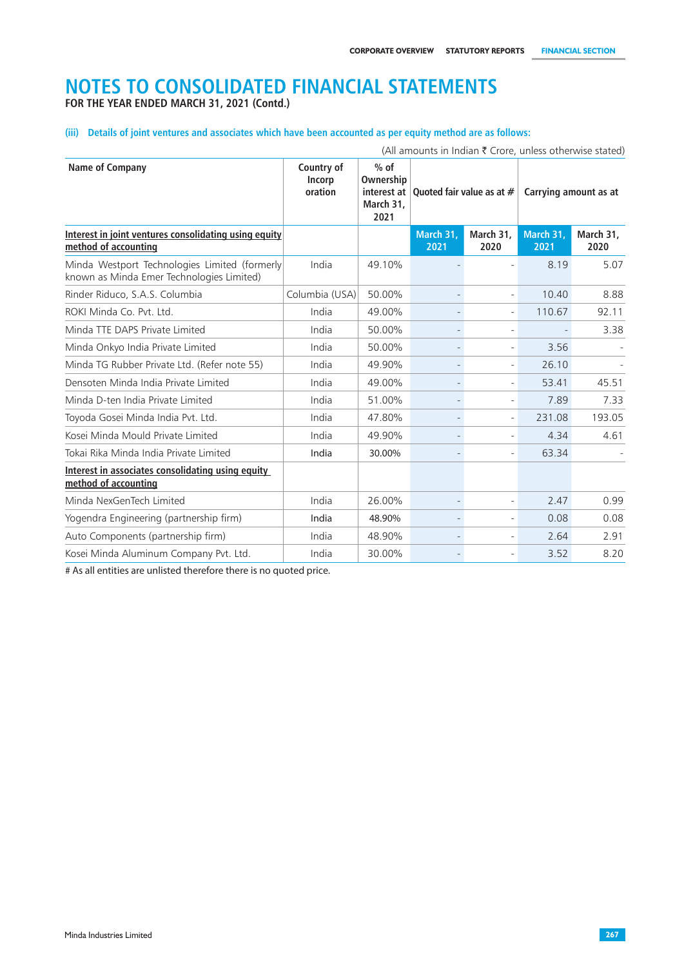**FOR THE YEAR ENDED MARCH 31, 2021 (Contd.)**

**(iii) Details of joint ventures and associates which have been accounted as per equity method are as follows:**

|                                                                                            |                                 |                                          |                                                  |                          |                   | (All amounts in Indian $\bar{\tau}$ Crore, unless otherwise stated) |
|--------------------------------------------------------------------------------------------|---------------------------------|------------------------------------------|--------------------------------------------------|--------------------------|-------------------|---------------------------------------------------------------------|
| Name of Company                                                                            | Country of<br>Incorp<br>oration | $%$ of<br>Ownership<br>March 31,<br>2021 | interest at $\vert$ Ouoted fair value as at $\#$ |                          |                   | Carrying amount as at                                               |
| Interest in joint ventures consolidating using equity<br>method of accounting              |                                 |                                          | March 31.<br>2021                                | March 31,<br>2020        | March 31.<br>2021 | March 31,<br>2020                                                   |
| Minda Westport Technologies Limited (formerly<br>known as Minda Emer Technologies Limited) | India                           | 49.10%                                   |                                                  |                          | 8.19              | 5.07                                                                |
| Rinder Riduco, S.A.S. Columbia                                                             | Columbia (USA)                  | 50.00%                                   | $\overline{\phantom{a}}$                         | $\overline{\phantom{a}}$ | 10.40             | 8.88                                                                |
| ROKI Minda Co. Pvt. Ltd.                                                                   | India                           | 49.00%                                   |                                                  | $\overline{a}$           | 110.67            | 92.11                                                               |
| Minda TTE DAPS Private Limited                                                             | India                           | 50.00%                                   | $\overline{\phantom{a}}$                         | $\overline{a}$           |                   | 3.38                                                                |
| Minda Onkyo India Private Limited                                                          | India                           | 50.00%                                   | $\overline{\phantom{a}}$                         |                          | 3.56              |                                                                     |
| Minda TG Rubber Private Ltd. (Refer note 55)                                               | India                           | 49.90%                                   | $\overline{\phantom{a}}$                         | ÷,                       | 26.10             |                                                                     |
| Densoten Minda India Private Limited                                                       | India                           | 49.00%                                   | $\overline{\phantom{a}}$                         | $\overline{a}$           | 53.41             | 45.51                                                               |
| Minda D-ten India Private Limited                                                          | India                           | 51.00%                                   | $\overline{\phantom{a}}$                         | ÷,                       | 7.89              | 7.33                                                                |
| Toyoda Gosei Minda India Pvt. Ltd.                                                         | India                           | 47.80%                                   | $\overline{\phantom{a}}$                         | ÷,                       | 231.08            | 193.05                                                              |
| Kosei Minda Mould Private Limited                                                          | India                           | 49.90%                                   |                                                  |                          | 4.34              | 4.61                                                                |
| Tokai Rika Minda India Private Limited                                                     | India                           | 30.00%                                   |                                                  | $\overline{a}$           | 63.34             |                                                                     |
| Interest in associates consolidating using equity<br>method of accounting                  |                                 |                                          |                                                  |                          |                   |                                                                     |
| Minda NexGenTech Limited                                                                   | India                           | 26.00%                                   | $\overline{\phantom{a}}$                         | ÷,                       | 2.47              | 0.99                                                                |
| Yogendra Engineering (partnership firm)                                                    | India                           | 48.90%                                   | $\overline{\phantom{a}}$                         | $\overline{a}$           | 0.08              | 0.08                                                                |
| Auto Components (partnership firm)                                                         | India                           | 48.90%                                   |                                                  |                          | 2.64              | 2.91                                                                |
| Kosei Minda Aluminum Company Pvt. Ltd.                                                     | India                           | 30.00%                                   |                                                  |                          | 3.52              | 8.20                                                                |

# As all entities are unlisted therefore there is no quoted price.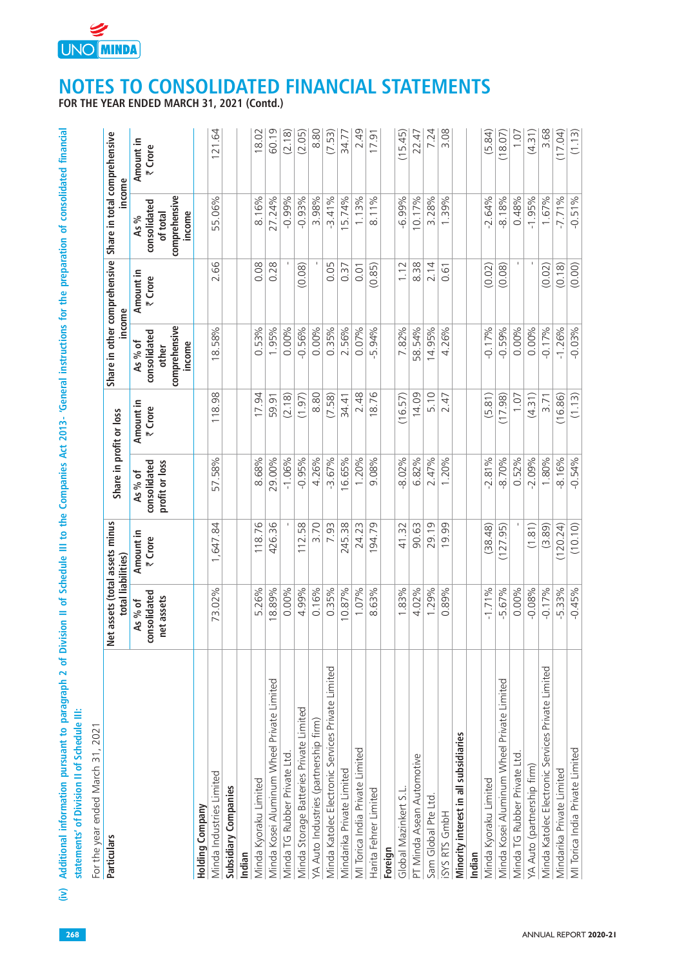

| Particulars                                       | et assets (total assets minus<br>total liabilities)<br>z |                      | Share in profit or loss                   |                      | Share in other comprehensive<br>income                      |                      | Share in total comprehensive<br>income                      |                      |
|---------------------------------------------------|----------------------------------------------------------|----------------------|-------------------------------------------|----------------------|-------------------------------------------------------------|----------------------|-------------------------------------------------------------|----------------------|
|                                                   | consolidated<br>net assets<br>As % of                    | Amount in<br>₹ Crore | consolidated<br>profit or loss<br>As % of | Amount in<br>₹ Crore | comprehensive<br>consolidated<br>As % of<br>income<br>other | Amount in<br>₹ Crore | comprehensive<br>consolidated<br>income<br>of total<br>As % | Amount in<br>₹ Crore |
| <b>Holding Company</b>                            |                                                          |                      |                                           |                      |                                                             |                      |                                                             |                      |
| Minda Industries Limited                          | 73.02%                                                   | 1,647.84             | 57.58%                                    | 118.98               | 18.58%                                                      | 2.66                 | 55.06%                                                      | 121.64               |
| Subsidiary Companies<br>Indian                    |                                                          |                      |                                           |                      |                                                             |                      |                                                             |                      |
| Minda Kyoraku Limited                             | 5.26%                                                    | 118.76               | 8.68%                                     | 17.94                | 0.53%                                                       | 0.08                 | 8.16%                                                       | 18.02                |
| Minda Kosei Aluminum Wheel Private Limited        | 18.89%                                                   | 426.36               | 29.00%                                    | 59.91                | 1.95%                                                       | 0.28                 | 27.24%                                                      | 60.19                |
| Minda TG Rubber Private Ltd.                      | 0.00%                                                    |                      | $-1.06%$                                  | (2.18)               | 0.00%                                                       |                      | $-0.99%$                                                    | (2.18)               |
| Minda Storage Batteries Private Limited           | 4.99%                                                    | 112.58               | $-0.95%$                                  | (1.97)               | $-0.56%$                                                    | (0.08)               | $-0.93%$                                                    | (2.05)               |
| YA Auto Industries (partnership firm)             | 0.16%                                                    | 3.70                 | 4.26%                                     | 8.80                 | 0.00%                                                       |                      | 3.98%                                                       | 8.80                 |
| Minda Katolec Electronic Services Private Limited | $0.35\%$                                                 | 7.93                 | $-3.67%$                                  | (7.58)               | $0.35\%$                                                    | 0.05                 | $-3.41%$                                                    | (7.53)               |
| Mindarika Private Limited                         | 10.87%                                                   | 245.38               | 16.65%                                    | 34.41                | 2.56%                                                       | 0.37                 | 15.74%                                                      | 34.77                |
| MI Torica India Private Limited                   | 1.07%                                                    | 24.23                | 1.20%                                     | 2.48                 | 0.07%                                                       | 0.01                 | 1.13%                                                       | 2.49                 |
| Harita Fehrer Limited                             | 8.63%                                                    | 194.79               | 9.08%                                     | 18.76                | 5.94%                                                       | (0.85)               | 8.11%                                                       | 17.91                |
| Foreign                                           |                                                          |                      |                                           |                      |                                                             |                      |                                                             |                      |
| Global Mazinkert S.L.                             | 1.83%                                                    | 41.32                | $-8.02%$                                  | (16.57)              | 7.82%                                                       | 1.12                 | $-6.99%$                                                    | (15.45)              |
| PT Minda Asean Automotive                         | 4.02%                                                    | 90.63                | 6.82%                                     | 14.09                | 58.54%                                                      | 8.38                 | 10.17%                                                      | 22.47                |
| Sam Global Pte Ltd.                               | 1.29%                                                    | 29.19                | 2.47%                                     | 5.10                 | 14.95%                                                      | 2.14                 | 3.28%                                                       | 7.24                 |
| ISYS RTS GmbH                                     | 0.89%                                                    | 19.99                | 1.20%                                     | 2.47                 | 4.26%                                                       | 0.61                 | 1.39%                                                       | 3.08                 |
| Minority interest in all subsidiaries             |                                                          |                      |                                           |                      |                                                             |                      |                                                             |                      |
| Indian                                            |                                                          |                      |                                           |                      |                                                             |                      |                                                             |                      |
| Minda Kyoraku Limited                             | $-1.71%$                                                 | (38.48)              | $-2.81%$                                  | (5.81)               | $-0.17%$                                                    | (0.02)               | $-2.64%$                                                    | (5.84)               |
| Minda Kosei Aluminum Wheel Private Limited        | $-5.67%$                                                 | (127.95)             | $-8.70%$                                  | (17.98)              | $-0.59%$                                                    | (0.08)               | 8.18%                                                       | (18.07)              |
| Minda TG Rubber Private Ltd.                      | 0.00%                                                    |                      | 0.52%                                     | 1.07                 | 0.00%                                                       |                      | 0.48%                                                       | 1.07                 |
| YA Auto (partnership firm)                        | $-0.08%$                                                 | (1.81)               | $-2.09%$                                  | (4.31)               | 0.00%                                                       |                      | $-1.95%$                                                    | (4.31)               |
| Minda Katolec Electronic Services Private Limited | $-0.17%$                                                 | (3.89)               | 1.80%                                     | 3.71                 | $-0.17%$                                                    | (0.02)               | 1.67%                                                       | 3.68                 |
| Mindarika Private Limited                         | $-5.33%$                                                 | (120.24)             | $-8.16%$                                  | (16.86)              | $-1.26%$                                                    | (0.18)               | $-7.71%$                                                    | (17.04)              |
| MI Torica India Private Limited                   | $-0.45%$                                                 | (10.10)              | $-0.54%$                                  | (1.13)               | $-0.03\%$                                                   | (0.00)               | $-0.51%$                                                    | (1.13)               |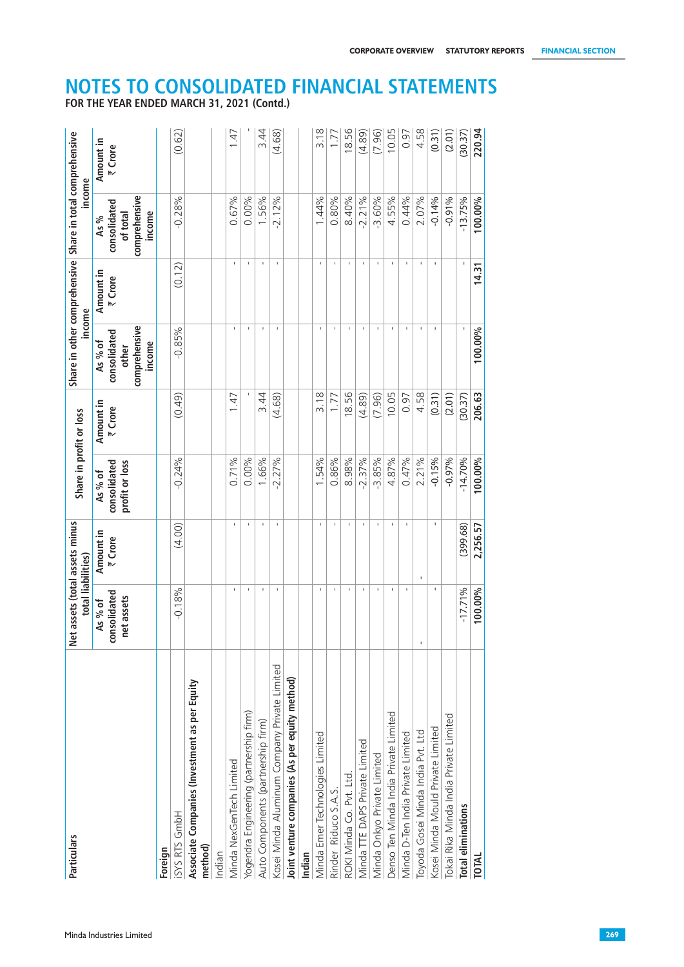| Particulars                                              | total liabilities)<br>z               | et assets (total assets minus | Share in profit or loss                   |                      | income                                                      |                      | Share in other comprehensive Share in total comprehensive<br>income |                      |
|----------------------------------------------------------|---------------------------------------|-------------------------------|-------------------------------------------|----------------------|-------------------------------------------------------------|----------------------|---------------------------------------------------------------------|----------------------|
|                                                          | consolidated<br>net assets<br>As % of | Amount in<br>₹ Crore          | profit or loss<br>consolidated<br>As % of | Amount in<br>₹ Crore | comprehensive<br>consolidated<br>income<br>As % of<br>other | Amount in<br>₹ Crore | comprehensive<br>consolidated<br>income<br>of total<br>As %         | Amount in<br>₹ Crore |
| Foreign                                                  |                                       |                               |                                           |                      |                                                             |                      |                                                                     |                      |
| ISYS RTS GmbH                                            | $-0.18%$                              | (4.00)                        | $-0.24%$                                  | (0.49)               | $-0.85%$                                                    | (0.12)               | $-0.28%$                                                            | (0.62)               |
| Associate Companies (Investment as per Equity<br>method) |                                       |                               |                                           |                      |                                                             |                      |                                                                     |                      |
| Indian                                                   |                                       |                               |                                           |                      |                                                             |                      |                                                                     |                      |
| Minda NexGenTech Limited                                 | J.                                    | J.                            | 0.71%                                     | 1.47                 | J.                                                          | J.                   | 0.67%                                                               | 1.47                 |
| Yogendra Engineering (partnership firm)                  | J.                                    | J.                            | 0.00%                                     |                      | J.                                                          | I.                   | 0.00%                                                               |                      |
| Auto Components (partnership firm)                       |                                       |                               | 1.66%                                     | 3.44                 | J.                                                          | J.                   | 1.56%                                                               | 3.44                 |
| Kosei Minda Aluminum Company Private Limited             | J.                                    | J.                            | $-2.27%$                                  | (4.68)               | J.                                                          | J.                   | $-2.12%$                                                            | (4.68)               |
| Joint venture companies (As per equity method)           |                                       |                               |                                           |                      |                                                             |                      |                                                                     |                      |
| Indian                                                   |                                       |                               |                                           |                      |                                                             |                      |                                                                     |                      |
| Minda Emer Technologies Limited                          | J.                                    | J.                            | 1.54%                                     | 3.18                 | J.                                                          | J.                   | 1.44%                                                               | 3.18                 |
| Rinder Riduco S.A.S.                                     |                                       | J.                            | 0.86%                                     | 1.77                 |                                                             | I.                   | 0.80%                                                               | 1.77                 |
| ROKI Minda Co. Pvt. Ltd                                  | J.                                    | J.                            | 8.98%                                     | 18.56                | J.                                                          | f.                   | 8.40%                                                               | 18.56                |
| Minda TTE DAPS Private Limited                           |                                       | J.                            | $-2.37%$                                  | (4.89)               |                                                             | I.                   | $-2.21%$                                                            | (4.89)               |
| Minda Onkyo Private Limited                              |                                       | J.                            | $-3.85%$                                  | (7.96)               | J.                                                          | J.                   | $-3.60%$                                                            | (7.96)               |
| Denso Ten Minda India Private Limited                    |                                       |                               | 4.87%                                     | 10.05                |                                                             |                      | 4.55%                                                               | 10.05                |
| Minda D-Ten India Private Limited                        | I.                                    |                               | 0.47%                                     | 0.97                 | J.                                                          | $\mathbf{I}$         | 0.44%                                                               | 0.97                 |
| Toyoda Gosei Minda India Pvt. Ltd                        |                                       | J.                            | 2.21%                                     | 4.58                 |                                                             | J.                   | 2.07%                                                               | 4.58                 |
| Kosei Minda Mould Private Limited                        |                                       |                               | $-0.15%$                                  | (0.31)               | J.                                                          |                      | $-0.14%$                                                            | (0.31)               |
| Tokai Rika Minda India Private Limited                   |                                       |                               | $-0.97%$                                  | (2.01)               |                                                             |                      | $-0.91%$                                                            | (2.01)               |
| <b>Total eliminations</b>                                | $-17.71%$                             | (399.68)                      | $-14.70%$                                 | (30.37)              |                                                             |                      | $-13.75%$                                                           | (30.37)              |
| <b>TOTAL</b>                                             | 100.00%                               | 2,256.57                      | 100.00%                                   | 206.63               | 100.00%                                                     | 14.31                | 100.00%                                                             | 220.94               |
|                                                          |                                       |                               |                                           |                      |                                                             |                      |                                                                     |                      |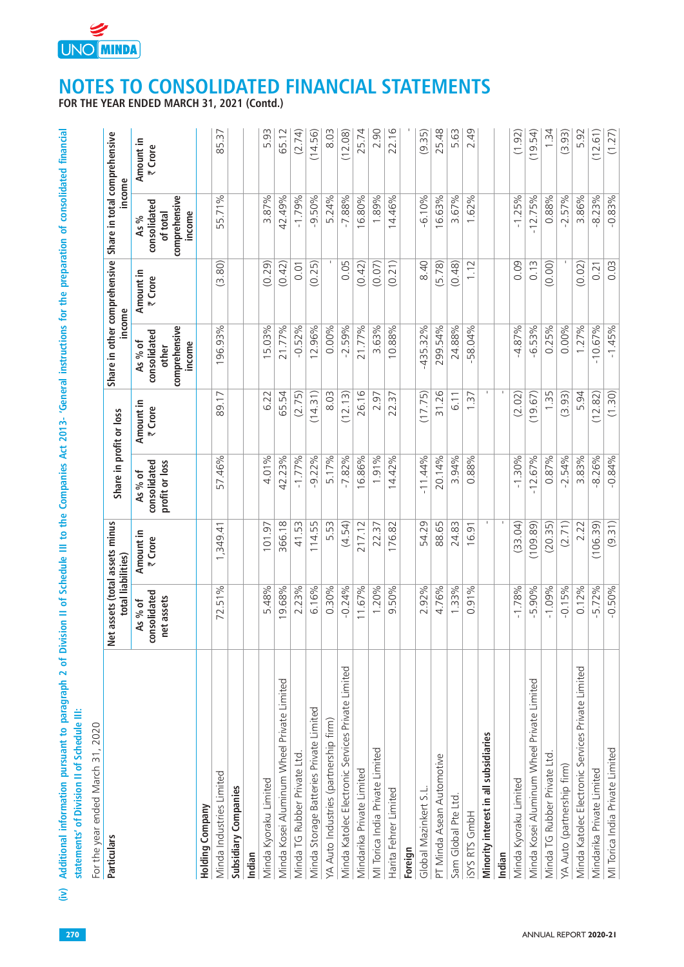

| Particulars                                       | et assets (total assets minus<br>total liabilities)<br>z |                      | Share in profit or loss                   |                      | Share in other comprehensive<br>income                      |                      | Share in total comprehensive<br>income                      |                      |
|---------------------------------------------------|----------------------------------------------------------|----------------------|-------------------------------------------|----------------------|-------------------------------------------------------------|----------------------|-------------------------------------------------------------|----------------------|
|                                                   | consolidated<br>net assets<br>As % of                    | Amount in<br>₹ Crore | profit or loss<br>consolidated<br>As % of | Amount in<br>₹ Crore | comprehensive<br>consolidated<br>As % of<br>income<br>other | Amount in<br>₹ Crore | comprehensive<br>consolidated<br>income<br>of total<br>As % | Amount in<br>₹ Crore |
| Holding Company                                   |                                                          |                      |                                           |                      |                                                             |                      |                                                             |                      |
| Minda Industries Limited                          | 72.51%                                                   | 1,349.41             | 57.46%                                    | 89.17                | 196.93%                                                     | (3.80)               | 55.71%                                                      | 85.37                |
| Subsidiary Companies                              |                                                          |                      |                                           |                      |                                                             |                      |                                                             |                      |
| Indian                                            |                                                          |                      |                                           |                      |                                                             |                      |                                                             |                      |
| Minda Kyoraku Limited                             | 5.48%                                                    | 101.97               | 4.01%                                     | 6.22                 | 15.03%                                                      | (0.29)               | 3.87%                                                       | 5.93                 |
| Minda Kosei Aluminum Wheel Private Limited        | 19.68%                                                   | 366.18               | 42.23%                                    | 65.54                | 21.77%                                                      | (0.42)               | 42.49%                                                      | 65.12                |
| Minda TG Rubber Private Ltd.                      | 2.23%                                                    | 41.53                | $-1.77%$                                  | (2.75)               | $-0.52%$                                                    | 0.01                 | $-1.79%$                                                    | (2.74)               |
| Minda Storage Batteries Private Limited           | 6.16%                                                    | 114.55               | $-9.22%$                                  | (14.31)              | 12.96%                                                      | (0.25)               | $-9.50%$                                                    | (14.56)              |
| YA Auto Industries (partnership firm)             | 0.30%                                                    | 5.53                 | 5.17%                                     | 8.03                 | 0.00%                                                       |                      | 5.24%                                                       | 8.03                 |
| Minda Katolec Electronic Services Private Limited | $-0.24%$                                                 | (4.54)               | $-7.82%$                                  | (12.13)              | $-2.59%$                                                    | 0.05                 | $-7.88%$                                                    | (12.08)              |
| Mindarika Private Limited                         | 11.67%                                                   | 217.12               | 16.86%                                    | 26.16                | 21.77%                                                      | (0.42)               | 16.80%                                                      | 25.74                |
| MI Torica India Private Limited                   | 1.20%                                                    | 22.37                | 1.91%                                     | 2.97                 | 3.63%                                                       | (0.07)               | 1.89%                                                       | 2.90                 |
| Harita Fehrer Limited                             | 9.50%                                                    | 176.82               | 14.42%                                    | 22.37                | 10.88%                                                      | (0.21)               | 14.46%                                                      | 22.16                |
| Foreign                                           |                                                          |                      |                                           |                      |                                                             |                      |                                                             |                      |
| Global Mazinkert S.L.                             | 2.92%                                                    | 54.29                | $-11.44%$                                 | (17.75)              | $-435.32%$                                                  | 8.40                 | $-6.10%$                                                    | (9.35)               |
| PT Minda Asean Automotive                         | 4.76%                                                    | 88.65                | 20.14%                                    | 31.26                | 299.54%                                                     | (5.78)               | 16.63%                                                      | 25.48                |
| Sam Global Pte Ltd.                               | 1.33%                                                    | 24.83                | 3.94%                                     | 6.11                 | 24.88%                                                      | (0.48)               | 3.67%                                                       | 5.63                 |
| ISYS RTS GmbH                                     | 0.91%                                                    | 16.91                | 0.88%                                     | 1.37                 | $-58.04\%$                                                  | 1.12                 | 1.62%                                                       | 2.49                 |
| Minority interest in all subsidiaries             |                                                          |                      |                                           |                      |                                                             |                      |                                                             |                      |
| Indian                                            |                                                          |                      |                                           |                      |                                                             |                      |                                                             |                      |
| Minda Kyoraku Limited                             | $-1.78%$                                                 | (33.04)              | $-1.30%$                                  | (2.02)               | $-4.87%$                                                    | 0.09                 | $-1.25%$                                                    | (1.92)               |
| Minda Kosei Aluminum Wheel Private Limited        | $-5.90%$                                                 | (109.89)             | $-12.67%$                                 | (19.67)              | $-6.53%$                                                    | 0.13                 | $-12.75%$                                                   | (19.54)              |
| Minda TG Rubber Private Ltd.                      | $-1.09%$                                                 | (20.35)              | 0.87%                                     | 1.35                 | 0.25%                                                       | (0.00)               | 0.88%                                                       | $1.\overline{34}$    |
| YA Auto (partnership firm)                        | $-0.15%$                                                 | (2.71)               | $-2.54%$                                  | (3.93)               | 0.00%                                                       |                      | $-2.57%$                                                    | (3.93)               |
| Minda Katolec Electronic Services Private Limited | 0.12%                                                    | 2.22                 | 3.83%                                     | 5.94                 | 1.27%                                                       | (0.02)               | 3.86%                                                       | 5.92                 |
| Mindarika Private Limited                         | $-5.72%$                                                 | (106.39)             | 8.26%                                     | (12.82)              | $-10.67%$                                                   | 0.21                 | $-8.23%$                                                    | (12.61)              |
| MI Torica India Private Limited                   | $-0.50%$                                                 | (9.31)               | $-0.84%$                                  | (1.30)               | $-1.45%$                                                    | 0.03                 | $-0.83%$                                                    | (1.27)               |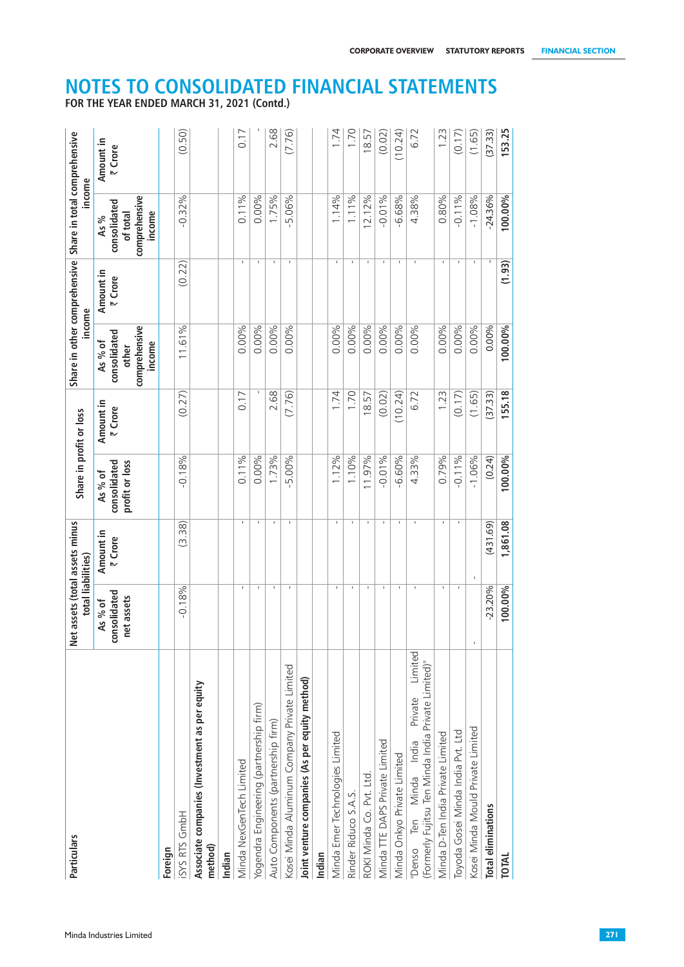| Particulars                                                                                                  | total liabilities)<br>z              | et assets (total assets minus | Share in profit or loss                   |                      | income                                                      |                      | Share in other comprehensive Share in total comprehensive<br>income |                      |
|--------------------------------------------------------------------------------------------------------------|--------------------------------------|-------------------------------|-------------------------------------------|----------------------|-------------------------------------------------------------|----------------------|---------------------------------------------------------------------|----------------------|
|                                                                                                              | onsolidated<br>net assets<br>As % of | Amount in<br>₹ Crore          | profit or loss<br>consolidated<br>As % of | Amount in<br>₹ Crore | comprehensive<br>consolidated<br>As % of<br>income<br>other | Amount in<br>₹ Crore | comprehensive<br>consolidated<br>income<br>of total<br>As %         | Amount in<br>₹ Crore |
| Foreign                                                                                                      |                                      |                               |                                           |                      |                                                             |                      |                                                                     |                      |
| ISYS RTS GmbH                                                                                                | $-0.18%$                             | (3.38)                        | $-0.18%$                                  | (0.27)               | 11.61%                                                      | (0.22)               | $-0.32%$                                                            | (0.50)               |
| Associate companies (Investment as per equity<br>method)                                                     |                                      |                               |                                           |                      |                                                             |                      |                                                                     |                      |
| Indian                                                                                                       |                                      |                               |                                           |                      |                                                             |                      |                                                                     |                      |
| Minda NexGenTech Limited                                                                                     | -1                                   | л.                            | 0.11%                                     | 0.17                 | 0.00%                                                       | $\mathbf{I}$         | 0.11%                                                               | 0.17                 |
| Yogendra Engineering (partnership firm)                                                                      | -                                    | п.                            | 0.00%                                     |                      | 0.00%                                                       | $\mathbf{I}$         | 0.00%                                                               |                      |
| Auto Components (partnership firm)                                                                           | $\mathbf{I}$                         | л.                            | 1.73%                                     | 2.68                 | 0.00%                                                       | $\mathbf{I}$         | 1.75%                                                               | 2.68                 |
| Kosei Minda Aluminum Company Private Limited                                                                 | л.                                   | л.                            | $-5.00%$                                  | (7.76)               | 0.00%                                                       | л.                   | $-5.06%$                                                            | (7.76)               |
| Joint venture companies (As per equity method)                                                               |                                      |                               |                                           |                      |                                                             |                      |                                                                     |                      |
| Indian                                                                                                       |                                      |                               |                                           |                      |                                                             |                      |                                                                     |                      |
| Minda Emer Technologies Limited                                                                              | л.                                   | п.                            | 1.12%                                     | 1.74                 | 0.00%                                                       | -11                  | 1.14%                                                               | 1.74                 |
| Rinder Riduco S.A.S.                                                                                         | -1                                   | $\blacksquare$                | 1.10%                                     | 1.70                 | 0.00%                                                       | $\mathbf{I}$         | 1.11%                                                               | 1.70                 |
| ROKI Minda Co. Pvt. Ltd.                                                                                     | -11                                  | - 11                          | 11.97%                                    | 18.57                | 0.00%                                                       | $\mathbf{L}$         | 12.12%                                                              | 18.57                |
| Minda TTE DAPS Private Limited                                                                               | -11                                  | $\mathbf{L}$                  | $-0.01%$                                  | (0.02)               | 0.00%                                                       | $\mathbf{L}$         | $-0.01%$                                                            | (0.02)               |
| Minda Onkyo Private Limited                                                                                  |                                      | $\mathbf{I}$                  | $-6.60%$                                  | (10.24)              | 0.00%                                                       | $\mathbf{I}$         | $-6.68%$                                                            | (10.24)              |
| Limited<br>(Formerly Fujitsu Ten Minda India Private Limited)"<br>Private<br>India<br>Minda<br>Ten<br>"Denso |                                      |                               | 4.33%                                     | 6.72                 | 0.00%                                                       |                      | 4.38%                                                               | 6.72                 |
| Minda D-Ten India Private Limited                                                                            | л.                                   | л.                            | 0.79%                                     | 1.23                 | 0.00%                                                       | л.                   | 0.80%                                                               | 1.23                 |
| Toyoda Gosei Minda India Pvt. Ltd                                                                            |                                      | $\mathbf{I}$                  | $-0.11%$                                  | (0.17)               | 0.00%                                                       | $\mathbf I$          | $-0.11%$                                                            | (0.17)               |
| Kosei Minda Mould Private Limited                                                                            |                                      |                               | $-1.06%$                                  | (1.65)               | 0.00%                                                       | $\mathbf{I}$         | $-1.08%$                                                            | (1.65)               |
| <b>Total eliminations</b>                                                                                    | $-23.20%$                            | (431.69)                      | (0.24)                                    | (37.33)              | 0.00%                                                       |                      | $-24.36%$                                                           | (37.33)              |
| <b>TOTAL</b>                                                                                                 | 100.00%                              | 1,861.08                      | 100.00%                                   | 155.18               | 100.00%                                                     | (1.93)               | 100.00%                                                             | 153.25               |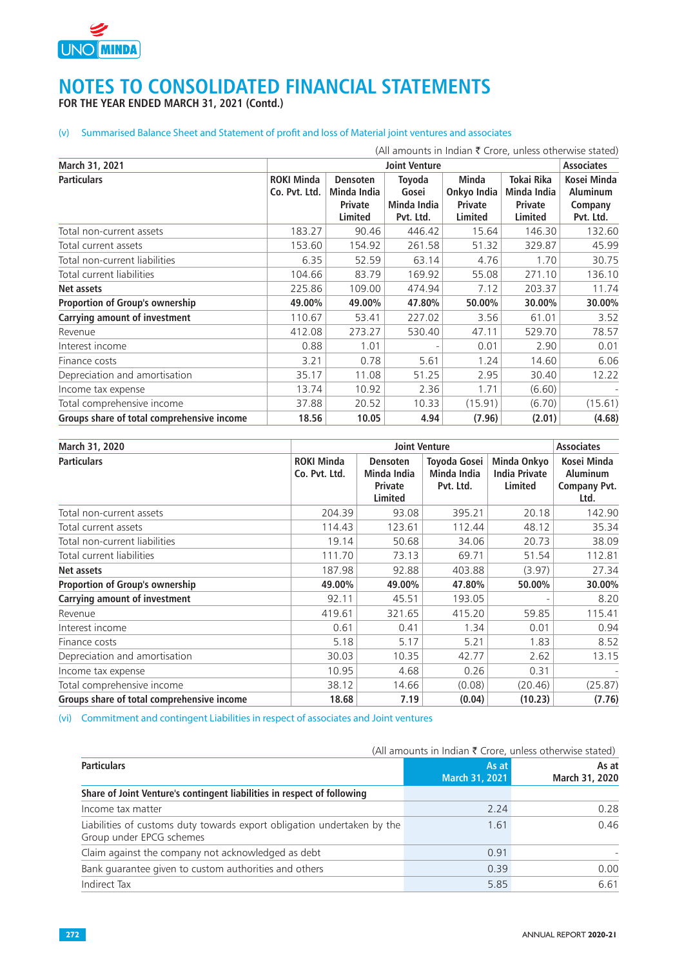

### **NOTES TO CONSOLIDATED FINANCIAL STATEMENTS FOR THE YEAR ENDED MARCH 31, 2021 (Contd.)**

#### (v) Summarised Balance Sheet and Statement of profit and loss of Material joint ventures and associates

|                                            |                                    |                                                             |                                             |                                                          |                                                        | (All amounts in Indian $\bar{\tau}$ Crore, unless otherwise stated) |
|--------------------------------------------|------------------------------------|-------------------------------------------------------------|---------------------------------------------|----------------------------------------------------------|--------------------------------------------------------|---------------------------------------------------------------------|
| March 31, 2021                             |                                    |                                                             | <b>Joint Venture</b>                        |                                                          |                                                        | <b>Associates</b>                                                   |
| <b>Particulars</b>                         | <b>ROKI Minda</b><br>Co. Pvt. Ltd. | <b>Densoten</b><br>Minda India<br><b>Private</b><br>Limited | Toyoda<br>Gosei<br>Minda India<br>Pvt. Ltd. | <b>Minda</b><br>Onkyo India<br><b>Private</b><br>Limited | Tokai Rika<br>Minda India<br>Private<br><b>Limited</b> | Kosei Minda<br><b>Aluminum</b><br>Company<br>Pvt. Ltd.              |
| Total non-current assets                   | 183.27                             | 90.46                                                       | 446.42                                      | 15.64                                                    | 146.30                                                 | 132.60                                                              |
| Total current assets                       | 153.60                             | 154.92                                                      | 261.58                                      | 51.32                                                    | 329.87                                                 | 45.99                                                               |
| Total non-current liabilities              | 6.35                               | 52.59                                                       | 63.14                                       | 4.76                                                     | 1.70                                                   | 30.75                                                               |
| Total current liabilities                  | 104.66                             | 83.79                                                       | 169.92                                      | 55.08                                                    | 271.10                                                 | 136.10                                                              |
| Net assets                                 | 225.86                             | 109.00                                                      | 474.94                                      | 7.12                                                     | 203.37                                                 | 11.74                                                               |
| Proportion of Group's ownership            | 49.00%                             | 49.00%                                                      | 47.80%                                      | 50.00%                                                   | 30.00%                                                 | 30.00%                                                              |
| Carrying amount of investment              | 110.67                             | 53.41                                                       | 227.02                                      | 3.56                                                     | 61.01                                                  | 3.52                                                                |
| Revenue                                    | 412.08                             | 273.27                                                      | 530.40                                      | 47.11                                                    | 529.70                                                 | 78.57                                                               |
| Interest income                            | 0.88                               | 1.01                                                        |                                             | 0.01                                                     | 2.90                                                   | 0.01                                                                |
| Finance costs                              | 3.21                               | 0.78                                                        | 5.61                                        | 1.24                                                     | 14.60                                                  | 6.06                                                                |
| Depreciation and amortisation              | 35.17                              | 11.08                                                       | 51.25                                       | 2.95                                                     | 30.40                                                  | 12.22                                                               |
| Income tax expense                         | 13.74                              | 10.92                                                       | 2.36                                        | 1.71                                                     | (6.60)                                                 |                                                                     |
| Total comprehensive income                 | 37.88                              | 20.52                                                       | 10.33                                       | (15.91)                                                  | (6.70)                                                 | (15.61)                                                             |
| Groups share of total comprehensive income | 18.56                              | 10.05                                                       | 4.94                                        | (7.96)                                                   | (2.01)                                                 | (4.68)                                                              |

| March 31, 2020                             |                                    |                                                      | <b>Joint Venture</b>                            |                                                | <b>Associates</b>                                      |
|--------------------------------------------|------------------------------------|------------------------------------------------------|-------------------------------------------------|------------------------------------------------|--------------------------------------------------------|
| <b>Particulars</b>                         | <b>ROKI Minda</b><br>Co. Pvt. Ltd. | Densoten<br>Minda India<br><b>Private</b><br>Limited | <b>Toyoda Gosei</b><br>Minda India<br>Pvt. Ltd. | Minda Onkyo<br><b>India Private</b><br>Limited | Kosei Minda<br><b>Aluminum</b><br>Company Pvt.<br>Ltd. |
| Total non-current assets                   | 204.39                             | 93.08                                                | 395.21                                          | 20.18                                          | 142.90                                                 |
| Total current assets                       | 114.43                             | 123.61                                               | 112.44                                          | 48.12                                          | 35.34                                                  |
| Total non-current liabilities              | 19.14                              | 50.68                                                | 34.06                                           | 20.73                                          | 38.09                                                  |
| Total current liabilities                  | 111.70                             | 73.13                                                | 69.71                                           | 51.54                                          | 112.81                                                 |
| Net assets                                 | 187.98                             | 92.88                                                | 403.88                                          | (3.97)                                         | 27.34                                                  |
| <b>Proportion of Group's ownership</b>     | 49.00%                             | 49.00%                                               | 47.80%                                          | 50.00%                                         | 30.00%                                                 |
| Carrying amount of investment              | 92.11                              | 45.51                                                | 193.05                                          |                                                | 8.20                                                   |
| Revenue                                    | 419.61                             | 321.65                                               | 415.20                                          | 59.85                                          | 115.41                                                 |
| Interest income                            | 0.61                               | 0.41                                                 | 1.34                                            | 0.01                                           | 0.94                                                   |
| Finance costs                              | 5.18                               | 5.17                                                 | 5.21                                            | 1.83                                           | 8.52                                                   |
| Depreciation and amortisation              | 30.03                              | 10.35                                                | 42.77                                           | 2.62                                           | 13.15                                                  |
| Income tax expense                         | 10.95                              | 4.68                                                 | 0.26                                            | 0.31                                           |                                                        |
| Total comprehensive income                 | 38.12                              | 14.66                                                | (0.08)                                          | (20.46)                                        | (25.87)                                                |
| Groups share of total comprehensive income | 18.68                              | 7.19                                                 | (0.04)                                          | (10.23)                                        | (7.76)                                                 |

(vi) Commitment and contingent Liabilities in respect of associates and Joint ventures

|                                                                                                     |                         | (All amounts in Indian ₹ Crore, unless otherwise stated) |
|-----------------------------------------------------------------------------------------------------|-------------------------|----------------------------------------------------------|
| <b>Particulars</b>                                                                                  | As at<br>March 31, 2021 | As at<br>March 31, 2020                                  |
| Share of Joint Venture's contingent liabilities in respect of following                             |                         |                                                          |
| Income tax matter                                                                                   | 2.24                    | 0.28                                                     |
| Liabilities of customs duty towards export obligation undertaken by the<br>Group under EPCG schemes | 1.61                    | 0.46                                                     |
| Claim against the company not acknowledged as debt                                                  | 0.91                    |                                                          |
| Bank quarantee given to custom authorities and others                                               | 0.39                    | 0.00                                                     |
| Indirect Tax                                                                                        | 5.85                    | 6.61                                                     |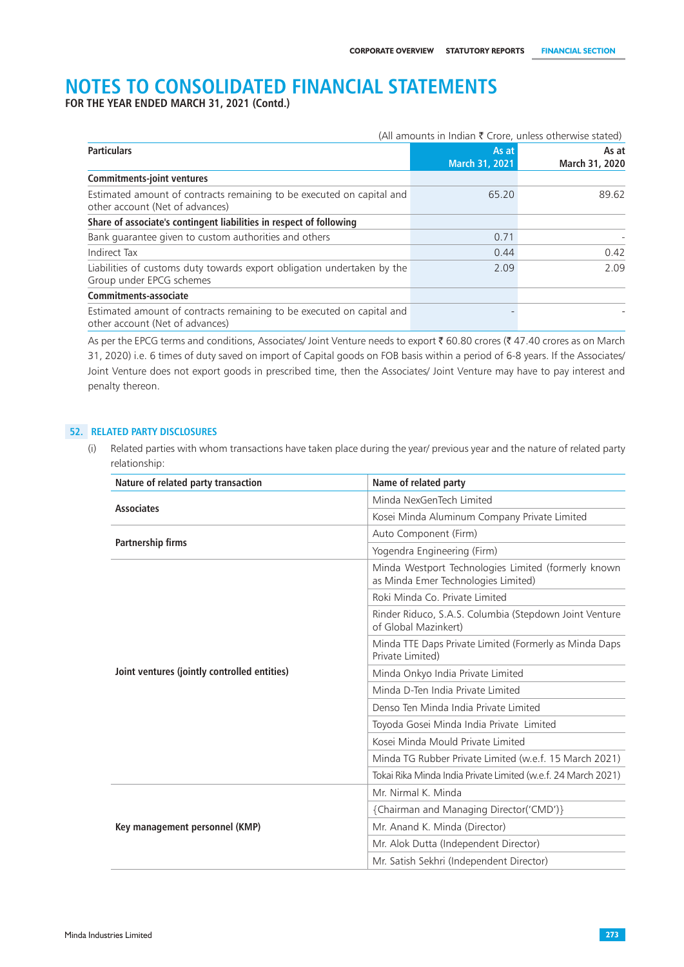**FOR THE YEAR ENDED MARCH 31, 2021 (Contd.)**

|                                                                                                          |                         | (All amounts in Indian $\bar{\tau}$ Crore, unless otherwise stated) |
|----------------------------------------------------------------------------------------------------------|-------------------------|---------------------------------------------------------------------|
| <b>Particulars</b>                                                                                       | As at<br>March 31, 2021 | As at<br>March 31, 2020                                             |
| <b>Commitments-joint ventures</b>                                                                        |                         |                                                                     |
| Estimated amount of contracts remaining to be executed on capital and<br>other account (Net of advances) | 65.20                   | 89.62                                                               |
| Share of associate's contingent liabilities in respect of following                                      |                         |                                                                     |
| Bank guarantee given to custom authorities and others                                                    | 0.71                    |                                                                     |
| Indirect Tax                                                                                             | 0.44                    | 0.42                                                                |
| Liabilities of customs duty towards export obligation undertaken by the<br>Group under EPCG schemes      | 2.09                    | 2.09                                                                |
| Commitments-associate                                                                                    |                         |                                                                     |
| Estimated amount of contracts remaining to be executed on capital and<br>other account (Net of advances) |                         |                                                                     |

As per the EPCG terms and conditions, Associates/ Joint Venture needs to export  $\bar{z}$  60.80 crores ( $\bar{z}$  47.40 crores as on March 31, 2020) i.e. 6 times of duty saved on import of Capital goods on FOB basis within a period of 6-8 years. If the Associates/ Joint Venture does not export goods in prescribed time, then the Associates/ Joint Venture may have to pay interest and penalty thereon.

#### **52. RELATED PARTY DISCLOSURES**

(i) Related parties with whom transactions have taken place during the year/ previous year and the nature of related party relationship:

| Nature of related party transaction          | Name of related party                                                                      |  |
|----------------------------------------------|--------------------------------------------------------------------------------------------|--|
| <b>Associates</b>                            | Minda NexGenTech Limited                                                                   |  |
|                                              | Kosei Minda Aluminum Company Private Limited                                               |  |
| Partnership firms                            | Auto Component (Firm)                                                                      |  |
|                                              | Yogendra Engineering (Firm)                                                                |  |
|                                              | Minda Westport Technologies Limited (formerly known<br>as Minda Emer Technologies Limited) |  |
|                                              | Roki Minda Co. Private Limited                                                             |  |
|                                              | Rinder Riduco, S.A.S. Columbia (Stepdown Joint Venture<br>of Global Mazinkert)             |  |
|                                              | Minda TTE Daps Private Limited (Formerly as Minda Daps<br>Private Limited)                 |  |
| Joint ventures (jointly controlled entities) | Minda Onkyo India Private Limited                                                          |  |
|                                              | Minda D-Ten India Private Limited                                                          |  |
|                                              | Denso Ten Minda India Private Limited                                                      |  |
|                                              | Toyoda Gosei Minda India Private Limited                                                   |  |
|                                              | Kosei Minda Mould Private Limited                                                          |  |
|                                              | Minda TG Rubber Private Limited (w.e.f. 15 March 2021)                                     |  |
|                                              | Tokai Rika Minda India Private Limited (w.e.f. 24 March 2021)                              |  |
|                                              | Mr. Nirmal K. Minda                                                                        |  |
|                                              | {Chairman and Managing Director('CMD')}                                                    |  |
| Key management personnel (KMP)               | Mr. Anand K. Minda (Director)                                                              |  |
|                                              | Mr. Alok Dutta (Independent Director)                                                      |  |
|                                              | Mr. Satish Sekhri (Independent Director)                                                   |  |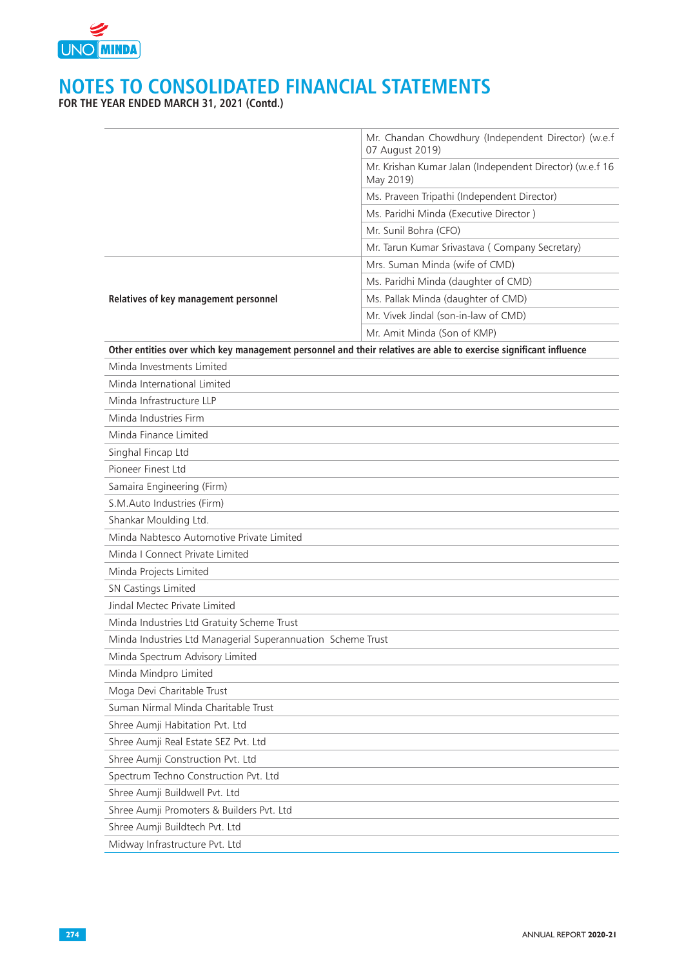

|                                                             | Mr. Chandan Chowdhury (Independent Director) (w.e.f<br>07 August 2019)                                            |
|-------------------------------------------------------------|-------------------------------------------------------------------------------------------------------------------|
|                                                             | Mr. Krishan Kumar Jalan (Independent Director) (w.e.f 16<br>May 2019)                                             |
|                                                             | Ms. Praveen Tripathi (Independent Director)                                                                       |
|                                                             | Ms. Paridhi Minda (Executive Director)                                                                            |
|                                                             | Mr. Sunil Bohra (CFO)                                                                                             |
|                                                             | Mr. Tarun Kumar Srivastava ( Company Secretary)                                                                   |
|                                                             | Mrs. Suman Minda (wife of CMD)                                                                                    |
|                                                             | Ms. Paridhi Minda (daughter of CMD)                                                                               |
| Relatives of key management personnel                       | Ms. Pallak Minda (daughter of CMD)                                                                                |
|                                                             | Mr. Vivek Jindal (son-in-law of CMD)                                                                              |
|                                                             | Mr. Amit Minda (Son of KMP)                                                                                       |
|                                                             | Other entities over which key management personnel and their relatives are able to exercise significant influence |
| Minda Investments Limited                                   |                                                                                                                   |
| Minda International Limited                                 |                                                                                                                   |
| Minda Infrastructure LLP                                    |                                                                                                                   |
| Minda Industries Firm                                       |                                                                                                                   |
| Minda Finance Limited                                       |                                                                                                                   |
| Singhal Fincap Ltd                                          |                                                                                                                   |
| Pioneer Finest Ltd                                          |                                                                                                                   |
| Samaira Engineering (Firm)                                  |                                                                                                                   |
| S.M.Auto Industries (Firm)                                  |                                                                                                                   |
| Shankar Moulding Ltd.                                       |                                                                                                                   |
| Minda Nabtesco Automotive Private Limited                   |                                                                                                                   |
| Minda I Connect Private Limited                             |                                                                                                                   |
| Minda Projects Limited                                      |                                                                                                                   |
| SN Castings Limited                                         |                                                                                                                   |
| Jindal Mectec Private Limited                               |                                                                                                                   |
| Minda Industries Ltd Gratuity Scheme Trust                  |                                                                                                                   |
| Minda Industries Ltd Managerial Superannuation Scheme Trust |                                                                                                                   |
| Minda Spectrum Advisory Limited                             |                                                                                                                   |
| Minda Mindpro Limited                                       |                                                                                                                   |
| Moga Devi Charitable Trust                                  |                                                                                                                   |
| Suman Nirmal Minda Charitable Trust                         |                                                                                                                   |
| Shree Aumji Habitation Pvt. Ltd                             |                                                                                                                   |
| Shree Aumji Real Estate SEZ Pvt. Ltd                        |                                                                                                                   |
| Shree Aumji Construction Pvt. Ltd                           |                                                                                                                   |
| Spectrum Techno Construction Pvt. Ltd                       |                                                                                                                   |
| Shree Aumji Buildwell Pvt. Ltd                              |                                                                                                                   |
| Shree Aumji Promoters & Builders Pvt. Ltd                   |                                                                                                                   |
| Shree Aumji Buildtech Pvt. Ltd                              |                                                                                                                   |
| Midway Infrastructure Pvt. Ltd                              |                                                                                                                   |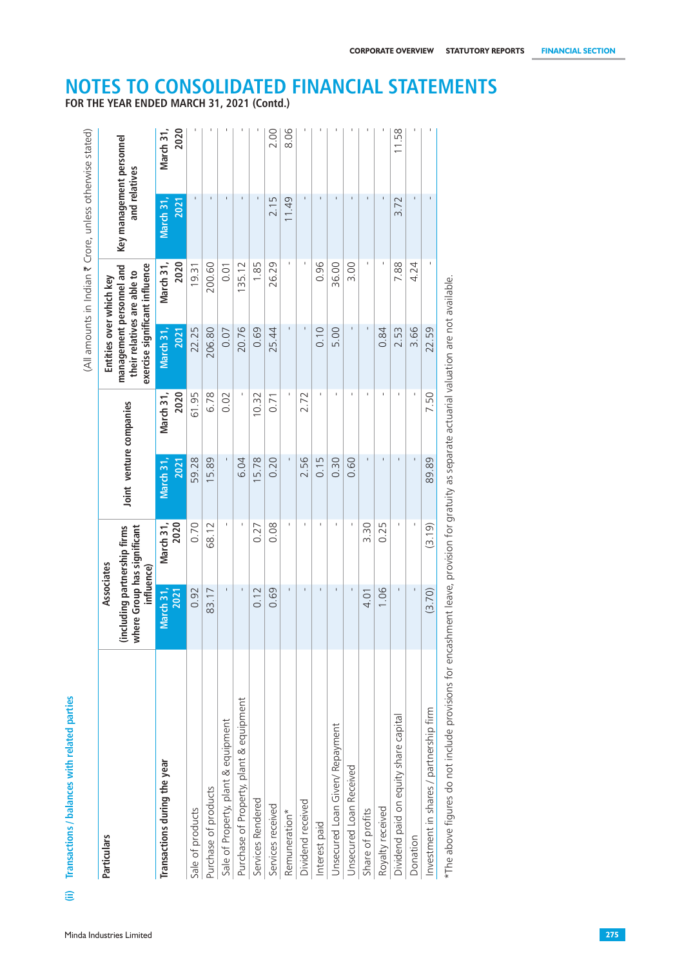| Particulars                             | Associates                                                                |                   |                         |                   | Entities over which key                                                                   |                          |                                           |                   |
|-----------------------------------------|---------------------------------------------------------------------------|-------------------|-------------------------|-------------------|-------------------------------------------------------------------------------------------|--------------------------|-------------------------------------------|-------------------|
|                                         | where Group has significant<br>(including partnership firms<br>influence) |                   | Joint venture companies |                   | management personnel and<br>exercise significant influence<br>their relatives are able to |                          | Key management personnel<br>and relatives |                   |
| Transactions during the year            | March 31,<br>2021                                                         | 2020<br>March 31, | March 31,<br>2021       | 2020<br>March 31, | March 31,<br>2021                                                                         | 2020<br>March 31,        | March 31,<br>2021                         | 2020<br>March 31, |
| Sale of products                        | 0.92                                                                      | 0.70              | 59.28                   | 61.95             | 22.25                                                                                     | 19.31                    | $\mathbf{I}$                              |                   |
| Purchase of products                    | 83.17                                                                     | 68.12             | 15.89                   | 6.78              | 206.80                                                                                    | 200.60                   | $\mathbf{I}$                              |                   |
| Sale of Property, plant & equipment     | $\mathbf{I}$                                                              | $\mathbf{I}$      | $\mathbf{I}$            | 0.02              | 0.07                                                                                      | 0.01                     | $\mathbf{I}$                              |                   |
| Purchase of Property, plant & equipment | $\mathbf{I}$                                                              | $\mathbf I$       | 6.04                    |                   | 20.76                                                                                     | 135.12                   | $\mathbf{I}$                              |                   |
| Services Rendered                       | 0.12                                                                      | 0.27              | 15.78                   | 10.32             | 0.69                                                                                      | 1.85                     | $\mathbf I$                               |                   |
| Services received                       | 0.69                                                                      | 0.08              | 0.20                    | 0.71              | 25.44                                                                                     | 26.29                    | 2.15                                      | 2.00              |
| Remuneration*                           |                                                                           |                   |                         |                   | $\mathbf{I}$                                                                              |                          | 11.49                                     | 8.06              |
| Dividend received                       | $\mathbf{I}$                                                              | $\mathbf I$       | 2.56                    | 2.72              | $\mathbf{I}$                                                                              | $\overline{\phantom{a}}$ | $\mathbf{I}$                              |                   |
| Interest paid                           | $\mathbf{I}$                                                              | $\mathbf I$       | 0.15                    | $\mathbf{I}$      | 0.10                                                                                      | 0.96                     | $\mathbf{I}$                              |                   |
| Unsecured Loan Given/ Repayment         | $\mathbf{I}$                                                              | $\,$ $\,$         | 0.30                    | $\mathbf{1}$      | 5.00                                                                                      | 36.00                    | $\mathbf{I}$                              |                   |
| Unsecured Loan Received                 | $\blacksquare$                                                            |                   | 0.60                    | $\pm$             | $\mathbf{I}$                                                                              | 3.00                     | $\mathbf{I}$                              |                   |
| Share of profits                        | 4.01                                                                      | 3.30              | $\mathbf I$             | $\mathbf{L}$      | $\mathbf{I}$                                                                              |                          | $\mathbf{I}$                              |                   |
| Royalty received                        | 1.06                                                                      | 0.25              | $\mathbf I$             |                   | 0.84                                                                                      |                          | $\mathbf I$                               |                   |
| Dividend paid on equity share capital   |                                                                           |                   | $\Gamma$                | $\mathbf{1}$      | 2.53                                                                                      | 7.88                     | 3.72                                      | 11.58             |
| Donation                                |                                                                           |                   | $\mathbf I$             |                   | 3.66                                                                                      | 4.24                     | $\mathbf{L}$                              |                   |
| Investment in shares / partnership firm | (3.70)                                                                    | (3.19)            | 89.89                   | 7.50              | 22.59                                                                                     |                          | $\mathbf{I}$                              |                   |

**FOR THE YEAR ENDED MARCH 31, 2021 (Contd.)**

# **NOTES TO CONSOLIDATED FINANCIAL STATEMENTS**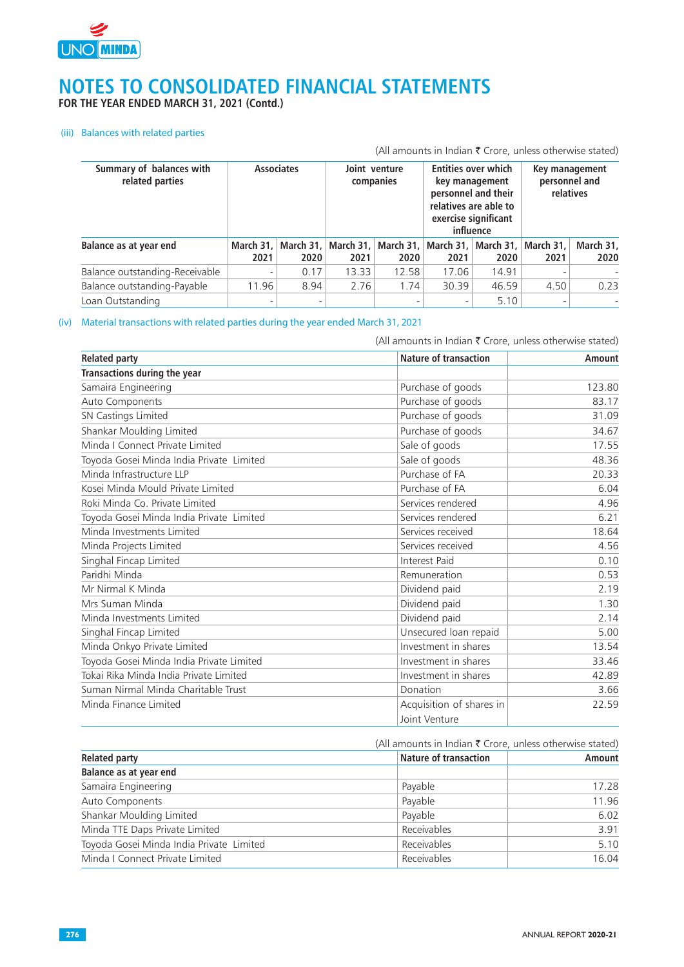

**FOR THE YEAR ENDED MARCH 31, 2021 (Contd.)**

#### (iii) Balances with related parties

|                                             |                              |                          |       |                                             |                                                                                                                                   |                     |                     | (All amounts in Indian $\bar{\tau}$ Crore, unless otherwise stated) |
|---------------------------------------------|------------------------------|--------------------------|-------|---------------------------------------------|-----------------------------------------------------------------------------------------------------------------------------------|---------------------|---------------------|---------------------------------------------------------------------|
| Summary of balances with<br>related parties |                              | <b>Associates</b>        |       | Joint venture<br>companies                  | <b>Entities over which</b><br>key management<br>personnel and their<br>relatives are able to<br>exercise significant<br>influence |                     |                     | Key management<br>personnel and<br>relatives                        |
| Balance as at year end                      | March 31.<br>2021            | March $31.$<br>2020      | 2021  | March 31,   March 31,   March 31,  <br>2020 | 2021                                                                                                                              | March $31.$<br>2020 | March $31.$<br>2021 | March 31,<br>2020                                                   |
| Balance outstanding-Receivable              | $\qquad \qquad -$            | 0.17                     | 13.33 | 12.58                                       | 17.06                                                                                                                             | 14.91               |                     |                                                                     |
| Balance outstanding-Payable                 | 11.96                        | 8.94                     | 2.76  | 1.74                                        | 30.39                                                                                                                             | 46.59               | 4.50                | 0.23                                                                |
| Loan Outstanding                            | $\qquad \qquad \blacksquare$ | $\overline{\phantom{0}}$ |       |                                             | $\overline{\phantom{0}}$                                                                                                          | 5.10                |                     |                                                                     |

#### (iv) Material transactions with related parties during the year ended March 31, 2021

(All amounts in Indian  $\bar{\tau}$  Crore, unless otherwise stated)

| <b>Related party</b>                     | <b>Nature of transaction</b> | <b>Amount</b> |
|------------------------------------------|------------------------------|---------------|
| Transactions during the year             |                              |               |
| Samaira Engineering                      | Purchase of goods            | 123.80        |
| Auto Components                          | Purchase of goods            | 83.17         |
| SN Castings Limited                      | Purchase of goods            | 31.09         |
| Shankar Moulding Limited                 | Purchase of goods            | 34.67         |
| Minda I Connect Private Limited          | Sale of goods                | 17.55         |
| Toyoda Gosei Minda India Private Limited | Sale of goods                | 48.36         |
| Minda Infrastructure LLP                 | Purchase of FA               | 20.33         |
| Kosei Minda Mould Private Limited        | Purchase of FA               | 6.04          |
| Roki Minda Co. Private Limited           | Services rendered            | 4.96          |
| Toyoda Gosei Minda India Private Limited | Services rendered            | 6.21          |
| Minda Investments Limited                | Services received            | 18.64         |
| Minda Projects Limited                   | Services received            | 4.56          |
| Singhal Fincap Limited                   | Interest Paid                | 0.10          |
| Paridhi Minda                            | Remuneration                 | 0.53          |
| Mr Nirmal K Minda                        | Dividend paid                | 2.19          |
| Mrs Suman Minda                          | Dividend paid                | 1.30          |
| Minda Investments Limited                | Dividend paid                | 2.14          |
| Singhal Fincap Limited                   | Unsecured loan repaid        | 5.00          |
| Minda Onkyo Private Limited              | Investment in shares         | 13.54         |
| Toyoda Gosei Minda India Private Limited | Investment in shares         | 33.46         |
| Tokai Rika Minda India Private Limited   | Investment in shares         | 42.89         |
| Suman Nirmal Minda Charitable Trust      | Donation                     | 3.66          |
| Minda Finance Limited                    | Acquisition of shares in     | 22.59         |
|                                          | Joint Venture                |               |

|                                          | (All amounts in Indian ₹ Crore, unless otherwise stated) |               |  |
|------------------------------------------|----------------------------------------------------------|---------------|--|
| <b>Related party</b>                     | <b>Nature of transaction</b>                             | <b>Amount</b> |  |
| Balance as at year end                   |                                                          |               |  |
| Samaira Engineering                      | Payable                                                  | 17.28         |  |
| Auto Components                          | Payable                                                  | 11.96         |  |
| Shankar Moulding Limited                 | Payable                                                  | 6.02          |  |
| Minda TTE Daps Private Limited           | Receivables                                              | 3.91          |  |
| Toyoda Gosei Minda India Private Limited | Receivables                                              | 5.10          |  |
| Minda I Connect Private Limited          | Receivables                                              | 16.04         |  |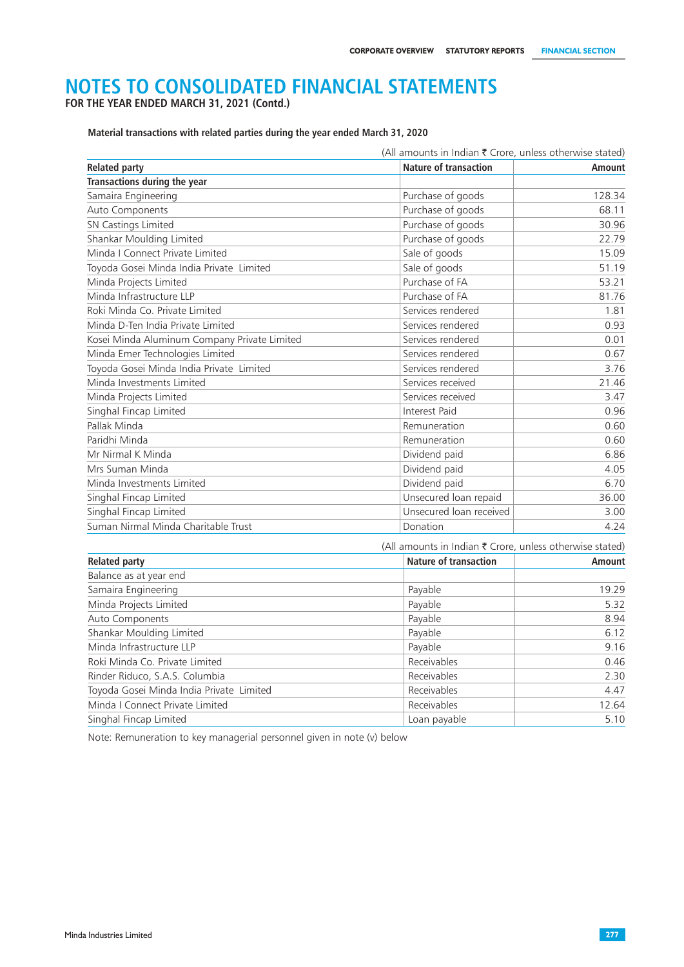**FOR THE YEAR ENDED MARCH 31, 2021 (Contd.)**

**Material transactions with related parties during the year ended March 31, 2020**

| (All amounts in Indian ₹ Crore, unless otherwise stated) |                                                          |               |  |  |
|----------------------------------------------------------|----------------------------------------------------------|---------------|--|--|
| <b>Related party</b>                                     | <b>Nature of transaction</b>                             | <b>Amount</b> |  |  |
| <b>Transactions during the year</b>                      |                                                          |               |  |  |
| Samaira Engineering                                      | Purchase of goods                                        | 128.34        |  |  |
| Auto Components                                          | Purchase of goods                                        | 68.11         |  |  |
| SN Castings Limited                                      | Purchase of goods                                        | 30.96         |  |  |
| Shankar Moulding Limited                                 | Purchase of goods                                        | 22.79         |  |  |
| Minda I Connect Private Limited                          | Sale of goods                                            | 15.09         |  |  |
| Toyoda Gosei Minda India Private Limited                 | Sale of goods                                            | 51.19         |  |  |
| Minda Projects Limited                                   | Purchase of FA                                           | 53.21         |  |  |
| Minda Infrastructure LLP                                 | Purchase of FA                                           | 81.76         |  |  |
| Roki Minda Co. Private Limited                           | Services rendered                                        | 1.81          |  |  |
| Minda D-Ten India Private Limited                        | Services rendered                                        | 0.93          |  |  |
| Kosei Minda Aluminum Company Private Limited             | Services rendered                                        | 0.01          |  |  |
| Minda Emer Technologies Limited                          | Services rendered                                        | 0.67          |  |  |
| Toyoda Gosei Minda India Private Limited                 | Services rendered                                        | 3.76          |  |  |
| Minda Investments Limited                                | Services received                                        | 21.46         |  |  |
| Minda Projects Limited                                   | Services received                                        | 3.47          |  |  |
| Singhal Fincap Limited                                   | Interest Paid                                            | 0.96          |  |  |
| Pallak Minda                                             | Remuneration                                             | 0.60          |  |  |
| Paridhi Minda                                            | Remuneration                                             | 0.60          |  |  |
| Mr Nirmal K Minda                                        | Dividend paid                                            | 6.86          |  |  |
| Mrs Suman Minda                                          | Dividend paid                                            | 4.05          |  |  |
| Minda Investments Limited                                | Dividend paid                                            | 6.70          |  |  |
| Singhal Fincap Limited                                   | Unsecured loan repaid                                    | 36.00         |  |  |
| Singhal Fincap Limited                                   | Unsecured loan received                                  | 3.00          |  |  |
| Suman Nirmal Minda Charitable Trust                      | Donation                                                 | 4.24          |  |  |
|                                                          | (All amounts in Indian ₹ Crore, unless otherwise stated) |               |  |  |
| <b>Related party</b>                                     | <b>Nature of transaction</b>                             | <b>Amount</b> |  |  |
| Balance as at year end                                   |                                                          |               |  |  |
| Samaira Engineering                                      | Payable                                                  | 19.29         |  |  |
| Minda Projects Limited                                   | Payable                                                  | 5.32          |  |  |
| Auto Components                                          | Payable                                                  | 8.94          |  |  |
| Shankar Moulding Limited                                 | Payable                                                  | 6.12          |  |  |
| Minda Infrastructure LLP                                 | Payable                                                  | 9.16          |  |  |
| Roki Minda Co. Private Limited                           | Receivables                                              | 0.46          |  |  |
| Rinder Riduco, S.A.S. Columbia                           | Receivables                                              | 2.30          |  |  |
| Toyoda Gosei Minda India Private Limited                 | Receivables                                              | 4.47          |  |  |
| Minda I Connect Private Limited                          | Receivables                                              | 12.64         |  |  |

Singhal Fincap Limited 5.10

Note: Remuneration to key managerial personnel given in note (v) below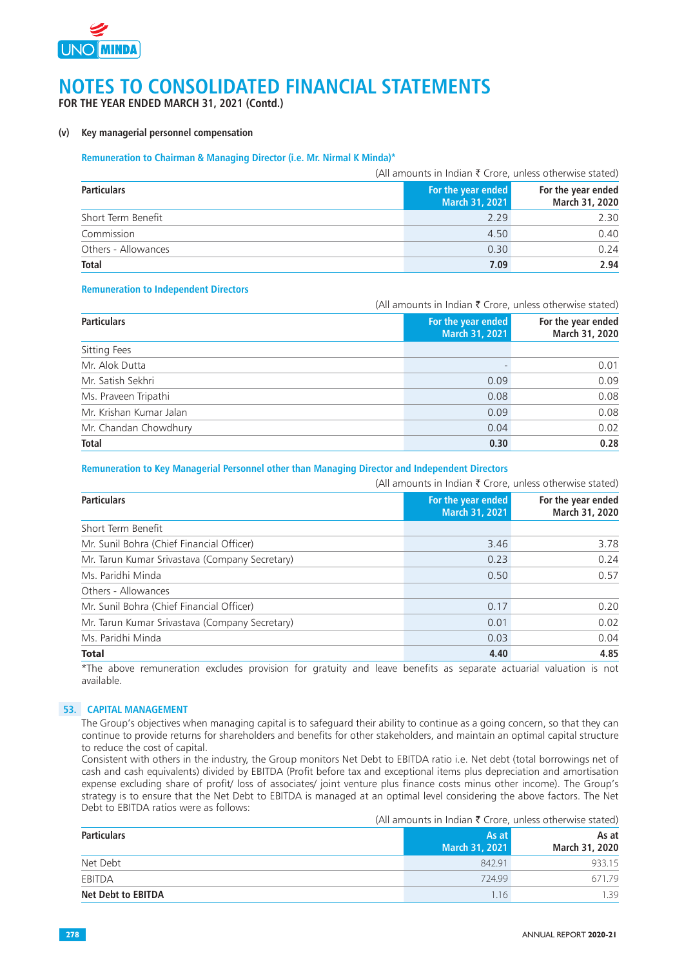

**FOR THE YEAR ENDED MARCH 31, 2021 (Contd.)**

#### **(v) Key managerial personnel compensation**

#### **Remuneration to Chairman & Managing Director (i.e. Mr. Nirmal K Minda)\***

|                     |                                      | (All amounts in Indian $\bar{\tau}$ Crore, unless otherwise stated) |
|---------------------|--------------------------------------|---------------------------------------------------------------------|
| <b>Particulars</b>  | For the year ended<br>March 31, 2021 | For the year ended<br>March 31, 2020                                |
| Short Term Benefit  | 2.29                                 | 2.30                                                                |
| Commission          | 4.50                                 | 0.40                                                                |
| Others - Allowances | 0.30                                 | 0.24                                                                |
| <b>Total</b>        | 7.09                                 | 2.94                                                                |

#### **Remuneration to Independent Directors**

|                         | (All amounts in Indian $\bar{\tau}$ Crore, unless otherwise stated) |                                      |  |
|-------------------------|---------------------------------------------------------------------|--------------------------------------|--|
| <b>Particulars</b>      | For the year ended<br><b>March 31, 2021</b>                         | For the year ended<br>March 31, 2020 |  |
| Sitting Fees            |                                                                     |                                      |  |
| Mr. Alok Dutta          |                                                                     | 0.01                                 |  |
| Mr. Satish Sekhri       | 0.09                                                                | 0.09                                 |  |
| Ms. Praveen Tripathi    | 0.08                                                                | 0.08                                 |  |
| Mr. Krishan Kumar Jalan | 0.09                                                                | 0.08                                 |  |
| Mr. Chandan Chowdhury   | 0.04                                                                | 0.02                                 |  |
| <b>Total</b>            | 0.30                                                                | 0.28                                 |  |

#### **Remuneration to Key Managerial Personnel other than Managing Director and Independent Directors**

|                                                |                    | (All amounts in Indian $\bar{\tau}$ Crore, unless otherwise stated) |                                      |  |
|------------------------------------------------|--------------------|---------------------------------------------------------------------|--------------------------------------|--|
| <b>Particulars</b>                             | For the year ended | March 31, 2021                                                      | For the year ended<br>March 31, 2020 |  |
| Short Term Benefit                             |                    |                                                                     |                                      |  |
| Mr. Sunil Bohra (Chief Financial Officer)      |                    | 3.46                                                                | 3.78                                 |  |
| Mr. Tarun Kumar Srivastava (Company Secretary) |                    | 0.23                                                                | 0.24                                 |  |
| Ms. Paridhi Minda                              |                    | 0.50                                                                | 0.57                                 |  |
| Others - Allowances                            |                    |                                                                     |                                      |  |
| Mr. Sunil Bohra (Chief Financial Officer)      |                    | 0.17                                                                | 0.20                                 |  |
| Mr. Tarun Kumar Srivastava (Company Secretary) |                    | 0.01                                                                | 0.02                                 |  |
| Ms. Paridhi Minda                              |                    | 0.03                                                                | 0.04                                 |  |
| <b>Total</b>                                   |                    | 4.40                                                                | 4.85                                 |  |

\*The above remuneration excludes provision for gratuity and leave benefits as separate actuarial valuation is not available.

#### **53. CAPITAL MANAGEMENT**

The Group's objectives when managing capital is to safeguard their ability to continue as a going concern, so that they can continue to provide returns for shareholders and benefits for other stakeholders, and maintain an optimal capital structure to reduce the cost of capital.

Consistent with others in the industry, the Group monitors Net Debt to EBITDA ratio i.e. Net debt (total borrowings net of cash and cash equivalents) divided by EBITDA (Profit before tax and exceptional items plus depreciation and amortisation expense excluding share of profit/ loss of associates/ joint venture plus finance costs minus other income). The Group's strategy is to ensure that the Net Debt to EBITDA is managed at an optimal level considering the above factors. The Net Debt to EBITDA ratios were as follows:

(All amounts in Indian  $\bar{\tau}$  Crore, unless otherwise stated)

| <b>Particulars</b>        | As at          | As at          |
|---------------------------|----------------|----------------|
|                           | March 31, 2021 | March 31, 2020 |
| Net Debt                  | 842.91         | 933.15         |
| EBITDA                    | 724.99         | 671.79         |
| <b>Net Debt to EBITDA</b> | 1.16           | .39            |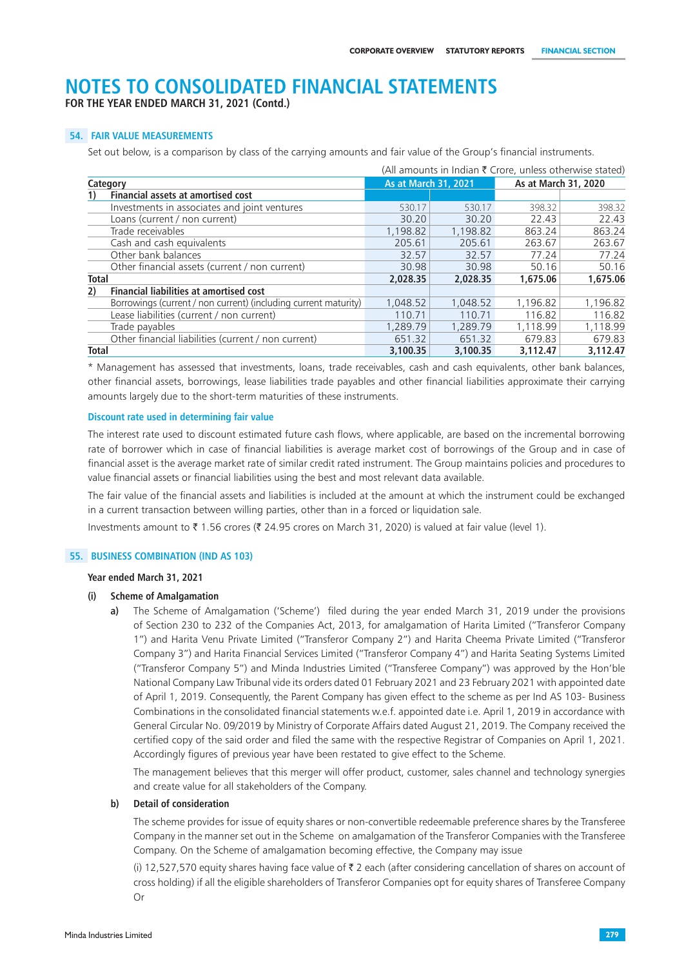**FOR THE YEAR ENDED MARCH 31, 2021 (Contd.)**

#### **54. FAIR VALUE MEASUREMENTS**

Set out below, is a comparison by class of the carrying amounts and fair value of the Group's financial instruments.

|              |                                                                 | (All amounts in Indian ₹ Crore, unless otherwise stated) |          |          |                      |  |
|--------------|-----------------------------------------------------------------|----------------------------------------------------------|----------|----------|----------------------|--|
|              | Category                                                        | <b>As at March 31, 2021</b>                              |          |          | As at March 31, 2020 |  |
|              | <b>Financial assets at amortised cost</b>                       |                                                          |          |          |                      |  |
|              | Investments in associates and joint ventures                    | 530.17                                                   | 530.17   | 398.32   | 398.32               |  |
|              | Loans (current / non current)                                   | 30.20                                                    | 30.20    | 22.43    | 22.43                |  |
|              | Trade receivables                                               | 1,198.82                                                 | 1,198.82 | 863.24   | 863.24               |  |
|              | Cash and cash equivalents                                       | 205.61                                                   | 205.61   | 263.67   | 263.67               |  |
|              | Other bank balances                                             | 32.57                                                    | 32.57    | 77.24    | 77.24                |  |
|              | Other financial assets (current / non current)                  | 30.98                                                    | 30.98    | 50.16    | 50.16                |  |
| <b>Total</b> |                                                                 | 2.028.35                                                 | 2.028.35 | 1.675.06 | 1,675.06             |  |
| 2)           | <b>Financial liabilities at amortised cost</b>                  |                                                          |          |          |                      |  |
|              | Borrowings (current / non current) (including current maturity) | 1,048.52                                                 | 1.048.52 | 1,196.82 | 1,196.82             |  |
|              | Lease liabilities (current / non current)                       | 110.71                                                   | 110.71   | 116.82   | 116.82               |  |
|              | Trade payables                                                  | 1,289.79                                                 | 1,289.79 | 1,118.99 | 1.118.99             |  |
|              | Other financial liabilities (current / non current)             | 651.32                                                   | 651.32   | 679.83   | 679.83               |  |
| <b>Total</b> |                                                                 | 3.100.35                                                 | 3.100.35 | 3.112.47 | 3.112.47             |  |

\* Management has assessed that investments, loans, trade receivables, cash and cash equivalents, other bank balances, other financial assets, borrowings, lease liabilities trade payables and other financial liabilities approximate their carrying amounts largely due to the short-term maturities of these instruments.

#### **Discount rate used in determining fair value**

The interest rate used to discount estimated future cash flows, where applicable, are based on the incremental borrowing rate of borrower which in case of financial liabilities is average market cost of borrowings of the Group and in case of financial asset is the average market rate of similar credit rated instrument. The Group maintains policies and procedures to value financial assets or financial liabilities using the best and most relevant data available.

The fair value of the financial assets and liabilities is included at the amount at which the instrument could be exchanged in a current transaction between willing parties, other than in a forced or liquidation sale.

Investments amount to  $\bar{\tau}$  1.56 crores ( $\bar{\tau}$  24.95 crores on March 31, 2020) is valued at fair value (level 1).

#### **55. BUSINESS COMBINATION (IND AS 103)**

#### **Year ended March 31, 2021**

#### **(i) Scheme of Amalgamation**

 **a)** The Scheme of Amalgamation ('Scheme') filed during the year ended March 31, 2019 under the provisions of Section 230 to 232 of the Companies Act, 2013, for amalgamation of Harita Limited ("Transferor Company 1") and Harita Venu Private Limited ("Transferor Company 2") and Harita Cheema Private Limited ("Transferor Company 3") and Harita Financial Services Limited ("Transferor Company 4") and Harita Seating Systems Limited ("Transferor Company 5") and Minda Industries Limited ("Transferee Company") was approved by the Hon'ble National Company Law Tribunal vide its orders dated 01 February 2021 and 23 February 2021 with appointed date of April 1, 2019. Consequently, the Parent Company has given effect to the scheme as per Ind AS 103- Business Combinations in the consolidated financial statements w.e.f. appointed date i.e. April 1, 2019 in accordance with General Circular No. 09/2019 by Ministry of Corporate Affairs dated August 21, 2019. The Company received the certified copy of the said order and filed the same with the respective Registrar of Companies on April 1, 2021. Accordingly figures of previous year have been restated to give effect to the Scheme.

The management believes that this merger will offer product, customer, sales channel and technology synergies and create value for all stakeholders of the Company.

#### **b) Detail of consideration**

The scheme provides for issue of equity shares or non-convertible redeemable preference shares by the Transferee Company in the manner set out in the Scheme on amalgamation of the Transferor Companies with the Transferee Company. On the Scheme of amalgamation becoming effective, the Company may issue

(i) 12,527,570 equity shares having face value of  $\bar{\tau}$  2 each (after considering cancellation of shares on account of cross holding) if all the eligible shareholders of Transferor Companies opt for equity shares of Transferee Company Or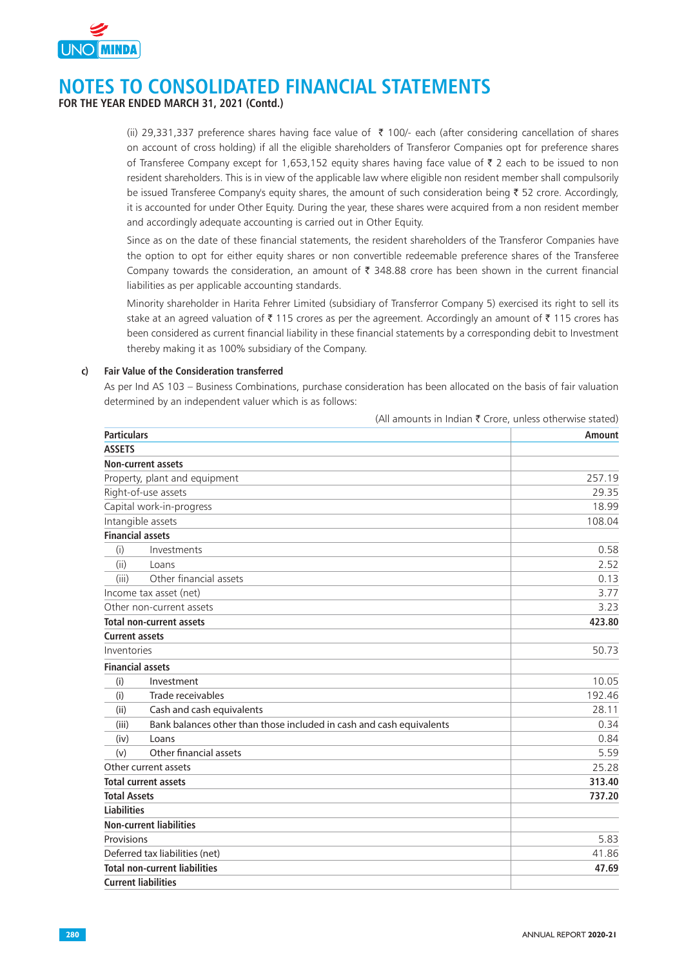

**FOR THE YEAR ENDED MARCH 31, 2021 (Contd.)**

(ii) 29,331,337 preference shares having face value of  $\bar{\tau}$  100/- each (after considering cancellation of shares on account of cross holding) if all the eligible shareholders of Transferor Companies opt for preference shares of Transferee Company except for 1,653,152 equity shares having face value of  $\bar{\tau}$  2 each to be issued to non resident shareholders. This is in view of the applicable law where eligible non resident member shall compulsorily be issued Transferee Company's equity shares, the amount of such consideration being  $\bar{\tau}$  52 crore. Accordingly, it is accounted for under Other Equity. During the year, these shares were acquired from a non resident member and accordingly adequate accounting is carried out in Other Equity.

Since as on the date of these financial statements, the resident shareholders of the Transferor Companies have the option to opt for either equity shares or non convertible redeemable preference shares of the Transferee Company towards the consideration, an amount of  $\bar{\tau}$  348.88 crore has been shown in the current financial liabilities as per applicable accounting standards.

Minority shareholder in Harita Fehrer Limited (subsidiary of Transferror Company 5) exercised its right to sell its stake at an agreed valuation of  $\bar{z}$  115 crores as per the agreement. Accordingly an amount of  $\bar{z}$  115 crores has been considered as current financial liability in these financial statements by a corresponding debit to Investment thereby making it as 100% subsidiary of the Company.

#### **c) Fair Value of the Consideration transferred**

As per Ind AS 103 – Business Combinations, purchase consideration has been allocated on the basis of fair valuation determined by an independent valuer which is as follows:

|                       |                                                                      | (All amounts in Indian ₹ Crore, unless otherwise stated) |
|-----------------------|----------------------------------------------------------------------|----------------------------------------------------------|
| <b>Particulars</b>    |                                                                      | Amount                                                   |
| <b>ASSETS</b>         |                                                                      |                                                          |
|                       | <b>Non-current assets</b>                                            |                                                          |
|                       | Property, plant and equipment                                        | 257.19                                                   |
|                       | Right-of-use assets                                                  | 29.35                                                    |
|                       | Capital work-in-progress                                             | 18.99                                                    |
|                       | Intangible assets                                                    | 108.04                                                   |
|                       | <b>Financial assets</b>                                              |                                                          |
| (i)                   | Investments                                                          | 0.58                                                     |
| (ii)                  | Loans                                                                | 2.52                                                     |
| (iii)                 | Other financial assets                                               | 0.13                                                     |
|                       | Income tax asset (net)                                               | 3.77                                                     |
|                       | Other non-current assets                                             | 3.23                                                     |
|                       | <b>Total non-current assets</b>                                      | 423.80                                                   |
| <b>Current assets</b> |                                                                      |                                                          |
| Inventories           |                                                                      | 50.73                                                    |
|                       | <b>Financial assets</b>                                              |                                                          |
| (i)                   | Investment                                                           | 10.05                                                    |
| (i)                   | Trade receivables                                                    | 192.46                                                   |
| (ii)                  | Cash and cash equivalents                                            | 28.11                                                    |
| (iii)                 | Bank balances other than those included in cash and cash equivalents | 0.34                                                     |
| (iv)                  | Loans                                                                | 0.84                                                     |
| (v)                   | Other financial assets                                               | 5.59                                                     |
|                       | Other current assets                                                 | 25.28                                                    |
|                       | <b>Total current assets</b>                                          | 313.40                                                   |
| <b>Total Assets</b>   |                                                                      | 737.20                                                   |
| <b>Liabilities</b>    |                                                                      |                                                          |
|                       | <b>Non-current liabilities</b>                                       |                                                          |
| Provisions            |                                                                      | 5.83                                                     |
|                       | Deferred tax liabilities (net)                                       | 41.86                                                    |
|                       | <b>Total non-current liabilities</b>                                 | 47.69                                                    |
|                       | <b>Current liabilities</b>                                           |                                                          |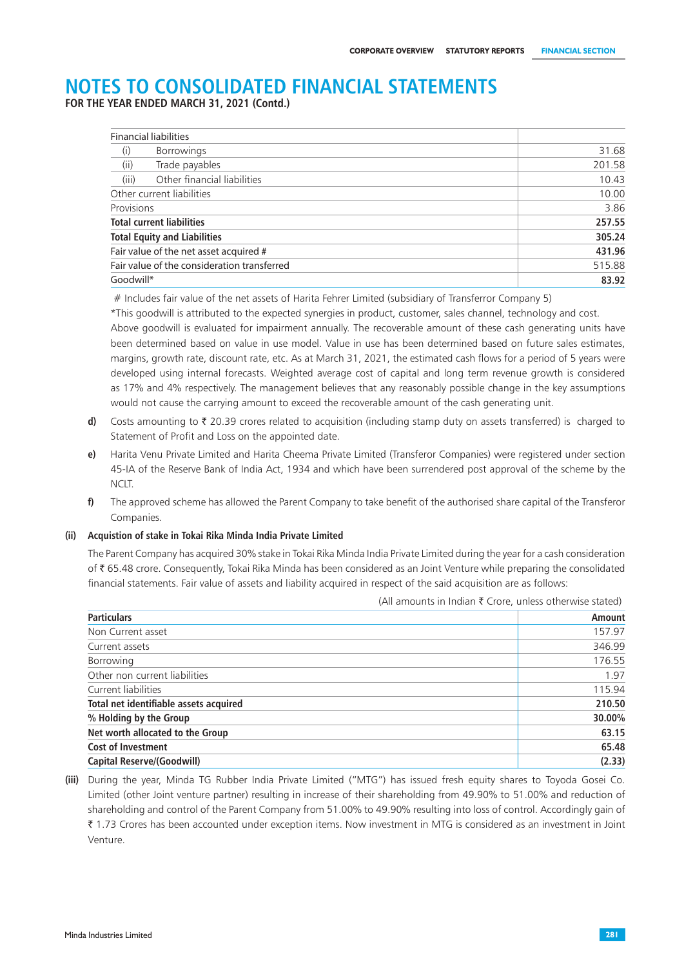**FOR THE YEAR ENDED MARCH 31, 2021 (Contd.)**

| <b>Financial liabilities</b>                |        |
|---------------------------------------------|--------|
| <b>Borrowings</b><br>(i)                    | 31.68  |
| (ii)<br>Trade payables                      | 201.58 |
| (iii)<br>Other financial liabilities        | 10.43  |
| Other current liabilities                   | 10.00  |
| Provisions                                  | 3.86   |
| <b>Total current liabilities</b>            | 257.55 |
| <b>Total Equity and Liabilities</b>         | 305.24 |
| Fair value of the net asset acquired #      | 431.96 |
| Fair value of the consideration transferred | 515.88 |
| Goodwill*                                   | 83.92  |

# Includes fair value of the net assets of Harita Fehrer Limited (subsidiary of Transferror Company 5)

\*This goodwill is attributed to the expected synergies in product, customer, sales channel, technology and cost.

Above goodwill is evaluated for impairment annually. The recoverable amount of these cash generating units have been determined based on value in use model. Value in use has been determined based on future sales estimates, margins, growth rate, discount rate, etc. As at March 31, 2021, the estimated cash flows for a period of 5 years were developed using internal forecasts. Weighted average cost of capital and long term revenue growth is considered as 17% and 4% respectively. The management believes that any reasonably possible change in the key assumptions would not cause the carrying amount to exceed the recoverable amount of the cash generating unit.

- **d)** Costs amounting to  $\bar{\tau}$  20.39 crores related to acquisition (including stamp duty on assets transferred) is charged to Statement of Profit and Loss on the appointed date.
- **e)** Harita Venu Private Limited and Harita Cheema Private Limited (Transferor Companies) were registered under section 45-IA of the Reserve Bank of India Act, 1934 and which have been surrendered post approval of the scheme by the NCLT.
- **f)** The approved scheme has allowed the Parent Company to take benefit of the authorised share capital of the Transferor Companies.

#### **(ii) Acquistion of stake in Tokai Rika Minda India Private Limited**

The Parent Company has acquired 30% stake in Tokai Rika Minda India Private Limited during the year for a cash consideration of ` 65.48 crore. Consequently, Tokai Rika Minda has been considered as an Joint Venture while preparing the consolidated financial statements. Fair value of assets and liability acquired in respect of the said acquisition are as follows:

| <b>Particulars</b>                     | Amount |
|----------------------------------------|--------|
| Non Current asset                      | 157.97 |
| Current assets                         | 346.99 |
| Borrowing                              | 176.55 |
| Other non current liabilities          | 1.97   |
| Current liabilities                    | 115.94 |
| Total net identifiable assets acquired | 210.50 |
| % Holding by the Group                 | 30.00% |
| Net worth allocated to the Group       | 63.15  |
| <b>Cost of Investment</b>              | 65.48  |
| <b>Capital Reserve/(Goodwill)</b>      | (2.33) |
|                                        |        |

(All amounts in Indian  $\bar{\tau}$  Crore, unless otherwise stated)

**(iii)** During the year, Minda TG Rubber India Private Limited ("MTG") has issued fresh equity shares to Toyoda Gosei Co. Limited (other Joint venture partner) resulting in increase of their shareholding from 49.90% to 51.00% and reduction of shareholding and control of the Parent Company from 51.00% to 49.90% resulting into loss of control. Accordingly gain of ` 1.73 Crores has been accounted under exception items. Now investment in MTG is considered as an investment in Joint Venture.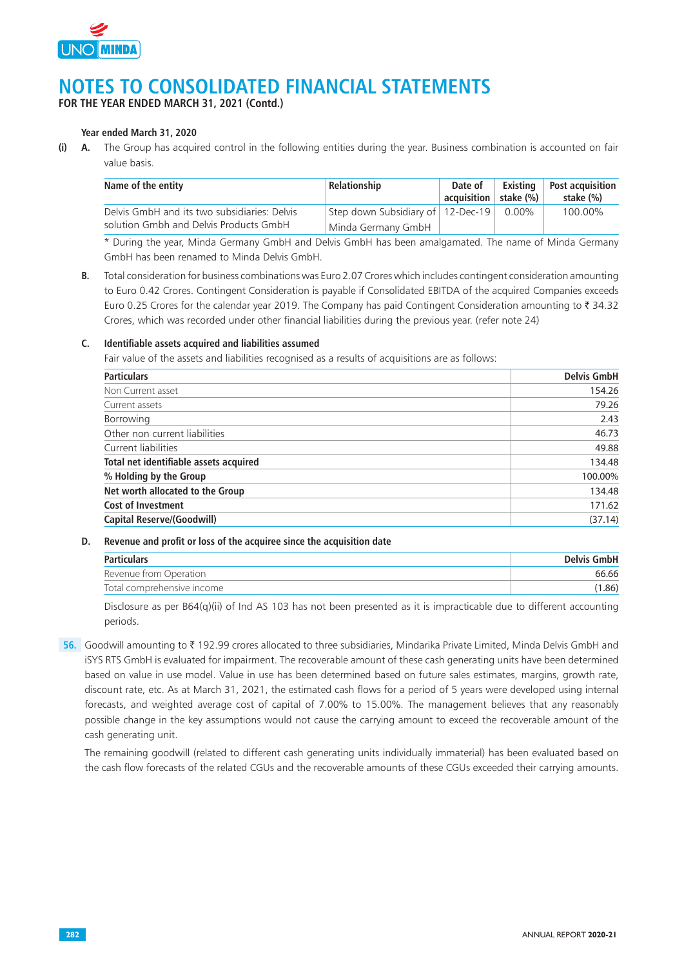

**FOR THE YEAR ENDED MARCH 31, 2021 (Contd.)**

#### **Year ended March 31, 2020**

**(i) A.** The Group has acquired control in the following entities during the year. Business combination is accounted on fair value basis.

| Name of the entity                           | Relationship                        | Date of<br>$^{\shortmid}$ acquisition $\mid$ stake (%) | Existina | <b>Post acquisition</b><br>stake (%) |
|----------------------------------------------|-------------------------------------|--------------------------------------------------------|----------|--------------------------------------|
| Delvis GmbH and its two subsidiaries: Delvis | Step down Subsidiary of   12-Dec-19 |                                                        | $0.00\%$ | 100.00%                              |
| solution Gmbh and Delvis Products GmbH       | Minda Germany GmbH                  |                                                        |          |                                      |

\* During the year, Minda Germany GmbH and Delvis GmbH has been amalgamated. The name of Minda Germany GmbH has been renamed to Minda Delvis GmbH.

**B.** Total consideration for business combinations was Euro 2.07 Crores which includes contingent consideration amounting to Euro 0.42 Crores. Contingent Consideration is payable if Consolidated EBITDA of the acquired Companies exceeds Euro 0.25 Crores for the calendar year 2019. The Company has paid Contingent Consideration amounting to  $\bar{z}$  34.32 Crores, which was recorded under other financial liabilities during the previous year. (refer note 24)

#### **C. Identifiable assets acquired and liabilities assumed**

Fair value of the assets and liabilities recognised as a results of acquisitions are as follows:

| <b>Particulars</b>                     | <b>Delvis GmbH</b> |
|----------------------------------------|--------------------|
| Non Current asset                      | 154.26             |
| Current assets                         | 79.26              |
| Borrowing                              | 2.43               |
| Other non current liabilities          | 46.73              |
| Current liabilities                    | 49.88              |
| Total net identifiable assets acquired | 134.48             |
| % Holding by the Group                 | 100.00%            |
| Net worth allocated to the Group       | 134.48             |
| <b>Cost of Investment</b>              | 171.62             |
| <b>Capital Reserve/(Goodwill)</b>      | (37.14)            |

#### **D. Revenue and profit or loss of the acquiree since the acquisition date**

| <b>Particulars</b>         | <b>Delvis GmbH</b> |
|----------------------------|--------------------|
| Revenue from Operation     | 66.66              |
| Total comprehensive income | (1.86)             |

Disclosure as per B64(q)(ii) of Ind AS 103 has not been presented as it is impracticable due to different accounting periods.

**56.** Goodwill amounting to ₹192.99 crores allocated to three subsidiaries, Mindarika Private Limited, Minda Delvis GmbH and iSYS RTS GmbH is evaluated for impairment. The recoverable amount of these cash generating units have been determined based on value in use model. Value in use has been determined based on future sales estimates, margins, growth rate, discount rate, etc. As at March 31, 2021, the estimated cash flows for a period of 5 years were developed using internal forecasts, and weighted average cost of capital of 7.00% to 15.00%. The management believes that any reasonably possible change in the key assumptions would not cause the carrying amount to exceed the recoverable amount of the cash generating unit.

The remaining goodwill (related to different cash generating units individually immaterial) has been evaluated based on the cash flow forecasts of the related CGUs and the recoverable amounts of these CGUs exceeded their carrying amounts.